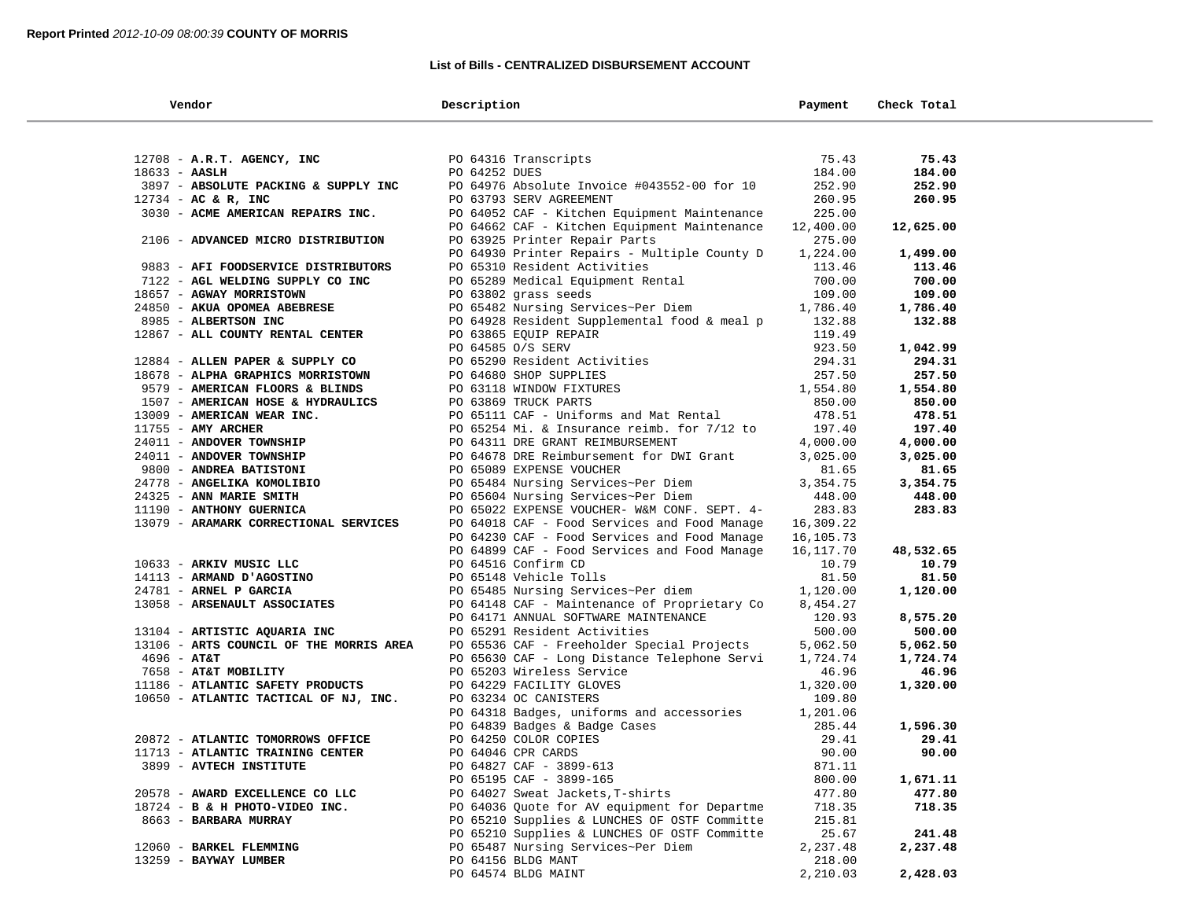## **List of Bills - CENTRALIZED DISBURSEMENT ACCOUNT**

| Vendor                                              | Description                                                                        | Payment          | Check Total      |  |
|-----------------------------------------------------|------------------------------------------------------------------------------------|------------------|------------------|--|
|                                                     |                                                                                    |                  |                  |  |
| $12708$ - A.R.T. AGENCY, INC                        | PO 64316 Transcripts                                                               | 75.43            | 75.43            |  |
| $18633 - AASLH$                                     | PO 64252 DUES                                                                      | 184.00           | 184.00           |  |
| 3897 - ABSOLUTE PACKING & SUPPLY INC                | PO 64976 Absolute Invoice #043552-00 for 10                                        | 252.90           | 252.90           |  |
| $12734$ - AC & R, INC                               | PO 63793 SERV AGREEMENT                                                            | 260.95           | 260.95           |  |
| 3030 - ACME AMERICAN REPAIRS INC.                   | PO 64052 CAF - Kitchen Equipment Maintenance                                       | 225.00           |                  |  |
|                                                     | PO 64662 CAF - Kitchen Equipment Maintenance                                       | 12,400.00        | 12,625.00        |  |
| 2106 - ADVANCED MICRO DISTRIBUTION                  | PO 63925 Printer Repair Parts                                                      | 275.00           |                  |  |
|                                                     | PO 64930 Printer Repairs - Multiple County D                                       | 1,224.00         | 1,499.00         |  |
| 9883 - AFI FOODSERVICE DISTRIBUTORS                 | PO 65310 Resident Activities                                                       | 113.46           | 113.46           |  |
| 7122 - AGL WELDING SUPPLY CO INC                    | PO 65289 Medical Equipment Rental                                                  | 700.00           | 700.00           |  |
| 18657 - AGWAY MORRISTOWN                            | PO 63802 grass seeds                                                               | 109.00           | 109.00           |  |
| 24850 - AKUA OPOMEA ABEBRESE                        | PO 65482 Nursing Services~Per Diem                                                 | 1,786.40         | 1,786.40         |  |
| 8985 - ALBERTSON INC                                | PO 64928 Resident Supplemental food & meal p                                       | 132.88           | 132.88           |  |
| 12867 - ALL COUNTY RENTAL CENTER                    | PO 63865 EQUIP REPAIR                                                              | 119.49           |                  |  |
|                                                     | PO 64585 O/S SERV                                                                  | 923.50           | 1,042.99         |  |
| 12884 - ALLEN PAPER & SUPPLY CO                     | PO 65290 Resident Activities<br>PO 64680 SHOP SUPPLIES                             | 294.31           | 294.31           |  |
| 18678 - ALPHA GRAPHICS MORRISTOWN                   | PO 64680 SHOP SUPPLIES                                                             | 257.50           | 257.50           |  |
| 9579 - AMERICAN FLOORS & BLINDS                     | PO 63118 WINDOW FIXTURES                                                           | 1,554.80         | 1,554.80         |  |
| 1507 - AMERICAN HOSE & HYDRAULICS                   | PO 63869 TRUCK PARTS                                                               | 850.00           | 850.00           |  |
| 13009 - AMERICAN WEAR INC.                          | PO 65111 CAF - Uniforms and Mat Rental                                             | 478.51           | 478.51           |  |
| $11755$ - AMY ARCHER                                | PO 65254 Mi. & Insurance reimb. for 7/12 to                                        | 197.40           | 197.40           |  |
| 24011 - ANDOVER TOWNSHIP                            | PO 64311 DRE GRANT REIMBURSEMENT                                                   | 4,000.00         | 4,000.00         |  |
| 24011 - ANDOVER TOWNSHIP                            | PO 64678 DRE Reimbursement for DWI Grant                                           | 3,025.00         | 3,025.00         |  |
| 9800 - ANDREA BATISTONI                             | PO 65089 EXPENSE VOUCHER<br>PO 65484 Nursing Services~Per Diem                     | 81.65            | 81.65            |  |
| 24778 - ANGELIKA KOMOLIBIO                          |                                                                                    | 3,354.75         | 3,354.75         |  |
| 24325 - ANN MARIE SMITH<br>11190 - ANTHONY GUERNICA | PO 65604 Nursing Services~Per Diem<br>PO 65022 EXPENSE VOUCHER- W&M CONF. SEPT. 4- | 448.00<br>283.83 | 448.00<br>283.83 |  |
| 13079 - ARAMARK CORRECTIONAL SERVICES               | PO 64018 CAF - Food Services and Food Manage                                       | 16,309.22        |                  |  |
|                                                     | PO 64230 CAF - Food Services and Food Manage                                       | 16,105.73        |                  |  |
|                                                     | PO 64899 CAF - Food Services and Food Manage                                       | 16,117.70        | 48,532.65        |  |
| 10633 - ARKIV MUSIC LLC                             | PO 64516 Confirm CD                                                                | 10.79            | 10.79            |  |
| 14113 - ARMAND D'AGOSTINO                           | PO 65148 Vehicle Tolls                                                             | 81.50            | 81.50            |  |
| 24781 - ARNEL P GARCIA                              | PO 65485 Nursing Services~Per diem                                                 | 1,120.00         | 1,120.00         |  |
| 13058 - ARSENAULT ASSOCIATES                        | PO 64148 CAF - Maintenance of Proprietary Co                                       | 8,454.27         |                  |  |
|                                                     | PO 64171 ANNUAL SOFTWARE MAINTENANCE                                               | 120.93           | 8,575.20         |  |
| 13104 - ARTISTIC AQUARIA INC                        | PO 65291 Resident Activities                                                       | 500.00           | 500.00           |  |
| 13106 - ARTS COUNCIL OF THE MORRIS AREA             | PO 65536 CAF - Freeholder Special Projects                                         | 5,062.50         | 5,062.50         |  |
| $4696 - AT&T$                                       | PO 65630 CAF - Long Distance Telephone Servi                                       | 1,724.74         | 1,724.74         |  |
| 7658 - AT&T MOBILITY                                | PO 65203 Wireless Service                                                          | 46.96            | 46.96            |  |
| 11186 - ATLANTIC SAFETY PRODUCTS                    | PO 64229 FACILITY GLOVES                                                           | 1,320.00         | 1,320.00         |  |
| 10650 - ATLANTIC TACTICAL OF NJ, INC.               | PO 63234 OC CANISTERS                                                              | 109.80           |                  |  |
|                                                     | PO 64318 Badges, uniforms and accessories                                          | 1,201.06         |                  |  |
|                                                     |                                                                                    | 285.44           | 1,596.30         |  |
| 20872 - ATLANTIC TOMORROWS OFFICE                   | PO 64839 Badges & Badge Cases<br>PO 64250 COLOR COPIES<br>PO 64046 CPR CARDS       | 29.41            | 29.41            |  |
| 11713 - ATLANTIC TRAINING CENTER                    |                                                                                    | 90.00            | 90.00            |  |
| 3899 - AVTECH INSTITUTE                             | PO 64827 CAF - 3899-613                                                            | 871.11           |                  |  |
|                                                     | PO 65195 CAF - 3899-165                                                            | 800.00           | 1,671.11         |  |
| 20578 - AWARD EXCELLENCE CO LLC                     | PO 64027 Sweat Jackets, T-shirts                                                   | 477.80           | 477.80           |  |
| 18724 - B & H PHOTO-VIDEO INC.                      | PO 64036 Ouote for AV equipment for Departme                                       | 718.35           | 718.35           |  |
| 8663 - BARBARA MURRAY                               | PO 65210 Supplies & LUNCHES OF OSTF Committe                                       | 215.81           |                  |  |
|                                                     | PO 65210 Supplies & LUNCHES OF OSTF Committe                                       | 25.67            | 241.48           |  |
| 12060 - BARKEL FLEMMING                             | PO 65487 Nursing Services~Per Diem                                                 | 2,237.48         | 2,237.48         |  |
| 13259 - BAYWAY LUMBER                               | PO 64156 BLDG MANT                                                                 | 218.00           |                  |  |
|                                                     | PO 64574 BLDG MAINT                                                                | 2,210.03         | 2,428.03         |  |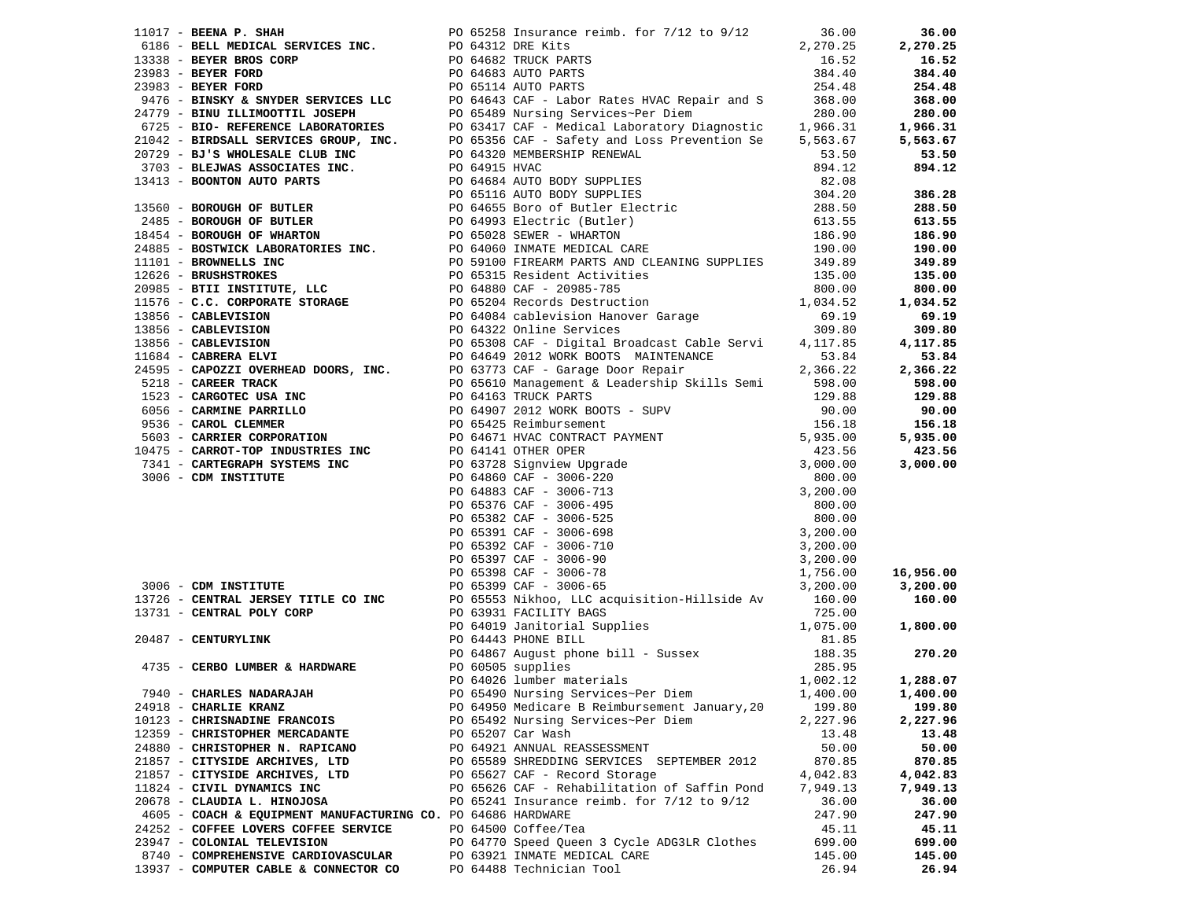|                                                              |  |                                                                                      |          | 16,956.00<br>3,200.00 |
|--------------------------------------------------------------|--|--------------------------------------------------------------------------------------|----------|-----------------------|
|                                                              |  |                                                                                      |          |                       |
|                                                              |  |                                                                                      |          |                       |
|                                                              |  |                                                                                      |          |                       |
|                                                              |  |                                                                                      |          |                       |
|                                                              |  |                                                                                      |          |                       |
|                                                              |  |                                                                                      |          |                       |
|                                                              |  |                                                                                      |          |                       |
|                                                              |  |                                                                                      |          |                       |
|                                                              |  | 7940 - CHARLES NADARAJAH <b>PO 65490</b> Nursing Services~Per Diem 1,400.00 1,400.00 |          |                       |
| 24918 - CHARLIE KRANZ                                        |  | PO 64950 Medicare B Reimbursement January, 20                                        | 199.80   | 199.80                |
| 10123 - CHRISNADINE FRANCOIS                                 |  | PO 65492 Nursing Services~Per Diem                                                   | 2,227.96 | 2,227.96              |
| 12359 - CHRISTOPHER MERCADANTE                               |  | PO 65207 Car Wash                                                                    | 13.48    | 13.48                 |
| 24880 - CHRISTOPHER N. RAPICANO                              |  | PO 64921 ANNUAL REASSESSMENT                                                         | 50.00    | 50.00                 |
| 21857 - CITYSIDE ARCHIVES, LTD                               |  | PO 65589 SHREDDING SERVICES SEPTEMBER 2012                                           | 870.85   | 870.85                |
| 21857 - CITYSIDE ARCHIVES, LTD                               |  | PO 65627 CAF - Record Storage                                                        | 4,042.83 | 4,042.83              |
| 11824 - CIVIL DYNAMICS INC                                   |  | PO 65626 CAF - Rehabilitation of Saffin Pond                                         | 7,949.13 | 7,949.13              |
| 20678 - CLAUDIA L. HINOJOSA                                  |  | PO 65241 Insurance reimb. for $7/12$ to $9/12$                                       | 36.00    | 36.00                 |
| 4605 - COACH & EQUIPMENT MANUFACTURING CO. PO 64686 HARDWARE |  |                                                                                      | 247.90   | 247.90                |
| 24252 - COFFEE LOVERS COFFEE SERVICE                         |  | PO 64500 Coffee/Tea                                                                  | 45.11    | 45.11                 |
| 23947 - COLONIAL TELEVISION                                  |  | PO 64770 Speed Queen 3 Cycle ADG3LR Clothes                                          | 699.00   | 699.00                |
| 8740 - COMPREHENSIVE CARDIOVASCULAR                          |  | PO 63921 INMATE MEDICAL CARE                                                         | 145.00   | 145.00                |
| 13937 - COMPUTER CABLE & CONNECTOR CO                        |  | PO 64488 Technician Tool                                                             | 26.94    | 26.94                 |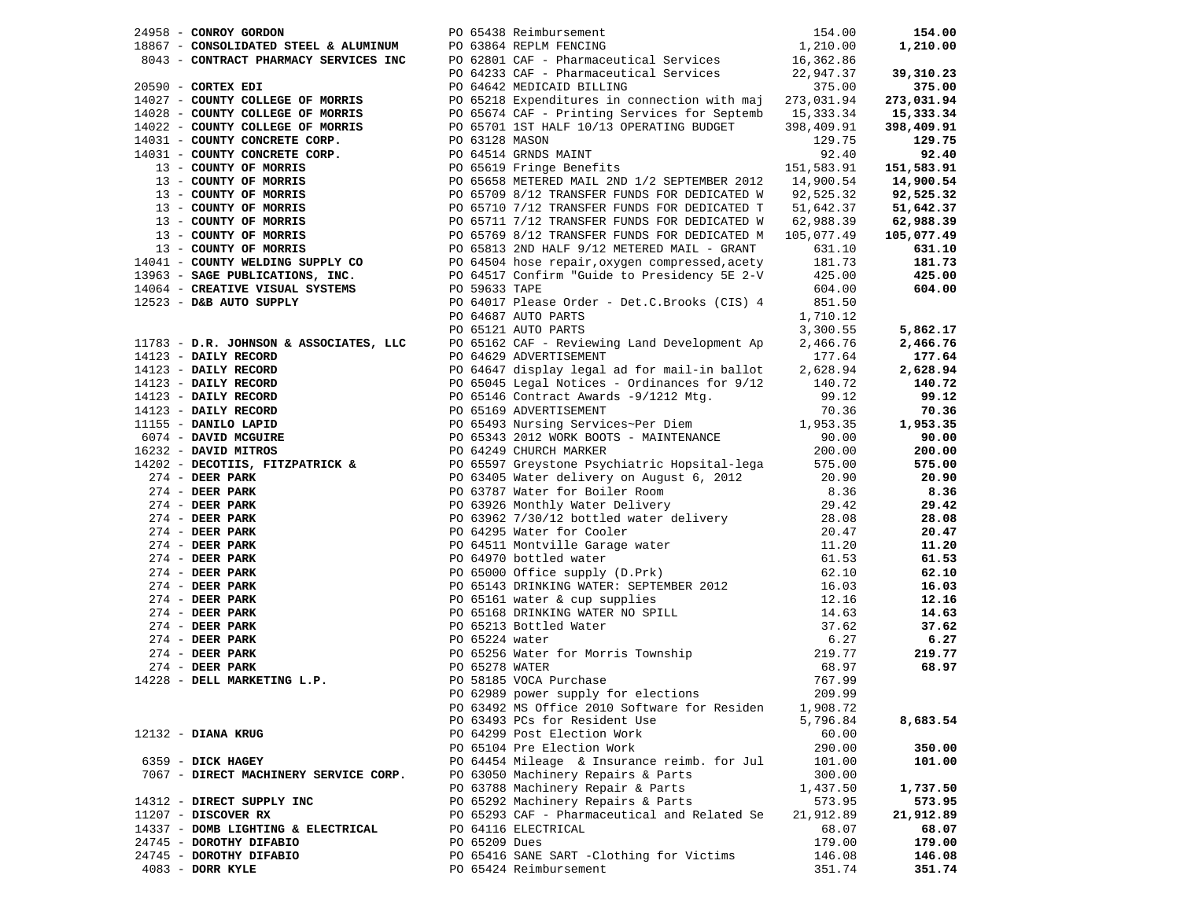| 24958 - CONROY GORDON                    |               | PO 65438 Reimbursement                                                                                                                                                                                                                                                 | 154.00    | 154.00     |
|------------------------------------------|---------------|------------------------------------------------------------------------------------------------------------------------------------------------------------------------------------------------------------------------------------------------------------------------|-----------|------------|
|                                          |               | $\mathcal{L} = \{ \mathcal{L} \mid \mathcal{L} \in \mathcal{L} \}$                                                                                                                                                                                                     |           | 1,210.00   |
|                                          |               |                                                                                                                                                                                                                                                                        |           |            |
|                                          |               |                                                                                                                                                                                                                                                                        |           | 39,310.23  |
|                                          |               |                                                                                                                                                                                                                                                                        |           | 375.00     |
|                                          |               | 24958 - <b>CONSOLUMER STEEL &amp; ALUMINUM</b><br>2667 - <b>CONSOLUATED STEEL &amp; ALUMINUM</b> PO 63864 REPLIM PENCING<br>26051 - <b>CONTRACT PHARMACY SERVICES INC</b><br>273,031.94<br>273,031.94<br>273,031.94<br>273,031.94<br>273,031.94<br>273,031.94<br>273,0 |           |            |
|                                          |               |                                                                                                                                                                                                                                                                        |           | 273,031.94 |
|                                          |               |                                                                                                                                                                                                                                                                        |           | 15,333.34  |
|                                          |               |                                                                                                                                                                                                                                                                        |           | 398,409.91 |
|                                          |               |                                                                                                                                                                                                                                                                        |           | 129.75     |
|                                          |               |                                                                                                                                                                                                                                                                        |           | 92.40      |
|                                          |               |                                                                                                                                                                                                                                                                        |           | 151,583.91 |
|                                          |               |                                                                                                                                                                                                                                                                        |           | 14,900.54  |
|                                          |               |                                                                                                                                                                                                                                                                        |           | 92,525.32  |
|                                          |               |                                                                                                                                                                                                                                                                        |           | 51,642.37  |
|                                          |               |                                                                                                                                                                                                                                                                        |           |            |
|                                          |               |                                                                                                                                                                                                                                                                        |           | 62,988.39  |
|                                          |               |                                                                                                                                                                                                                                                                        |           | 105,077.49 |
|                                          |               |                                                                                                                                                                                                                                                                        |           | 631.10     |
|                                          |               |                                                                                                                                                                                                                                                                        |           | 181.73     |
|                                          |               |                                                                                                                                                                                                                                                                        |           | 425.00     |
|                                          |               |                                                                                                                                                                                                                                                                        |           | 604.00     |
|                                          |               |                                                                                                                                                                                                                                                                        |           |            |
|                                          |               | PO 64687 AUTO PARTS                                                                                                                                                                                                                                                    | 1,710.12  |            |
|                                          |               | PO 65121 AUTO PARTS                                                                                                                                                                                                                                                    | 3,300.55  | 5,862.17   |
|                                          |               | PO 65162 CAF - Reviewing Land Development Ap                                                                                                                                                                                                                           |           |            |
| $11783 - D.R.$ JOHNSON & ASSOCIATES, LLC |               |                                                                                                                                                                                                                                                                        | 2,466.76  | 2,466.76   |
|                                          |               |                                                                                                                                                                                                                                                                        |           | 177.64     |
|                                          |               |                                                                                                                                                                                                                                                                        |           | 2,628.94   |
|                                          |               |                                                                                                                                                                                                                                                                        |           | 140.72     |
|                                          |               |                                                                                                                                                                                                                                                                        |           | 99.12      |
|                                          |               |                                                                                                                                                                                                                                                                        |           | 70.36      |
|                                          |               |                                                                                                                                                                                                                                                                        |           | 1,953.35   |
|                                          |               |                                                                                                                                                                                                                                                                        |           | 90.00      |
|                                          |               |                                                                                                                                                                                                                                                                        |           | 200.00     |
|                                          |               | 11783 - D.R. JOHNSON & ASSOCIATES, LLCC $\frac{1}{2}$ DO 63162 CAP - Reviewing Land Development Ap 2.466.76<br>14123 - DAILY RECORD PO 64629 ADVENTISEMENT and for mail in ballot 2.177.64<br>14123 - DAILY RECORD PO 64629 ADVENTISE                                  |           | 575.00     |
|                                          |               |                                                                                                                                                                                                                                                                        |           |            |
|                                          |               |                                                                                                                                                                                                                                                                        |           | 20.90      |
|                                          |               |                                                                                                                                                                                                                                                                        |           | 8.36       |
|                                          |               |                                                                                                                                                                                                                                                                        |           | 29.42      |
|                                          |               |                                                                                                                                                                                                                                                                        |           | 28.08      |
|                                          |               |                                                                                                                                                                                                                                                                        |           | 20.47      |
|                                          |               |                                                                                                                                                                                                                                                                        |           | 11.20      |
|                                          |               |                                                                                                                                                                                                                                                                        |           | 61.53      |
|                                          |               |                                                                                                                                                                                                                                                                        |           | 62.10      |
|                                          |               |                                                                                                                                                                                                                                                                        |           | 16.03      |
|                                          |               |                                                                                                                                                                                                                                                                        |           | 12.16      |
|                                          |               |                                                                                                                                                                                                                                                                        |           | 14.63      |
|                                          |               |                                                                                                                                                                                                                                                                        |           | 37.62      |
|                                          |               |                                                                                                                                                                                                                                                                        |           |            |
|                                          |               |                                                                                                                                                                                                                                                                        |           | 6.27       |
|                                          |               |                                                                                                                                                                                                                                                                        |           | 219.77     |
|                                          |               |                                                                                                                                                                                                                                                                        |           | 68.97      |
|                                          |               |                                                                                                                                                                                                                                                                        |           |            |
|                                          |               |                                                                                                                                                                                                                                                                        |           |            |
|                                          |               | PO 63492 MS Office 2010 Software for Residen                                                                                                                                                                                                                           | 1,908.72  |            |
|                                          |               | PO 63493 PCs for Resident Use                                                                                                                                                                                                                                          | 5,796.84  | 8,683.54   |
| $12132$ - DIANA KRUG                     |               | PO 64299 Post Election Work                                                                                                                                                                                                                                            | 60.00     |            |
|                                          |               | PO 65104 Pre Election Work                                                                                                                                                                                                                                             | 290.00    | 350.00     |
| 6359 - DICK HAGEY                        |               | PO 64454 Mileage & Insurance reimb. for Jul                                                                                                                                                                                                                            | 101.00    | 101.00     |
| 7067 - DIRECT MACHINERY SERVICE CORP.    |               | PO 63050 Machinery Repairs & Parts                                                                                                                                                                                                                                     | 300.00    |            |
|                                          |               |                                                                                                                                                                                                                                                                        | 1,437.50  |            |
|                                          |               | PO 63788 Machinery Repair & Parts                                                                                                                                                                                                                                      |           | 1,737.50   |
| 14312 - DIRECT SUPPLY INC                |               | PO 65292 Machinery Repairs & Parts                                                                                                                                                                                                                                     | 573.95    | 573.95     |
| $11207$ - DISCOVER RX                    |               | PO 65293 CAF - Pharmaceutical and Related Se                                                                                                                                                                                                                           | 21,912.89 | 21,912.89  |
| 14337 - DOMB LIGHTING & ELECTRICAL       |               | PO 64116 ELECTRICAL                                                                                                                                                                                                                                                    | 68.07     | 68.07      |
| 24745 - DOROTHY DIFABIO                  | PO 65209 Dues |                                                                                                                                                                                                                                                                        | 179.00    | 179.00     |
| 24745 - DOROTHY DIFABIO                  |               | PO 65416 SANE SART -Clothing for Victims                                                                                                                                                                                                                               | 146.08    | 146.08     |
| $4083$ - DORR KYLE                       |               | PO 65424 Reimbursement                                                                                                                                                                                                                                                 | 351.74    | 351.74     |
|                                          |               |                                                                                                                                                                                                                                                                        |           |            |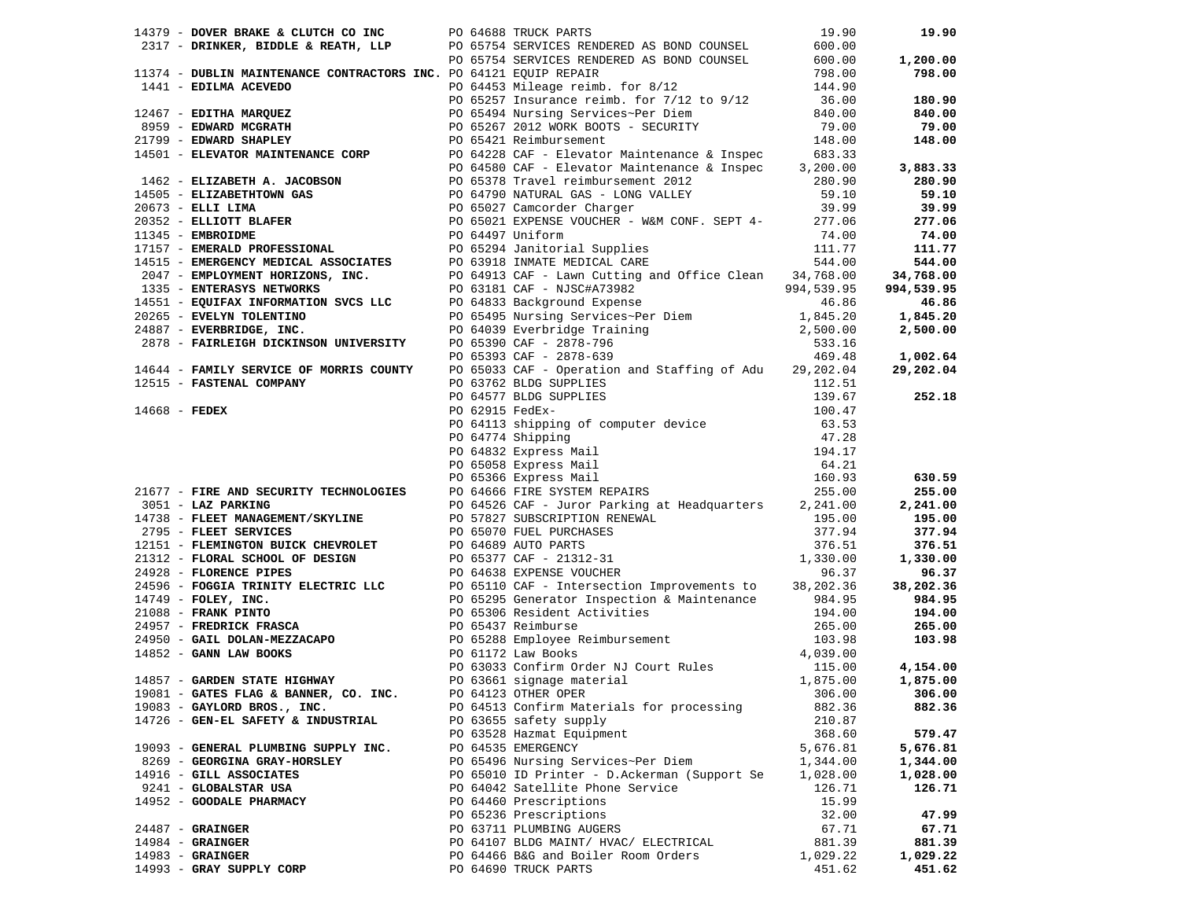| 2317 - DRINKER, BIDDLE & REATH, LLP<br>2317 - DRINKER, BIDDLE & REATH, LLP<br>PO 65754 SERVICES RENDERED AS BOND COUNSEL 600.00                                                                                                         | 19.90<br>19.90       |
|-----------------------------------------------------------------------------------------------------------------------------------------------------------------------------------------------------------------------------------------|----------------------|
|                                                                                                                                                                                                                                         |                      |
|                                                                                                                                                                                                                                         | 1,200.00             |
| 11374 - DUBLIN MAINTENANCE CONTRACTORS INC. PO 64121 EOUIP REPAIR                                                                                                                                                                       | 798.00<br>798.00     |
| PO 64453 Mileage reimb. for 8/12                                                                                                                                                                                                        | 144.90               |
|                                                                                                                                                                                                                                         | 180.90               |
|                                                                                                                                                                                                                                         | 840.00               |
|                                                                                                                                                                                                                                         | 79.00                |
|                                                                                                                                                                                                                                         | 148.00               |
|                                                                                                                                                                                                                                         |                      |
|                                                                                                                                                                                                                                         | 3,883.33             |
|                                                                                                                                                                                                                                         | 280.90               |
|                                                                                                                                                                                                                                         | 59.10                |
|                                                                                                                                                                                                                                         | 39.99                |
|                                                                                                                                                                                                                                         | 277.06               |
|                                                                                                                                                                                                                                         | 74.00                |
|                                                                                                                                                                                                                                         | 111.77               |
|                                                                                                                                                                                                                                         | 544.00               |
|                                                                                                                                                                                                                                         | 34,768.00            |
|                                                                                                                                                                                                                                         | 994,539.95           |
|                                                                                                                                                                                                                                         | 46.86                |
|                                                                                                                                                                                                                                         | 1,845.20             |
|                                                                                                                                                                                                                                         | 2,500.00             |
|                                                                                                                                                                                                                                         |                      |
|                                                                                                                                                                                                                                         | 1,002.64             |
| 11374 - DUBLIN MAINTENANCE CONTRACTORS INC. DO 64121 EQUIP REPAIR<br>1414 - EDILIAR ACEVEDO 12 10 04121 EQUIP REPAIR<br>1414 - EDILIAR ACEVEDO 12<br>1414 - EDIRA MARQUEZ<br>1426 - ELIZABETH A. JACOBSON<br>14515 - ENNARD SERVICES-PE | 29,202.04            |
|                                                                                                                                                                                                                                         |                      |
|                                                                                                                                                                                                                                         | 252.18               |
|                                                                                                                                                                                                                                         |                      |
|                                                                                                                                                                                                                                         |                      |
|                                                                                                                                                                                                                                         |                      |
|                                                                                                                                                                                                                                         |                      |
|                                                                                                                                                                                                                                         |                      |
|                                                                                                                                                                                                                                         | 630.59               |
|                                                                                                                                                                                                                                         |                      |
|                                                                                                                                                                                                                                         | 255.00               |
|                                                                                                                                                                                                                                         | 2,241.00             |
|                                                                                                                                                                                                                                         | 195.00               |
|                                                                                                                                                                                                                                         | 377.94               |
|                                                                                                                                                                                                                                         | 376.51               |
|                                                                                                                                                                                                                                         | 1,330.00             |
|                                                                                                                                                                                                                                         | 96.37                |
|                                                                                                                                                                                                                                         | 38,202.36            |
|                                                                                                                                                                                                                                         | 984.95               |
|                                                                                                                                                                                                                                         | 194.00               |
|                                                                                                                                                                                                                                         | 265.00               |
|                                                                                                                                                                                                                                         | 103.98               |
|                                                                                                                                                                                                                                         |                      |
|                                                                                                                                                                                                                                         | 4,154.00             |
|                                                                                                                                                                                                                                         | 1,875.00             |
| 19081 - GATES FLAG & BANNER, CO. INC. PO 64123 OTHER OPER                                                                                                                                                                               | $306.00$ 306.00      |
| PO 64513 Confirm Materials for processing<br>19083 - GAYLORD BROS., INC.                                                                                                                                                                | 882.36<br>882.36     |
| 14726 - GEN-EL SAFETY & INDUSTRIAL<br>PO 63655 safety supply                                                                                                                                                                            | 210.87               |
| PO 63528 Hazmat Equipment                                                                                                                                                                                                               | 368.60<br>579.47     |
| PO 64535 EMERGENCY<br>19093 - GENERAL PLUMBING SUPPLY INC.                                                                                                                                                                              | 5,676.81<br>5,676.81 |
| PO 65496 Nursing Services~Per Diem<br>8269 - GEORGINA GRAY-HORSLEY                                                                                                                                                                      | 1,344.00<br>1,344.00 |
| 14916 - GILL ASSOCIATES<br>PO 65010 ID Printer - D.Ackerman (Support Se                                                                                                                                                                 | 1,028.00<br>1,028.00 |
| PO 64042 Satellite Phone Service<br>9241 - GLOBALSTAR USA                                                                                                                                                                               | 126.71<br>126.71     |
| PO 64460 Prescriptions<br>14952 - GOODALE PHARMACY                                                                                                                                                                                      | 15.99                |
| PO 65236 Prescriptions                                                                                                                                                                                                                  | 32.00<br>47.99       |
| $24487 -$ GRAINGER<br>PO 63711 PLUMBING AUGERS                                                                                                                                                                                          | 67.71<br>67.71       |
| $14984$ - GRAINGER<br>PO 64107 BLDG MAINT/ HVAC/ ELECTRICAL                                                                                                                                                                             | 881.39<br>881.39     |
| $14983$ - GRAINGER<br>PO 64466 B&G and Boiler Room Orders                                                                                                                                                                               | 1,029.22<br>1,029.22 |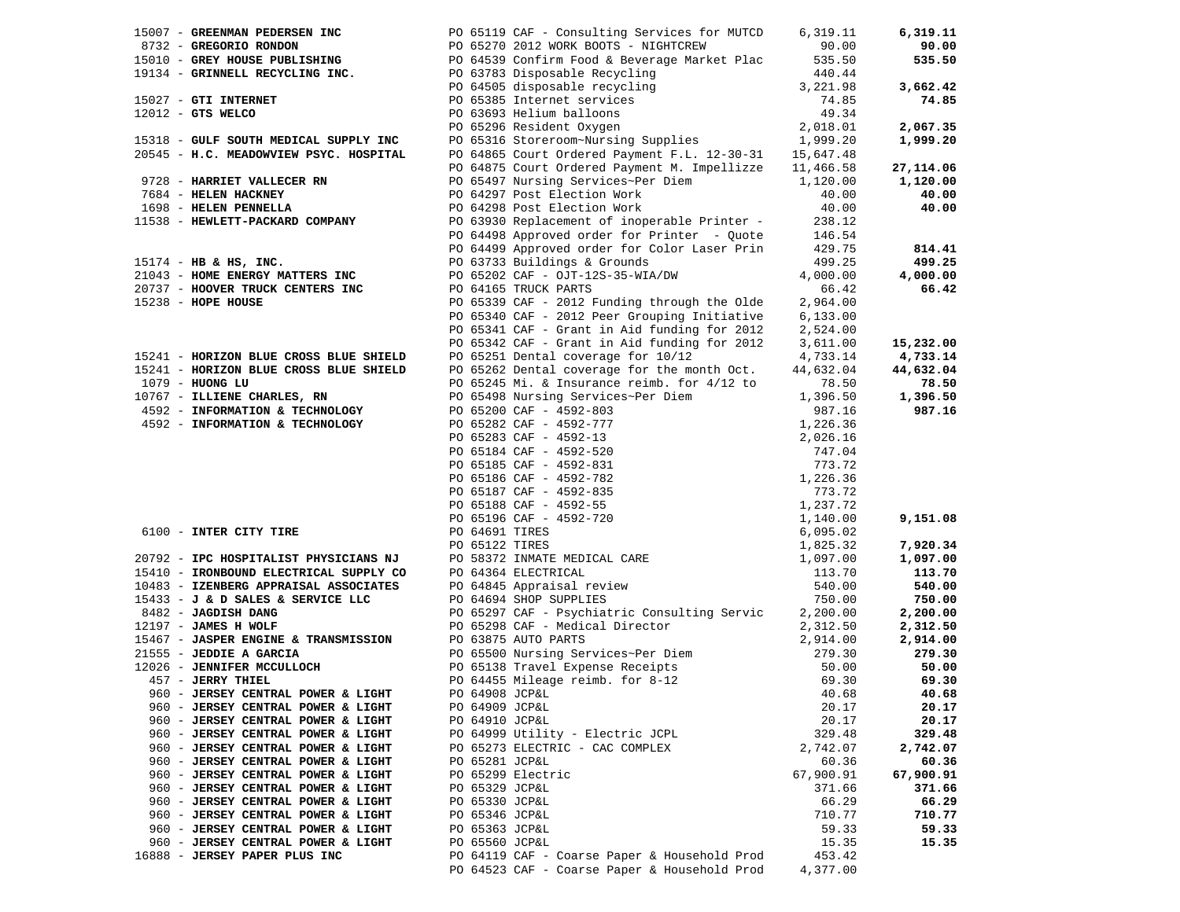| 15007 - GREENMAN PEDERSEN INC                                                   | PO 65119 CAF - Consulting Services for MUTCD                                                                                                                                                                                                                                      | 6,319.11         | 6,319.11  |
|---------------------------------------------------------------------------------|-----------------------------------------------------------------------------------------------------------------------------------------------------------------------------------------------------------------------------------------------------------------------------------|------------------|-----------|
|                                                                                 |                                                                                                                                                                                                                                                                                   |                  | 90.00     |
|                                                                                 |                                                                                                                                                                                                                                                                                   |                  | 535.50    |
|                                                                                 |                                                                                                                                                                                                                                                                                   |                  |           |
|                                                                                 | 8732 - GREGORIO RONDON PO 65270 2012 WORK BOOTS - NIGHTCREW 90.00<br>15010 - GREY HOUSE PUBLISHING PO 64539 Confirm Food & Beverage Market Plac 535.50<br>19134 - GRINNELL RECYCLING INC. PO 63783 Disposable Recycling 440.44<br>PO 64<br>PO 64505 disposable recycling 3,221.98 |                  | 3,662.42  |
| 15027 - GTI INTERNET                                                            | PO 65385 Internet services                                                                                                                                                                                                                                                        |                  | 74.85     |
| $12012$ - GTS WELCO                                                             |                                                                                                                                                                                                                                                                                   |                  |           |
|                                                                                 | PO 65385 Internet services 74.85<br>PO 63693 Helium balloons 49.34<br>PO 65296 Resident Oxygen 2,018.01<br>PO 65316 Storeroom~Nursing Supplies 1,999.20                                                                                                                           |                  | 2,067.35  |
| 15318 - GULF SOUTH MEDICAL SUPPLY INC                                           |                                                                                                                                                                                                                                                                                   |                  | 1,999.20  |
| 20545 - H.C. MEADOWVIEW PSYC. HOSPITAL                                          | PO 64865 Court Ordered Payment F.L. 12-30-31 15,647.48                                                                                                                                                                                                                            |                  |           |
|                                                                                 | PO 64875 Court Ordered Payment M. Impellizze 11,466.58                                                                                                                                                                                                                            |                  | 27,114.06 |
| 9728 - HARRIET VALLECER RN                                                      | PO 65497 Nursing Services~Per Diem                                                                                                                                                                                                                                                | 1,120.00         | 1,120.00  |
| 7684 - HELEN HACKNEY                                                            | PO 64297 Post Election Work                                                                                                                                                                                                                                                       | 40.00            | 40.00     |
| 1698 - HELEN PENNELLA                                                           | PO 64298 Post Election Work                                                                                                                                                                                                                                                       | 40.00            | 40.00     |
| 11538 - HEWLETT-PACKARD COMPANY                                                 | PO 63930 Replacement of inoperable Printer -                                                                                                                                                                                                                                      | 238.12           |           |
|                                                                                 | PO 64498 Approved order for Printer - Quote                                                                                                                                                                                                                                       | 146.54<br>429.75 |           |
|                                                                                 | PO 64499 Approved order for Color Laser Prin                                                                                                                                                                                                                                      |                  | 814.41    |
| $15174$ - HB & HS, INC.                                                         | PO 63733 Buildings & Grounds                                                                                                                                                                                                                                                      | 499.25           | 499.25    |
| 21043 - HOME ENERGY MATTERS INC                                                 | PO 65202 CAF - OJT-12S-35-WIA/DW                                                                                                                                                                                                                                                  | 4,000.00         | 4,000.00  |
| 20737 - HOOVER TRUCK CENTERS INC                                                | PO 64165 TRUCK PARTS                                                                                                                                                                                                                                                              | 66.42            | 66.42     |
| 15238 - HOPE HOUSE                                                              | PO 65339 CAF - 2012 Funding through the Olde                                                                                                                                                                                                                                      | 2,964.00         |           |
|                                                                                 | PO 65340 CAF - 2012 Peer Grouping Initiative                                                                                                                                                                                                                                      | 6, 133.00        |           |
|                                                                                 | PO 65341 CAF - Grant in Aid funding for 2012                                                                                                                                                                                                                                      | 2,524.00         |           |
|                                                                                 | PO 65342 CAF - Grant in Aid funding for 2012                                                                                                                                                                                                                                      | 3,611.00         | 15,232.00 |
| 15241 - HORIZON BLUE CROSS BLUE SHIELD                                          | PO 65251 Dental coverage for 10/12                                                                                                                                                                                                                                                | 4,733.14         | 4,733.14  |
| 15241 - HORIZON BLUE CROSS BLUE SHIELD                                          | PO 65262 Dental coverage for the month Oct.                                                                                                                                                                                                                                       | 44,632.04        | 44,632.04 |
| 1079 - HUONG LU                                                                 | PO 65245 Mi. & Insurance reimb. for 4/12 to                                                                                                                                                                                                                                       | 78.50            | 78.50     |
| 10767 - ILLIENE CHARLES, RN                                                     | PO 65498 Nursing Services~Per Diem                                                                                                                                                                                                                                                | 1,396.50         | 1,396.50  |
| 4592 - INFORMATION & TECHNOLOGY                                                 |                                                                                                                                                                                                                                                                                   |                  | 987.16    |
| 4592 - INFORMATION & TECHNOLOGY                                                 |                                                                                                                                                                                                                                                                                   |                  |           |
|                                                                                 |                                                                                                                                                                                                                                                                                   |                  |           |
|                                                                                 |                                                                                                                                                                                                                                                                                   |                  |           |
|                                                                                 |                                                                                                                                                                                                                                                                                   |                  |           |
|                                                                                 |                                                                                                                                                                                                                                                                                   |                  |           |
|                                                                                 |                                                                                                                                                                                                                                                                                   |                  |           |
|                                                                                 |                                                                                                                                                                                                                                                                                   |                  |           |
|                                                                                 |                                                                                                                                                                                                                                                                                   |                  | 9,151.08  |
| 6100 - INTER CITY TIRE                                                          | PO 65498 Nursing Services~Per Diem<br>PO 65200 CAF - 4592-803<br>PO 65282 CAF - 4592-777<br>PO 65283 CAF - 4592-777<br>PO 65283 CAF - 4592-777<br>PO 66283 CAF - 4592-520<br>PO 66184 CAF - 4592-520<br>PO 65186 CAF - 4592-782<br>PO 65186 CA                                    |                  |           |
|                                                                                 |                                                                                                                                                                                                                                                                                   |                  | 7,920.34  |
|                                                                                 |                                                                                                                                                                                                                                                                                   |                  | 1,097.00  |
| 20792 - IPC HOSPITALIST PHYSICIANS NJ<br>15410 - IRONBOUND ELECTRICAL SUPPLY CO |                                                                                                                                                                                                                                                                                   |                  | 113.70    |
| 10483 - IZENBERG APPRAISAL ASSOCIATES                                           |                                                                                                                                                                                                                                                                                   |                  | 540.00    |
| 15433 - J & D SALES & SERVICE LLC                                               | PO 64694 SHOP SUPPLIES                                                                                                                                                                                                                                                            | 750.00           | 750.00    |
| 8482 - JAGDISH DANG                                                             | PO 65297 CAF - Psychiatric Consulting Servic 2,200.00                                                                                                                                                                                                                             |                  | 2,200.00  |
| 12197 - JAMES H WOLF                                                            | PO 65298 CAF - Medical Director                                                                                                                                                                                                                                                   | 2,312.50         | 2,312.50  |
| 15467 - JASPER ENGINE & TRANSMISSION                                            | PO 63875 AUTO PARTS                                                                                                                                                                                                                                                               | 2,914.00         | 2,914.00  |
| 21555 - JEDDIE A GARCIA                                                         |                                                                                                                                                                                                                                                                                   | 279.30           | 279.30    |
| 12026 - JENNIFER MCCULLOCH                                                      | PO 65500 Nursing Services~Per Diem<br>PO 65138 Travel Expense Receipts<br>PO 64455 Mileage reimb. for 8-12<br>PO 64908 JCP&L                                                                                                                                                      | 50.00            | 50.00     |
| 457 - JERRY THIEL                                                               |                                                                                                                                                                                                                                                                                   | 69.30            | 69.30     |
| 960 - JERSEY CENTRAL POWER & LIGHT                                              | PO 64908 JCP&L                                                                                                                                                                                                                                                                    | 40.68            | 40.68     |
| 960 - JERSEY CENTRAL POWER & LIGHT                                              | PO 64909 JCP&L                                                                                                                                                                                                                                                                    | 20.17            | 20.17     |
| 960 - JERSEY CENTRAL POWER & LIGHT                                              | PO 64910 JCP&L                                                                                                                                                                                                                                                                    | 20.17            | 20.17     |
| 960 - JERSEY CENTRAL POWER & LIGHT                                              | PO 64999 Utility - Electric JCPL                                                                                                                                                                                                                                                  | 329.48           | 329.48    |
| 960 - JERSEY CENTRAL POWER & LIGHT                                              | PO 65273 ELECTRIC - CAC COMPLEX                                                                                                                                                                                                                                                   | 2,742.07         | 2,742.07  |
| 960 - JERSEY CENTRAL POWER & LIGHT                                              | PO 65281 JCP&L                                                                                                                                                                                                                                                                    | 60.36            | 60.36     |
| 960 - JERSEY CENTRAL POWER & LIGHT                                              | PO 65299 Electric                                                                                                                                                                                                                                                                 | 67,900.91        | 67,900.91 |
| 960 - JERSEY CENTRAL POWER & LIGHT                                              | PO 65329 JCP&L                                                                                                                                                                                                                                                                    | 371.66           | 371.66    |
| 960 - JERSEY CENTRAL POWER & LIGHT                                              | PO 65330 JCP&L                                                                                                                                                                                                                                                                    | 66.29            | 66.29     |
| 960 - JERSEY CENTRAL POWER & LIGHT                                              | PO 65346 JCP&L                                                                                                                                                                                                                                                                    | 710.77           | 710.77    |
| 960 - JERSEY CENTRAL POWER & LIGHT                                              | PO 65363 JCP&L                                                                                                                                                                                                                                                                    | 59.33            | 59.33     |
| 960 - JERSEY CENTRAL POWER & LIGHT                                              | PO 65560 JCP&L                                                                                                                                                                                                                                                                    | 15.35            | 15.35     |
| 16888 - JERSEY PAPER PLUS INC                                                   | PO 64119 CAF - Coarse Paper & Household Prod                                                                                                                                                                                                                                      | 453.42           |           |
|                                                                                 | PO 64523 CAF - Coarse Paper & Household Prod                                                                                                                                                                                                                                      | 4,377.00         |           |
|                                                                                 |                                                                                                                                                                                                                                                                                   |                  |           |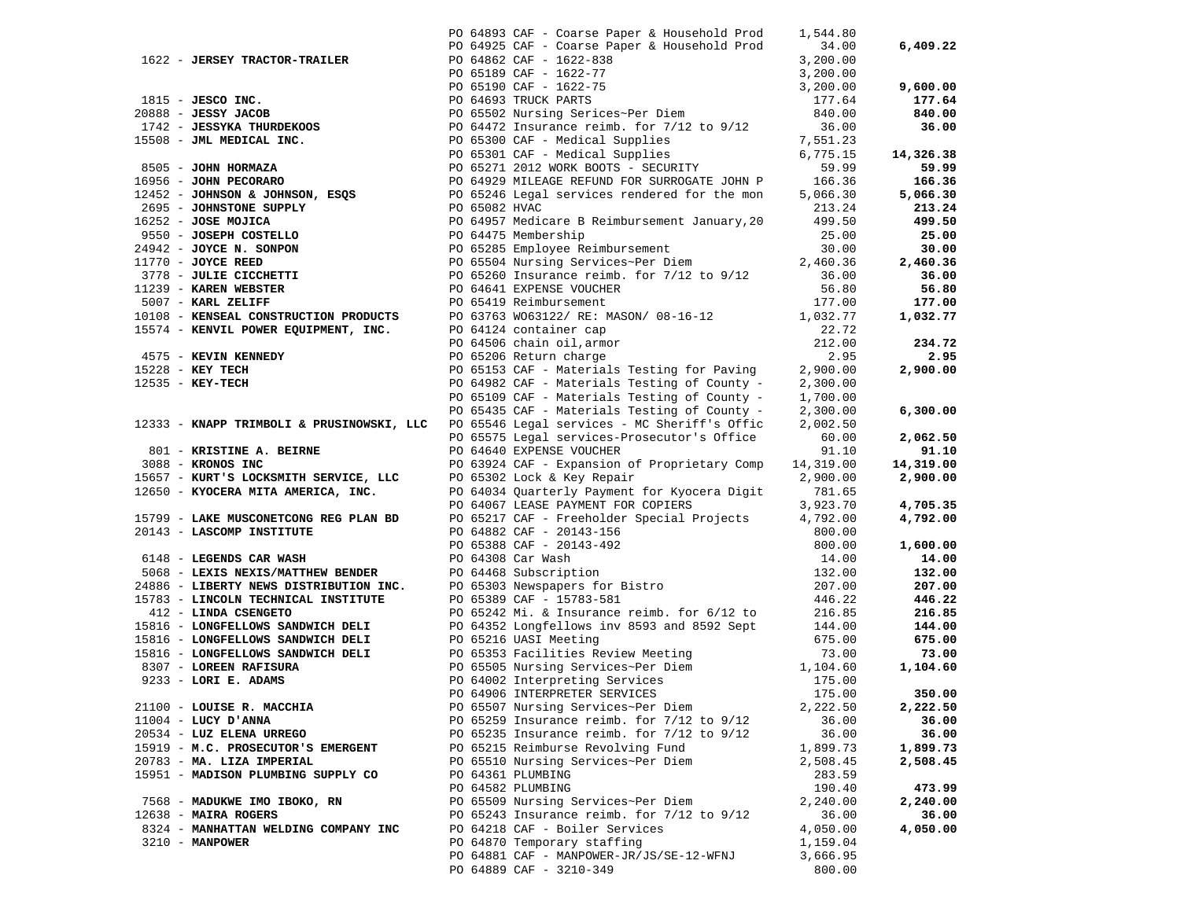|                                                                       |                        | PO 64893 CAF - Coarse Paper & Household Prod                                                                                                                                                                                                                     | 1,544.80  |           |
|-----------------------------------------------------------------------|------------------------|------------------------------------------------------------------------------------------------------------------------------------------------------------------------------------------------------------------------------------------------------------------|-----------|-----------|
|                                                                       |                        | PO 64925 CAF - Coarse Paper & Household Prod                                                                                                                                                                                                                     | 34.00     | 6,409.22  |
| 1622 - JERSEY TRACTOR-TRAILER                                         |                        |                                                                                                                                                                                                                                                                  |           |           |
|                                                                       |                        |                                                                                                                                                                                                                                                                  |           |           |
|                                                                       |                        |                                                                                                                                                                                                                                                                  |           | 9,600.00  |
|                                                                       |                        | 1622 - <b>JERSEY TRACTOR-TRAILER</b><br>PO 64862 CAF - 1622-838<br>PO 64862 CAF - 1622-838<br>PO 65199 CAF - 1622-838<br>PO 65199 CAF - 1622-77<br>2000.00<br>1815 - <b>JESCO INC.</b><br>PO 65519 CAF - 1622-77<br>2000.00<br>1815 - <b>JESCO INC.</b><br>PO 65 |           | 177.64    |
|                                                                       |                        |                                                                                                                                                                                                                                                                  |           | 840.00    |
|                                                                       |                        |                                                                                                                                                                                                                                                                  |           | 36.00     |
|                                                                       |                        |                                                                                                                                                                                                                                                                  |           |           |
|                                                                       |                        |                                                                                                                                                                                                                                                                  |           | 14,326.38 |
|                                                                       |                        |                                                                                                                                                                                                                                                                  |           | 59.99     |
|                                                                       |                        |                                                                                                                                                                                                                                                                  |           | 166.36    |
|                                                                       |                        |                                                                                                                                                                                                                                                                  |           | 5,066.30  |
|                                                                       |                        |                                                                                                                                                                                                                                                                  |           | 213.24    |
|                                                                       |                        |                                                                                                                                                                                                                                                                  |           | 499.50    |
|                                                                       |                        |                                                                                                                                                                                                                                                                  |           | 25.00     |
|                                                                       |                        |                                                                                                                                                                                                                                                                  |           | 30.00     |
|                                                                       |                        |                                                                                                                                                                                                                                                                  |           | 2,460.36  |
|                                                                       |                        |                                                                                                                                                                                                                                                                  | 36.00     | 36.00     |
| 3778 - JULIE CICCHETTI<br>11239 - KAREN WEBSTER<br>5007 - KARL ZELIFF |                        | PO 65260 Insurance reimb. for 7/12 to 9/12<br>PO 64641 EXPENSE VOUCHER<br>PO 65410 Poimbuusseart                                                                                                                                                                 | 56.80     | 56.80     |
| 5007 - KARL ZELIFF                                                    | PO 65419 Reimbursement |                                                                                                                                                                                                                                                                  | 177.00    | 177.00    |
|                                                                       |                        | $10108$ - KARL ZELIFF and the MODUCTS of the MODUCTS of the MODUCTS of the MODUCTS of the MODUCTS of the MODUCTS of the MODUCTS of the MODUCTS of the MODUCTS of the MODUCTS of the MODUCTS of the MODUCTS of the MODUCTS of                                     |           | 1,032.77  |
|                                                                       |                        |                                                                                                                                                                                                                                                                  |           |           |
|                                                                       |                        |                                                                                                                                                                                                                                                                  |           | 234.72    |
|                                                                       | PO 65206 Return charge |                                                                                                                                                                                                                                                                  | 2.95      | 2.95      |
| 4575 - KEVIN KENNEDY<br>15228 - KEY TECH<br>12535 - KEY-TECH          |                        | PO 65153 CAF - Materials Testing for Paving 2,900.00                                                                                                                                                                                                             |           | 2,900.00  |
|                                                                       |                        | PO 64982 CAF - Materials Testing of County - $2,300.00$                                                                                                                                                                                                          |           |           |
|                                                                       |                        | PO 65109 CAF - Materials Testing of County -                                                                                                                                                                                                                     | 1,700.00  |           |
|                                                                       |                        | PO 65435 CAF - Materials Testing of County - $2,300.00$                                                                                                                                                                                                          |           | 6,300.00  |
| 12333 - KNAPP TRIMBOLI & PRUSINOWSKI, LLC                             |                        | PO 65546 Legal services - MC Sheriff's Offic                                                                                                                                                                                                                     | 2,002.50  |           |
|                                                                       |                        | PO 65575 Legal services-Prosecutor's Office                                                                                                                                                                                                                      | 60.00     | 2,062.50  |
| 801 - KRISTINE A. BEIRNE                                              |                        | PO 64640 EXPENSE VOUCHER                                                                                                                                                                                                                                         | 91.10     | 91.10     |
| 3088 - KRONOS INC                                                     |                        | PO 63924 CAF - Expansion of Proprietary Comp                                                                                                                                                                                                                     | 14,319.00 | 14,319.00 |
| 15657 - KURT'S LOCKSMITH SERVICE, LLC                                 |                        | PO 65302 Lock & Key Repair                                                                                                                                                                                                                                       | 2,900.00  | 2,900.00  |
| 12650 - KYOCERA MITA AMERICA, INC.                                    |                        | PO 64034 Quarterly Payment for Kyocera Digit                                                                                                                                                                                                                     | 781.65    |           |
|                                                                       |                        | PO 64067 LEASE PAYMENT FOR COPIERS                                                                                                                                                                                                                               | 3,923.70  | 4,705.35  |
| 15799 - LAKE MUSCONETCONG REG PLAN BD                                 |                        | PO 65217 CAF - Freeholder Special Projects 4,792.00                                                                                                                                                                                                              |           | 4,792.00  |
| 20143 - LASCOMP INSTITUTE                                             |                        | PO 64882 CAF - 20143-156                                                                                                                                                                                                                                         | 800.00    |           |
|                                                                       |                        | PO 64882 CAF - 20143-150<br>PO 65388 CAF - 20143-492<br>PO 64308 Car Wash<br>PO 64468 Subscription                                                                                                                                                               | 800.00    | 1,600.00  |
| 6148 - LEGENDS CAR WASH                                               |                        |                                                                                                                                                                                                                                                                  | 14.00     | 14.00     |
| 5068 - LEXIS NEXIS/MATTHEW BENDER                                     |                        |                                                                                                                                                                                                                                                                  | 132.00    | 132.00    |
| 24886 - LIBERTY NEWS DISTRIBUTION INC.                                |                        | PO 65303 Newspapers for Bistro<br>PO 65389 CAF - 15783-581                                                                                                                                                                                                       | 207.00    | 207.00    |
| 15783 - LINCOLN TECHNICAL INSTITUTE                                   |                        | PO 65389 CAF - 15783-581                                                                                                                                                                                                                                         | 446.22    | 446.22    |
| 412 - LINDA CSENGETO                                                  |                        | PO 65242 Mi. & Insurance reimb. for 6/12 to                                                                                                                                                                                                                      | 216.85    | 216.85    |
|                                                                       |                        | 15816 - LONGFELLOWS SANDWICH DELI PO 64352 Longfellows inv 8593 and 8592 Sept 144.00                                                                                                                                                                             |           | 144.00    |
| 15816 - LONGFELLOWS SANDWICH DELI                                     | PO 65216 UASI Meeting  |                                                                                                                                                                                                                                                                  | 675.00    | 675.00    |
| 15816 - LONGFELLOWS SANDWICH DELI                                     |                        | PO 65353 Facilities Review Meeting                                                                                                                                                                                                                               | 73.00     | 73.00     |
| 8307 - LOREEN RAFISURA                                                |                        |                                                                                                                                                                                                                                                                  | 1,104.60  | 1,104.60  |
| 9233 - LORI E. ADAMS                                                  |                        | PO 65505 Nursing Services~Per Diem<br>PO 64002 Interpreting Services                                                                                                                                                                                             | 175.00    |           |
|                                                                       |                        | PO 64906 INTERPRETER SERVICES                                                                                                                                                                                                                                    | 175.00    | 350.00    |
| 21100 - LOUISE R. MACCHIA                                             |                        | PO 65507 Nursing Services~Per Diem                                                                                                                                                                                                                               | 2,222.50  | 2,222.50  |
| $11004$ - LUCY D'ANNA                                                 |                        | PO 65259 Insurance reimb. for 7/12 to 9/12                                                                                                                                                                                                                       | 36.00     | 36.00     |
| 20534 - LUZ ELENA URREGO                                              |                        | PO 65235 Insurance reimb. for 7/12 to 9/12                                                                                                                                                                                                                       | 36.00     | 36.00     |
| 15919 - M.C. PROSECUTOR'S EMERGENT                                    |                        | PO 65215 Reimburse Revolving Fund                                                                                                                                                                                                                                | 1,899.73  | 1,899.73  |
| 20783 - MA. LIZA IMPERIAL                                             |                        | PO 65510 Nursing Services~Per Diem                                                                                                                                                                                                                               | 2,508.45  | 2,508.45  |
| 15951 - MADISON PLUMBING SUPPLY CO                                    | PO 64361 PLUMBING      |                                                                                                                                                                                                                                                                  | 283.59    |           |
|                                                                       | PO 64582 PLUMBING      |                                                                                                                                                                                                                                                                  | 190.40    | 473.99    |
| 7568 - MADUKWE IMO IBOKO, RN                                          |                        | PO 65509 Nursing Services~Per Diem                                                                                                                                                                                                                               | 2,240.00  | 2,240.00  |
| 12638 - MAIRA ROGERS                                                  |                        | PO 65243 Insurance reimb. for 7/12 to 9/12                                                                                                                                                                                                                       | 36.00     | 36.00     |
| 8324 - MANHATTAN WELDING COMPANY INC                                  |                        | PO 64218 CAF - Boiler Services                                                                                                                                                                                                                                   | 4,050.00  | 4,050.00  |
| 3210 - MANPOWER                                                       |                        | PO 64870 Temporary staffing                                                                                                                                                                                                                                      | 1,159.04  |           |
|                                                                       |                        | PO 64881 CAF - MANPOWER-JR/JS/SE-12-WFNJ                                                                                                                                                                                                                         | 3,666.95  |           |
|                                                                       |                        | PO 64889 CAF - 3210-349                                                                                                                                                                                                                                          | 800.00    |           |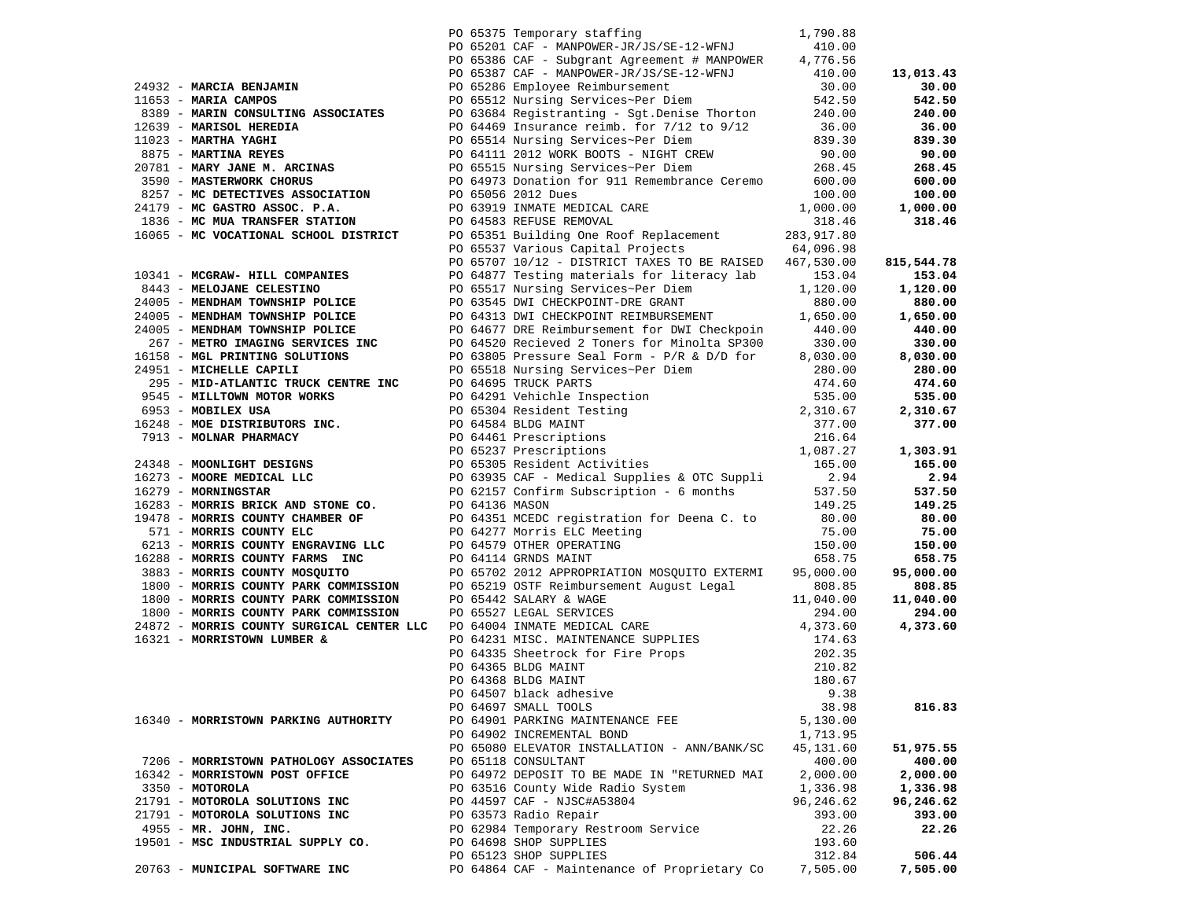|                                                                  |  | PO 65375 Temporary staffing                                                                                                                                                                                                                    | 1,790.88            |                     |
|------------------------------------------------------------------|--|------------------------------------------------------------------------------------------------------------------------------------------------------------------------------------------------------------------------------------------------|---------------------|---------------------|
|                                                                  |  | PO 65201 CAF - MANPOWER-JR/JS/SE-12-WFNJ                                                                                                                                                                                                       | 410.00              |                     |
|                                                                  |  | PO 65386 CAF - Subgrant Agreement # MANPOWER                                                                                                                                                                                                   | 4,776.56            |                     |
|                                                                  |  | PO 65387 CAF - MANPOWER-JR/JS/SE-12-WFNJ                                                                                                                                                                                                       | 410.00              | 13,013.43           |
| 24932 - MARCIA BENJAMIN                                          |  | PO 65286 Employee Reimbursement                                                                                                                                                                                                                | 30.00               | 30.00               |
| 11653 - MARIA CAMPOS                                             |  | PO 65512 Nursing Services~Per Diem                                                                                                                                                                                                             | 542.50              | 542.50              |
| 8389 - MARIN CONSULTING ASSOCIATES                               |  | PO 63684 Registranting - Sgt.Denise Thorton                                                                                                                                                                                                    | 240.00              | 240.00              |
| 12639 - MARISOL HEREDIA                                          |  | PO 64469 Insurance reimb. for $7/12$ to $9/12$                                                                                                                                                                                                 | 36.00               | 36.00               |
| 11023 - MARTHA YAGHI                                             |  | PO 65514 Nursing Services~Per Diem                                                                                                                                                                                                             | 839.30              | 839.30              |
| 8875 - MARTINA REYES                                             |  | PO 64111 2012 WORK BOOTS - NIGHT CREW                                                                                                                                                                                                          | 90.00               | 90.00               |
| 20781 - MARY JANE M. ARCINAS                                     |  | PO 65515 Nursing Services~Per Diem                                                                                                                                                                                                             | 268.45              | 268.45              |
| 3590 - MASTERWORK CHORUS                                         |  | PO 64973 Donation for 911 Remembrance Ceremo                                                                                                                                                                                                   | 600.00              | 600.00              |
| 8257 - MC DETECTIVES ASSOCIATION                                 |  | PO 65056 2012 Dues                                                                                                                                                                                                                             | 100.00              | 100.00              |
| 24179 - MC GASTRO ASSOC. P.A.                                    |  | PO 63919 INMATE MEDICAL CARE                                                                                                                                                                                                                   | 1,000.00            | 1,000.00            |
| 1836 - MC MUA TRANSFER STATION                                   |  | PO 64583 REFUSE REMOVAL                                                                                                                                                                                                                        | 318.46              | 318.46              |
| 16065 - MC VOCATIONAL SCHOOL DISTRICT                            |  | PO 65351 Building One Roof Replacement                                                                                                                                                                                                         | 283,917.80          |                     |
|                                                                  |  | PO 65537 Various Capital Projects                                                                                                                                                                                                              | 64,096.98           |                     |
|                                                                  |  | PO 65707 10/12 - DISTRICT TAXES TO BE RAISED                                                                                                                                                                                                   | 467,530.00          | 815,544.78          |
| 10341 - MCGRAW- HILL COMPANIES                                   |  | PO 64877 Testing materials for literacy lab                                                                                                                                                                                                    | 153.04              | 153.04              |
| 8443 - MELOJANE CELESTINO                                        |  | PO 65517 Nursing Services~Per Diem                                                                                                                                                                                                             | 1,120.00            | 1,120.00            |
| 24005 - MENDHAM TOWNSHIP POLICE                                  |  | PO 63545 DWI CHECKPOINT-DRE GRANT                                                                                                                                                                                                              | 880.00              | 880.00              |
| 24005 - MENDHAM TOWNSHIP POLICE                                  |  | PO 64313 DWI CHECKPOINT REIMBURSEMENT                                                                                                                                                                                                          | 1,650.00            | 1,650.00            |
| 24005 - MENDHAM TOWNSHIP POLICE                                  |  | PO 64677 DRE Reimbursement for DWI Checkpoin                                                                                                                                                                                                   | 440.00              | 440.00              |
| 267 - METRO IMAGING SERVICES INC                                 |  | PO 64520 Recieved 2 Toners for Minolta SP300                                                                                                                                                                                                   | 330.00              | 330.00              |
| 16158 - MGL PRINTING SOLUTIONS                                   |  | PO 63805 Pressure Seal Form - $P/R$ & $D/D$ for                                                                                                                                                                                                | 8,030.00            | 8,030.00            |
| 24951 - MICHELLE CAPILI                                          |  | PO 65518 Nursing Services~Per Diem                                                                                                                                                                                                             | 280.00              | 280.00              |
| 295 - MID-ATLANTIC TRUCK CENTRE INC                              |  | PO 64695 TRUCK PARTS                                                                                                                                                                                                                           | 474.60              | 474.60              |
| 9545 - MILLTOWN MOTOR WORKS                                      |  |                                                                                                                                                                                                                                                |                     | 535.00              |
| 6953 - MOBILEX USA                                               |  |                                                                                                                                                                                                                                                |                     | 2,310.67            |
| 16248 - MOE DISTRIBUTORS INC.                                    |  |                                                                                                                                                                                                                                                |                     | 377.00              |
| 7913 - MOLNAR PHARMACY                                           |  |                                                                                                                                                                                                                                                |                     |                     |
|                                                                  |  | 4/4.60<br>PO 64291 Vehichle Inspection<br>PO 65304 Resident Testing<br>PO 64584 BLDG MAINT<br>PO 64461 Prescriptions<br>PO 65305 Resident Activities<br>PO 65305 Resident Activities<br>PO 65305 Resident Activities<br>PO 65305 Resident Acti |                     | 1,303.91            |
| 24348 - MOONLIGHT DESIGNS                                        |  |                                                                                                                                                                                                                                                |                     | 165.00              |
| 16273 - MOORE MEDICAL LLC                                        |  | PO 63935 CAF - Medical Supplies & OTC Suppli                                                                                                                                                                                                   | 2.94                | 2.94                |
| 16279 - MORNINGSTAR                                              |  | PO 62157 Confirm Subscription - 6 months                                                                                                                                                                                                       | 537.50              | 537.50              |
| 16283 - MORRIS BRICK AND STONE CO.                               |  | PO 64136 MASON                                                                                                                                                                                                                                 | 149.25              | 149.25              |
| 19478 - MORRIS COUNTY CHAMBER OF                                 |  | PO 64351 MCEDC registration for Deena C. to                                                                                                                                                                                                    | 80.00               | 80.00               |
| 571 - MORRIS COUNTY ELC<br>6213 - MORRIS COUNTY ENGRAVING LLC    |  | PO 64277 Morris ELC Meeting                                                                                                                                                                                                                    | 75.00               | 75.00               |
|                                                                  |  | PO 64579 OTHER OPERATING                                                                                                                                                                                                                       | 150.00              | 150.00              |
| 16288 - MORRIS COUNTY FARMS INC<br>3883 - MORRIS COUNTY MOSQUITO |  | PO 64114 GRNDS MAINT<br>PO 65702 2012 APPROPRIATION MOSQUITO EXTERMI                                                                                                                                                                           | 658.75<br>95,000.00 | 658.75<br>95,000.00 |
| 1800 - MORRIS COUNTY PARK COMMISSION                             |  | PO 65219 OSTF Reimbursement August Legal                                                                                                                                                                                                       | 808.85              | 808.85              |
| 1800 - MORRIS COUNTY PARK COMMISSION                             |  | PO 65442 SALARY & WAGE                                                                                                                                                                                                                         | 11,040.00           | 11,040.00           |
| 1800 - MORRIS COUNTY PARK COMMISSION                             |  | PO 65442 SALARY & WAGE<br>PO 65527 LEGAL SERVICES<br>PO 64004 INMATE MEDICAL CARE                                                                                                                                                              | 294.00              | 294.00              |
| 24872 - MORRIS COUNTY SURGICAL CENTER LLC                        |  |                                                                                                                                                                                                                                                | 4,373.60            | 4,373.60            |
| 16321 - MORRISTOWN LUMBER &                                      |  |                                                                                                                                                                                                                                                | 174.63              |                     |
|                                                                  |  | PO 64231 MISC. MAINTENANCE SUPPLIES<br>PO 64335 Sheetrock for Fire Props<br>PO 64368 BLDG MAINT<br>PO 64368 BLDG MAINT                                                                                                                         | 202.35              |                     |
|                                                                  |  |                                                                                                                                                                                                                                                | 210.82              |                     |
|                                                                  |  |                                                                                                                                                                                                                                                | 180.67              |                     |
|                                                                  |  | PO 64507 black adhesive                                                                                                                                                                                                                        | 9.38                |                     |
|                                                                  |  | PO 64697 SMALL TOOLS                                                                                                                                                                                                                           | 38.98               | 816.83              |
| 16340 - MORRISTOWN PARKING AUTHORITY                             |  | PO 64901 PARKING MAINTENANCE FEE                                                                                                                                                                                                               | 5,130.00            |                     |
|                                                                  |  | PO 64902 INCREMENTAL BOND                                                                                                                                                                                                                      | 1,713.95            |                     |
|                                                                  |  | PO 65080 ELEVATOR INSTALLATION - ANN/BANK/SC                                                                                                                                                                                                   | 45,131.60           | 51,975.55           |
| 7206 - MORRISTOWN PATHOLOGY ASSOCIATES                           |  | PO 65118 CONSULTANT                                                                                                                                                                                                                            | 400.00              | 400.00              |
| 16342 - MORRISTOWN POST OFFICE                                   |  | PO 64972 DEPOSIT TO BE MADE IN "RETURNED MAI                                                                                                                                                                                                   | 2,000.00            | 2,000.00            |
| $3350 - MOTOROLA$                                                |  | PO 63516 County Wide Radio System                                                                                                                                                                                                              | 1,336.98            | 1,336.98            |
| 21791 - MOTOROLA SOLUTIONS INC                                   |  | PO 44597 CAF - NJSC#A53804                                                                                                                                                                                                                     | 96,246.62           | 96,246.62           |
| 21791 - MOTOROLA SOLUTIONS INC                                   |  | PO 63573 Radio Repair                                                                                                                                                                                                                          | 393.00              | 393.00              |
| $4955$ - MR. JOHN, INC.                                          |  | PO 62984 Temporary Restroom Service                                                                                                                                                                                                            | 22.26               | 22.26               |
| 19501 - MSC INDUSTRIAL SUPPLY CO.                                |  | PO 64698 SHOP SUPPLIES                                                                                                                                                                                                                         | 193.60              |                     |
|                                                                  |  | PO 65123 SHOP SUPPLIES                                                                                                                                                                                                                         | 312.84              | 506.44              |
| 20763 - MUNICIPAL SOFTWARE INC                                   |  | PO 64864 CAF - Maintenance of Proprietary Co                                                                                                                                                                                                   | 7,505.00            | 7,505.00            |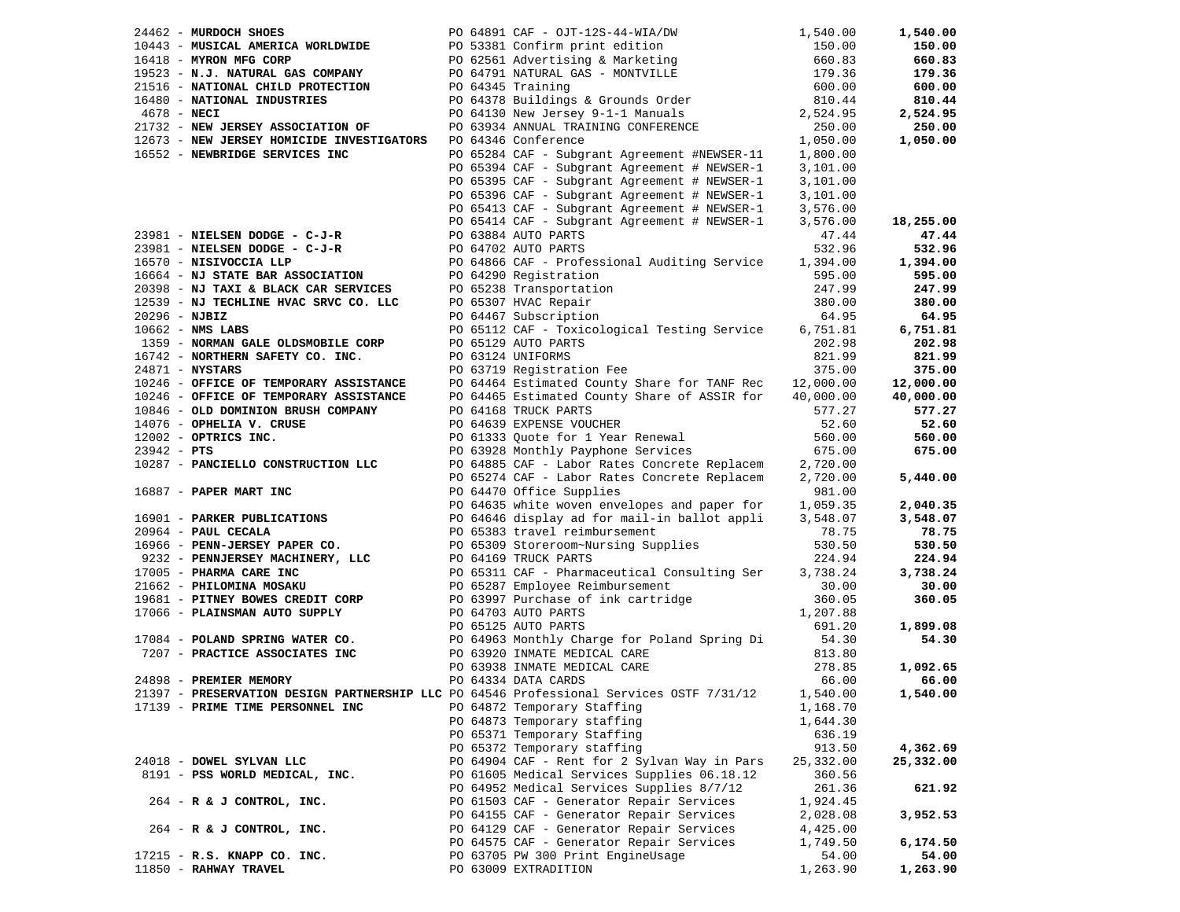| 24462 - MURDOCH SHOES                                                                                                                                                                                                                                                    | PO 64891 CAF - OJT-12S-44-WIA/DW 1,540.00                                                           |           | 1,540.00  |
|--------------------------------------------------------------------------------------------------------------------------------------------------------------------------------------------------------------------------------------------------------------------------|-----------------------------------------------------------------------------------------------------|-----------|-----------|
| 24462 - MUSICAL ANDENICA WORLDWIDE<br>16443 - MUSICAL AMERICA WORLDWIDE<br>16418 - MUSICAL AMERICA WORLDWIDE<br>16418 - MYRON MFG CORP<br>19523 - N.J. NATURAL GAS COMPANY<br>21516 - NATIONAL CHILD PROTECTION<br>21516 - NATIONAL CHILD                                |                                                                                                     |           | 150.00    |
|                                                                                                                                                                                                                                                                          |                                                                                                     |           | 660.83    |
|                                                                                                                                                                                                                                                                          |                                                                                                     |           | 179.36    |
|                                                                                                                                                                                                                                                                          |                                                                                                     |           | 600.00    |
|                                                                                                                                                                                                                                                                          |                                                                                                     |           | 810.44    |
|                                                                                                                                                                                                                                                                          |                                                                                                     |           | 2,524.95  |
| 21732 - NEW JERSEY ASSOCIATION OF                                                                                                                                                                                                                                        | PO 63934 ANNUAL TRAINING CONFERENCE<br>PO 64346 Conference                                          | 250.00    | 250.00    |
| 12673 - NEW JERSEY HOMICIDE INVESTIGATORS                                                                                                                                                                                                                                | PO 64346 Conference                                                                                 | 1,050.00  | 1,050.00  |
| 16552 - NEWBRIDGE SERVICES INC                                                                                                                                                                                                                                           |                                                                                                     | 1,800.00  |           |
|                                                                                                                                                                                                                                                                          | PO 65284 CAF - Subgrant Agreement #NEWSER-11<br>PO 65394 CAF - Subgrant Agreement # NEWSER-1        | 3,101.00  |           |
|                                                                                                                                                                                                                                                                          | PO 65395 CAF - Subgrant Agreement # NEWSER-1                                                        | 3,101.00  |           |
|                                                                                                                                                                                                                                                                          | PO 65396 CAF - Subgrant Agreement # NEWSER-1                                                        | 3,101.00  |           |
|                                                                                                                                                                                                                                                                          | PO 65413 CAF - Subgrant Agreement # NEWSER-1                                                        | 3,576.00  |           |
|                                                                                                                                                                                                                                                                          | PO 65414 CAF - Subgrant Agreement # NEWSER-1                                                        | 3,576.00  | 18,255.00 |
|                                                                                                                                                                                                                                                                          |                                                                                                     | 47.44     | 47.44     |
| 23981 - NIELSEN DODGE - C-J-R<br>23981 - NIELSEN DODGE - C-J-R<br>16570 - NISIVOCCIA LLP<br>16664 - NJ STATE BAR ASSOCIATION<br>16664 - NJ STATE BAR ASSOCIATION<br>2008 - PO 64290 Registration                                                                         |                                                                                                     | 532.96    | 532.96    |
|                                                                                                                                                                                                                                                                          |                                                                                                     | 1,394.00  | 1,394.00  |
|                                                                                                                                                                                                                                                                          |                                                                                                     | 595.00    | 595.00    |
|                                                                                                                                                                                                                                                                          | Formation<br>PO 65238 Transportation<br>PO 65207 UNIO Disco                                         | 247.99    | 247.99    |
| 20398 - NJ TAXI & BLACK CAR SERVICES<br>12539 - NJ TECHLINE HVAC SRVC CO. LLC                                                                                                                                                                                            | PO 65307 HVAC Repair                                                                                | 380.00    | 380.00    |
| $20296 - NJBIZ$                                                                                                                                                                                                                                                          | PO 64467 Subscription                                                                               | 64.95     | 64.95     |
| $10662$ - NMS LABS                                                                                                                                                                                                                                                       | PO 65112 CAF - Toxicological Testing Service 6,751.81                                               |           | 6,751.81  |
| 1359 - NORMAN GALE OLDSMOBILE CORP                                                                                                                                                                                                                                       | PO 65129 AUTO PARTS                                                                                 | 202.98    | 202.98    |
| 16742 - NORTHERN SAFETY CO. INC.                                                                                                                                                                                                                                         | PO 63124 UNIFORMS                                                                                   | 821.99    | 821.99    |
| $24871 - NYSTARS$                                                                                                                                                                                                                                                        | PO 63719 Registration Fee                                                                           | 375.00    | 375.00    |
| $10246$ - OFFICE OF TEMPORARY ASSISTANCE<br>$10246$ - OFFICE CH ISLES 2002                                                                                                                                                                                               | PO 64464 Estimated County Share for TANF Rec 12,000.00                                              |           | 12,000.00 |
| 10246 - OFFICE OF TEMPORARY ASSISTANCE                                                                                                                                                                                                                                   | PO 64465 Estimated County Share of ASSIR for 40,000.00                                              |           | 40,000.00 |
| 10846 - OLD DOMINION BRUSH COMPANY                                                                                                                                                                                                                                       | PO 64168 TRUCK PARTS                                                                                | 577.27    | 577.27    |
| 14076 - OPHELIA V. CRUSE                                                                                                                                                                                                                                                 |                                                                                                     | 52.60     | 52.60     |
| $12002 - OPTRICS INC.$                                                                                                                                                                                                                                                   | PO 64639 EXPENSE VOUCHER<br>PO 61333 Quote for 1 Year Renewal<br>PO 63928 Monthly Payphone Services | 560.00    | 560.00    |
|                                                                                                                                                                                                                                                                          |                                                                                                     | 675.00    |           |
| $23942 - PTS$                                                                                                                                                                                                                                                            |                                                                                                     |           | 675.00    |
| 10287 - PANCIELLO CONSTRUCTION LLC                                                                                                                                                                                                                                       | PO 64885 CAF - Labor Rates Concrete Replacem 2,720.00                                               |           |           |
|                                                                                                                                                                                                                                                                          | PO 65274 CAF - Labor Rates Concrete Replacem                                                        | 2,720.00  | 5,440.00  |
| 16887 - PAPER MART INC<br>16901 - PARKER PUBLICATIONS<br>20964 - PAUL CECALA<br>20964 - PAUL CECALA<br>16966 - PENN-JERSEY PAPER CO.<br>20964 - PAUL CECALA<br>20964 - PENN-JERSEY PAPER CO.<br>20964 - PENN-JERSEY PAPER CO.<br>2005 - PENN-JERSEY MACHINERY, LLC<br>20 | PO 64470 Office Supplies                                                                            | 981.00    |           |
|                                                                                                                                                                                                                                                                          |                                                                                                     | 1,059.35  | 2,040.35  |
|                                                                                                                                                                                                                                                                          |                                                                                                     | 3,548.07  | 3,548.07  |
|                                                                                                                                                                                                                                                                          |                                                                                                     | 78.75     | 78.75     |
|                                                                                                                                                                                                                                                                          |                                                                                                     | 530.50    | 530.50    |
|                                                                                                                                                                                                                                                                          |                                                                                                     | 224.94    | 224.94    |
|                                                                                                                                                                                                                                                                          |                                                                                                     | 3,738.24  | 3,738.24  |
|                                                                                                                                                                                                                                                                          |                                                                                                     | 30.00     | 30.00     |
| 17005 - PHARMA CARE INC<br>21662 - PHILOMINA MOSAKU<br>21662 - PHILOMINA MOSAKU<br>20681 - PITNEY BOWES CREDIT CORP<br>2063997 Purchase of ink cartridge<br>2066 - PLAINSMAN AUTO SUPPLY<br>2066 - PLAINSMAN AUTO SUPPLY<br>2064703 AUTO PAR                             | PO 63997 Purchase of ink cartridge<br>PO 64703 AUTO PARTS<br>PO 65125 AUTO PARTS                    | 360.05    | 360.05    |
|                                                                                                                                                                                                                                                                          |                                                                                                     | 1,207.88  |           |
| DO 65125 AUTO PARTS (17084 - POLAND SPRING WATER CO. The Section of the Section of the Section of the Section A                                                                                                                                                          | PO 65125 AUTO PARTS                                                                                 | 691.20    | 1,899.08  |
| 17084 - POLAND SPRING MAIL 1998<br>7207 - PRACTICE ASSOCIATES INC                                                                                                                                                                                                        |                                                                                                     |           | 54.30     |
|                                                                                                                                                                                                                                                                          | PO 63920 INMATE MEDICAL CARE<br>PO 63938 INMATE MEDICAL CARE<br>PO 64334 DATA CARDS                 | 813.80    |           |
|                                                                                                                                                                                                                                                                          |                                                                                                     | 278.85    | 1,092.65  |
| 24898 - PREMIER MEMORY                                                                                                                                                                                                                                                   | PO 64334 DATA CARDS                                                                                 | 66.00     | 66.00     |
| 21397 - PRESERVATION DESIGN PARTNERSHIP LLC PO 64546 Professional Services OSTF 7/31/12 1,540.00                                                                                                                                                                         |                                                                                                     |           | 1,540.00  |
| 17139 - PRIME TIME PERSONNEL INC                                                                                                                                                                                                                                         | PO 64872 Temporary Staffing                                                                         | 1,168.70  |           |
|                                                                                                                                                                                                                                                                          | PO 64873 Temporary staffing                                                                         | 1,644.30  |           |
|                                                                                                                                                                                                                                                                          | PO 65371 Temporary Staffing                                                                         | 636.19    |           |
|                                                                                                                                                                                                                                                                          | PO 65372 Temporary staffing                                                                         | 913.50    | 4,362.69  |
| 24018 - DOWEL SYLVAN LLC                                                                                                                                                                                                                                                 | PO 64904 CAF - Rent for 2 Sylvan Way in Pars                                                        | 25,332.00 | 25,332.00 |
| 8191 - PSS WORLD MEDICAL, INC.                                                                                                                                                                                                                                           | PO 61605 Medical Services Supplies 06.18.12                                                         | 360.56    |           |
|                                                                                                                                                                                                                                                                          | PO 64952 Medical Services Supplies 8/7/12                                                           | 261.36    | 621.92    |
| 264 - R & J CONTROL, INC.                                                                                                                                                                                                                                                | PO 61503 CAF - Generator Repair Services                                                            | 1,924.45  |           |
|                                                                                                                                                                                                                                                                          | PO 64155 CAF - Generator Repair Services                                                            | 2,028.08  | 3,952.53  |
| 264 - R & J CONTROL, INC.                                                                                                                                                                                                                                                | PO 64129 CAF - Generator Repair Services                                                            | 4,425.00  |           |
|                                                                                                                                                                                                                                                                          | PO 64575 CAF - Generator Repair Services                                                            | 1,749.50  | 6,174.50  |
| 17215 - R.S. KNAPP CO. INC.                                                                                                                                                                                                                                              | PO 63705 PW 300 Print EngineUsage                                                                   | 54.00     | 54.00     |
| 11850 - RAHWAY TRAVEL                                                                                                                                                                                                                                                    | PO 63009 EXTRADITION                                                                                | 1,263.90  | 1,263.90  |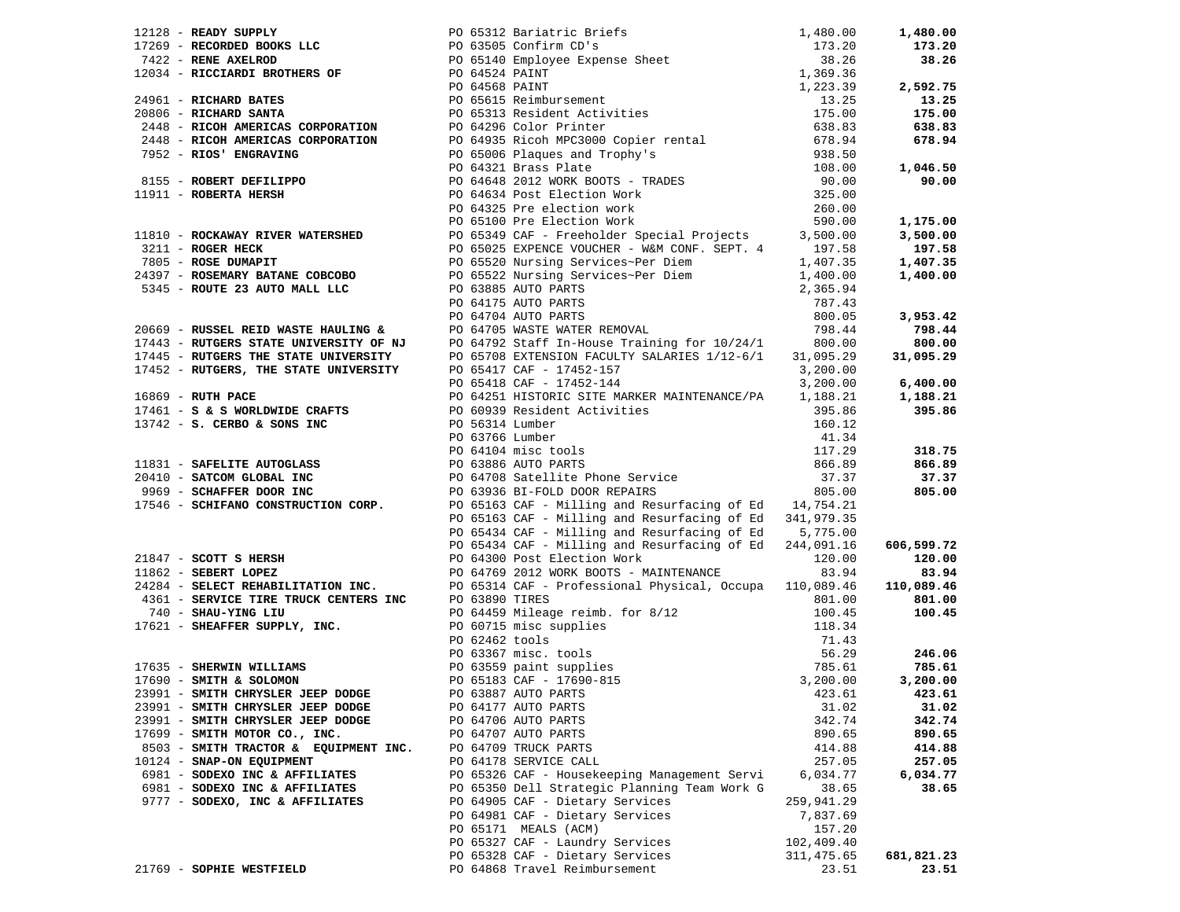|                                       | 1743 - REDUNA PRINCE CONSULTER (1941) And the principle of the SEARCH 1948 - REDUND 12, 2010.<br>1743 - REDUNA REDUNA SOME CONSULTER (1945) AND THE SEARCH 175.30 - 175.30 - 175.30 - 175.30 - 175.30 - 175.30<br>175.30 - MICROB                                         |            |            |
|---------------------------------------|---------------------------------------------------------------------------------------------------------------------------------------------------------------------------------------------------------------------------------------------------------------------------|------------|------------|
|                                       |                                                                                                                                                                                                                                                                           |            |            |
|                                       |                                                                                                                                                                                                                                                                           |            |            |
|                                       |                                                                                                                                                                                                                                                                           |            |            |
|                                       |                                                                                                                                                                                                                                                                           |            |            |
|                                       |                                                                                                                                                                                                                                                                           |            |            |
|                                       |                                                                                                                                                                                                                                                                           |            |            |
|                                       |                                                                                                                                                                                                                                                                           |            |            |
|                                       |                                                                                                                                                                                                                                                                           |            |            |
|                                       |                                                                                                                                                                                                                                                                           |            |            |
|                                       |                                                                                                                                                                                                                                                                           |            | 1,046.50   |
|                                       |                                                                                                                                                                                                                                                                           |            |            |
|                                       |                                                                                                                                                                                                                                                                           |            |            |
|                                       |                                                                                                                                                                                                                                                                           |            |            |
|                                       |                                                                                                                                                                                                                                                                           |            |            |
|                                       |                                                                                                                                                                                                                                                                           |            |            |
|                                       |                                                                                                                                                                                                                                                                           |            |            |
|                                       |                                                                                                                                                                                                                                                                           |            |            |
|                                       |                                                                                                                                                                                                                                                                           |            |            |
|                                       |                                                                                                                                                                                                                                                                           |            |            |
|                                       |                                                                                                                                                                                                                                                                           |            |            |
|                                       |                                                                                                                                                                                                                                                                           |            |            |
|                                       |                                                                                                                                                                                                                                                                           |            |            |
|                                       |                                                                                                                                                                                                                                                                           |            |            |
|                                       |                                                                                                                                                                                                                                                                           |            |            |
|                                       |                                                                                                                                                                                                                                                                           |            |            |
|                                       |                                                                                                                                                                                                                                                                           |            |            |
|                                       |                                                                                                                                                                                                                                                                           |            |            |
|                                       |                                                                                                                                                                                                                                                                           |            |            |
|                                       |                                                                                                                                                                                                                                                                           |            |            |
|                                       |                                                                                                                                                                                                                                                                           |            |            |
|                                       |                                                                                                                                                                                                                                                                           |            |            |
|                                       |                                                                                                                                                                                                                                                                           |            |            |
|                                       |                                                                                                                                                                                                                                                                           |            |            |
|                                       |                                                                                                                                                                                                                                                                           |            |            |
|                                       |                                                                                                                                                                                                                                                                           |            |            |
|                                       |                                                                                                                                                                                                                                                                           |            |            |
|                                       |                                                                                                                                                                                                                                                                           |            |            |
|                                       |                                                                                                                                                                                                                                                                           |            |            |
|                                       |                                                                                                                                                                                                                                                                           |            |            |
|                                       |                                                                                                                                                                                                                                                                           |            |            |
|                                       |                                                                                                                                                                                                                                                                           |            |            |
|                                       |                                                                                                                                                                                                                                                                           |            |            |
|                                       |                                                                                                                                                                                                                                                                           |            |            |
|                                       | 90 65434 CAF – Milling and Resurfacing of Ed 5,775.00<br>21847 – <b>SCOTT 5 HERSH</b><br>21862 – <b>SEBERT LOPEZ</b><br>229284 – <b>SEBERT LOPEZ</b><br>24284 – <b>SELECT REHABILITATION INC.</b><br>24284 – <b>SELECT REHABILITATION INC.</b><br>24284 – <b>SELECT R</b> |            |            |
|                                       |                                                                                                                                                                                                                                                                           |            |            |
|                                       |                                                                                                                                                                                                                                                                           |            |            |
|                                       |                                                                                                                                                                                                                                                                           |            |            |
|                                       |                                                                                                                                                                                                                                                                           |            |            |
|                                       |                                                                                                                                                                                                                                                                           |            |            |
| 23991 - SMITH CHRYSLER JEEP DODGE     | PO 64177 AUTO PARTS                                                                                                                                                                                                                                                       | 31.02      | 31.02      |
| 23991 - SMITH CHRYSLER JEEP DODGE     | PO 64706 AUTO PARTS                                                                                                                                                                                                                                                       | 342.74     | 342.74     |
| 17699 - SMITH MOTOR CO., INC.         | PO 64707 AUTO PARTS                                                                                                                                                                                                                                                       | 890.65     | 890.65     |
| 8503 - SMITH TRACTOR & EQUIPMENT INC. | PO 64709 TRUCK PARTS                                                                                                                                                                                                                                                      | 414.88     | 414.88     |
| 10124 - SNAP-ON EQUIPMENT             | PO 64178 SERVICE CALL                                                                                                                                                                                                                                                     | 257.05     | 257.05     |
| 6981 - SODEXO INC & AFFILIATES        | PO 65326 CAF - Housekeeping Management Servi                                                                                                                                                                                                                              | 6,034.77   | 6,034.77   |
| 6981 - SODEXO INC & AFFILIATES        | PO 65350 Dell Strategic Planning Team Work G                                                                                                                                                                                                                              | 38.65      | 38.65      |
| 9777 - SODEXO, INC & AFFILIATES       | PO 64905 CAF - Dietary Services                                                                                                                                                                                                                                           | 259,941.29 |            |
|                                       | PO 64981 CAF - Dietary Services                                                                                                                                                                                                                                           | 7,837.69   |            |
|                                       | PO 65171 MEALS (ACM)                                                                                                                                                                                                                                                      | 157.20     |            |
|                                       | PO 65327 CAF - Laundry Services                                                                                                                                                                                                                                           | 102,409.40 |            |
|                                       | PO 65328 CAF - Dietary Services                                                                                                                                                                                                                                           | 311,475.65 | 681,821.23 |
| 21769 - SOPHIE WESTFIELD              | PO 64868 Travel Reimbursement                                                                                                                                                                                                                                             | 23.51      | 23.51      |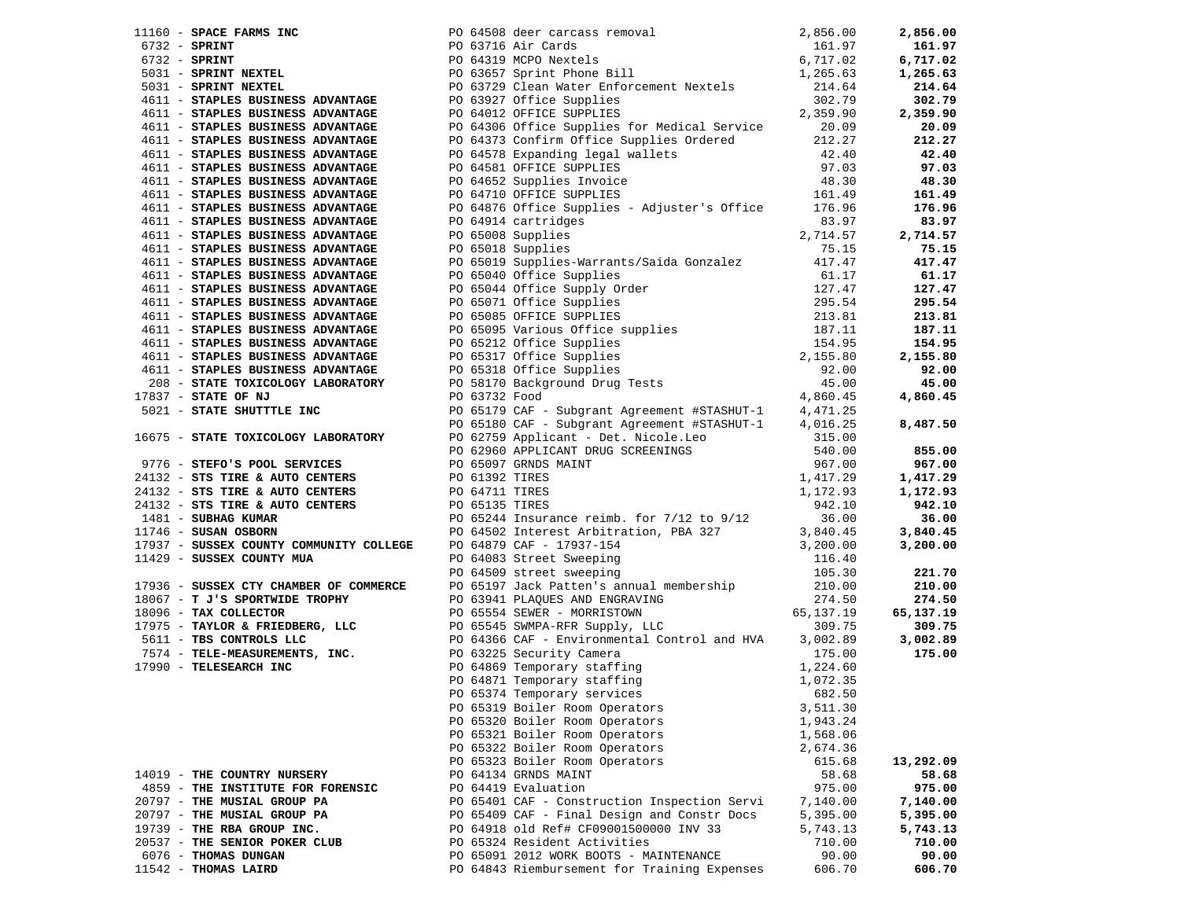| 11160 - SPACE FARMS INC                                                |                                                                                                                                                                                                                                                                                                                                                                                                                                                               |          | 2,856.00  |
|------------------------------------------------------------------------|---------------------------------------------------------------------------------------------------------------------------------------------------------------------------------------------------------------------------------------------------------------------------------------------------------------------------------------------------------------------------------------------------------------------------------------------------------------|----------|-----------|
|                                                                        |                                                                                                                                                                                                                                                                                                                                                                                                                                                               |          | 161.97    |
|                                                                        |                                                                                                                                                                                                                                                                                                                                                                                                                                                               |          | 6,717.02  |
|                                                                        |                                                                                                                                                                                                                                                                                                                                                                                                                                                               |          | 1,265.63  |
|                                                                        |                                                                                                                                                                                                                                                                                                                                                                                                                                                               |          | 214.64    |
|                                                                        |                                                                                                                                                                                                                                                                                                                                                                                                                                                               |          | 302.79    |
|                                                                        | 11160 - SPACE FARMS INC<br>6732 - SPRINT<br>6732 - SPRINT<br>6732 - SPRINT<br>6732 - SPRINT<br>6732 - SPRINT<br>161.97<br>2,856.00<br>6732 - SPRINT<br>2,856.00<br>2,856.00<br>2,856.00<br>2,856.00<br>2,856.00<br>2,856.00<br>2,856.00<br>2,856.00<br>2,856.00<br><br>PO 63927 Office Supplies<br>PO 63927 Office Supplies<br>PO 64012 OFFICE SUPPLIES<br>PO 64306 Office Supplies for Medical Service<br>PO 64373 Confirm Office Supplies Ordered<br>212.27 |          | 2,359.90  |
|                                                                        |                                                                                                                                                                                                                                                                                                                                                                                                                                                               |          | 20.09     |
| 4611 - STAPLES BUSINESS ADVANTAGE<br>4611 - STAPLES BUSINESS ADVANTAGE |                                                                                                                                                                                                                                                                                                                                                                                                                                                               |          | 212.27    |
| 4611 - STAPLES BUSINESS ADVANTAGE                                      |                                                                                                                                                                                                                                                                                                                                                                                                                                                               |          | 42.40     |
| 4611 - STAPLES BUSINESS ADVANTAGE                                      | PO 64578 Expanding legal wallets 42.40<br>PO 64581 OFFICE SUPPLIES 97.03<br>PO 64652 Supplies Invoice 48.30<br>PO 64710 OFFICE SUPPLIES 161.49                                                                                                                                                                                                                                                                                                                |          | 97.03     |
| 4611 - STAPLES BUSINESS ADVANTAGE                                      |                                                                                                                                                                                                                                                                                                                                                                                                                                                               |          | 48.30     |
|                                                                        |                                                                                                                                                                                                                                                                                                                                                                                                                                                               |          |           |
| 4611 - STAPLES BUSINESS ADVANTAGE                                      |                                                                                                                                                                                                                                                                                                                                                                                                                                                               |          | 161.49    |
| 4611 - STAPLES BUSINESS ADVANTAGE                                      | PO 64876 Office Supplies - Adjuster's Office 176.96                                                                                                                                                                                                                                                                                                                                                                                                           |          | 176.96    |
| 4611 - STAPLES BUSINESS ADVANTAGE                                      | PO 64914 cartridges                                                                                                                                                                                                                                                                                                                                                                                                                                           | 83.97    | 83.97     |
| 4611 - STAPLES BUSINESS ADVANTAGE                                      | PO 65008 Supplies                                                                                                                                                                                                                                                                                                                                                                                                                                             | 2,714.57 | 2,714.57  |
| 4611 - STAPLES BUSINESS ADVANTAGE                                      | PO 65018 Supplies                                                                                                                                                                                                                                                                                                                                                                                                                                             | 75.15    | 75.15     |
| 4611 - STAPLES BUSINESS ADVANTAGE                                      | PO 65019 Supplies-Warrants/Saida Gonzalez 417.47                                                                                                                                                                                                                                                                                                                                                                                                              |          | 417.47    |
|                                                                        |                                                                                                                                                                                                                                                                                                                                                                                                                                                               |          | 61.17     |
|                                                                        |                                                                                                                                                                                                                                                                                                                                                                                                                                                               |          | 127.47    |
|                                                                        |                                                                                                                                                                                                                                                                                                                                                                                                                                                               |          | 295.54    |
|                                                                        |                                                                                                                                                                                                                                                                                                                                                                                                                                                               |          | 213.81    |
|                                                                        |                                                                                                                                                                                                                                                                                                                                                                                                                                                               |          | 187.11    |
|                                                                        |                                                                                                                                                                                                                                                                                                                                                                                                                                                               |          | 154.95    |
|                                                                        |                                                                                                                                                                                                                                                                                                                                                                                                                                                               |          | 2,155.80  |
|                                                                        |                                                                                                                                                                                                                                                                                                                                                                                                                                                               |          | 92.00     |
|                                                                        |                                                                                                                                                                                                                                                                                                                                                                                                                                                               |          | 45.00     |
|                                                                        |                                                                                                                                                                                                                                                                                                                                                                                                                                                               |          | 4,860.45  |
|                                                                        |                                                                                                                                                                                                                                                                                                                                                                                                                                                               |          |           |
|                                                                        |                                                                                                                                                                                                                                                                                                                                                                                                                                                               |          | 8,487.50  |
|                                                                        |                                                                                                                                                                                                                                                                                                                                                                                                                                                               |          |           |
|                                                                        |                                                                                                                                                                                                                                                                                                                                                                                                                                                               |          | 855.00    |
|                                                                        |                                                                                                                                                                                                                                                                                                                                                                                                                                                               |          | 967.00    |
|                                                                        |                                                                                                                                                                                                                                                                                                                                                                                                                                                               |          | 1,417.29  |
|                                                                        |                                                                                                                                                                                                                                                                                                                                                                                                                                                               |          |           |
|                                                                        | 4611 - STATLES BUSINESS ADVANTAGE PO 65019 Supplies-Narrants/Saida Gonzalez 417.47<br>4611 - STATLES BUSINESS ADVANTAGE PO 65040 Office Supplies<br>4611 - STATLES BUSINESS ADVANTAGE PO 65040 Office Supplies<br>4611 - STATLES BU                                                                                                                                                                                                                           |          | 1,172.93  |
|                                                                        |                                                                                                                                                                                                                                                                                                                                                                                                                                                               |          | 942.10    |
|                                                                        |                                                                                                                                                                                                                                                                                                                                                                                                                                                               |          | 36.00     |
|                                                                        |                                                                                                                                                                                                                                                                                                                                                                                                                                                               |          | 3,840.45  |
|                                                                        |                                                                                                                                                                                                                                                                                                                                                                                                                                                               |          | 3,200.00  |
|                                                                        |                                                                                                                                                                                                                                                                                                                                                                                                                                                               |          |           |
|                                                                        |                                                                                                                                                                                                                                                                                                                                                                                                                                                               |          | 221.70    |
|                                                                        |                                                                                                                                                                                                                                                                                                                                                                                                                                                               |          | 210.00    |
|                                                                        |                                                                                                                                                                                                                                                                                                                                                                                                                                                               |          | 274.50    |
|                                                                        |                                                                                                                                                                                                                                                                                                                                                                                                                                                               |          | 65,137.19 |
|                                                                        |                                                                                                                                                                                                                                                                                                                                                                                                                                                               |          | 309.75    |
|                                                                        | 11746 - SUSAN OSBORN<br>17937 - SUSSEX COUNTY COMMUNITY COLLEGE PO 64879 CAP-17937-154<br>11429 - SUSSEX COUNTY MUA<br>11429 - SUSSEX COUNTY MUA<br>11429 - SUSSEX COUNTY MUA<br>17936 - SUSSEX CTY CHAMBER OF COMMERCE PO 6493 Street                                                                                                                                                                                                                        |          | 3,002.89  |
|                                                                        |                                                                                                                                                                                                                                                                                                                                                                                                                                                               |          | 175.00    |
|                                                                        |                                                                                                                                                                                                                                                                                                                                                                                                                                                               |          |           |
|                                                                        |                                                                                                                                                                                                                                                                                                                                                                                                                                                               |          |           |
|                                                                        |                                                                                                                                                                                                                                                                                                                                                                                                                                                               |          |           |
|                                                                        | PO 65319 Boiler Room Operators                                                                                                                                                                                                                                                                                                                                                                                                                                | 3,511.30 |           |
|                                                                        | PO 65320 Boiler Room Operators                                                                                                                                                                                                                                                                                                                                                                                                                                | 1,943.24 |           |
|                                                                        | PO 65321 Boiler Room Operators                                                                                                                                                                                                                                                                                                                                                                                                                                | 1,568.06 |           |
|                                                                        | PO 65322 Boiler Room Operators                                                                                                                                                                                                                                                                                                                                                                                                                                | 2,674.36 |           |
|                                                                        | PO 65323 Boiler Room Operators                                                                                                                                                                                                                                                                                                                                                                                                                                | 615.68   | 13,292.09 |
| 14019 - THE COUNTRY NURSERY                                            | PO 64134 GRNDS MAINT                                                                                                                                                                                                                                                                                                                                                                                                                                          | 58.68    | 58.68     |
| 4859 - THE INSTITUTE FOR FORENSIC                                      | PO 64419 Evaluation                                                                                                                                                                                                                                                                                                                                                                                                                                           | 975.00   | 975.00    |
| 20797 - THE MUSIAL GROUP PA                                            | PO 65401 CAF - Construction Inspection Servi                                                                                                                                                                                                                                                                                                                                                                                                                  | 7,140.00 | 7,140.00  |
| 20797 - THE MUSIAL GROUP PA                                            | PO 65409 CAF - Final Design and Constr Docs                                                                                                                                                                                                                                                                                                                                                                                                                   | 5,395.00 | 5,395.00  |
| 19739 - THE RBA GROUP INC.                                             | PO 64918 old Ref# CF09001500000 INV 33                                                                                                                                                                                                                                                                                                                                                                                                                        | 5,743.13 | 5,743.13  |
| 20537 - THE SENIOR POKER CLUB                                          | PO 65324 Resident Activities                                                                                                                                                                                                                                                                                                                                                                                                                                  | 710.00   | 710.00    |
| 6076 - THOMAS DUNGAN                                                   | PO 65091 2012 WORK BOOTS - MAINTENANCE                                                                                                                                                                                                                                                                                                                                                                                                                        | 90.00    | 90.00     |
| 11542 - THOMAS LAIRD                                                   | PO 64843 Riembursement for Training Expenses                                                                                                                                                                                                                                                                                                                                                                                                                  | 606.70   | 606.70    |
|                                                                        |                                                                                                                                                                                                                                                                                                                                                                                                                                                               |          |           |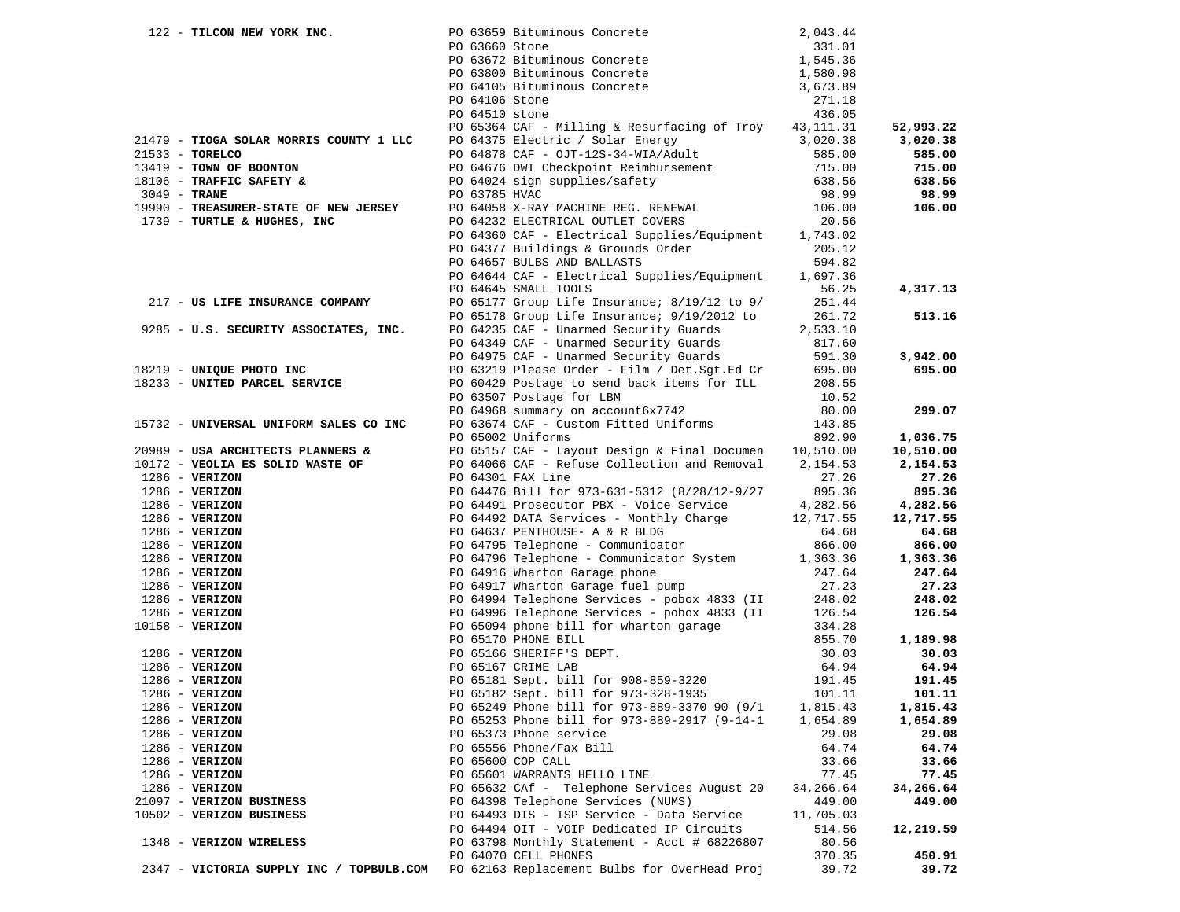|                   | 122 - TILCON NEW YORK INC.                                           |                | PO 63659 Bituminous Concrete<br>PO 63660 Stone                                                                                                                                                                                                   | 2,043.44  |           |
|-------------------|----------------------------------------------------------------------|----------------|--------------------------------------------------------------------------------------------------------------------------------------------------------------------------------------------------------------------------------------------------|-----------|-----------|
|                   |                                                                      |                |                                                                                                                                                                                                                                                  |           |           |
|                   |                                                                      |                |                                                                                                                                                                                                                                                  |           |           |
|                   |                                                                      |                |                                                                                                                                                                                                                                                  |           |           |
|                   |                                                                      |                | PO 63660 Stone 331.01<br>PO 63672 Bituminous Concrete 1,545.36<br>PO 63800 Bituminous Concrete 1,580.98<br>PO 64105 Bituminous Concrete 3,673.89                                                                                                 |           |           |
|                   |                                                                      | PO 64106 Stone |                                                                                                                                                                                                                                                  | 271.18    |           |
|                   |                                                                      | PO 64510 stone |                                                                                                                                                                                                                                                  | 436.05    |           |
|                   |                                                                      |                | PO 65364 CAF - Milling & Resurfacing of Troy 43, 111.31                                                                                                                                                                                          |           | 52,993.22 |
|                   | 21479 - TIOGA SOLAR MORRIS COUNTY 1 LLC                              |                | PO 64375 Electric / Solar Energy<br>PO 64878 CAF - OJT-12S-34-WIA/Adult<br>PO 64676 DWI Checkpoint Reimbursement<br>PO 64024 sign supplies/safety<br>PO 63785 HVAC<br>PO 63785 HVAC<br>PO 63785 HVAC<br>PO 63785 HVAC<br>PO 63785 HVAC<br>PO 638 |           | 3,020.38  |
| 21533 - TORELCO   |                                                                      |                |                                                                                                                                                                                                                                                  |           | 585.00    |
|                   | 13419 - TOWN OF BOONTON                                              |                |                                                                                                                                                                                                                                                  |           | 715.00    |
|                   | 18106 - TRAFFIC SAFETY &                                             |                |                                                                                                                                                                                                                                                  |           | 638.56    |
| $3049$ - TRANE    |                                                                      | PO 63785 HVAC  |                                                                                                                                                                                                                                                  | 98.99     | 98.99     |
|                   | 19990 - TREASURER-STATE OF NEW JERSEY<br>1739 - TURTLE & HUGHES, INC |                | PO 64058 X-RAY MACHINE REG. RENEWAL<br>PO 64232 ELECTRICAL OUTLET COVERS                                                                                                                                                                         | 106.00    | 106.00    |
|                   | 1739 - TURTLE & HUGHES, INC                                          |                | PO 64232 ELECTRICAL OUTLET COVERS                                                                                                                                                                                                                | 20.56     |           |
|                   |                                                                      |                | PO 64360 CAF - Electrical Supplies/Equipment 1,743.02                                                                                                                                                                                            |           |           |
|                   |                                                                      |                | PO 64377 Buildings & Grounds Order<br>PO 64657 BULBS AND BALLASTS                                                                                                                                                                                | 205.12    |           |
|                   |                                                                      |                |                                                                                                                                                                                                                                                  | 594.82    |           |
|                   |                                                                      |                | PO 64644 CAF - Electrical Supplies/Equipment 1,697.36                                                                                                                                                                                            |           |           |
|                   |                                                                      |                | PO 64645 SMALL TOOLS                                                                                                                                                                                                                             | 56.25     | 4,317.13  |
|                   | 217 - US LIFE INSURANCE COMPANY                                      |                | PO 65177 Group Life Insurance; 8/19/12 to 9/                                                                                                                                                                                                     | 251.44    |           |
|                   |                                                                      |                | PO 65178 Group Life Insurance; 9/19/2012 to<br>PO 64235 CAF - Unarmed Security Guards                                                                                                                                                            | 261.72    | 513.16    |
|                   | 9285 - U.S. SECURITY ASSOCIATES, INC.                                |                |                                                                                                                                                                                                                                                  | 2,533.10  |           |
|                   |                                                                      |                |                                                                                                                                                                                                                                                  | 817.60    |           |
|                   |                                                                      |                | PO 64349 CAF - Unarmed Security Guards<br>PO 64975 CAF - Unarmed Security Guards                                                                                                                                                                 | 591.30    | 3,942.00  |
|                   | 18219 - UNIQUE PHOTO INC                                             |                | PO 63219 Please Order - Film / Det.Sgt.Ed Cr 695.00<br>PO 60429 Postage to send back items for ILL 208.55                                                                                                                                        |           | 695.00    |
|                   | 18233 - UNITED PARCEL SERVICE                                        |                |                                                                                                                                                                                                                                                  | 208.55    |           |
|                   |                                                                      |                | PO 63507 Postage for LBM                                                                                                                                                                                                                         | 10.52     |           |
|                   |                                                                      |                | PO 64968 summary on account6x7742                                                                                                                                                                                                                | 80.00     | 299.07    |
|                   | 15732 - UNIVERSAL UNIFORM SALES CO INC                               |                | PO 63674 CAF - Custom Fitted Uniforms 143.85                                                                                                                                                                                                     |           |           |
|                   |                                                                      |                | PO 65002 Uniforms                                                                                                                                                                                                                                | 892.90    | 1,036.75  |
|                   | 20989 - USA ARCHITECTS PLANNERS &                                    |                | PO 65157 CAF - Layout Design & Final Documen 10,510.00                                                                                                                                                                                           |           | 10,510.00 |
|                   | 10172 - VEOLIA ES SOLID WASTE OF                                     |                | PO 64066 CAF - Refuse Collection and Removal 2,154.53                                                                                                                                                                                            |           | 2,154.53  |
| $1286$ - VERIZON  |                                                                      |                | PO 64301 FAX Line                                                                                                                                                                                                                                | 27.26     | 27.26     |
| $1286$ - VERIZON  |                                                                      |                | PO 64476 Bill for 973-631-5312 (8/28/12-9/27                                                                                                                                                                                                     | 895.36    | 895.36    |
| $1286$ - VERIZON  |                                                                      |                | PO 64491 Prosecutor PBX - Voice Service 4,282.56                                                                                                                                                                                                 |           | 4,282.56  |
| $1286$ - VERIZON  |                                                                      |                | PO 64492 DATA Services - Monthly Charge 12,717.55                                                                                                                                                                                                |           | 12,717.55 |
| $1286$ - VERIZON  |                                                                      |                | PO 64637 PENTHOUSE- A & R BLDG<br>PO 64795 Telephone - Communicator                                                                                                                                                                              | 64.68     | 64.68     |
| $1286$ - VERIZON  |                                                                      |                |                                                                                                                                                                                                                                                  | 866.00    | 866.00    |
| $1286$ - VERIZON  |                                                                      |                | PO 64796 Telephone - Communicator System 1,363.36                                                                                                                                                                                                |           | 1,363.36  |
| $1286$ - VERIZON  |                                                                      |                | PO 64916 Wharton Garage phone<br>PO 64917 Wharton Garage fuel pump<br>PO 64994 Telephone Services - pobox 4833 (II 248.02<br>PO 64996 Telephone Services - pobox 4833 (II 126.54                                                                 |           | 247.64    |
| $1286$ - VERIZON  |                                                                      |                |                                                                                                                                                                                                                                                  |           | 27.23     |
| $1286$ - VERIZON  |                                                                      |                |                                                                                                                                                                                                                                                  |           | 248.02    |
| $1286$ - VERIZON  |                                                                      |                |                                                                                                                                                                                                                                                  |           | 126.54    |
| $10158 - VERIZON$ |                                                                      |                | PO 65094 phone bill for wharton garage                                                                                                                                                                                                           | 334.28    |           |
|                   |                                                                      |                | PO 65170 PHONE BILL                                                                                                                                                                                                                              | 855.70    | 1,189.98  |
| $1286$ - VERIZON  |                                                                      |                | PO 65166 SHERIFF'S DEPT.                                                                                                                                                                                                                         | 30.03     | 30.03     |
| $1286$ - VERIZON  |                                                                      |                | PO 65167 CRIME LAB                                                                                                                                                                                                                               | 64.94     | 64.94     |
| $1286 - VERTZON$  |                                                                      |                | PO 65181 Sept. bill for 908-859-3220                                                                                                                                                                                                             | 191.45    | 191.45    |
| $1286$ - VERIZON  |                                                                      |                | PO 65182 Sept. bill for 973-328-1935                                                                                                                                                                                                             | 101.11    | 101.11    |
| $1286$ - VERIZON  |                                                                      |                | PO 65249 Phone bill for 973-889-3370 90 (9/1                                                                                                                                                                                                     | 1,815.43  | 1,815.43  |
| $1286 - VERIZON$  |                                                                      |                | PO 65253 Phone bill for 973-889-2917 (9-14-1                                                                                                                                                                                                     | 1,654.89  | 1,654.89  |
| $1286$ - VERIZON  |                                                                      |                | PO 65373 Phone service                                                                                                                                                                                                                           | 29.08     | 29.08     |
| 1286 - VERIZON    |                                                                      |                | PO 65556 Phone/Fax Bill                                                                                                                                                                                                                          | 64.74     | 64.74     |
| $1286$ - VERIZON  |                                                                      |                | PO 65600 COP CALL                                                                                                                                                                                                                                | 33.66     | 33.66     |
| $1286$ - VERIZON  |                                                                      |                | PO 65601 WARRANTS HELLO LINE                                                                                                                                                                                                                     | 77.45     | 77.45     |
| $1286 - VERIZON$  |                                                                      |                | PO 65632 CAf - Telephone Services August 20                                                                                                                                                                                                      | 34,266.64 | 34,266.64 |
|                   | 21097 - VERIZON BUSINESS                                             |                | PO 64398 Telephone Services (NUMS)                                                                                                                                                                                                               | 449.00    | 449.00    |
|                   | 10502 - VERIZON BUSINESS                                             |                | PO 64493 DIS - ISP Service - Data Service                                                                                                                                                                                                        | 11,705.03 |           |
|                   |                                                                      |                | PO 64494 OIT - VOIP Dedicated IP Circuits                                                                                                                                                                                                        | 514.56    | 12,219.59 |
|                   | 1348 - VERIZON WIRELESS                                              |                | PO 63798 Monthly Statement - Acct # 68226807                                                                                                                                                                                                     | 80.56     |           |
|                   |                                                                      |                | PO 64070 CELL PHONES                                                                                                                                                                                                                             | 370.35    | 450.91    |
|                   | 2347 - VICTORIA SUPPLY INC / TOPBULB.COM                             |                | PO 62163 Replacement Bulbs for OverHead Proj                                                                                                                                                                                                     | 39.72     | 39.72     |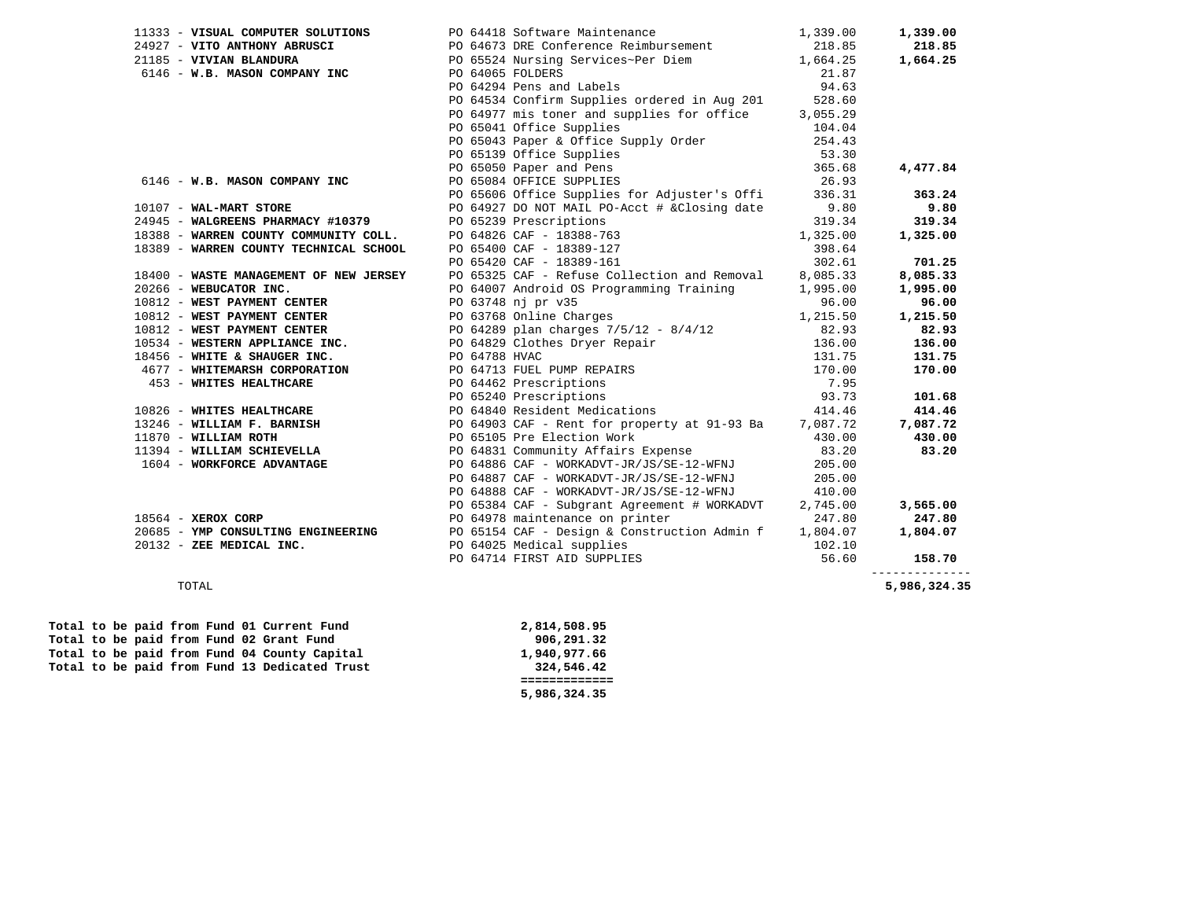|                          | 11333 - VISUAL COMPUTER SOLUTIONS<br>24927 - VITO ANTHONY ABRUSCI PO 64118 Software Maintenance 1,339.00<br>2185 - VIVIAN BLANDURA PO 65524 Nursing Services~Per Diem 1,664.25<br>6146 - W.B. MASON COMPANY INC PO 64065 FOLDERS 21.                                                                   |          | 1,339.00       |
|--------------------------|--------------------------------------------------------------------------------------------------------------------------------------------------------------------------------------------------------------------------------------------------------------------------------------------------------|----------|----------------|
|                          |                                                                                                                                                                                                                                                                                                        |          | 218.85         |
|                          |                                                                                                                                                                                                                                                                                                        |          | 1,664.25       |
|                          |                                                                                                                                                                                                                                                                                                        |          |                |
|                          |                                                                                                                                                                                                                                                                                                        |          |                |
|                          | PO 64534 Confirm Supplies ordered in Aug 201 528.60                                                                                                                                                                                                                                                    |          |                |
|                          | PO 64977 mis toner and supplies for office 3,055.29                                                                                                                                                                                                                                                    |          |                |
|                          |                                                                                                                                                                                                                                                                                                        |          |                |
|                          |                                                                                                                                                                                                                                                                                                        |          |                |
|                          |                                                                                                                                                                                                                                                                                                        |          |                |
|                          |                                                                                                                                                                                                                                                                                                        |          | 4,477.84       |
|                          | PO 64977 mis toner and supplies<br>PO 65041 Office Supplies<br>PO 65043 Paper & Office Supply Order<br>PO 65139 Office Supplies<br>PO 65050 Paper and Pens<br>PO 65064 OFFICE SUPPLIES<br>PO 65064 OFFICE SUPPLIES<br>PO 65606 Office Suppli<br>6146 - W.B. MASON COMPANY INC PO 65084 OFFICE SUPPLIES |          |                |
|                          |                                                                                                                                                                                                                                                                                                        |          | 363.24         |
| 10107 - WAL-MART STORE   |                                                                                                                                                                                                                                                                                                        |          | 9.80           |
|                          | 24945 - WALGREENS PHARMACY #10379 PO 65239 Prescriptions                                                                                                                                                                                                                                               |          | 319.34         |
|                          | PO 64826 CAF - 18388-763 1,325.00                                                                                                                                                                                                                                                                      |          | 1,325.00       |
|                          |                                                                                                                                                                                                                                                                                                        | 398.64   |                |
|                          | 18388 - WARREN COUNTY COMMUNITY COLL.<br>18389 - WARREN COUNTY TECHNICAL SCHOOL PO 65400 CAF - 18389-127<br>PO 65420 CAF - 18389-161                                                                                                                                                                   | 302.61   | 701.25         |
|                          | 18400 - WASTE MANAGEMENT OF NEW JERSEY DO 65325 CAF - Refuse Collection and Removal 8,085.33<br>20266 - WEBUCATOR INC. PO 64007 Android OS Programming Training 1,995.00<br>10812 - WEST PAYMENT CENTER PO 63748 nj pr v35                                                                             |          | 8,085.33       |
|                          |                                                                                                                                                                                                                                                                                                        |          | 1,995.00       |
|                          |                                                                                                                                                                                                                                                                                                        |          | 96.00          |
|                          | 200812 - WEST PAYMENT CENTER<br>10812 - WEST PAYMENT CENTER<br>10812 - WEST PAYMENT CENTER<br>10812 - WEST PAYMENT CENTER<br>10812 - WEST PAYMENT CENTER<br>10812 - WEST PAYMENT CENTER<br>10812 - WEST PAYMENT CENTER<br>10812 - WEST PAYME                                                           |          | 1,215.50       |
|                          |                                                                                                                                                                                                                                                                                                        |          | 82.93          |
|                          |                                                                                                                                                                                                                                                                                                        |          | 136.00         |
|                          |                                                                                                                                                                                                                                                                                                        |          | 131.75         |
|                          |                                                                                                                                                                                                                                                                                                        |          | 170.00         |
|                          |                                                                                                                                                                                                                                                                                                        |          |                |
|                          |                                                                                                                                                                                                                                                                                                        |          | 101.68         |
|                          |                                                                                                                                                                                                                                                                                                        |          | 414.46         |
|                          |                                                                                                                                                                                                                                                                                                        |          | 7,087.72       |
|                          |                                                                                                                                                                                                                                                                                                        |          | 430.00         |
|                          |                                                                                                                                                                                                                                                                                                        |          | 83.20          |
|                          |                                                                                                                                                                                                                                                                                                        |          |                |
|                          | PO 64887 CAF - WORKADVT-JR/JS/SE-12-WFNJ 205.00                                                                                                                                                                                                                                                        |          |                |
|                          | PO 64888 CAF - WORKADVT-JR/JS/SE-12-WFNJ 410.00                                                                                                                                                                                                                                                        |          |                |
|                          | PO 65384 CAF - Subgrant Agreement # WORKADVT                                                                                                                                                                                                                                                           | 2,745.00 | 3,565.00       |
| $18564$ - XEROX CORP     | PO 64978 maintenance on printer                                                                                                                                                                                                                                                                        | 247.80   | 247.80         |
|                          | 20685 - YMP CONSULTING ENGINEERING<br>20132 - ZEE MEDICAL INC.<br>20132 - ZEE MEDICAL INC.<br>20132 - ZEE MEDICAL INC.<br>202.10                                                                                                                                                                       |          | 1,804.07       |
| 20132 - ZEE MEDICAL INC. |                                                                                                                                                                                                                                                                                                        |          |                |
|                          | PO 64714 FIRST AID SUPPLIES                                                                                                                                                                                                                                                                            | 56.60    | 158.70         |
|                          |                                                                                                                                                                                                                                                                                                        |          | -------------- |

--------------

5,986,324.35 TOTAL **5,986,324.35** 

|  |  |  |  |                                               | 5,986,324.35 |
|--|--|--|--|-----------------------------------------------|--------------|
|  |  |  |  |                                               |              |
|  |  |  |  | Total to be paid from Fund 13 Dedicated Trust | 324,546.42   |
|  |  |  |  | Total to be paid from Fund 04 County Capital  | 1,940,977.66 |
|  |  |  |  | Total to be paid from Fund 02 Grant Fund      | 906,291.32   |
|  |  |  |  | Total to be paid from Fund 01 Current Fund    | 2,814,508.95 |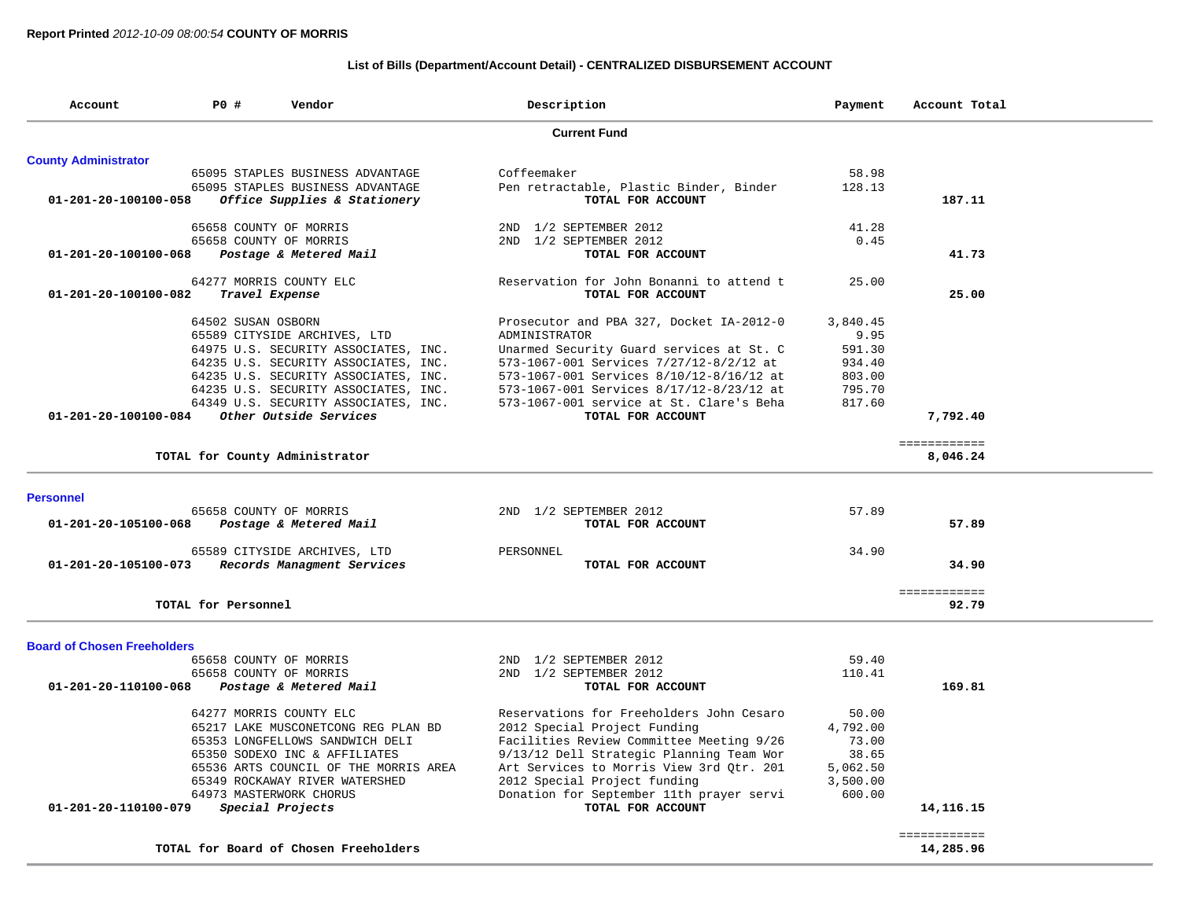## **List of Bills (Department/Account Detail) - CENTRALIZED DISBURSEMENT ACCOUNT**

| Account                            | P0 #                | Vendor                                | Description                              | Payment  | Account Total |  |
|------------------------------------|---------------------|---------------------------------------|------------------------------------------|----------|---------------|--|
|                                    |                     |                                       | <b>Current Fund</b>                      |          |               |  |
| <b>County Administrator</b>        |                     |                                       |                                          |          |               |  |
|                                    |                     | 65095 STAPLES BUSINESS ADVANTAGE      | Coffeemaker                              | 58.98    |               |  |
|                                    |                     | 65095 STAPLES BUSINESS ADVANTAGE      | Pen retractable, Plastic Binder, Binder  | 128.13   |               |  |
| 01-201-20-100100-058               |                     | Office Supplies & Stationery          | TOTAL FOR ACCOUNT                        |          | 187.11        |  |
|                                    |                     | 65658 COUNTY OF MORRIS                | 2ND 1/2 SEPTEMBER 2012                   | 41.28    |               |  |
|                                    |                     | 65658 COUNTY OF MORRIS                | 2ND 1/2 SEPTEMBER 2012                   | 0.45     |               |  |
| 01-201-20-100100-068               |                     | Postage & Metered Mail                | TOTAL FOR ACCOUNT                        |          | 41.73         |  |
|                                    |                     | 64277 MORRIS COUNTY ELC               | Reservation for John Bonanni to attend t | 25.00    |               |  |
| 01-201-20-100100-082               |                     | Travel Expense                        | TOTAL FOR ACCOUNT                        |          | 25.00         |  |
|                                    | 64502 SUSAN OSBORN  |                                       | Prosecutor and PBA 327, Docket IA-2012-0 | 3,840.45 |               |  |
|                                    |                     | 65589 CITYSIDE ARCHIVES, LTD          | ADMINISTRATOR                            | 9.95     |               |  |
|                                    |                     | 64975 U.S. SECURITY ASSOCIATES, INC.  | Unarmed Security Guard services at St. C | 591.30   |               |  |
|                                    |                     | 64235 U.S. SECURITY ASSOCIATES, INC.  | 573-1067-001 Services 7/27/12-8/2/12 at  | 934.40   |               |  |
|                                    |                     | 64235 U.S. SECURITY ASSOCIATES, INC.  | 573-1067-001 Services 8/10/12-8/16/12 at | 803.00   |               |  |
|                                    |                     | 64235 U.S. SECURITY ASSOCIATES, INC.  | 573-1067-001 Services 8/17/12-8/23/12 at | 795.70   |               |  |
|                                    |                     | 64349 U.S. SECURITY ASSOCIATES, INC.  | 573-1067-001 service at St. Clare's Beha | 817.60   |               |  |
| 01-201-20-100100-084               |                     | Other Outside Services                | TOTAL FOR ACCOUNT                        |          | 7,792.40      |  |
|                                    |                     |                                       |                                          |          | ============  |  |
|                                    |                     | TOTAL for County Administrator        |                                          |          | 8,046.24      |  |
|                                    |                     |                                       |                                          |          |               |  |
| <b>Personnel</b>                   |                     | 65658 COUNTY OF MORRIS                | 2ND 1/2 SEPTEMBER 2012                   | 57.89    |               |  |
| 01-201-20-105100-068               |                     | Postage & Metered Mail                | TOTAL FOR ACCOUNT                        |          | 57.89         |  |
|                                    |                     |                                       |                                          |          |               |  |
|                                    |                     | 65589 CITYSIDE ARCHIVES, LTD          | PERSONNEL                                | 34.90    |               |  |
| 01-201-20-105100-073               |                     | Records Managment Services            | TOTAL FOR ACCOUNT                        |          | 34.90         |  |
|                                    |                     |                                       |                                          |          | ============  |  |
|                                    | TOTAL for Personnel |                                       |                                          |          | 92.79         |  |
| <b>Board of Chosen Freeholders</b> |                     |                                       |                                          |          |               |  |
|                                    |                     | 65658 COUNTY OF MORRIS                | 2ND 1/2 SEPTEMBER 2012                   | 59.40    |               |  |
|                                    |                     | 65658 COUNTY OF MORRIS                | 2ND 1/2 SEPTEMBER 2012                   | 110.41   |               |  |
| 01-201-20-110100-068               |                     | Postage & Metered Mail                | TOTAL FOR ACCOUNT                        |          | 169.81        |  |
|                                    |                     | 64277 MORRIS COUNTY ELC               | Reservations for Freeholders John Cesaro | 50.00    |               |  |
|                                    |                     | 65217 LAKE MUSCONETCONG REG PLAN BD   | 2012 Special Project Funding             | 4,792.00 |               |  |
|                                    |                     | 65353 LONGFELLOWS SANDWICH DELI       | Facilities Review Committee Meeting 9/26 | 73.00    |               |  |
|                                    |                     | 65350 SODEXO INC & AFFILIATES         | 9/13/12 Dell Strategic Planning Team Wor | 38.65    |               |  |
|                                    |                     | 65536 ARTS COUNCIL OF THE MORRIS AREA | Art Services to Morris View 3rd Qtr. 201 | 5,062.50 |               |  |
|                                    |                     | 65349 ROCKAWAY RIVER WATERSHED        | 2012 Special Project funding             | 3,500.00 |               |  |
|                                    |                     | 64973 MASTERWORK CHORUS               | Donation for September 11th prayer servi | 600.00   |               |  |
| 01-201-20-110100-079               |                     | Special Projects                      | TOTAL FOR ACCOUNT                        |          | 14, 116. 15   |  |
|                                    |                     |                                       |                                          |          | ============  |  |
|                                    |                     | TOTAL for Board of Chosen Freeholders |                                          |          | 14,285.96     |  |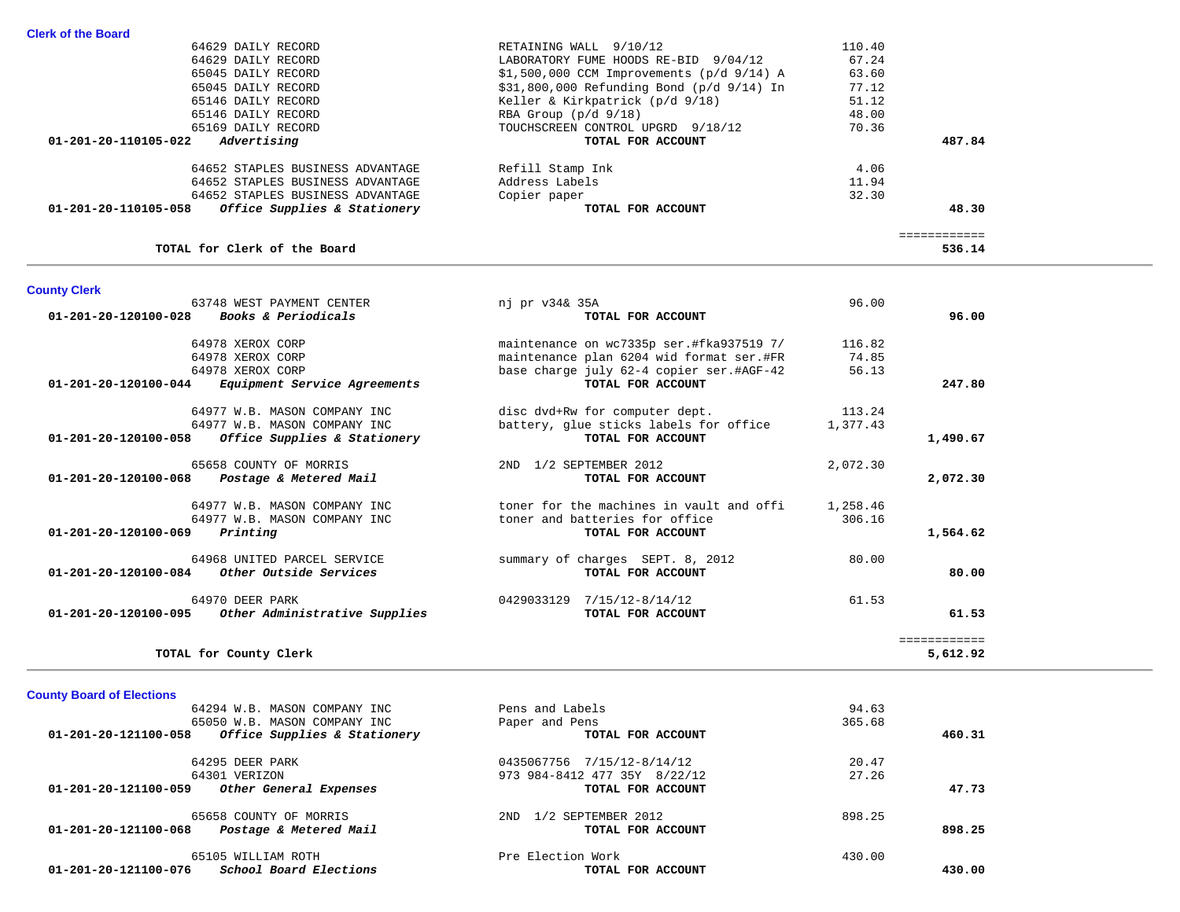| 64629 DAILY RECORD                                   | RETAINING WALL 9/10/12                        | 110.40 |        |
|------------------------------------------------------|-----------------------------------------------|--------|--------|
| 64629 DAILY RECORD                                   | LABORATORY FUME HOODS RE-BID 9/04/12          | 67.24  |        |
| 65045 DAILY RECORD                                   | $$1,500,000$ CCM Improvements ( $p/d$ 9/14) A | 63.60  |        |
| 65045 DAILY RECORD                                   | $$31,800,000$ Refunding Bond (p/d $9/14$ ) In | 77.12  |        |
| 65146 DAILY RECORD                                   | Keller & Kirkpatrick (p/d 9/18)               | 51.12  |        |
| 65146 DAILY RECORD                                   | RBA Group $(p/d \ 9/18)$                      | 48.00  |        |
| 65169 DAILY RECORD                                   | TOUCHSCREEN CONTROL UPGRD 9/18/12             | 70.36  |        |
| 01-201-20-110105-022<br>Advertising                  | TOTAL FOR ACCOUNT                             |        | 487.84 |
| 64652 STAPLES BUSINESS ADVANTAGE                     | Refill Stamp Ink                              | 4.06   |        |
| 64652 STAPLES BUSINESS ADVANTAGE                     | Address Labels                                | 11.94  |        |
| 64652 STAPLES BUSINESS ADVANTAGE                     | Copier paper                                  | 32.30  |        |
| Office Supplies & Stationery<br>01-201-20-110105-058 | TOTAL FOR ACCOUNT                             |        | 48.30  |

## **TOTAL for Clerk of the Board 536.14**

 ============ =============<br>536.14

| <b>County Clerk</b>                                      |                                          |          |              |
|----------------------------------------------------------|------------------------------------------|----------|--------------|
| 63748 WEST PAYMENT CENTER                                | nj pr v34& 35A                           | 96.00    |              |
| 01-201-20-120100-028 Books & Periodicals                 | TOTAL FOR ACCOUNT                        |          | 96.00        |
| 64978 XEROX CORP                                         | maintenance on wc7335p ser.#fka937519 7/ | 116.82   |              |
| 64978 XEROX CORP                                         | maintenance plan 6204 wid format ser.#FR | 74.85    |              |
| 64978 XEROX CORP                                         | base charge july 62-4 copier ser.#AGF-42 | 56.13    |              |
| $01-201-20-120100-044$ Equipment Service Agreements      | TOTAL FOR ACCOUNT                        |          | 247.80       |
| 64977 W.B. MASON COMPANY INC                             | disc dvd+Rw for computer dept.           | 113.24   |              |
| 64977 W.B. MASON COMPANY INC                             | battery, glue sticks labels for office   | 1,377.43 |              |
| 01-201-20-120100-058<br>Office Supplies & Stationery     | TOTAL FOR ACCOUNT                        |          | 1,490.67     |
| 65658 COUNTY OF MORRIS                                   | 1/2 SEPTEMBER 2012<br>2ND                | 2,072.30 |              |
| $01 - 201 - 20 - 120100 - 068$<br>Postage & Metered Mail | TOTAL FOR ACCOUNT                        |          | 2,072.30     |
| 64977 W.B. MASON COMPANY INC                             | toner for the machines in vault and offi | 1,258.46 |              |
| 64977 W.B. MASON COMPANY INC                             | toner and batteries for office           | 306.16   |              |
| Printing<br>01-201-20-120100-069                         | TOTAL FOR ACCOUNT                        |          | 1,564.62     |
| 64968 UNITED PARCEL SERVICE                              | summary of charges SEPT. 8, 2012         | 80.00    |              |
| $01-201-20-120100-084$ Other Outside Services            | TOTAL FOR ACCOUNT                        |          | 80.00        |
| 64970 DEER PARK                                          | 0429033129 7/15/12-8/14/12               | 61.53    |              |
| 01-201-20-120100-095 Other Administrative Supplies       | TOTAL FOR ACCOUNT                        |          | 61.53        |
|                                                          |                                          |          | ------------ |
| TOTAL for County Clerk                                   |                                          |          | 5,612.92     |

**County Board of Elections**

| 64294 W.B. MASON COMPANY INC                         | Pens and Labels              | 94.63  |        |
|------------------------------------------------------|------------------------------|--------|--------|
| 65050 W.B. MASON COMPANY INC                         | Paper and Pens               | 365.68 |        |
| Office Supplies & Stationery<br>01-201-20-121100-058 | TOTAL FOR ACCOUNT            |        | 460.31 |
| 64295 DEER PARK                                      | 0435067756 7/15/12-8/14/12   | 20.47  |        |
| 64301 VERIZON                                        | 973 984-8412 477 35Y 8/22/12 | 27.26  |        |
| 01-201-20-121100-059<br>Other General Expenses       | TOTAL FOR ACCOUNT            |        | 47.73  |
| 65658 COUNTY OF MORRIS                               | 1/2 SEPTEMBER 2012<br>2ND    | 898.25 |        |
| Postage & Metered Mail<br>01-201-20-121100-068       | TOTAL FOR ACCOUNT            |        | 898.25 |
| 65105 WILLIAM ROTH                                   | Pre Election Work            | 430.00 |        |
| School Board Elections<br>01-201-20-121100-076       | TOTAL FOR ACCOUNT            |        | 430.00 |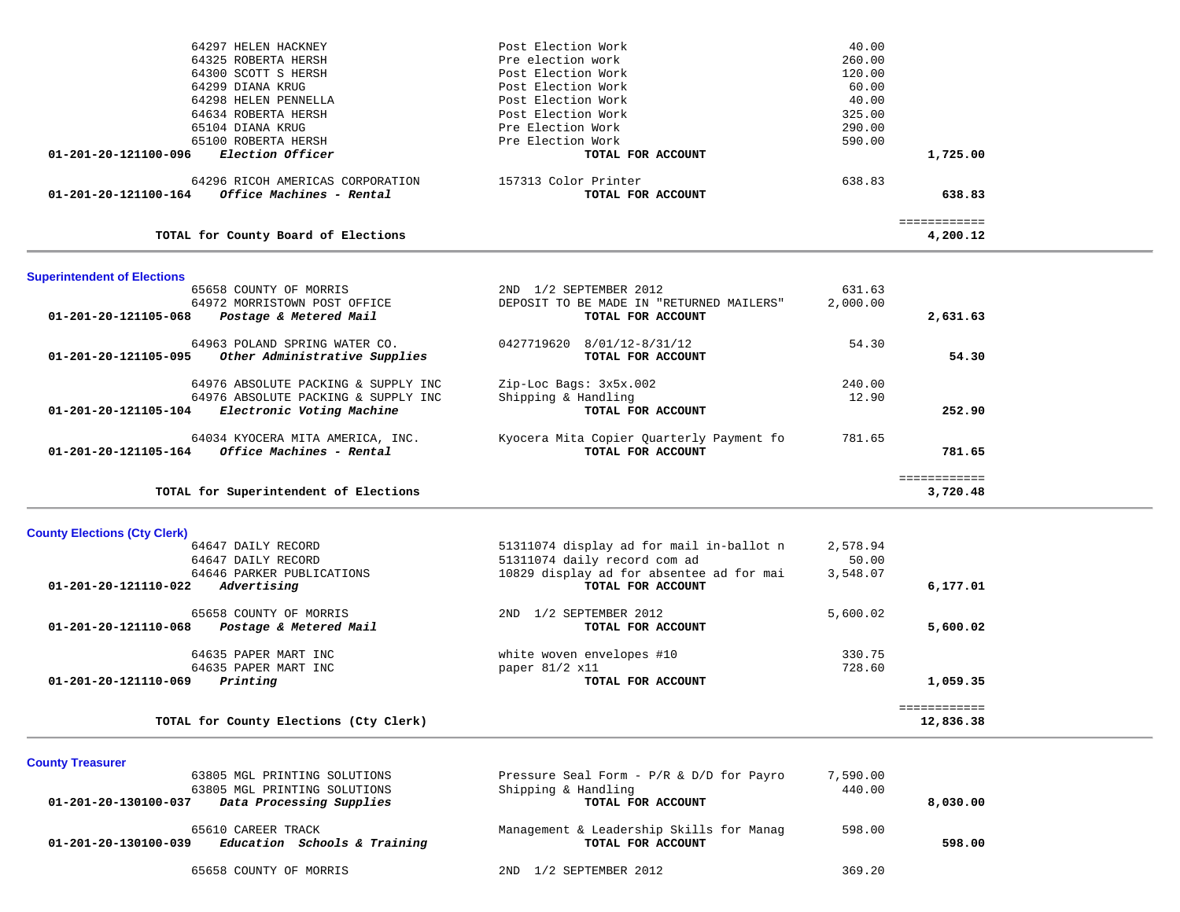|                                    | TOTAL for Superintendent of Elections                                      |                                                               |                 | 3,720.48                  |  |
|------------------------------------|----------------------------------------------------------------------------|---------------------------------------------------------------|-----------------|---------------------------|--|
|                                    |                                                                            |                                                               |                 | ============              |  |
| 01-201-20-121105-164               | 64034 KYOCERA MITA AMERICA, INC.<br>Office Machines - Rental               | Kyocera Mita Copier Quarterly Payment fo<br>TOTAL FOR ACCOUNT | 781.65          | 781.65                    |  |
| 01-201-20-121105-104               | Electronic Voting Machine                                                  | TOTAL FOR ACCOUNT                                             |                 | 252.90                    |  |
|                                    | 64976 ABSOLUTE PACKING & SUPPLY INC<br>64976 ABSOLUTE PACKING & SUPPLY INC | Zip-Loc Bags: 3x5x.002<br>Shipping & Handling                 | 240.00<br>12.90 |                           |  |
|                                    |                                                                            |                                                               |                 |                           |  |
| 01-201-20-121105-095               | 64963 POLAND SPRING WATER CO.<br>Other Administrative Supplies             | 8/01/12-8/31/12<br>0427719620<br>TOTAL FOR ACCOUNT            | 54.30           | 54.30                     |  |
|                                    | $01 - 201 - 20 - 121105 - 068$ Postage & Metered Mail                      | TOTAL FOR ACCOUNT                                             |                 | 2,631.63                  |  |
|                                    | 64972 MORRISTOWN POST OFFICE                                               | DEPOSIT TO BE MADE IN "RETURNED MAILERS"                      | 2,000.00        |                           |  |
|                                    | 65658 COUNTY OF MORRIS                                                     | 2ND 1/2 SEPTEMBER 2012                                        | 631.63          |                           |  |
| <b>Superintendent of Elections</b> |                                                                            |                                                               |                 |                           |  |
|                                    | TOTAL for County Board of Elections                                        |                                                               |                 | =============<br>4,200.12 |  |
| 01-201-20-121100-164               | Office Machines - Rental                                                   | TOTAL FOR ACCOUNT                                             |                 | 638.83                    |  |
|                                    | 64296 RICOH AMERICAS CORPORATION                                           | 157313 Color Printer                                          | 638.83          |                           |  |
| 01-201-20-121100-096               | <i>Election Officer</i>                                                    | TOTAL FOR ACCOUNT                                             |                 | 1,725.00                  |  |
|                                    | 65100 ROBERTA HERSH                                                        | Pre Election Work                                             | 590.00          |                           |  |
|                                    | 65104 DIANA KRUG                                                           | Pre Election Work                                             | 290.00          |                           |  |
|                                    | 64634 ROBERTA HERSH                                                        | Post Election Work                                            | 325.00          |                           |  |
|                                    | 64299 DIANA KRUG<br>64298 HELEN PENNELLA                                   | Post Election Work<br>Post Election Work                      | 60.00<br>40.00  |                           |  |
|                                    | 64300 SCOTT S HERSH                                                        | Post Election Work                                            | 120.00          |                           |  |
|                                    | 64325 ROBERTA HERSH                                                        | Pre election work                                             | 260.00          |                           |  |
|                                    | 64297 HELEN HACKNEY                                                        | Post Election Work                                            | 40.00           |                           |  |

# **County Elections (Cty Clerk)**

| 64647 DAILY RECORD                             | 51311074 display ad for mail in-ballot n | 2,578.94 |             |
|------------------------------------------------|------------------------------------------|----------|-------------|
| 64647 DAILY RECORD                             | 51311074 daily record com ad             | 50.00    |             |
| 64646 PARKER PUBLICATIONS                      | 10829 display ad for absentee ad for mai | 3,548.07 |             |
| $01 - 201 - 20 - 121110 - 022$<br>Advertising  | TOTAL FOR ACCOUNT                        |          | 6,177.01    |
| 65658 COUNTY OF MORRIS                         | 1/2 SEPTEMBER 2012<br>2ND                | 5,600.02 |             |
| 01-201-20-121110-068<br>Postage & Metered Mail | TOTAL FOR ACCOUNT                        |          | 5,600.02    |
| 64635 PAPER MART INC                           | white woven envelopes #10                | 330.75   |             |
| 64635 PAPER MART INC                           | paper $81/2$ x11                         | 728.60   |             |
| 01-201-20-121110-069<br>Printing               | TOTAL FOR ACCOUNT                        |          | 1,059.35    |
|                                                |                                          |          | =========== |
| TOTAL for County Elections (Cty Clerk)         |                                          |          | 12,836.38   |

**TOTAL for County Elections (Cty Clerk) 12,836.38**

# **County Treasurer**

| 63805 MGL PRINTING SOLUTIONS                         | Pressure Seal Form - $P/R$ & $D/D$ for Payro | 7,590.00 |          |
|------------------------------------------------------|----------------------------------------------|----------|----------|
| 63805 MGL PRINTING SOLUTIONS                         | Shipping & Handling                          | 440.00   |          |
| Data Processing Supplies<br>01-201-20-130100-037     | TOTAL FOR ACCOUNT                            |          | 8,030.00 |
| 65610 CAREER TRACK                                   | Management & Leadership Skills for Manag     | 598.00   |          |
| Education Schools & Training<br>01-201-20-130100-039 | TOTAL FOR ACCOUNT                            |          | 598.00   |
| 65658 COUNTY OF MORRIS                               | 1/2 SEPTEMBER 2012<br>2ND.                   | 369.20   |          |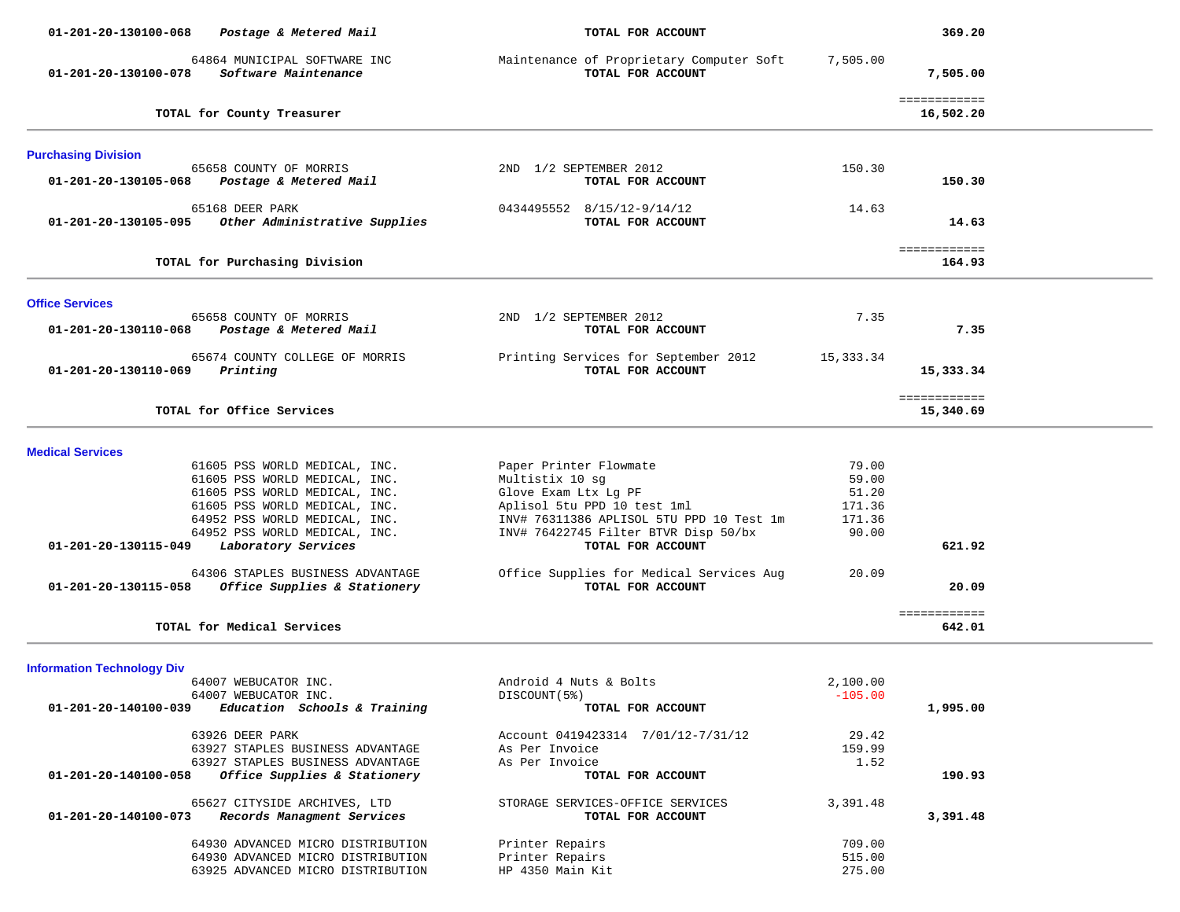| 01-201-20-130100-068<br>Postage & Metered Mail                                           | TOTAL FOR ACCOUNT                                             |                 | 369.20                    |  |
|------------------------------------------------------------------------------------------|---------------------------------------------------------------|-----------------|---------------------------|--|
| 64864 MUNICIPAL SOFTWARE INC<br>01-201-20-130100-078<br>Software Maintenance             | Maintenance of Proprietary Computer Soft<br>TOTAL FOR ACCOUNT | 7,505.00        | 7,505.00                  |  |
| TOTAL for County Treasurer                                                               |                                                               |                 | ============<br>16,502.20 |  |
| <b>Purchasing Division</b>                                                               |                                                               |                 |                           |  |
| 65658 COUNTY OF MORRIS                                                                   | 2ND 1/2 SEPTEMBER 2012                                        | 150.30          |                           |  |
| Postage & Metered Mail<br>01-201-20-130105-068                                           | TOTAL FOR ACCOUNT                                             |                 | 150.30                    |  |
| 65168 DEER PARK<br>Other Administrative Supplies<br>01-201-20-130105-095                 | 0434495552 8/15/12-9/14/12<br>TOTAL FOR ACCOUNT               | 14.63           | 14.63                     |  |
| TOTAL for Purchasing Division                                                            |                                                               |                 | ============<br>164.93    |  |
|                                                                                          |                                                               |                 |                           |  |
| <b>Office Services</b><br>65658 COUNTY OF MORRIS                                         | 2ND 1/2 SEPTEMBER 2012                                        | 7.35            |                           |  |
| 01-201-20-130110-068<br>Postage & Metered Mail                                           | TOTAL FOR ACCOUNT                                             |                 | 7.35                      |  |
| 65674 COUNTY COLLEGE OF MORRIS<br>01-201-20-130110-069<br>Printing                       | Printing Services for September 2012<br>TOTAL FOR ACCOUNT     | 15,333.34       | 15,333.34                 |  |
| TOTAL for Office Services                                                                |                                                               |                 | ============<br>15,340.69 |  |
| <b>Medical Services</b>                                                                  |                                                               |                 |                           |  |
| 61605 PSS WORLD MEDICAL, INC.                                                            | Paper Printer Flowmate                                        | 79.00           |                           |  |
| 61605 PSS WORLD MEDICAL, INC.                                                            | Multistix 10 sg                                               | 59.00           |                           |  |
| 61605 PSS WORLD MEDICAL, INC.<br>61605 PSS WORLD MEDICAL, INC.                           | Glove Exam Ltx Lg PF<br>Aplisol 5tu PPD 10 test 1ml           | 51.20<br>171.36 |                           |  |
| 64952 PSS WORLD MEDICAL, INC.                                                            | INV# 76311386 APLISOL 5TU PPD 10 Test 1m                      | 171.36          |                           |  |
| 64952 PSS WORLD MEDICAL, INC.                                                            | INV# 76422745 Filter BTVR Disp 50/bx                          | 90.00           |                           |  |
| 01-201-20-130115-049<br>Laboratory Services                                              | TOTAL FOR ACCOUNT                                             |                 | 621.92                    |  |
| 64306 STAPLES BUSINESS ADVANTAGE<br>01-201-20-130115-058<br>Office Supplies & Stationery | Office Supplies for Medical Services Aug<br>TOTAL FOR ACCOUNT | 20.09           | 20.09                     |  |
| TOTAL for Medical Services                                                               |                                                               |                 | ============<br>642.01    |  |
|                                                                                          |                                                               |                 |                           |  |
| <b>Information Technology Div</b><br>64007 WEBUCATOR INC.                                | Android 4 Nuts & Bolts                                        | 2,100.00        |                           |  |
| 64007 WEBUCATOR INC.                                                                     | DISCOUNT (5%)                                                 | $-105.00$       |                           |  |
| Education Schools & Training<br>01-201-20-140100-039                                     | TOTAL FOR ACCOUNT                                             |                 | 1,995.00                  |  |
| 63926 DEER PARK                                                                          | Account 0419423314 7/01/12-7/31/12                            | 29.42           |                           |  |
| 63927 STAPLES BUSINESS ADVANTAGE                                                         | As Per Invoice                                                | 159.99          |                           |  |
| 63927 STAPLES BUSINESS ADVANTAGE                                                         | As Per Invoice                                                | 1.52            |                           |  |
| Office Supplies & Stationery<br>01-201-20-140100-058                                     | TOTAL FOR ACCOUNT                                             |                 | 190.93                    |  |
| 65627 CITYSIDE ARCHIVES, LTD<br>Records Managment Services<br>01-201-20-140100-073       | STORAGE SERVICES-OFFICE SERVICES<br>TOTAL FOR ACCOUNT         | 3,391.48        | 3,391.48                  |  |
| 64930 ADVANCED MICRO DISTRIBUTION                                                        | Printer Repairs                                               | 709.00          |                           |  |
| 64930 ADVANCED MICRO DISTRIBUTION                                                        | Printer Repairs                                               | 515.00          |                           |  |
| 63925 ADVANCED MICRO DISTRIBUTION                                                        | HP 4350 Main Kit                                              | 275.00          |                           |  |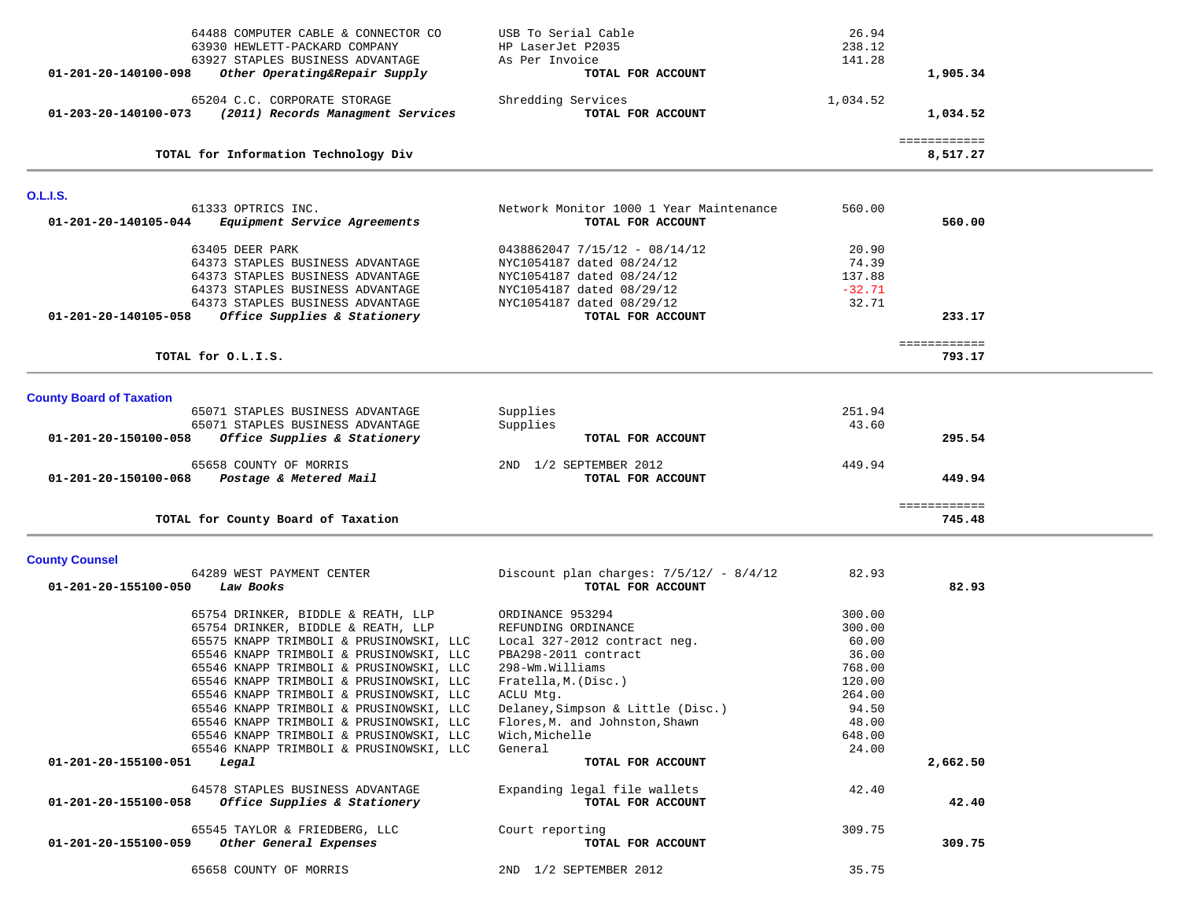| 64488 COMPUTER CABLE & CONNECTOR CO<br>63930 HEWLETT-PACKARD COMPANY<br>63927 STAPLES BUSINESS ADVANTAGE<br>Other Operating&Repair Supply<br>01-201-20-140100-098                                                                                                                                                                                                                                                                                                                                            | USB To Serial Cable<br>HP LaserJet P2035<br>As Per Invoice<br>TOTAL FOR ACCOUNT                                                                                                                                                                                                  | 26.94<br>238.12<br>141.28                                                                             | 1,905.34                 |  |
|--------------------------------------------------------------------------------------------------------------------------------------------------------------------------------------------------------------------------------------------------------------------------------------------------------------------------------------------------------------------------------------------------------------------------------------------------------------------------------------------------------------|----------------------------------------------------------------------------------------------------------------------------------------------------------------------------------------------------------------------------------------------------------------------------------|-------------------------------------------------------------------------------------------------------|--------------------------|--|
| 65204 C.C. CORPORATE STORAGE<br>(2011) Records Managment Services<br>01-203-20-140100-073                                                                                                                                                                                                                                                                                                                                                                                                                    | Shredding Services<br>TOTAL FOR ACCOUNT                                                                                                                                                                                                                                          | 1,034.52                                                                                              | 1,034.52                 |  |
| TOTAL for Information Technology Div                                                                                                                                                                                                                                                                                                                                                                                                                                                                         |                                                                                                                                                                                                                                                                                  |                                                                                                       | ============<br>8,517.27 |  |
| <b>O.L.I.S.</b>                                                                                                                                                                                                                                                                                                                                                                                                                                                                                              |                                                                                                                                                                                                                                                                                  |                                                                                                       |                          |  |
| 61333 OPTRICS INC.<br>01-201-20-140105-044<br>Equipment Service Agreements                                                                                                                                                                                                                                                                                                                                                                                                                                   | Network Monitor 1000 1 Year Maintenance<br>TOTAL FOR ACCOUNT                                                                                                                                                                                                                     | 560.00                                                                                                | 560.00                   |  |
| 63405 DEER PARK<br>64373 STAPLES BUSINESS ADVANTAGE<br>64373 STAPLES BUSINESS ADVANTAGE<br>64373 STAPLES BUSINESS ADVANTAGE<br>64373 STAPLES BUSINESS ADVANTAGE<br>Office Supplies & Stationery<br>01-201-20-140105-058                                                                                                                                                                                                                                                                                      | $0438862047 7/15/12 - 08/14/12$<br>NYC1054187 dated 08/24/12<br>NYC1054187 dated 08/24/12<br>NYC1054187 dated 08/29/12<br>NYC1054187 dated 08/29/12<br>TOTAL FOR ACCOUNT                                                                                                         | 20.90<br>74.39<br>137.88<br>$-32.71$<br>32.71                                                         | 233.17                   |  |
| TOTAL for O.L.I.S.                                                                                                                                                                                                                                                                                                                                                                                                                                                                                           |                                                                                                                                                                                                                                                                                  |                                                                                                       | ============<br>793.17   |  |
| <b>County Board of Taxation</b>                                                                                                                                                                                                                                                                                                                                                                                                                                                                              |                                                                                                                                                                                                                                                                                  |                                                                                                       |                          |  |
| 65071 STAPLES BUSINESS ADVANTAGE<br>65071 STAPLES BUSINESS ADVANTAGE<br>01-201-20-150100-058<br>Office Supplies & Stationery                                                                                                                                                                                                                                                                                                                                                                                 | Supplies<br>Supplies<br>TOTAL FOR ACCOUNT                                                                                                                                                                                                                                        | 251.94<br>43.60                                                                                       | 295.54                   |  |
| 65658 COUNTY OF MORRIS<br>01-201-20-150100-068<br>Postage & Metered Mail                                                                                                                                                                                                                                                                                                                                                                                                                                     | 2ND 1/2 SEPTEMBER 2012<br>TOTAL FOR ACCOUNT                                                                                                                                                                                                                                      | 449.94                                                                                                | 449.94                   |  |
| TOTAL for County Board of Taxation                                                                                                                                                                                                                                                                                                                                                                                                                                                                           |                                                                                                                                                                                                                                                                                  |                                                                                                       | ============<br>745.48   |  |
| <b>County Counsel</b>                                                                                                                                                                                                                                                                                                                                                                                                                                                                                        |                                                                                                                                                                                                                                                                                  |                                                                                                       |                          |  |
| 64289 WEST PAYMENT CENTER<br>01-201-20-155100-050<br>Law Books                                                                                                                                                                                                                                                                                                                                                                                                                                               | Discount plan charges: $7/5/12/ - 8/4/12$<br>TOTAL FOR ACCOUNT                                                                                                                                                                                                                   | 82.93                                                                                                 | 82.93                    |  |
| 65754 DRINKER, BIDDLE & REATH, LLP<br>65754 DRINKER, BIDDLE & REATH, LLP<br>65575 KNAPP TRIMBOLI & PRUSINOWSKI, LLC<br>65546 KNAPP TRIMBOLI & PRUSINOWSKI, LLC<br>65546 KNAPP TRIMBOLI & PRUSINOWSKI, LLC<br>65546 KNAPP TRIMBOLI & PRUSINOWSKI, LLC<br>65546 KNAPP TRIMBOLI & PRUSINOWSKI, LLC<br>65546 KNAPP TRIMBOLI & PRUSINOWSKI, LLC<br>65546 KNAPP TRIMBOLI & PRUSINOWSKI, LLC<br>65546 KNAPP TRIMBOLI & PRUSINOWSKI, LLC<br>65546 KNAPP TRIMBOLI & PRUSINOWSKI, LLC<br>01-201-20-155100-051<br>Legal | ORDINANCE 953294<br>REFUNDING ORDINANCE<br>Local 327-2012 contract neg.<br>PBA298-2011 contract<br>298-Wm.Williams<br>Fratella, M. (Disc.)<br>ACLU Mtg.<br>Delaney, Simpson & Little (Disc.)<br>Flores, M. and Johnston, Shawn<br>Wich, Michelle<br>General<br>TOTAL FOR ACCOUNT | 300.00<br>300.00<br>60.00<br>36.00<br>768.00<br>120.00<br>264.00<br>94.50<br>48.00<br>648.00<br>24.00 | 2,662.50                 |  |
| 64578 STAPLES BUSINESS ADVANTAGE<br>Office Supplies & Stationery<br>01-201-20-155100-058                                                                                                                                                                                                                                                                                                                                                                                                                     | Expanding legal file wallets<br>TOTAL FOR ACCOUNT                                                                                                                                                                                                                                | 42.40                                                                                                 | 42.40                    |  |
|                                                                                                                                                                                                                                                                                                                                                                                                                                                                                                              |                                                                                                                                                                                                                                                                                  |                                                                                                       |                          |  |
| 65545 TAYLOR & FRIEDBERG, LLC<br>Other General Expenses<br>01-201-20-155100-059                                                                                                                                                                                                                                                                                                                                                                                                                              | Court reporting<br>TOTAL FOR ACCOUNT                                                                                                                                                                                                                                             | 309.75                                                                                                | 309.75                   |  |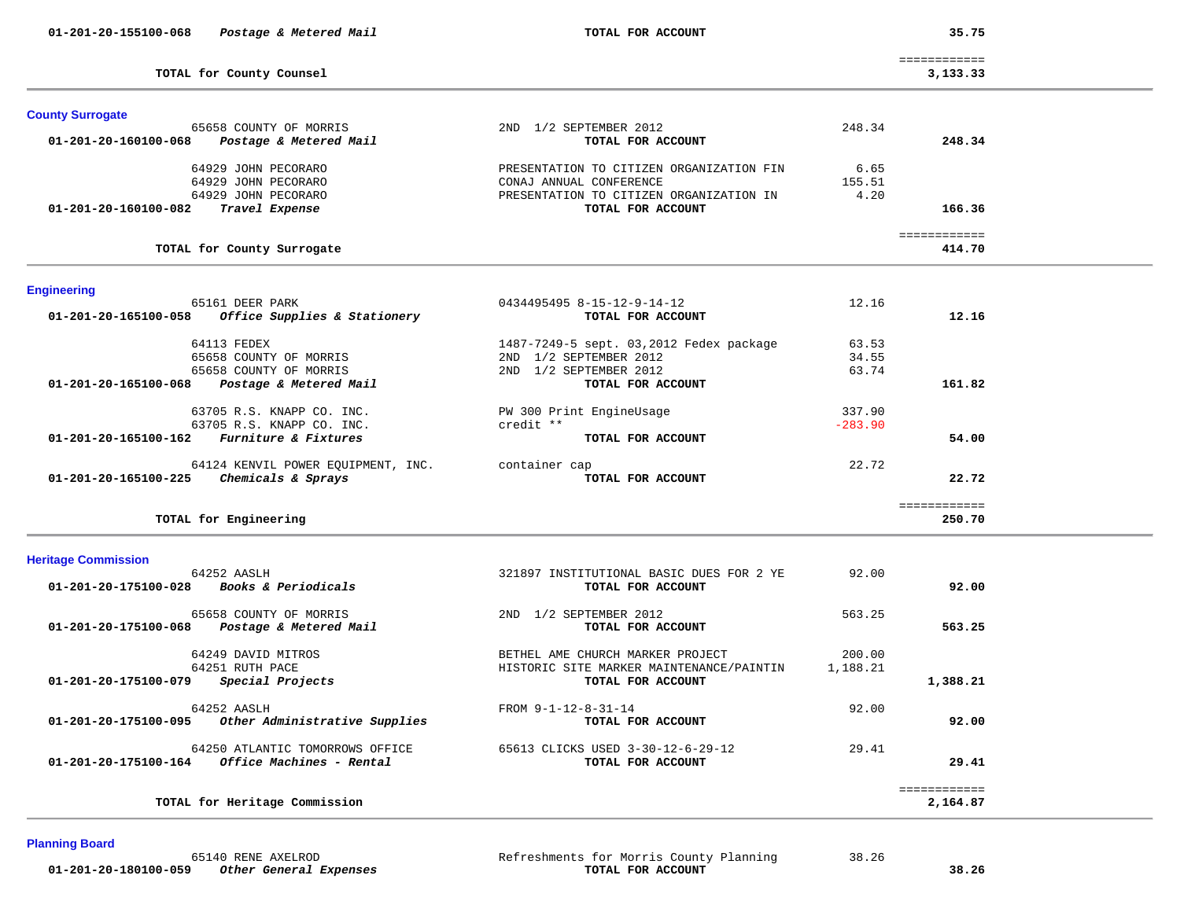| 01-201-20-155100-068    | Postage & Metered Mail                  | TOTAL FOR ACCOUNT                        |           | 35.75                    |  |
|-------------------------|-----------------------------------------|------------------------------------------|-----------|--------------------------|--|
|                         | TOTAL for County Counsel                |                                          |           | ============<br>3,133.33 |  |
| <b>County Surrogate</b> |                                         |                                          |           |                          |  |
|                         | 65658 COUNTY OF MORRIS                  | 2ND 1/2 SEPTEMBER 2012                   | 248.34    |                          |  |
| 01-201-20-160100-068    | Postage & Metered Mail                  | TOTAL FOR ACCOUNT                        |           | 248.34                   |  |
|                         | 64929 JOHN PECORARO                     | PRESENTATION TO CITIZEN ORGANIZATION FIN | 6.65      |                          |  |
|                         | 64929 JOHN PECORARO                     | CONAJ ANNUAL CONFERENCE                  | 155.51    |                          |  |
|                         | 64929 JOHN PECORARO                     | PRESENTATION TO CITIZEN ORGANIZATION IN  | 4.20      |                          |  |
| 01-201-20-160100-082    | Travel Expense                          | TOTAL FOR ACCOUNT                        |           | 166.36                   |  |
|                         |                                         |                                          |           | ============             |  |
|                         | TOTAL for County Surrogate              |                                          |           | 414.70                   |  |
| <b>Engineering</b>      |                                         |                                          |           |                          |  |
|                         | 65161 DEER PARK                         | 0434495495 8-15-12-9-14-12               | 12.16     |                          |  |
| 01-201-20-165100-058    | Office Supplies & Stationery            | TOTAL FOR ACCOUNT                        |           | 12.16                    |  |
|                         | 64113 FEDEX                             | 1487-7249-5 sept. 03,2012 Fedex package  | 63.53     |                          |  |
|                         | 65658 COUNTY OF MORRIS                  | 2ND 1/2 SEPTEMBER 2012                   | 34.55     |                          |  |
|                         | 65658 COUNTY OF MORRIS                  | 2ND 1/2 SEPTEMBER 2012                   | 63.74     |                          |  |
| 01-201-20-165100-068    | Postage & Metered Mail                  | TOTAL FOR ACCOUNT                        |           | 161.82                   |  |
|                         | 63705 R.S. KNAPP CO. INC.               | PW 300 Print EngineUsage                 | 337.90    |                          |  |
|                         | 63705 R.S. KNAPP CO. INC.               | credit **                                | $-283.90$ |                          |  |
| 01-201-20-165100-162    | Furniture & Fixtures                    | TOTAL FOR ACCOUNT                        |           | 54.00                    |  |
|                         | 64124 KENVIL POWER EQUIPMENT, INC.      | container cap                            | 22.72     |                          |  |
|                         | 01-201-20-165100-225 Chemicals & Sprays | TOTAL FOR ACCOUNT                        |           | 22.72                    |  |
|                         |                                         |                                          |           | ============<br>250.70   |  |
|                         | TOTAL for Engineering                   |                                          |           |                          |  |

| 92.00                    | 92.00              | 321897 INSTITUTIONAL BASIC DUES FOR 2 YE<br>TOTAL FOR ACCOUNT                                     | 64252 AASLH<br>01-201-20-175100-028<br>Books & Periodicals                          |
|--------------------------|--------------------|---------------------------------------------------------------------------------------------------|-------------------------------------------------------------------------------------|
| 563.25                   | 563.25             | 1/2 SEPTEMBER 2012<br>2ND<br>TOTAL FOR ACCOUNT                                                    | 65658 COUNTY OF MORRIS<br>01-201-20-175100-068<br>Postage & Metered Mail            |
| 1,388.21                 | 200.00<br>1,188.21 | BETHEL AME CHURCH MARKER PROJECT<br>HISTORIC SITE MARKER MAINTENANCE/PAINTIN<br>TOTAL FOR ACCOUNT | 64249 DAVID MITROS<br>64251 RUTH PACE<br>01-201-20-175100-079<br>Special Projects   |
| 92.00                    | 92.00              | FROM 9-1-12-8-31-14<br>TOTAL FOR ACCOUNT                                                          | 64252 AASLH<br>Other Administrative Supplies<br>01-201-20-175100-095                |
| 29.41                    | 29.41              | 65613 CLICKS USED 3-30-12-6-29-12<br>TOTAL FOR ACCOUNT                                            | 64250 ATLANTIC TOMORROWS OFFICE<br>01-201-20-175100-164<br>Office Machines - Rental |
| ------------<br>2,164.87 |                    |                                                                                                   | TOTAL for Heritage Commission                                                       |

# **Planning Board**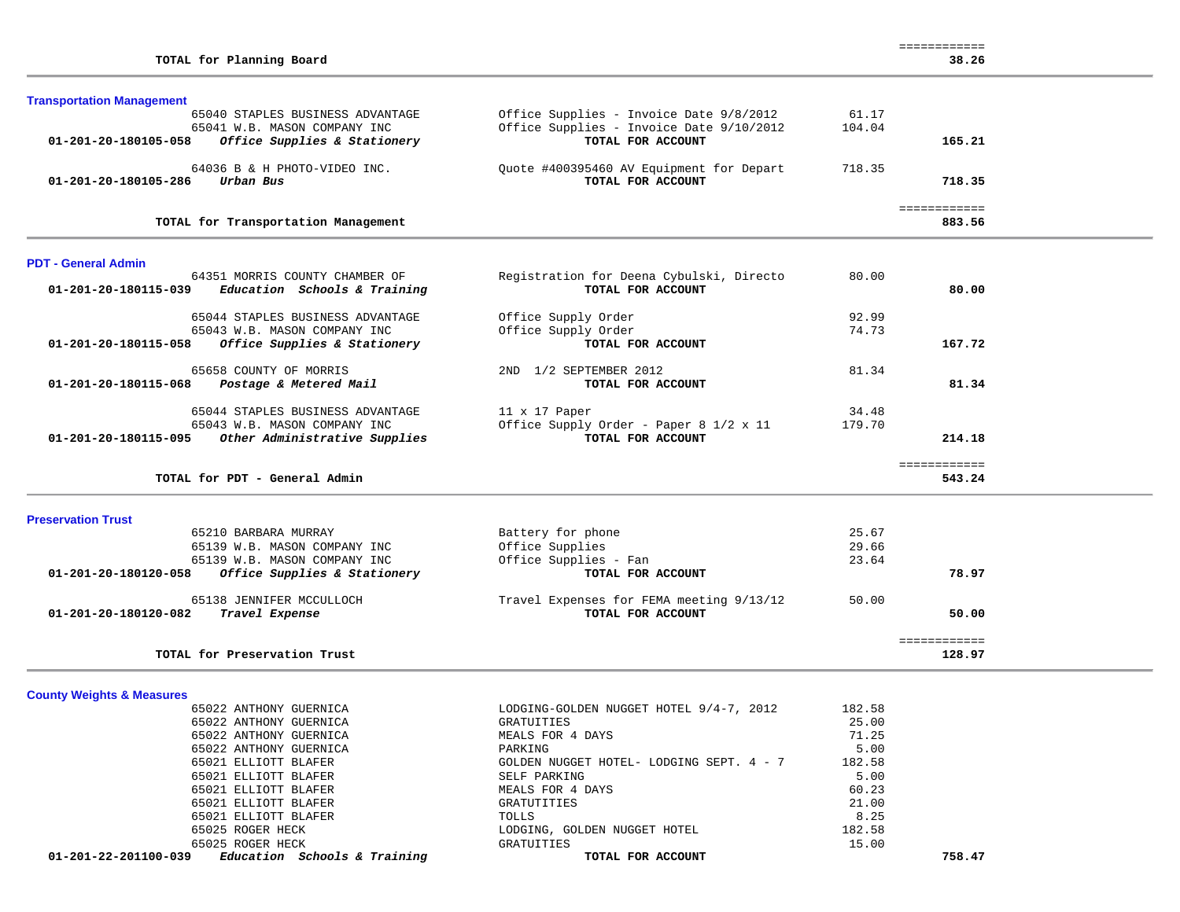|  |  | <b>Transportation Management</b> |  |
|--|--|----------------------------------|--|
|--|--|----------------------------------|--|

| 65040 STAPLES BUSINESS ADVANTAGE                     | Office Supplies - Invoice Date 9/8/2012  | 61.17  |        |
|------------------------------------------------------|------------------------------------------|--------|--------|
| 65041 W.B. MASON COMPANY INC                         | Office Supplies - Invoice Date 9/10/2012 | 104.04 |        |
| Office Supplies & Stationery<br>01-201-20-180105-058 | TOTAL FOR ACCOUNT                        |        | 165.21 |
| 64036 B & H PHOTO-VIDEO INC.                         | Ouote #400395460 AV Equipment for Depart | 718.35 |        |
| Urban Bus<br>01-201-20-180105-286                    | TOTAL FOR ACCOUNT                        |        | 718.35 |
|                                                      |                                          |        |        |
| TOTAL for Transportation Management                  |                                          |        | 883.56 |

#### **PDT - General Admin**

|        | 80.00  | Registration for Deena Cybulski, Directo | 64351 MORRIS COUNTY CHAMBER OF                       |
|--------|--------|------------------------------------------|------------------------------------------------------|
| 80.00  |        | TOTAL FOR ACCOUNT                        | Education Schools & Training<br>01-201-20-180115-039 |
|        | 92.99  | Office Supply Order                      | 65044 STAPLES BUSINESS ADVANTAGE                     |
|        | 74.73  | Office Supply Order                      | 65043 W.B. MASON COMPANY INC                         |
| 167.72 |        | TOTAL FOR ACCOUNT                        | 01-201-20-180115-058<br>Office Supplies & Stationery |
|        | 81.34  | 1/2 SEPTEMBER 2012<br>2ND                | 65658 COUNTY OF MORRIS                               |
| 81.34  |        | TOTAL FOR ACCOUNT                        | 01-201-20-180115-068<br>Postage & Metered Mail       |
|        | 34.48  | $11 \times 17$ Paper                     | 65044 STAPLES BUSINESS ADVANTAGE                     |
|        |        |                                          |                                                      |
|        | 179.70 | Office Supply Order - Paper 8 1/2 x 11   | 65043 W.B. MASON COMPANY INC                         |

**Preservation Trust**  65210 BARBARA MURRAY Battery for phone 25.67 65139 W.B. MASON COMPANY INC Office Supplies 29.66 65139 W.B. MASON COMPANY INC Office Supplies - Fan 23.64  **01-201-20-180120-058** *Office Supplies & Stationery* **TOTAL FOR ACCOUNT 78.97** 65138 JENNIFER MCCULLOCH Travel Expenses for FEMA meeting 9/13/12 50.00  **01-201-20-180120-082** *Travel Expense* **TOTAL FOR ACCOUNT 50.00** ============ 128.97 **TOTAL for Preservation Trust** 

**County Weights & Measures**

| Education Schools & Training<br>01-201-22-201100-039 | TOTAL FOR ACCOUNT                        |        | 758.47 |
|------------------------------------------------------|------------------------------------------|--------|--------|
| 65025 ROGER HECK                                     | GRATUITIES                               | 15.00  |        |
| 65025 ROGER HECK                                     | LODGING, GOLDEN NUGGET HOTEL             | 182.58 |        |
| 65021 ELLIOTT BLAFER                                 | TOLLS                                    | 8.25   |        |
| 65021 ELLIOTT BLAFER                                 | GRATUTITIES                              | 21.00  |        |
| 65021 ELLIOTT BLAFER                                 | MEALS FOR 4 DAYS                         | 60.23  |        |
| 65021 ELLIOTT BLAFER                                 | SELF PARKING                             | 5.00   |        |
| 65021 ELLIOTT BLAFER                                 | GOLDEN NUGGET HOTEL- LODGING SEPT. 4 - 7 | 182.58 |        |
| 65022 ANTHONY GUERNICA                               | PARKING                                  | 5.00   |        |
| 65022 ANTHONY GUERNICA                               | MEALS FOR 4 DAYS                         | 71.25  |        |
| 65022 ANTHONY GUERNICA                               | GRATUITIES                               | 25.00  |        |
| 65022 ANTHONY GUERNICA                               | LODGING-GOLDEN NUGGET HOTEL 9/4-7, 2012  | 182.58 |        |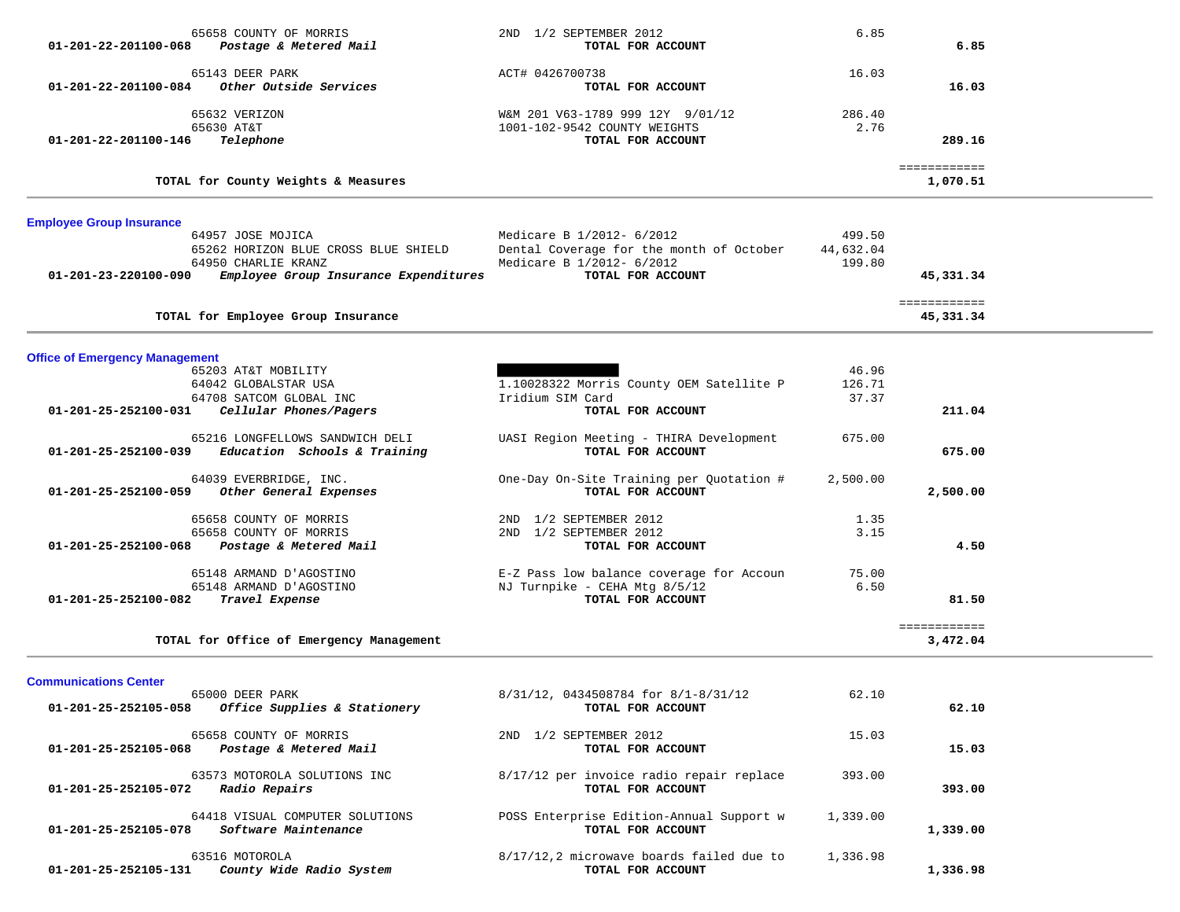| 65658 COUNTY OF MORRIS<br>Postage & Metered Mail<br>01-201-22-201100-068                           | 2ND 1/2 SEPTEMBER 2012<br>TOTAL FOR ACCOUNT                                                        | 6.85                          | 6.85                      |  |
|----------------------------------------------------------------------------------------------------|----------------------------------------------------------------------------------------------------|-------------------------------|---------------------------|--|
| 65143 DEER PARK<br>Other Outside Services<br>01-201-22-201100-084                                  | ACT# 0426700738<br>TOTAL FOR ACCOUNT                                                               | 16.03                         | 16.03                     |  |
| 65632 VERIZON<br>65630 AT&T<br>Telephone<br>01-201-22-201100-146                                   | W&M 201 V63-1789 999 12Y 9/01/12<br>1001-102-9542 COUNTY WEIGHTS<br>TOTAL FOR ACCOUNT              | 286.40<br>2.76                | 289.16                    |  |
| TOTAL for County Weights & Measures                                                                |                                                                                                    |                               | ============<br>1,070.51  |  |
| <b>Employee Group Insurance</b>                                                                    |                                                                                                    |                               |                           |  |
| 64957 JOSE MOJICA<br>65262 HORIZON BLUE CROSS BLUE SHIELD<br>64950 CHARLIE KRANZ                   | Medicare B 1/2012- 6/2012<br>Dental Coverage for the month of October<br>Medicare B 1/2012- 6/2012 | 499.50<br>44,632.04<br>199.80 |                           |  |
| Employee Group Insurance Expenditures<br>01-201-23-220100-090                                      | TOTAL FOR ACCOUNT                                                                                  |                               | 45,331.34<br>============ |  |
| TOTAL for Employee Group Insurance                                                                 |                                                                                                    |                               | 45,331.34                 |  |
| <b>Office of Emergency Management</b>                                                              |                                                                                                    |                               |                           |  |
| 65203 AT&T MOBILITY<br>64042 GLOBALSTAR USA<br>64708 SATCOM GLOBAL INC                             | 1.10028322 Morris County OEM Satellite P<br>Iridium SIM Card                                       | 46.96<br>126.71<br>37.37      |                           |  |
| 01-201-25-252100-031<br>Cellular Phones/Pagers                                                     | TOTAL FOR ACCOUNT                                                                                  |                               | 211.04                    |  |
| 65216 LONGFELLOWS SANDWICH DELI<br>01-201-25-252100-039<br>Education Schools & Training            | UASI Region Meeting - THIRA Development<br>TOTAL FOR ACCOUNT                                       | 675.00                        | 675.00                    |  |
| 64039 EVERBRIDGE, INC.<br>Other General Expenses<br>01-201-25-252100-059                           | One-Day On-Site Training per Quotation #<br>TOTAL FOR ACCOUNT                                      | 2,500.00                      | 2,500.00                  |  |
| 65658 COUNTY OF MORRIS<br>65658 COUNTY OF MORRIS<br>01-201-25-252100-068<br>Postage & Metered Mail | 2ND 1/2 SEPTEMBER 2012<br>2ND 1/2 SEPTEMBER 2012<br>TOTAL FOR ACCOUNT                              | 1.35<br>3.15                  | 4.50                      |  |
| 65148 ARMAND D'AGOSTINO<br>65148 ARMAND D'AGOSTINO<br>01-201-25-252100-082<br>Travel Expense       | E-Z Pass low balance coverage for Accoun<br>NJ Turnpike - CEHA Mtg 8/5/12<br>TOTAL FOR ACCOUNT     | 75.00<br>6.50                 | 81.50                     |  |
| TOTAL for Office of Emergency Management                                                           |                                                                                                    |                               | ============<br>3,472.04  |  |
| <b>Communications Center</b>                                                                       |                                                                                                    |                               |                           |  |
| 65000 DEER PARK<br>Office Supplies & Stationery<br>01-201-25-252105-058                            | 8/31/12, 0434508784 for 8/1-8/31/12<br>TOTAL FOR ACCOUNT                                           | 62.10                         | 62.10                     |  |
| 65658 COUNTY OF MORRIS<br>01-201-25-252105-068<br>Postage & Metered Mail                           | 2ND 1/2 SEPTEMBER 2012<br>TOTAL FOR ACCOUNT                                                        | 15.03                         | 15.03                     |  |

63573 MOTOROLA SOLUTIONS INC 8/17/12 per invoice radio repair replace 393.00<br>2 Radio Repairs correct community of the set of the set of the set of the set of the set of the set of the set o

 **01-201-25-252105-072** *Radio Repairs* **TOTAL FOR ACCOUNT 393.00**

64418 VISUAL COMPUTER SOLUTIONS POSS Enterprise Edition-Annual Support w 1,339.00<br>3 Software Maintenance **entity** or account  **01-201-25-252105-078** *Software Maintenance* **TOTAL FOR ACCOUNT 1,339.00**

 63516 MOTOROLA 8/17/12,2 microwave boards failed due to 1,336.98  **01-201-25-252105-131** *County Wide Radio System* **TOTAL FOR ACCOUNT 1,336.98**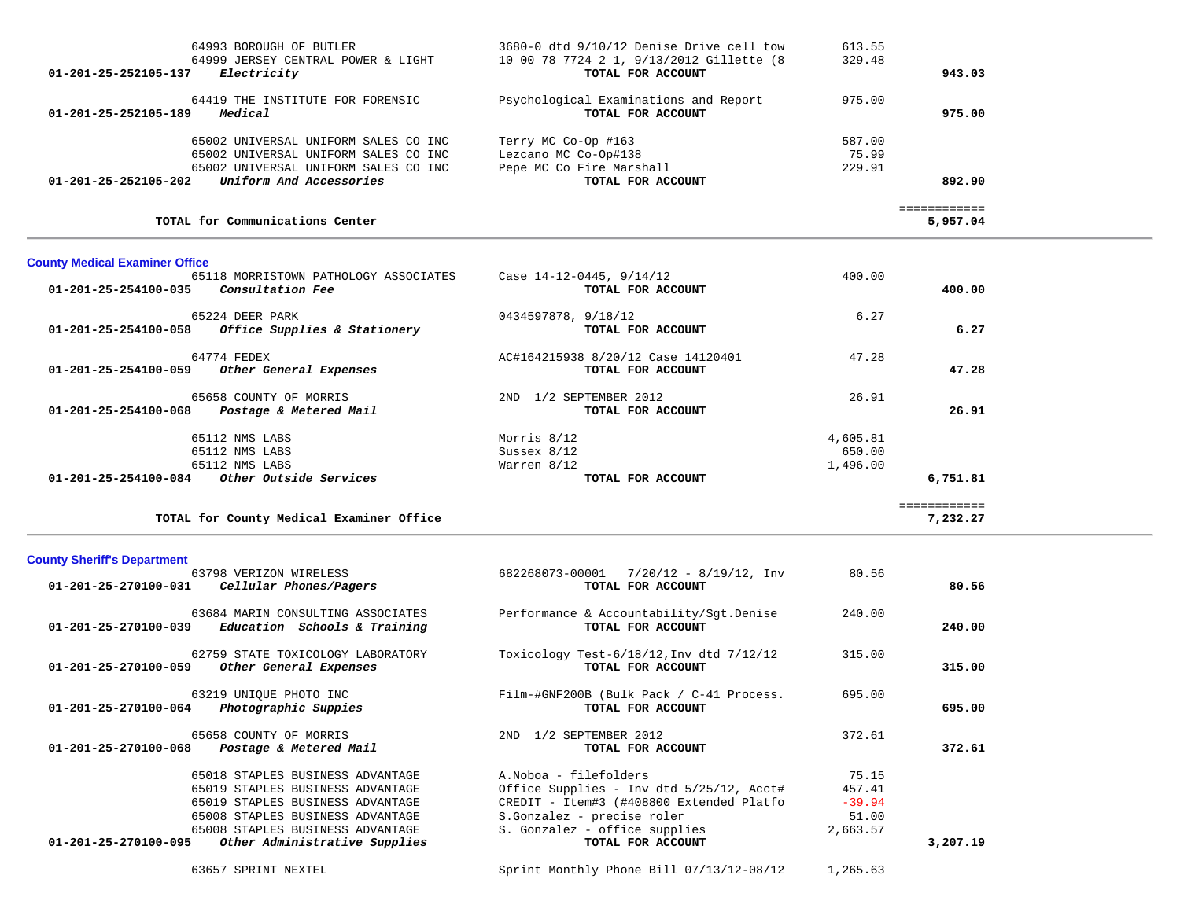| 64993 BOROUGH OF BUTLER<br>64999 JERSEY CENTRAL POWER & LIGHT<br>Electricity<br>01-201-25-252105-137 | 3680-0 dtd 9/10/12 Denise Drive cell tow<br>10 00 78 7724 2 1, 9/13/2012 Gillette (8<br>TOTAL FOR ACCOUNT | 613.55<br>329.48 | 943.03   |
|------------------------------------------------------------------------------------------------------|-----------------------------------------------------------------------------------------------------------|------------------|----------|
| 64419 THE INSTITUTE FOR FORENSIC<br>Medical<br>01-201-25-252105-189                                  | Psychological Examinations and Report<br>TOTAL FOR ACCOUNT                                                | 975.00           | 975.00   |
| 65002 UNIVERSAL UNIFORM SALES CO INC                                                                 | Terry MC Co-Op #163                                                                                       | 587.00           |          |
| 65002 UNIVERSAL UNIFORM SALES CO INC<br>65002 UNIVERSAL UNIFORM SALES CO INC                         | Lezcano MC Co-Op#138<br>Pepe MC Co Fire Marshall                                                          | 75.99<br>229.91  |          |
| 01-201-25-252105-202<br>Uniform And Accessories                                                      | TOTAL FOR ACCOUNT                                                                                         |                  | 892.90   |
|                                                                                                      |                                                                                                           |                  |          |
| TOTAL for Communications Center                                                                      |                                                                                                           |                  | 5,957.04 |

# **County Medical Examiner Office**

| 65118 MORRISTOWN PATHOLOGY ASSOCIATES                | Case $14-12-0445$ , $9/14/12$      | 400.00   |              |
|------------------------------------------------------|------------------------------------|----------|--------------|
| <i>Consultation Fee</i><br>01-201-25-254100-035      | TOTAL FOR ACCOUNT                  |          | 400.00       |
| 65224 DEER PARK                                      | 0434597878, 9/18/12                | 6.27     |              |
| Office Supplies & Stationery<br>01-201-25-254100-058 | TOTAL FOR ACCOUNT                  |          | 6.27         |
| 64774 FEDEX                                          | AC#164215938 8/20/12 Case 14120401 | 47.28    |              |
| 01-201-25-254100-059<br>Other General Expenses       | TOTAL FOR ACCOUNT                  |          | 47.28        |
| 65658 COUNTY OF MORRIS                               | 1/2 SEPTEMBER 2012<br>2ND          | 26.91    |              |
| 01-201-25-254100-068<br>Postage & Metered Mail       | TOTAL FOR ACCOUNT                  |          | 26.91        |
| 65112 NMS LABS                                       | Morris 8/12                        | 4,605.81 |              |
| 65112 NMS LABS                                       | Sussex $8/12$                      | 650.00   |              |
| 65112 NMS LABS                                       | Warren 8/12                        | 1,496.00 |              |
| $01-201-25-254100-084$ Other Outside Services        | TOTAL FOR ACCOUNT                  |          | 6,751.81     |
|                                                      |                                    |          | ============ |
| TOTAL for County Medical Examiner Office             |                                    |          | 7,232,27     |

# **County Sheriff's Department**

| 63798 VERIZON WIRELESS<br>Cellular Phones/Pagers<br>01-201-25-270100-031                                                                                                                                                                  | 682268073-00001<br>7/20/12 - 8/19/12, Inv<br>TOTAL FOR ACCOUNT                                                                                                                                     | 80.56                                            | 80.56    |
|-------------------------------------------------------------------------------------------------------------------------------------------------------------------------------------------------------------------------------------------|----------------------------------------------------------------------------------------------------------------------------------------------------------------------------------------------------|--------------------------------------------------|----------|
| 63684 MARIN CONSULTING ASSOCIATES<br>01-201-25-270100-039<br>Education Schools & Training                                                                                                                                                 | Performance & Accountability/Sqt.Denise<br>TOTAL FOR ACCOUNT                                                                                                                                       | 240.00                                           | 240.00   |
| 62759 STATE TOXICOLOGY LABORATORY<br>01-201-25-270100-059<br>Other General Expenses                                                                                                                                                       | Toxicology Test- $6/18/12$ , Inv dtd $7/12/12$<br>TOTAL FOR ACCOUNT                                                                                                                                | 315.00                                           | 315.00   |
| 63219 UNIOUE PHOTO INC<br>Photographic Suppies<br>01-201-25-270100-064                                                                                                                                                                    | Film-#GNF200B (Bulk Pack / C-41 Process.<br>TOTAL FOR ACCOUNT                                                                                                                                      | 695.00                                           | 695.00   |
| 65658 COUNTY OF MORRIS<br>01-201-25-270100-068<br>Postage & Metered Mail                                                                                                                                                                  | 1/2 SEPTEMBER 2012<br>2ND<br>TOTAL FOR ACCOUNT                                                                                                                                                     | 372.61                                           | 372.61   |
| 65018 STAPLES BUSINESS ADVANTAGE<br>65019 STAPLES BUSINESS ADVANTAGE<br>65019 STAPLES BUSINESS ADVANTAGE<br>65008 STAPLES BUSINESS ADVANTAGE<br>65008 STAPLES BUSINESS ADVANTAGE<br>Other Administrative Supplies<br>01-201-25-270100-095 | A. Noboa - filefolders<br>Office Supplies - Inv dtd 5/25/12, Acct#<br>CREDIT - Item#3 (#408800 Extended Platfo<br>S.Gonzalez - precise roler<br>S. Gonzalez - office supplies<br>TOTAL FOR ACCOUNT | 75.15<br>457.41<br>$-39.94$<br>51.00<br>2,663.57 | 3,207.19 |
| 63657 SPRINT NEXTEL                                                                                                                                                                                                                       | Sprint Monthly Phone Bill 07/13/12-08/12                                                                                                                                                           | 1,265.63                                         |          |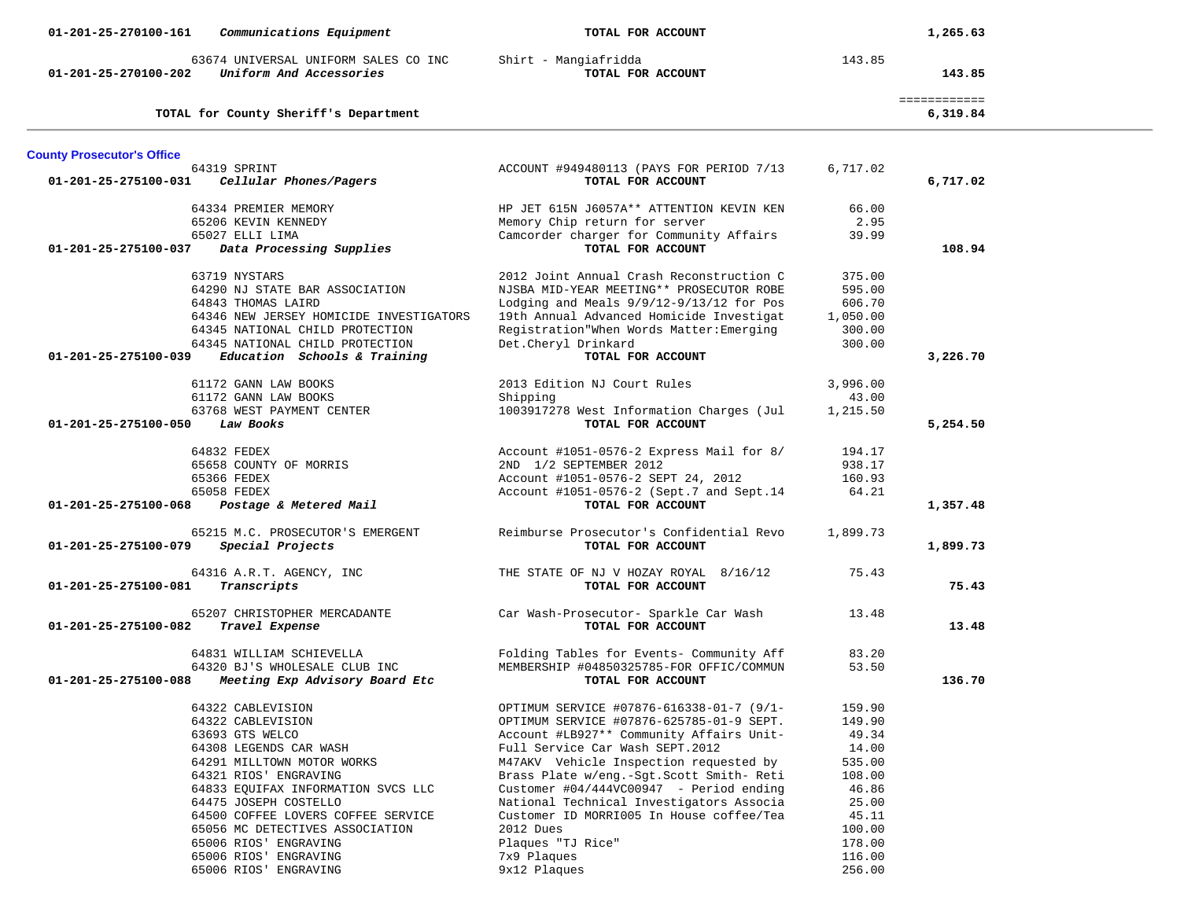| Communications Equipment<br>01-201-25-270100-161                                        | TOTAL FOR ACCOUNT                          |          | 1,265.63                 |
|-----------------------------------------------------------------------------------------|--------------------------------------------|----------|--------------------------|
| 63674 UNIVERSAL UNIFORM SALES CO INC<br>Uniform And Accessories<br>01-201-25-270100-202 | Shirt - Mangiafridda<br>TOTAL FOR ACCOUNT  | 143.85   | 143.85                   |
| TOTAL for County Sheriff's Department                                                   |                                            |          | ============<br>6,319.84 |
| <b>County Prosecutor's Office</b>                                                       |                                            |          |                          |
| 64319 SPRINT                                                                            | ACCOUNT #949480113 (PAYS FOR PERIOD 7/13   | 6,717.02 |                          |
| Cellular Phones/Pagers<br>01-201-25-275100-031                                          | TOTAL FOR ACCOUNT                          |          | 6,717.02                 |
|                                                                                         |                                            |          |                          |
| 64334 PREMIER MEMORY                                                                    | HP JET 615N J6057A** ATTENTION KEVIN KEN   | 66.00    |                          |
| 65206 KEVIN KENNEDY                                                                     | Memory Chip return for server              | 2.95     |                          |
| 65027 ELLI LIMA                                                                         | Camcorder charger for Community Affairs    | 39.99    |                          |
| Data Processing Supplies<br>01-201-25-275100-037                                        | TOTAL FOR ACCOUNT                          |          | 108.94                   |
| 63719 NYSTARS                                                                           | 2012 Joint Annual Crash Reconstruction C   | 375.00   |                          |
| 64290 NJ STATE BAR ASSOCIATION                                                          | NJSBA MID-YEAR MEETING** PROSECUTOR ROBE   | 595.00   |                          |
| 64843 THOMAS LAIRD                                                                      | Lodging and Meals $9/9/12-9/13/12$ for Pos | 606.70   |                          |
| 64346 NEW JERSEY HOMICIDE INVESTIGATORS                                                 | 19th Annual Advanced Homicide Investigat   | 1,050.00 |                          |
| 64345 NATIONAL CHILD PROTECTION                                                         | Registration"When Words Matter: Emerging   | 300.00   |                          |
| 64345 NATIONAL CHILD PROTECTION                                                         | Det. Cheryl Drinkard                       | 300.00   |                          |
| Education Schools & Training<br>01-201-25-275100-039                                    | TOTAL FOR ACCOUNT                          |          | 3,226.70                 |
|                                                                                         |                                            |          |                          |
| 61172 GANN LAW BOOKS                                                                    | 2013 Edition NJ Court Rules                | 3,996.00 |                          |
| 61172 GANN LAW BOOKS                                                                    | Shipping                                   | 43.00    |                          |
| 63768 WEST PAYMENT CENTER                                                               | 1003917278 West Information Charges (Jul   | 1,215.50 |                          |
| Law Books<br>01-201-25-275100-050                                                       | TOTAL FOR ACCOUNT                          |          | 5,254.50                 |
|                                                                                         |                                            |          |                          |
| 64832 FEDEX                                                                             | Account #1051-0576-2 Express Mail for 8/   | 194.17   |                          |
| 65658 COUNTY OF MORRIS                                                                  | 2ND 1/2 SEPTEMBER 2012                     | 938.17   |                          |
| 65366 FEDEX                                                                             | Account #1051-0576-2 SEPT 24, 2012         | 160.93   |                          |
| 65058 FEDEX                                                                             | Account #1051-0576-2 (Sept.7 and Sept.14   | 64.21    |                          |
| Postage & Metered Mail<br>01-201-25-275100-068                                          | TOTAL FOR ACCOUNT                          |          | 1,357.48                 |
| 65215 M.C. PROSECUTOR'S EMERGENT                                                        | Reimburse Prosecutor's Confidential Revo   | 1,899.73 |                          |
| Special Projects<br>01-201-25-275100-079                                                | TOTAL FOR ACCOUNT                          |          | 1,899.73                 |
|                                                                                         |                                            |          |                          |
| 64316 A.R.T. AGENCY, INC                                                                | THE STATE OF NJ V HOZAY ROYAL 8/16/12      | 75.43    |                          |
| Transcripts<br>01-201-25-275100-081                                                     | TOTAL FOR ACCOUNT                          |          | 75.43                    |
| 65207 CHRISTOPHER MERCADANTE                                                            | Car Wash-Prosecutor- Sparkle Car Wash      | 13.48    |                          |
| Travel Expense<br>01-201-25-275100-082                                                  | TOTAL FOR ACCOUNT                          |          | 13.48                    |
|                                                                                         |                                            |          |                          |
| 64831 WILLIAM SCHIEVELLA                                                                | Folding Tables for Events- Community Aff   | 83.20    |                          |
| 64320 BJ'S WHOLESALE CLUB INC                                                           | MEMBERSHIP #04850325785-FOR OFFIC/COMMUN   | 53.50    |                          |
| 01-201-25-275100-088<br>Meeting Exp Advisory Board Etc                                  | TOTAL FOR ACCOUNT                          |          | 136.70                   |
| 64322 CABLEVISION                                                                       | OPTIMUM SERVICE #07876-616338-01-7 (9/1-   | 159.90   |                          |
| 64322 CABLEVISION                                                                       | OPTIMUM SERVICE #07876-625785-01-9 SEPT.   | 149.90   |                          |
| 63693 GTS WELCO                                                                         | Account #LB927** Community Affairs Unit-   | 49.34    |                          |
| 64308 LEGENDS CAR WASH                                                                  | Full Service Car Wash SEPT.2012            | 14.00    |                          |
| 64291 MILLTOWN MOTOR WORKS                                                              | M47AKV Vehicle Inspection requested by     | 535.00   |                          |
| 64321 RIOS' ENGRAVING                                                                   | Brass Plate w/eng.-Sgt. Scott Smith- Reti  | 108.00   |                          |
| 64833 EQUIFAX INFORMATION SVCS LLC                                                      | Customer #04/444VC00947 - Period ending    | 46.86    |                          |
| 64475 JOSEPH COSTELLO                                                                   | National Technical Investigators Associa   | 25.00    |                          |
| 64500 COFFEE LOVERS COFFEE SERVICE                                                      | Customer ID MORRI005 In House coffee/Tea   | 45.11    |                          |
| 65056 MC DETECTIVES ASSOCIATION                                                         | 2012 Dues                                  | 100.00   |                          |
| 65006 RIOS' ENGRAVING                                                                   | Plaques "TJ Rice"                          | 178.00   |                          |
| 65006 RIOS' ENGRAVING                                                                   | 7x9 Plaques                                | 116.00   |                          |
| 65006 RIOS' ENGRAVING                                                                   | 9x12 Plaques                               | 256.00   |                          |
|                                                                                         |                                            |          |                          |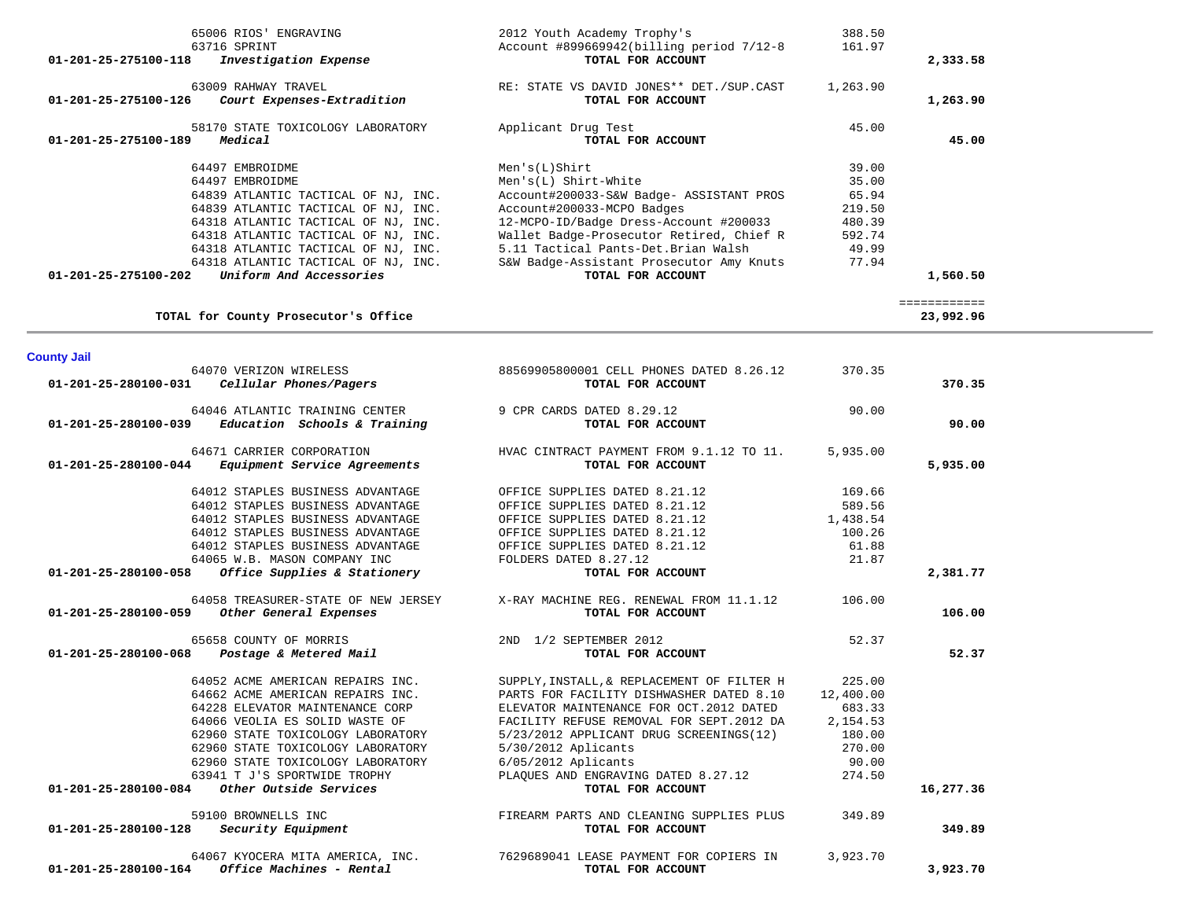| 65006 RIOS' ENGRAVING                                | 2012 Youth Academy Trophy's                | 388.50    |              |  |
|------------------------------------------------------|--------------------------------------------|-----------|--------------|--|
| 63716 SPRINT                                         | Account #899669942(billing period 7/12-8   | 161.97    |              |  |
| Investigation Expense<br>01-201-25-275100-118        | TOTAL FOR ACCOUNT                          |           | 2,333.58     |  |
|                                                      |                                            |           |              |  |
| 63009 RAHWAY TRAVEL                                  | RE: STATE VS DAVID JONES** DET./SUP.CAST   | 1,263.90  |              |  |
| 01-201-25-275100-126<br>Court Expenses-Extradition   | TOTAL FOR ACCOUNT                          |           | 1,263.90     |  |
|                                                      |                                            |           |              |  |
| 58170 STATE TOXICOLOGY LABORATORY                    | Applicant Drug Test                        | 45.00     |              |  |
| 01-201-25-275100-189<br>Medical                      | TOTAL FOR ACCOUNT                          |           | 45.00        |  |
|                                                      |                                            |           |              |  |
| 64497 EMBROIDME                                      | Men's(L) Shirt                             | 39.00     |              |  |
| 64497 EMBROIDME                                      | $Men's(L) Shirt-White$                     | 35.00     |              |  |
| 64839 ATLANTIC TACTICAL OF NJ, INC.                  | Account#200033-S&W Badge- ASSISTANT PROS   | 65.94     |              |  |
| 64839 ATLANTIC TACTICAL OF NJ, INC.                  | Account#200033-MCPO Badges                 | 219.50    |              |  |
| 64318 ATLANTIC TACTICAL OF NJ, INC.                  | 12-MCPO-ID/Badge Dress-Account #200033     | 480.39    |              |  |
| 64318 ATLANTIC TACTICAL OF NJ, INC.                  | Wallet Badge-Prosecutor Retired, Chief R   | 592.74    |              |  |
| 64318 ATLANTIC TACTICAL OF NJ, INC.                  | 5.11 Tactical Pants-Det.Brian Walsh        | 49.99     |              |  |
| 64318 ATLANTIC TACTICAL OF NJ, INC.                  | S&W Badge-Assistant Prosecutor Amy Knuts   | 77.94     |              |  |
| Uniform And Accessories<br>01-201-25-275100-202      | TOTAL FOR ACCOUNT                          |           | 1,560.50     |  |
|                                                      |                                            |           |              |  |
|                                                      |                                            |           | ============ |  |
| TOTAL for County Prosecutor's Office                 |                                            |           | 23,992.96    |  |
|                                                      |                                            |           |              |  |
|                                                      |                                            |           |              |  |
| <b>County Jail</b>                                   |                                            |           |              |  |
| 64070 VERIZON WIRELESS                               | 88569905800001 CELL PHONES DATED 8.26.12   | 370.35    |              |  |
| 01-201-25-280100-031 Cellular Phones/Pagers          | TOTAL FOR ACCOUNT                          |           | 370.35       |  |
| 64046 ATLANTIC TRAINING CENTER                       |                                            |           |              |  |
|                                                      | 9 CPR CARDS DATED 8.29.12                  | 90.00     |              |  |
| Education Schools & Training<br>01-201-25-280100-039 | TOTAL FOR ACCOUNT                          |           | 90.00        |  |
| 64671 CARRIER CORPORATION                            | HVAC CINTRACT PAYMENT FROM 9.1.12 TO 11.   | 5,935.00  |              |  |
| 01-201-25-280100-044<br>Equipment Service Agreements | TOTAL FOR ACCOUNT                          |           | 5,935.00     |  |
|                                                      |                                            |           |              |  |
| 64012 STAPLES BUSINESS ADVANTAGE                     | OFFICE SUPPLIES DATED 8.21.12              | 169.66    |              |  |
| 64012 STAPLES BUSINESS ADVANTAGE                     | OFFICE SUPPLIES DATED 8.21.12              | 589.56    |              |  |
| 64012 STAPLES BUSINESS ADVANTAGE                     | OFFICE SUPPLIES DATED 8.21.12              | 1,438.54  |              |  |
| 64012 STAPLES BUSINESS ADVANTAGE                     | OFFICE SUPPLIES DATED 8.21.12              | 100.26    |              |  |
| 64012 STAPLES BUSINESS ADVANTAGE                     | OFFICE SUPPLIES DATED 8.21.12              | 61.88     |              |  |
| 64065 W.B. MASON COMPANY INC                         | FOLDERS DATED 8.27.12                      | 21.87     |              |  |
| Office Supplies & Stationery<br>01-201-25-280100-058 | TOTAL FOR ACCOUNT                          |           | 2,381.77     |  |
|                                                      |                                            |           |              |  |
| 64058 TREASURER-STATE OF NEW JERSEY                  | X-RAY MACHINE REG. RENEWAL FROM 11.1.12    | 106.00    |              |  |
| Other General Expenses<br>01-201-25-280100-059       | TOTAL FOR ACCOUNT                          |           | 106.00       |  |
|                                                      |                                            |           |              |  |
| 65658 COUNTY OF MORRIS                               | 2ND 1/2 SEPTEMBER 2012                     | 52.37     |              |  |
| 01-201-25-280100-068<br>Postage & Metered Mail       | TOTAL FOR ACCOUNT                          |           | 52.37        |  |
|                                                      |                                            |           |              |  |
| 64052 ACME AMERICAN REPAIRS INC.                     | SUPPLY, INSTALL, & REPLACEMENT OF FILTER H | 225.00    |              |  |
| 64662 ACME AMERICAN REPAIRS INC.                     | PARTS FOR FACILITY DISHWASHER DATED 8.10   | 12,400.00 |              |  |
| 64228 ELEVATOR MAINTENANCE CORP                      | ELEVATOR MAINTENANCE FOR OCT. 2012 DATED   | 683.33    |              |  |
| 64066 VEOLIA ES SOLID WASTE OF                       | FACILITY REFUSE REMOVAL FOR SEPT.2012 DA   | 2,154.53  |              |  |
| 62960 STATE TOXICOLOGY LABORATORY                    | 5/23/2012 APPLICANT DRUG SCREENINGS(12)    | 180.00    |              |  |
| 62960 STATE TOXICOLOGY LABORATORY                    | 5/30/2012 Aplicants                        | 270.00    |              |  |
| 62960 STATE TOXICOLOGY LABORATORY                    | $6/05/2012$ Aplicants                      | 90.00     |              |  |
| 63941 T J'S SPORTWIDE TROPHY                         | PLAQUES AND ENGRAVING DATED 8.27.12        | 274.50    |              |  |
| Other Outside Services<br>01-201-25-280100-084       | TOTAL FOR ACCOUNT                          |           | 16,277.36    |  |
|                                                      |                                            |           |              |  |
| 59100 BROWNELLS INC                                  | FIREARM PARTS AND CLEANING SUPPLIES PLUS   | 349.89    |              |  |
| Security Equipment<br>01-201-25-280100-128           | TOTAL FOR ACCOUNT                          |           | 349.89       |  |
|                                                      |                                            |           |              |  |
| 64067 KYOCERA MITA AMERICA, INC.                     | 7629689041 LEASE PAYMENT FOR COPIERS IN    | 3,923.70  |              |  |
| 01-201-25-280100-164<br>Office Machines - Rental     | TOTAL FOR ACCOUNT                          |           | 3,923.70     |  |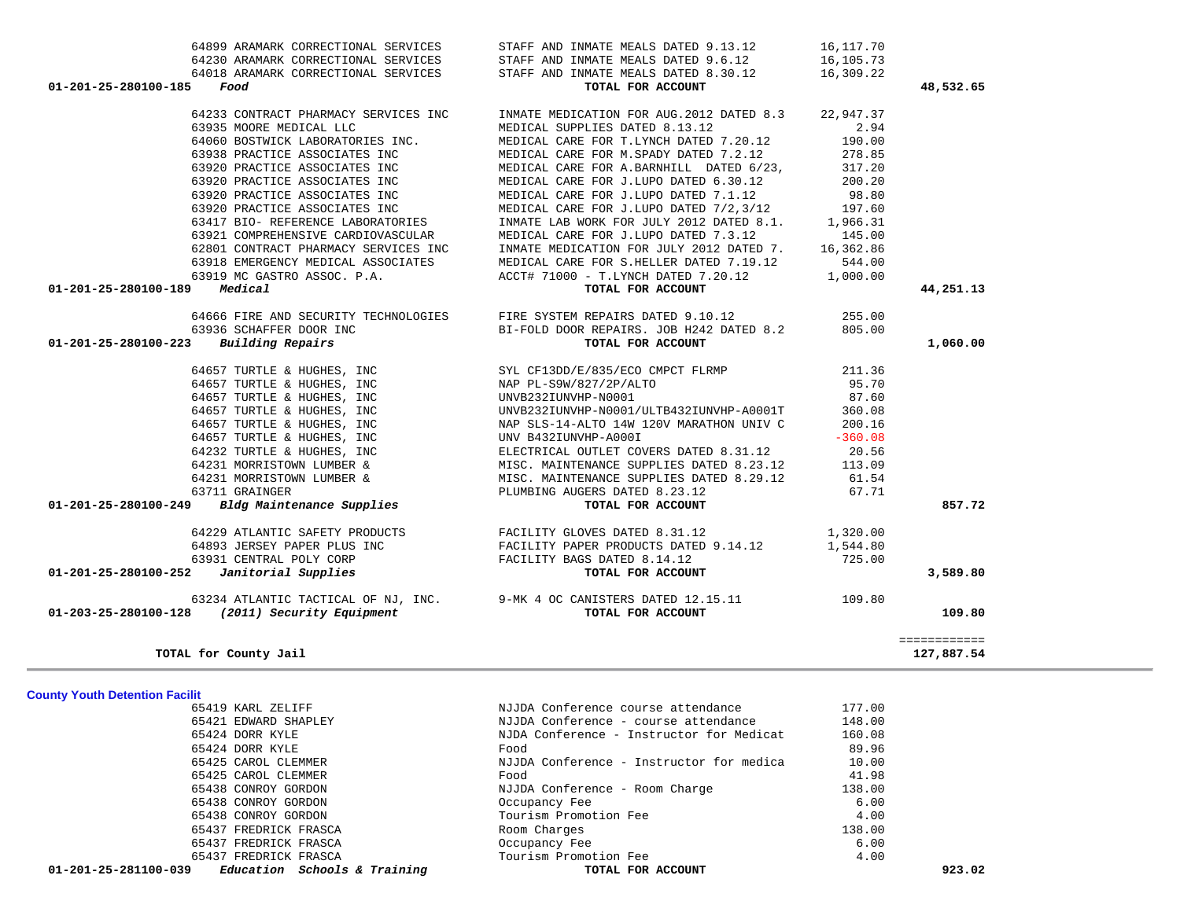| $01-201-25-281100-039$ Education Schools & Training | TOTAL FOR ACCOUNT                        |        | 923.02 |
|-----------------------------------------------------|------------------------------------------|--------|--------|
| 65437 FREDRICK FRASCA                               | Tourism Promotion Fee                    | 4.00   |        |
| 65437 FREDRICK FRASCA                               | Occupancy Fee                            | 6.00   |        |
| 65437 FREDRICK FRASCA                               | Room Charges                             | 138.00 |        |
| 65438 CONROY GORDON                                 | Tourism Promotion Fee                    | 4.00   |        |
| 65438 CONROY GORDON                                 | Occupancy Fee                            | 6.00   |        |
| 65438 CONROY GORDON                                 | NJJDA Conference - Room Charge           | 138.00 |        |
| 65425 CAROL CLEMMER                                 | Food                                     | 41.98  |        |
| 65425 CAROL CLEMMER                                 | NJJDA Conference - Instructor for medica | 10.00  |        |
| 65424 DORR KYLE                                     | Food                                     | 89.96  |        |
| 65424 DORR KYLE                                     | NJDA Conference - Instructor for Medicat | 160.08 |        |
| 65421 EDWARD SHAPLEY                                | NJJDA Conference - course attendance     | 148.00 |        |
| 65419 KARL ZELIFF                                   | NJJDA Conference course attendance       | 177.00 |        |

 64899 ARAMARK CORRECTIONAL SERVICES STAFF AND INMATE MEALS DATED 9.13.12 16,117.70 64230 ARAMARK CORRECTIONAL SERVICES STAFF AND INMATE MEALS DATED 9.6.12 16,105.73

|  | <b>County Youth Detention Facilit</b> |  |
|--|---------------------------------------|--|

| 64018 ARAMARK CORRECTIONAL SERVICES<br>01-201-25-280100-185<br>Food | STAFF AND INMATE MEALS DATED 8.30.12<br>TOTAL FOR ACCOUNT                                                                                                                                                                                | 16,309.22 | 48,532.65    |
|---------------------------------------------------------------------|------------------------------------------------------------------------------------------------------------------------------------------------------------------------------------------------------------------------------------------|-----------|--------------|
|                                                                     | 64233 CONTRACT PHARMACY SERVICES INC INMATE MEDICATION FOR AUG.2012 DATED 8.3 22,947.37                                                                                                                                                  |           |              |
| 63935 MOORE MEDICAL LLC                                             | MEDICAL SUPPLIES DATED 8.13.12                                                                                                                                                                                                           | 2.94      |              |
| 64060 BOSTWICK LABORATORIES INC.                                    | MEDICAL CARE FOR T.LYNCH DATED 7.20.12                                                                                                                                                                                                   | 190.00    |              |
| 63938 PRACTICE ASSOCIATES INC                                       | MEDICAL CARE FOR M.SPADY DATED 7.2.12                                                                                                                                                                                                    | 278.85    |              |
|                                                                     | MEDICAL CARE FOR A.BARNHILL DATED 6/23,                                                                                                                                                                                                  | 317.20    |              |
|                                                                     |                                                                                                                                                                                                                                          | 200.20    |              |
| 63920 PRACTICE ASSOCIATES INC                                       | MEDICAL CARE FOR J.LUPO DATED 7.1.12                                                                                                                                                                                                     | 98.80     |              |
| 63920 PRACTICE ASSOCIATES INC                                       | MEDICAL CARE FOR J.LUPO DATED 7/2,3/12 197.60                                                                                                                                                                                            |           |              |
| 63417 BIO- REFERENCE LABORATORIES                                   | INMATE LAB WORK FOR JULY 2012 DATED 8.1. 1,966.31                                                                                                                                                                                        |           |              |
| 63921 COMPREHENSIVE CARDIOVASCULAR                                  | MEDICAL CARE FOR J.LUPO DATED 7.3.12                                                                                                                                                                                                     | 145.00    |              |
| 62801 CONTRACT PHARMACY SERVICES INC                                | INMATE MEDICATION FOR JULY 2012 DATED 7. 16,362.86                                                                                                                                                                                       |           |              |
| 63918 EMERGENCY MEDICAL ASSOCIATES                                  | MEDICAL CARE FOR S.HELLER DATED 7.19.12 544.00                                                                                                                                                                                           |           |              |
| 63919 MC GASTRO ASSOC. P.A.                                         | ACCT# 71000 - T.LYNCH DATED 7.20.12 1,000.00                                                                                                                                                                                             |           |              |
| $01 - 201 - 25 - 280100 - 189$ Medical                              | TOTAL FOR ACCOUNT                                                                                                                                                                                                                        |           | 44,251.13    |
|                                                                     | 64666 FIRE AND SECURITY TECHNOLOGIES FIRE SYSTEM REPAIRS DATED 9.10.12 255.00<br>63936 SCHAFFER DOOR INC BI-FOLD DOOR REPAIRS. JOB H242 DATED 8.2 805.00<br><b>3</b> Building Repairs control of the control of the control of TOTAL FOR |           |              |
|                                                                     |                                                                                                                                                                                                                                          |           |              |
| 01-201-25-280100-223 Building Repairs                               |                                                                                                                                                                                                                                          |           | 1,060.00     |
|                                                                     |                                                                                                                                                                                                                                          |           |              |
|                                                                     |                                                                                                                                                                                                                                          |           |              |
|                                                                     |                                                                                                                                                                                                                                          |           |              |
|                                                                     |                                                                                                                                                                                                                                          |           |              |
|                                                                     |                                                                                                                                                                                                                                          |           |              |
|                                                                     |                                                                                                                                                                                                                                          |           |              |
|                                                                     |                                                                                                                                                                                                                                          |           |              |
|                                                                     |                                                                                                                                                                                                                                          |           |              |
|                                                                     |                                                                                                                                                                                                                                          |           |              |
|                                                                     |                                                                                                                                                                                                                                          |           |              |
|                                                                     |                                                                                                                                                                                                                                          |           | 857.72       |
|                                                                     | 64229 ATLANTIC SAFETY PRODUCTS FACILITY GLOVES DATED 8.31.12                                                                                                                                                                             | 1,320.00  |              |
| 64893 JERSEY PAPER PLUS INC                                         | NC<br>FACILITY PAPER PRODUCTS DATED 9.14.12<br>FACILITY BAGS DATED 8.14.12<br>TOTAL FOR ACCOUNT<br>TOTAL FOR ACCOUNT                                                                                                                     |           |              |
| 63931 CENTRAL POLY CORP                                             |                                                                                                                                                                                                                                          |           |              |
| $01-201-25-280100-252$ Janitorial Supplies                          | TOTAL FOR ACCOUNT                                                                                                                                                                                                                        |           | 3,589.80     |
|                                                                     | 63234 ATLANTIC TACTICAL OF NJ, INC. 9-MK 4 OC CANISTERS DATED 12.15.11 109.80<br>3 (2011) Security Equipment                                                                                                                             |           |              |
| 01-203-25-280100-128 (2011) Security Equipment                      | TOTAL FOR ACCOUNT                                                                                                                                                                                                                        |           | 109.80       |
|                                                                     |                                                                                                                                                                                                                                          |           | ============ |
| TOTAL for County Jail                                               |                                                                                                                                                                                                                                          |           | 127,887.54   |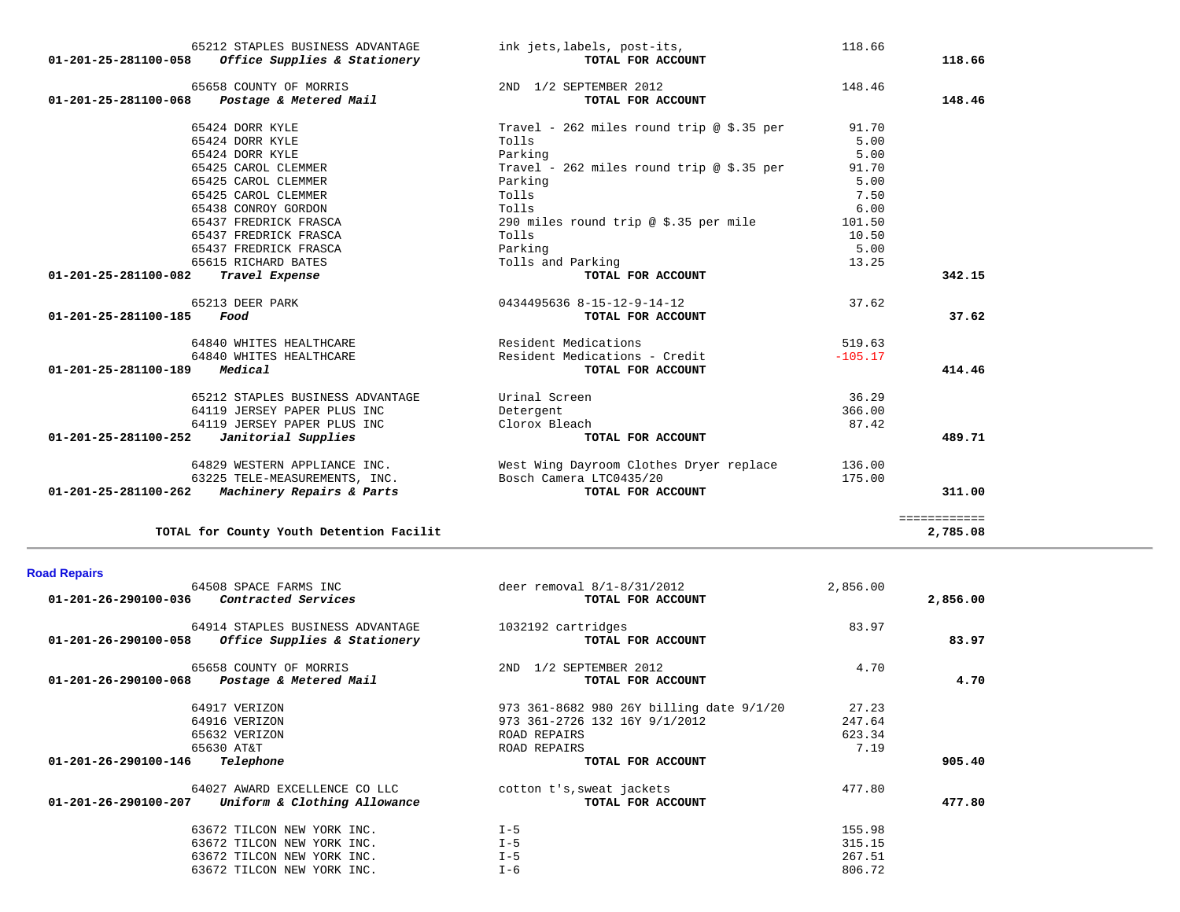| 01-201-25-281100-058           | 65212 STAPLES BUSINESS ADVANTAGE<br>Office Supplies & Stationery | ink jets, labels, post-its,<br>TOTAL FOR ACCOUNT | 118.66    | 118.66       |
|--------------------------------|------------------------------------------------------------------|--------------------------------------------------|-----------|--------------|
| 01-201-25-281100-068           | 65658 COUNTY OF MORRIS<br>Postage & Metered Mail                 | 2ND 1/2 SEPTEMBER 2012<br>TOTAL FOR ACCOUNT      | 148.46    | 148.46       |
|                                | 65424 DORR KYLE                                                  | Travel - 262 miles round trip @ \$.35 per        | 91.70     |              |
|                                | 65424 DORR KYLE                                                  | Tolls                                            | 5.00      |              |
|                                | 65424 DORR KYLE                                                  | Parking                                          | 5.00      |              |
|                                | 65425 CAROL CLEMMER                                              | Travel - 262 miles round trip @ \$.35 per        | 91.70     |              |
|                                | 65425 CAROL CLEMMER                                              | Parking                                          | 5.00      |              |
|                                | 65425 CAROL CLEMMER                                              | Tolls                                            | 7.50      |              |
|                                | 65438 CONROY GORDON                                              | Tolls                                            | 6.00      |              |
|                                | 65437 FREDRICK FRASCA                                            | 290 miles round trip @ \$.35 per mile            | 101.50    |              |
|                                | 65437 FREDRICK FRASCA                                            | Tolls                                            | 10.50     |              |
|                                | 65437 FREDRICK FRASCA                                            | Parking                                          | 5.00      |              |
|                                | 65615 RICHARD BATES                                              | Tolls and Parking                                | 13.25     |              |
| 01-201-25-281100-082           | Travel Expense                                                   | TOTAL FOR ACCOUNT                                |           | 342.15       |
|                                | 65213 DEER PARK                                                  | 0434495636 8-15-12-9-14-12                       | 37.62     |              |
| 01-201-25-281100-185           | Food                                                             | TOTAL FOR ACCOUNT                                |           | 37.62        |
|                                | 64840 WHITES HEALTHCARE                                          | Resident Medications                             | 519.63    |              |
|                                | 64840 WHITES HEALTHCARE                                          | Resident Medications - Credit                    | $-105.17$ |              |
| 01-201-25-281100-189           | Medical                                                          | TOTAL FOR ACCOUNT                                |           | 414.46       |
|                                | 65212 STAPLES BUSINESS ADVANTAGE                                 | Urinal Screen                                    | 36.29     |              |
|                                | 64119 JERSEY PAPER PLUS INC                                      | Detergent                                        | 366.00    |              |
|                                | 64119 JERSEY PAPER PLUS INC                                      | Clorox Bleach                                    | 87.42     |              |
| 01-201-25-281100-252           | Janitorial Supplies                                              | TOTAL FOR ACCOUNT                                |           | 489.71       |
|                                | 64829 WESTERN APPLIANCE INC.                                     | West Wing Dayroom Clothes Dryer replace          | 136.00    |              |
|                                | 63225 TELE-MEASUREMENTS, INC.                                    | Bosch Camera LTC0435/20                          | 175.00    |              |
| $01 - 201 - 25 - 281100 - 262$ | Machinery Repairs & Parts                                        | TOTAL FOR ACCOUNT                                |           | 311.00       |
|                                |                                                                  |                                                  |           | ============ |
|                                | TOTAL for County Youth Detention Facilit                         |                                                  |           | 2,785.08     |

| <b>Road Repairs</b> |  |  |
|---------------------|--|--|
|---------------------|--|--|

| 64508 SPACE FARMS INC<br>Contracted Services<br>01-201-26-290100-036 | deer removal $8/1 - 8/31/2012$<br>TOTAL FOR ACCOUNT | 2,856.00 | 2,856.00 |
|----------------------------------------------------------------------|-----------------------------------------------------|----------|----------|
| 64914 STAPLES BUSINESS ADVANTAGE                                     | 1032192 cartridges                                  | 83.97    |          |
| Office Supplies & Stationery<br>01-201-26-290100-058                 | TOTAL FOR ACCOUNT                                   |          | 83.97    |
| 65658 COUNTY OF MORRIS                                               | 1/2 SEPTEMBER 2012<br>2ND                           | 4.70     |          |
| Postage & Metered Mail<br>01-201-26-290100-068                       | TOTAL FOR ACCOUNT                                   |          | 4.70     |
| 64917 VERIZON                                                        | 973 361-8682 980 26Y billing date 9/1/20            | 27.23    |          |
| 64916 VERIZON                                                        | 973 361-2726 132 16Y 9/1/2012                       | 247.64   |          |
| 65632 VERIZON                                                        | ROAD REPAIRS                                        | 623.34   |          |
| 65630 AT&T                                                           | ROAD REPAIRS                                        | 7.19     |          |
| 01-201-26-290100-146<br>Telephone                                    | TOTAL FOR ACCOUNT                                   |          | 905.40   |
| 64027 AWARD EXCELLENCE CO LLC                                        | cotton t's, sweat jackets                           | 477.80   |          |
| $01 - 201 - 26 - 290100 - 207$<br>Uniform & Clothing Allowance       | TOTAL FOR ACCOUNT                                   |          | 477.80   |
| 63672 TILCON NEW YORK INC.                                           | $I - 5$                                             | 155.98   |          |
| 63672 TILCON NEW YORK INC.                                           | $I - 5$                                             | 315.15   |          |
| 63672 TILCON NEW YORK INC.                                           | $I - 5$                                             | 267.51   |          |
| 63672 TILCON NEW YORK INC.                                           | $I - 6$                                             | 806.72   |          |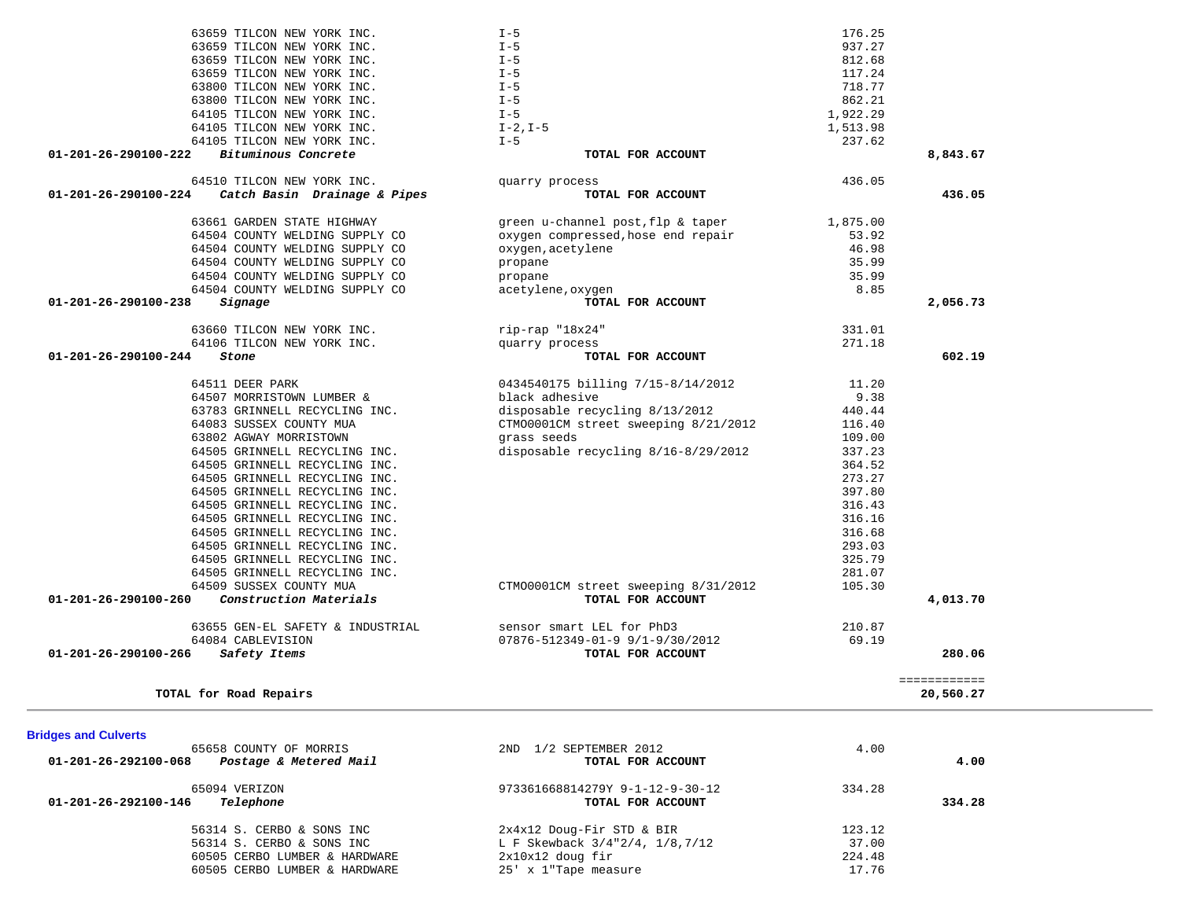| <b>Bridges and Culverts</b>                                              |                                                      |        |        |
|--------------------------------------------------------------------------|------------------------------------------------------|--------|--------|
| 65658 COUNTY OF MORRIS<br>Postage & Metered Mail<br>01-201-26-292100-068 | 1/2 SEPTEMBER 2012<br>2ND.<br>TOTAL FOR ACCOUNT      | 4.00   | 4.00   |
| 65094 VERIZON<br>Telephone<br>01-201-26-292100-146                       | 973361668814279Y 9-1-12-9-30-12<br>TOTAL FOR ACCOUNT | 334.28 | 334.28 |
| 56314 S. CERBO & SONS INC                                                | 2x4x12 Doug-Fir STD & BIR                            | 123.12 |        |
| 56314 S. CERBO & SONS INC                                                | L F Skewback 3/4"2/4, 1/8,7/12                       | 37.00  |        |
| 60505 CERBO LUMBER & HARDWARE                                            | $2x10x12$ doug fir                                   | 224.48 |        |
| 60505 CERBO LUMBER & HARDWARE                                            | 25' x 1"Tape measure                                 | 17.76  |        |

| black adhesive                                     | 9.38                                                                                                                                                                                                                                                                                                                                                                                                                                                                                                                                                                                                                                                             |
|----------------------------------------------------|------------------------------------------------------------------------------------------------------------------------------------------------------------------------------------------------------------------------------------------------------------------------------------------------------------------------------------------------------------------------------------------------------------------------------------------------------------------------------------------------------------------------------------------------------------------------------------------------------------------------------------------------------------------|
|                                                    | 440.44                                                                                                                                                                                                                                                                                                                                                                                                                                                                                                                                                                                                                                                           |
|                                                    | 116.40                                                                                                                                                                                                                                                                                                                                                                                                                                                                                                                                                                                                                                                           |
| grass seeds                                        | 109.00                                                                                                                                                                                                                                                                                                                                                                                                                                                                                                                                                                                                                                                           |
|                                                    | 337.23                                                                                                                                                                                                                                                                                                                                                                                                                                                                                                                                                                                                                                                           |
|                                                    | 364.52                                                                                                                                                                                                                                                                                                                                                                                                                                                                                                                                                                                                                                                           |
|                                                    | 273.27                                                                                                                                                                                                                                                                                                                                                                                                                                                                                                                                                                                                                                                           |
|                                                    | 397.80                                                                                                                                                                                                                                                                                                                                                                                                                                                                                                                                                                                                                                                           |
|                                                    | 316.43                                                                                                                                                                                                                                                                                                                                                                                                                                                                                                                                                                                                                                                           |
|                                                    | 316.16                                                                                                                                                                                                                                                                                                                                                                                                                                                                                                                                                                                                                                                           |
|                                                    | 316.68                                                                                                                                                                                                                                                                                                                                                                                                                                                                                                                                                                                                                                                           |
|                                                    | 293.03                                                                                                                                                                                                                                                                                                                                                                                                                                                                                                                                                                                                                                                           |
|                                                    | 325.79                                                                                                                                                                                                                                                                                                                                                                                                                                                                                                                                                                                                                                                           |
|                                                    | 281.07                                                                                                                                                                                                                                                                                                                                                                                                                                                                                                                                                                                                                                                           |
|                                                    | 105.30                                                                                                                                                                                                                                                                                                                                                                                                                                                                                                                                                                                                                                                           |
| TOTAL FOR ACCOUNT                                  | 4,013.70                                                                                                                                                                                                                                                                                                                                                                                                                                                                                                                                                                                                                                                         |
| sensor smart LEL for PhD3                          | 210.87                                                                                                                                                                                                                                                                                                                                                                                                                                                                                                                                                                                                                                                           |
|                                                    | 69.19                                                                                                                                                                                                                                                                                                                                                                                                                                                                                                                                                                                                                                                            |
| TOTAL FOR ACCOUNT                                  | 280.06                                                                                                                                                                                                                                                                                                                                                                                                                                                                                                                                                                                                                                                           |
| 64083 SUSSEX COUNTY MUA<br>64509 SUSSEX COUNTY MUA | 64507 MORRISTOWN LUMBER &<br>disposable recycling 8/13/2012<br>63783 GRINNELL RECYCLING INC.<br>CTMO0001CM street sweeping 8/21/2012<br>disposable recycling $8/16-8/29/2012$<br>64505 GRINNELL RECYCLING INC.<br>64505 GRINNELL RECYCLING INC.<br>64505 GRINNELL RECYCLING INC.<br>64505 GRINNELL RECYCLING INC.<br>64505 GRINNELL RECYCLING INC.<br>64505 GRINNELL RECYCLING INC.<br>64505 GRINNELL RECYCLING INC.<br>64505 GRINNELL RECYCLING INC.<br>64505 GRINNELL RECYCLING INC.<br>64505 GRINNELL RECYCLING INC.<br>CTM00001CM street sweeping 8/31/2012<br>Construction Materials<br>63655 GEN-EL SAFETY & INDUSTRIAL<br>07876-512349-01-9 9/1-9/30/2012 |

| 04510 IILCON NEW IORR INC.<br>01-201-26-290100-224<br>Catch Basin Drainage & Pipes | GUALLY PLOCESS<br>TOTAL FOR ACCOUNT | 450.05   |
|------------------------------------------------------------------------------------|-------------------------------------|----------|
|                                                                                    |                                     |          |
| 63661 GARDEN STATE HIGHWAY                                                         | green u-channel post, flp & taper   | 1,875.00 |
| 64504 COUNTY WELDING SUPPLY CO                                                     | oxygen compressed, hose end repair  | 53.92    |
| 64504 COUNTY WELDING SUPPLY CO                                                     | oxygen, acetylene                   | 46.98    |
| 64504 COUNTY WELDING SUPPLY CO                                                     | propane                             | 35.99    |
| 64504 COUNTY WELDING SUPPLY CO                                                     | propane                             | 35.99    |
| 64504 COUNTY WELDING SUPPLY CO                                                     | acetylene, oxygen                   | 8.85     |
| Signage<br>$01 - 201 - 26 - 290100 - 238$                                          | TOTAL FOR ACCOUNT                   |          |
| 63660 TILCON NEW YORK INC.                                                         | $rip-rap$ " $18x24$ "               | 331.01   |

| 01 - 201 - 26 - 2001 00 - 224 | Gatab Pasin, Drainago & Dinos |  |  |
|-------------------------------|-------------------------------|--|--|
|                               | 64510 TILCON NEW YORK INC.    |  |  |
|                               |                               |  |  |

**TOTAL for Road Repairs 20,560.27**

|                      | 63659 TILCON NEW YORK INC.<br>63659 TILCON NEW YORK INC.<br>63659 TILCON NEW YORK INC. |  |  |
|----------------------|----------------------------------------------------------------------------------------|--|--|
|                      | 63659 TILCON NEW YORK INC.                                                             |  |  |
|                      | 63800 TILCON NEW YORK INC.                                                             |  |  |
|                      | 63800 TILCON NEW YORK INC.                                                             |  |  |
|                      | 64105 TILCON NEW YORK INC.                                                             |  |  |
|                      | 64105 TILCON NEW YORK INC.                                                             |  |  |
|                      | 64105 TILCON NEW YORK INC.                                                             |  |  |
| 01-201-26-290100-222 | Bituminous Concrete                                                                    |  |  |

| 63659 TILCON NEW YORK INC.                           | $I - 5$                                  | 176.25   |              |
|------------------------------------------------------|------------------------------------------|----------|--------------|
| 63659 TILCON NEW YORK INC.                           | $I - 5$                                  | 937.27   |              |
| 63659 TILCON NEW YORK INC.                           | $I - 5$                                  | 812.68   |              |
| 63659 TILCON NEW YORK INC.                           | $I - 5$                                  | 117.24   |              |
| 63800 TILCON NEW YORK INC.                           | $I - 5$                                  | 718.77   |              |
| 63800 TILCON NEW YORK INC.                           | $I - 5$                                  | 862.21   |              |
| 64105 TILCON NEW YORK INC.                           | $I - 5$                                  | 1,922.29 |              |
| 64105 TILCON NEW YORK INC.                           | $I-2, I-5$                               | 1,513.98 |              |
| 64105 TILCON NEW YORK INC.                           | $I - 5$                                  | 237.62   |              |
| 01-201-26-290100-222<br>Bituminous Concrete          | TOTAL FOR ACCOUNT                        |          | 8,843.67     |
| 64510 TILCON NEW YORK INC.                           | quarry process                           | 436.05   |              |
| 01-201-26-290100-224<br>Catch Basin Drainage & Pipes | TOTAL FOR ACCOUNT                        |          | 436.05       |
| 63661 GARDEN STATE HIGHWAY                           | green u-channel post, flp & taper        | 1,875.00 |              |
| 64504 COUNTY WELDING SUPPLY CO                       | oxygen compressed, hose end repair       | 53.92    |              |
| 64504 COUNTY WELDING SUPPLY CO                       | oxygen, acetylene                        | 46.98    |              |
| 64504 COUNTY WELDING SUPPLY CO                       | propane                                  | 35.99    |              |
| 64504 COUNTY WELDING SUPPLY CO                       | propane                                  | 35.99    |              |
| 64504 COUNTY WELDING SUPPLY CO                       | acetylene, oxygen                        | 8.85     |              |
| Signage<br>01-201-26-290100-238                      | TOTAL FOR ACCOUNT                        |          | 2,056.73     |
| 63660 TILCON NEW YORK INC.                           | rip-rap "18x24"                          | 331.01   |              |
| 64106 TILCON NEW YORK INC.                           | quarry process                           | 271.18   |              |
| 01-201-26-290100-244<br>Stone                        | TOTAL FOR ACCOUNT                        |          | 602.19       |
| 64511 DEER PARK                                      | 0434540175 billing 7/15-8/14/2012        | 11.20    |              |
| 64507 MORRISTOWN LUMBER &                            | black adhesive                           | 9.38     |              |
| 63783 GRINNELL RECYCLING INC.                        | disposable recycling 8/13/2012           | 440.44   |              |
| 64083 SUSSEX COUNTY MUA                              | CTM00001CM street sweeping 8/21/2012     | 116.40   |              |
| 63802 AGWAY MORRISTOWN                               | qrass seeds                              | 109.00   |              |
| 64505 GRINNELL RECYCLING INC.                        | disposable recycling 8/16-8/29/2012      | 337.23   |              |
| 64505 GRINNELL RECYCLING INC.                        |                                          | 364.52   |              |
| 64505 GRINNELL RECYCLING INC.                        |                                          | 273.27   |              |
| 64505 GRINNELL RECYCLING INC.                        |                                          | 397.80   |              |
| 64505 GRINNELL RECYCLING INC.                        |                                          | 316.43   |              |
| 64505 GRINNELL RECYCLING INC.                        |                                          | 316.16   |              |
| 64505 GRINNELL RECYCLING INC.                        |                                          | 316.68   |              |
| 64505 GRINNELL RECYCLING INC.                        |                                          | 293.03   |              |
| 64505 GRINNELL RECYCLING INC.                        |                                          | 325.79   |              |
| 64505 GRINNELL RECYCLING INC.                        |                                          | 281.07   |              |
| 64509 SUSSEX COUNTY MUA                              | CTM00001CM street sweeping 8/31/2012     | 105.30   |              |
| Construction Materials<br>01-201-26-290100-260       | TOTAL FOR ACCOUNT                        |          | 4,013.70     |
| 63655 GEN-EL SAFETY & INDUSTRIAL                     | sensor smart LEL for PhD3                | 210.87   |              |
| 64084 CABLEVISION                                    | $07876 - 512349 - 01 - 99/1 - 9/30/2012$ | 69.19    |              |
| 01-201-26-290100-266<br>Safety Items                 | TOTAL FOR ACCOUNT                        |          | 280.06       |
|                                                      |                                          |          | ============ |
| TOTAL for Road Repairs                               |                                          |          | 20,560.27    |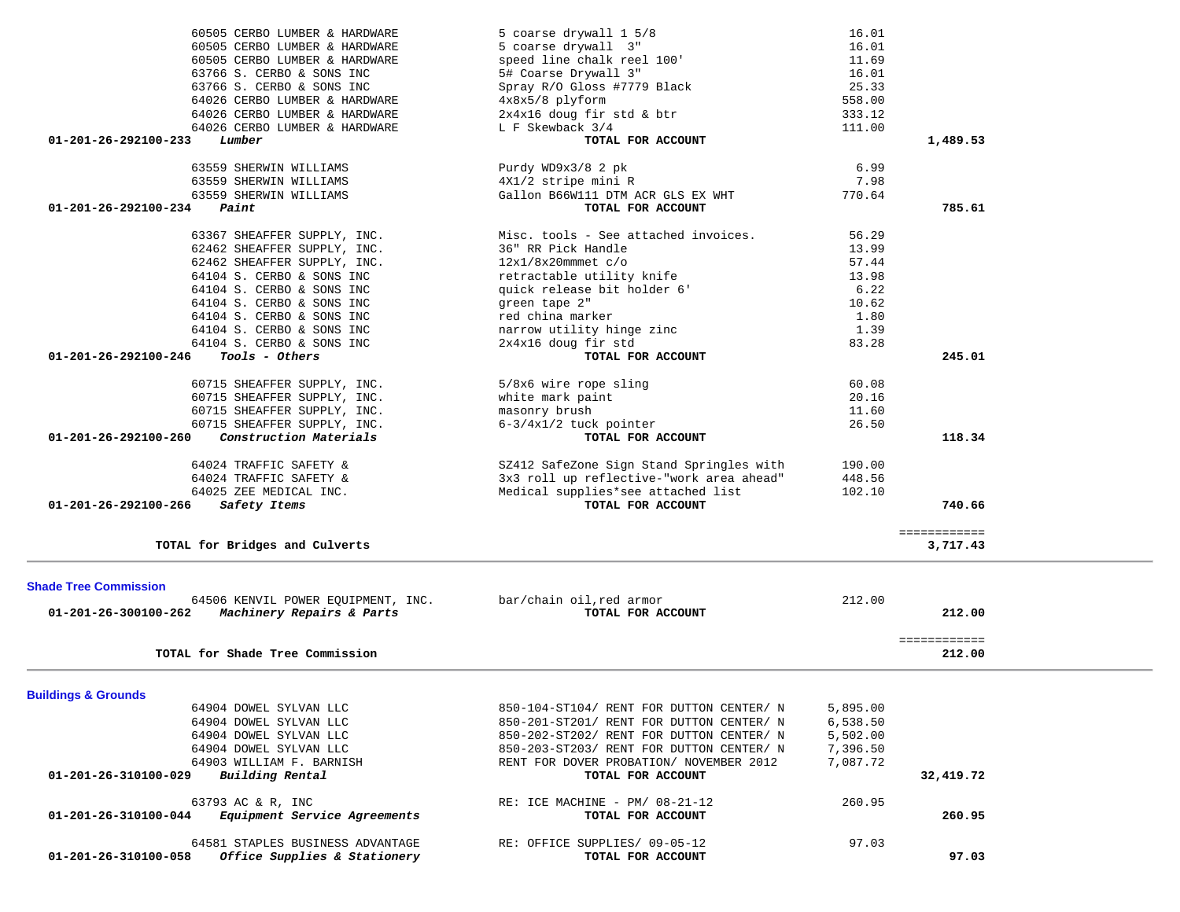| 60505 CERBO LUMBER & HARDWARE                                                            | 5 coarse drywall 1 5/8                             | 16.01    |                          |  |
|------------------------------------------------------------------------------------------|----------------------------------------------------|----------|--------------------------|--|
| 60505 CERBO LUMBER & HARDWARE                                                            | 5 coarse drywall 3"                                | 16.01    |                          |  |
| 60505 CERBO LUMBER & HARDWARE                                                            | speed line chalk reel 100'                         | 11.69    |                          |  |
| 63766 S. CERBO & SONS INC                                                                | 5# Coarse Drywall 3"                               | 16.01    |                          |  |
| 63766 S. CERBO & SONS INC                                                                | Spray R/O Gloss #7779 Black                        | 25.33    |                          |  |
| 64026 CERBO LUMBER & HARDWARE                                                            | 4x8x5/8 plyform                                    | 558.00   |                          |  |
| 64026 CERBO LUMBER & HARDWARE                                                            | 2x4x16 doug fir std & btr                          | 333.12   |                          |  |
| 64026 CERBO LUMBER & HARDWARE                                                            | L F Skewback 3/4                                   | 111.00   |                          |  |
| Lumber<br>01-201-26-292100-233                                                           | TOTAL FOR ACCOUNT                                  |          | 1,489.53                 |  |
|                                                                                          |                                                    |          |                          |  |
| 63559 SHERWIN WILLIAMS                                                                   | Purdy WD9x3/8 2 pk                                 | 6.99     |                          |  |
| 63559 SHERWIN WILLIAMS                                                                   | 4X1/2 stripe mini R                                | 7.98     |                          |  |
| 63559 SHERWIN WILLIAMS                                                                   | Gallon B66W111 DTM ACR GLS EX WHT                  | 770.64   |                          |  |
| 01-201-26-292100-234<br>Paint                                                            | TOTAL FOR ACCOUNT                                  |          | 785.61                   |  |
| 63367 SHEAFFER SUPPLY, INC.                                                              | Misc. tools - See attached invoices.               | 56.29    |                          |  |
| 62462 SHEAFFER SUPPLY, INC.                                                              | 36" RR Pick Handle                                 | 13.99    |                          |  |
| 62462 SHEAFFER SUPPLY, INC.                                                              | $12x1/8x20$ mmmet $c/o$                            | 57.44    |                          |  |
| 64104 S. CERBO & SONS INC                                                                | retractable utility knife                          | 13.98    |                          |  |
| 64104 S. CERBO & SONS INC                                                                | quick release bit holder 6'                        | 6.22     |                          |  |
|                                                                                          | green tape 2"                                      |          |                          |  |
| 64104 S. CERBO & SONS INC                                                                |                                                    | 10.62    |                          |  |
| 64104 S. CERBO & SONS INC                                                                | red china marker                                   | 1.80     |                          |  |
| 64104 S. CERBO & SONS INC                                                                | narrow utility hinge zinc                          | 1.39     |                          |  |
| 64104 S. CERBO & SONS INC                                                                | 2x4x16 doug fir std                                | 83.28    |                          |  |
| 01-201-26-292100-246<br>Tools - Others                                                   | TOTAL FOR ACCOUNT                                  |          | 245.01                   |  |
| 60715 SHEAFFER SUPPLY, INC.                                                              | 5/8x6 wire rope sling                              | 60.08    |                          |  |
| 60715 SHEAFFER SUPPLY, INC.                                                              | white mark paint                                   | 20.16    |                          |  |
| 60715 SHEAFFER SUPPLY, INC.                                                              | masonry brush                                      | 11.60    |                          |  |
| 60715 SHEAFFER SUPPLY, INC.                                                              | $6-3/4x1/2$ tuck pointer                           | 26.50    |                          |  |
| Construction Materials<br>01-201-26-292100-260                                           | TOTAL FOR ACCOUNT                                  |          | 118.34                   |  |
|                                                                                          |                                                    |          |                          |  |
| 64024 TRAFFIC SAFETY &                                                                   | SZ412 SafeZone Sign Stand Springles with           | 190.00   |                          |  |
| 64024 TRAFFIC SAFETY &                                                                   | 3x3 roll up reflective-"work area ahead"           | 448.56   |                          |  |
| 64025 ZEE MEDICAL INC.                                                                   | Medical supplies*see attached list                 | 102.10   |                          |  |
| 01-201-26-292100-266<br>Safety Items                                                     | TOTAL FOR ACCOUNT                                  |          | 740.66                   |  |
|                                                                                          |                                                    |          |                          |  |
| TOTAL for Bridges and Culverts                                                           |                                                    |          | ============<br>3,717.43 |  |
|                                                                                          |                                                    |          |                          |  |
| <b>Shade Tree Commission</b>                                                             |                                                    |          |                          |  |
| 64506 KENVIL POWER EQUIPMENT, INC.                                                       | bar/chain oil, red armor                           | 212.00   |                          |  |
| Machinery Repairs & Parts<br>01-201-26-300100-262                                        | TOTAL FOR ACCOUNT                                  |          | 212.00                   |  |
|                                                                                          |                                                    |          |                          |  |
|                                                                                          |                                                    |          | ============             |  |
| TOTAL for Shade Tree Commission                                                          |                                                    |          | 212.00                   |  |
|                                                                                          |                                                    |          |                          |  |
| <b>Buildings &amp; Grounds</b>                                                           |                                                    |          |                          |  |
| 64904 DOWEL SYLVAN LLC                                                                   | 850-104-ST104/ RENT FOR DUTTON CENTER/ N           | 5,895.00 |                          |  |
| 64904 DOWEL SYLVAN LLC                                                                   | 850-201-ST201/ RENT FOR DUTTON CENTER/ N           | 6,538.50 |                          |  |
| 64904 DOWEL SYLVAN LLC                                                                   | 850-202-ST202/ RENT FOR DUTTON CENTER/ N           | 5,502.00 |                          |  |
| 64904 DOWEL SYLVAN LLC                                                                   | 850-203-ST203/ RENT FOR DUTTON CENTER/ N           | 7,396.50 |                          |  |
| 64903 WILLIAM F. BARNISH                                                                 | RENT FOR DOVER PROBATION/ NOVEMBER 2012            | 7,087.72 |                          |  |
| 01-201-26-310100-029<br>Building Rental                                                  | TOTAL FOR ACCOUNT                                  |          | 32,419.72                |  |
| 63793 AC & R, INC                                                                        | RE: ICE MACHINE - PM/ $08-21-12$                   | 260.95   |                          |  |
| 01-201-26-310100-044<br>Equipment Service Agreements                                     | TOTAL FOR ACCOUNT                                  |          | 260.95                   |  |
|                                                                                          |                                                    |          |                          |  |
| 64581 STAPLES BUSINESS ADVANTAGE<br>Office Supplies & Stationery<br>01-201-26-310100-058 | RE: OFFICE SUPPLIES/ 09-05-12<br>TOTAL FOR ACCOUNT | 97.03    | 97.03                    |  |
|                                                                                          |                                                    |          |                          |  |
|                                                                                          |                                                    |          |                          |  |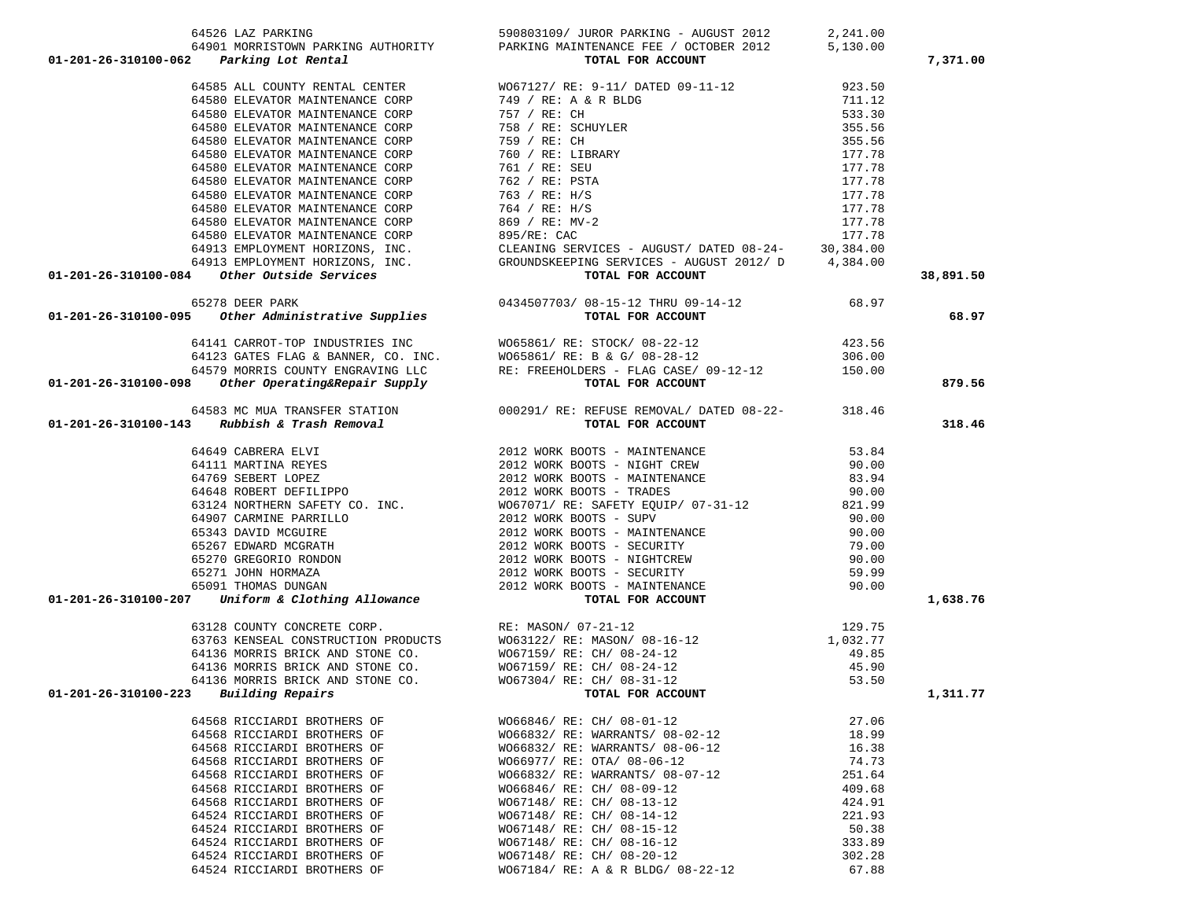| 01-201-26-310100-062 Parking AREING MINTERMATER PER / OCTOBER 2012 5,130.00<br>01-201-26-310100-062 Parking Journy Remain CENTER<br>64560 ELEVATOR MAINTERMATER NOG7127/RE: 9-11/ DATED 09-11-12 923.50<br>64560 ELEVATOR MAINTERMA      | 64901 MORRISTOWN PARKING AUTHORITY PARKING MAINTENANCE FEE / OCTOBER 2012 5,130.00                                                                                                                                                                                                                                                                                                    |        | 7,371.00  |
|------------------------------------------------------------------------------------------------------------------------------------------------------------------------------------------------------------------------------------------|---------------------------------------------------------------------------------------------------------------------------------------------------------------------------------------------------------------------------------------------------------------------------------------------------------------------------------------------------------------------------------------|--------|-----------|
|                                                                                                                                                                                                                                          |                                                                                                                                                                                                                                                                                                                                                                                       |        |           |
|                                                                                                                                                                                                                                          |                                                                                                                                                                                                                                                                                                                                                                                       |        |           |
|                                                                                                                                                                                                                                          |                                                                                                                                                                                                                                                                                                                                                                                       |        |           |
|                                                                                                                                                                                                                                          |                                                                                                                                                                                                                                                                                                                                                                                       |        |           |
|                                                                                                                                                                                                                                          |                                                                                                                                                                                                                                                                                                                                                                                       |        |           |
|                                                                                                                                                                                                                                          |                                                                                                                                                                                                                                                                                                                                                                                       |        |           |
|                                                                                                                                                                                                                                          |                                                                                                                                                                                                                                                                                                                                                                                       |        |           |
|                                                                                                                                                                                                                                          |                                                                                                                                                                                                                                                                                                                                                                                       |        |           |
|                                                                                                                                                                                                                                          |                                                                                                                                                                                                                                                                                                                                                                                       |        |           |
|                                                                                                                                                                                                                                          |                                                                                                                                                                                                                                                                                                                                                                                       |        |           |
|                                                                                                                                                                                                                                          |                                                                                                                                                                                                                                                                                                                                                                                       |        |           |
|                                                                                                                                                                                                                                          |                                                                                                                                                                                                                                                                                                                                                                                       |        |           |
|                                                                                                                                                                                                                                          |                                                                                                                                                                                                                                                                                                                                                                                       |        |           |
|                                                                                                                                                                                                                                          |                                                                                                                                                                                                                                                                                                                                                                                       |        |           |
|                                                                                                                                                                                                                                          |                                                                                                                                                                                                                                                                                                                                                                                       |        |           |
|                                                                                                                                                                                                                                          |                                                                                                                                                                                                                                                                                                                                                                                       |        | 38,891.50 |
|                                                                                                                                                                                                                                          |                                                                                                                                                                                                                                                                                                                                                                                       |        |           |
| 0434507703/08-15-12 THRU 09-14-12<br>68.97 65278 DEER PARK<br><b>01-201-26-310100-095</b> Other Administrative Supplies<br><b>01-201-26-310100-095</b> Other Administrative Supplies                                                     |                                                                                                                                                                                                                                                                                                                                                                                       |        | 68.97     |
| 64141 CARROT-TOP INDUSTRIES INC<br>64123 GATES FLAG & BANNER, CO. INC.<br>64579 MORRIS COUNTY ENGRAVING LLC<br>01-201-26-310100-098 Other Operating&Repair Supply<br>01-201-26-310100-098 Other Operating&Repair Supply<br>01-201-26-310 |                                                                                                                                                                                                                                                                                                                                                                                       |        |           |
|                                                                                                                                                                                                                                          |                                                                                                                                                                                                                                                                                                                                                                                       |        |           |
|                                                                                                                                                                                                                                          |                                                                                                                                                                                                                                                                                                                                                                                       |        |           |
|                                                                                                                                                                                                                                          |                                                                                                                                                                                                                                                                                                                                                                                       |        | 879.56    |
|                                                                                                                                                                                                                                          |                                                                                                                                                                                                                                                                                                                                                                                       |        |           |
|                                                                                                                                                                                                                                          |                                                                                                                                                                                                                                                                                                                                                                                       |        |           |
| 64583 MC MUA TRANSFER STATION 000291/RE: REFUSE REMOVAL/DATED 08-22-<br>01-201-26-310100-143 Rubbish & Trash Removal TOTAL FOR ACCOUNT                                                                                                   |                                                                                                                                                                                                                                                                                                                                                                                       |        | 318.46    |
|                                                                                                                                                                                                                                          |                                                                                                                                                                                                                                                                                                                                                                                       |        |           |
|                                                                                                                                                                                                                                          |                                                                                                                                                                                                                                                                                                                                                                                       |        |           |
|                                                                                                                                                                                                                                          |                                                                                                                                                                                                                                                                                                                                                                                       |        |           |
|                                                                                                                                                                                                                                          |                                                                                                                                                                                                                                                                                                                                                                                       |        |           |
|                                                                                                                                                                                                                                          |                                                                                                                                                                                                                                                                                                                                                                                       |        |           |
|                                                                                                                                                                                                                                          |                                                                                                                                                                                                                                                                                                                                                                                       |        |           |
|                                                                                                                                                                                                                                          |                                                                                                                                                                                                                                                                                                                                                                                       |        |           |
|                                                                                                                                                                                                                                          |                                                                                                                                                                                                                                                                                                                                                                                       |        |           |
|                                                                                                                                                                                                                                          |                                                                                                                                                                                                                                                                                                                                                                                       |        |           |
|                                                                                                                                                                                                                                          |                                                                                                                                                                                                                                                                                                                                                                                       |        |           |
|                                                                                                                                                                                                                                          |                                                                                                                                                                                                                                                                                                                                                                                       |        |           |
| 01-201-26-310100-207                                                                                                                                                                                                                     |                                                                                                                                                                                                                                                                                                                                                                                       |        | 1,638.76  |
|                                                                                                                                                                                                                                          | 3 RUDDISA & ITEM REMOVED 1012 WORK BOOTS - MAINTENANCE 53.84<br>64649 CARERRA ELVI 2012 WORK BOOTS - MAINTENANCE 90.00<br>64769 SEBERT LOPEZ 2012 WORK BOOTS - MAINTENANCE 93.94<br>64648 ROBERT DEFILIPPO 2012 WORK BOOTS - MAINTE                                                                                                                                                   |        |           |
|                                                                                                                                                                                                                                          |                                                                                                                                                                                                                                                                                                                                                                                       |        |           |
|                                                                                                                                                                                                                                          |                                                                                                                                                                                                                                                                                                                                                                                       |        |           |
|                                                                                                                                                                                                                                          |                                                                                                                                                                                                                                                                                                                                                                                       |        |           |
|                                                                                                                                                                                                                                          |                                                                                                                                                                                                                                                                                                                                                                                       |        |           |
|                                                                                                                                                                                                                                          |                                                                                                                                                                                                                                                                                                                                                                                       |        |           |
| $01 - 201 - 26 - 310100 - 223$ Building Repairs                                                                                                                                                                                          | $\begin{tabular}{lllllllllllllllllll} \text{63128 COUNTY CONCRETE CORP.} & \text{RE: MASON/ 07--21--12} & 129.75 \\ 63763 KENSEAL CONSTRUCTION PRODUCTS & W063122/ RE: MASON/ 08--16--12 & 1,032.77 \\ 64136 MORRIS BRICK AND STONE CO. & W067159/ RE: CH/ 08--24--12 & 49.85 \\ 64136 MORRIS BRICK AND STONE CO. & W067304/ RE: CH/ 08--31--12 & 45.90 \\ 64136 MORRIS BRICK AND ST$ |        | 1,311.77  |
| 64568 RICCIARDI BROTHERS OF                                                                                                                                                                                                              | WO66846/ RE: CH/ 08-01-12                                                                                                                                                                                                                                                                                                                                                             | 27.06  |           |
| 64568 RICCIARDI BROTHERS OF                                                                                                                                                                                                              | WO66832/ RE: WARRANTS/ 08-02-12                                                                                                                                                                                                                                                                                                                                                       | 18.99  |           |
| 64568 RICCIARDI BROTHERS OF                                                                                                                                                                                                              | WO66832/ RE: WARRANTS/ 08-06-12                                                                                                                                                                                                                                                                                                                                                       | 16.38  |           |
| 64568 RICCIARDI BROTHERS OF                                                                                                                                                                                                              | WO66977/ RE: OTA/ 08-06-12                                                                                                                                                                                                                                                                                                                                                            | 74.73  |           |
| 64568 RICCIARDI BROTHERS OF                                                                                                                                                                                                              | W066832/ RE: WARRANTS/ 08-07-12                                                                                                                                                                                                                                                                                                                                                       | 251.64 |           |
| 64568 RICCIARDI BROTHERS OF                                                                                                                                                                                                              | WO66846/ RE: CH/ 08-09-12                                                                                                                                                                                                                                                                                                                                                             | 409.68 |           |
| 64568 RICCIARDI BROTHERS OF                                                                                                                                                                                                              | WO67148/ RE: CH/ 08-13-12                                                                                                                                                                                                                                                                                                                                                             | 424.91 |           |
| 64524 RICCIARDI BROTHERS OF                                                                                                                                                                                                              | WO67148/ RE: CH/ 08-14-12                                                                                                                                                                                                                                                                                                                                                             | 221.93 |           |
| 64524 RICCIARDI BROTHERS OF                                                                                                                                                                                                              | WO67148/ RE: CH/ 08-15-12                                                                                                                                                                                                                                                                                                                                                             | 50.38  |           |
| 64524 RICCIARDI BROTHERS OF                                                                                                                                                                                                              | WO67148/ RE: CH/ 08-16-12                                                                                                                                                                                                                                                                                                                                                             | 333.89 |           |
| 64524 RICCIARDI BROTHERS OF                                                                                                                                                                                                              | WO67148/ RE: CH/ 08-20-12                                                                                                                                                                                                                                                                                                                                                             | 302.28 |           |
| 64524 RICCIARDI BROTHERS OF                                                                                                                                                                                                              | W067184/ RE: A & R BLDG/ 08-22-12                                                                                                                                                                                                                                                                                                                                                     | 67.88  |           |

64526 LAZ PARKING 590803109/ JUROR PARKING - AUGUST 2012 2,241.00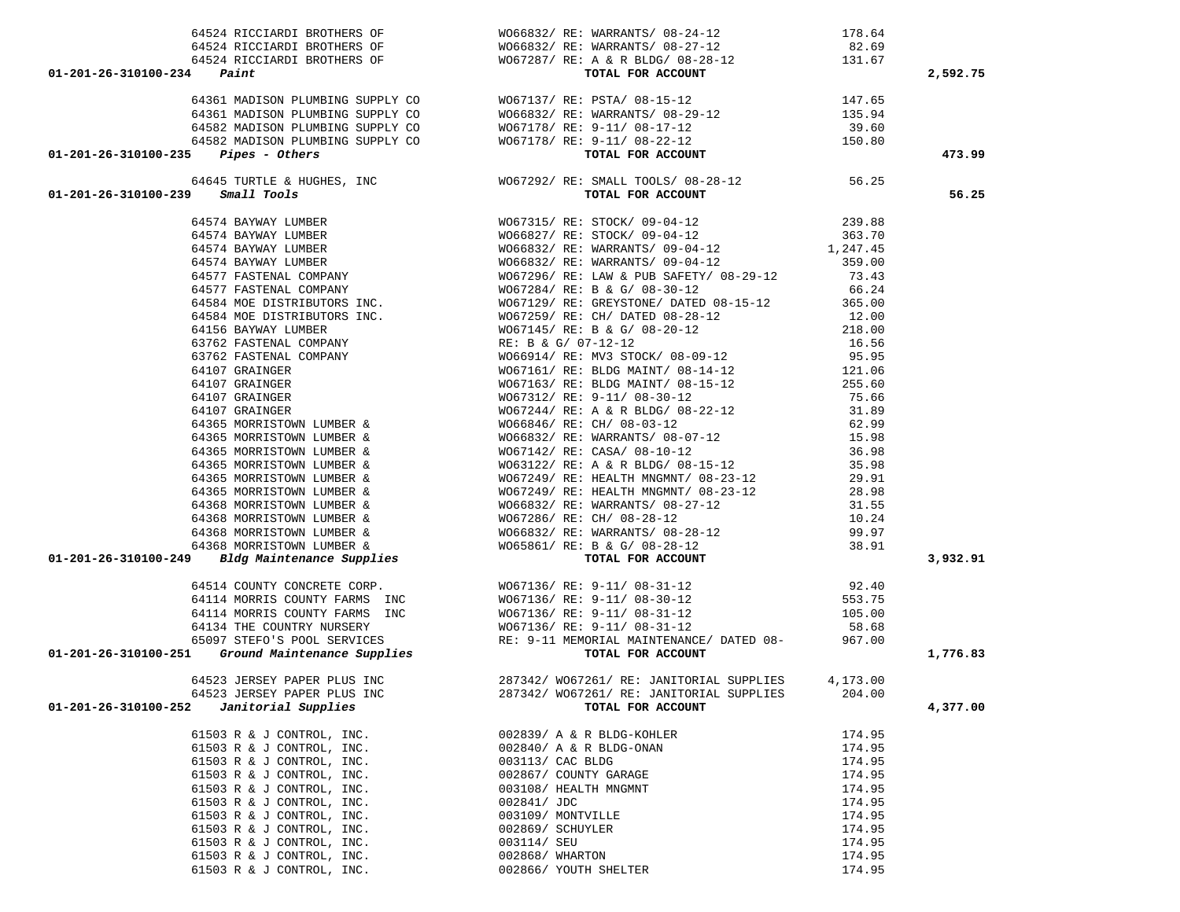|                                             |                                                                                                                                                                                                                                                                       | 2,592.75 |
|---------------------------------------------|-----------------------------------------------------------------------------------------------------------------------------------------------------------------------------------------------------------------------------------------------------------------------|----------|
|                                             |                                                                                                                                                                                                                                                                       |          |
|                                             |                                                                                                                                                                                                                                                                       |          |
|                                             |                                                                                                                                                                                                                                                                       |          |
|                                             |                                                                                                                                                                                                                                                                       |          |
|                                             |                                                                                                                                                                                                                                                                       |          |
|                                             |                                                                                                                                                                                                                                                                       | 473.99   |
|                                             | $\begin{array}{cccccccc} 4434 & 404444464 & 104044468 & 96 & 1048422 & 164 & 1048448 & 1648422 & 1048448 & 1648422 & 1048448 & 16484248 & 1048448 & 1048448 & 1048448 & 1048448 & 1048448 & 1048448 & 1048448 & 1048448 & 1048448 & 1048448 & 1048448 & 1048448 & 10$ |          |
|                                             |                                                                                                                                                                                                                                                                       | 56.25    |
|                                             |                                                                                                                                                                                                                                                                       |          |
|                                             |                                                                                                                                                                                                                                                                       |          |
|                                             |                                                                                                                                                                                                                                                                       |          |
|                                             |                                                                                                                                                                                                                                                                       |          |
|                                             |                                                                                                                                                                                                                                                                       |          |
|                                             |                                                                                                                                                                                                                                                                       |          |
|                                             |                                                                                                                                                                                                                                                                       |          |
|                                             |                                                                                                                                                                                                                                                                       |          |
|                                             |                                                                                                                                                                                                                                                                       |          |
|                                             |                                                                                                                                                                                                                                                                       |          |
|                                             |                                                                                                                                                                                                                                                                       |          |
|                                             |                                                                                                                                                                                                                                                                       |          |
|                                             |                                                                                                                                                                                                                                                                       |          |
|                                             |                                                                                                                                                                                                                                                                       |          |
|                                             |                                                                                                                                                                                                                                                                       |          |
|                                             |                                                                                                                                                                                                                                                                       |          |
|                                             |                                                                                                                                                                                                                                                                       |          |
|                                             |                                                                                                                                                                                                                                                                       |          |
|                                             |                                                                                                                                                                                                                                                                       |          |
|                                             |                                                                                                                                                                                                                                                                       |          |
|                                             |                                                                                                                                                                                                                                                                       |          |
|                                             |                                                                                                                                                                                                                                                                       |          |
|                                             |                                                                                                                                                                                                                                                                       |          |
|                                             |                                                                                                                                                                                                                                                                       |          |
|                                             |                                                                                                                                                                                                                                                                       |          |
|                                             |                                                                                                                                                                                                                                                                       |          |
|                                             |                                                                                                                                                                                                                                                                       | 3,932.91 |
|                                             |                                                                                                                                                                                                                                                                       |          |
|                                             |                                                                                                                                                                                                                                                                       |          |
|                                             |                                                                                                                                                                                                                                                                       |          |
|                                             |                                                                                                                                                                                                                                                                       |          |
|                                             |                                                                                                                                                                                                                                                                       |          |
|                                             |                                                                                                                                                                                                                                                                       | 1,776.83 |
|                                             |                                                                                                                                                                                                                                                                       |          |
|                                             | 64523 JERSEY PAPER PLUS INC<br>287342/0067261/RE: JANITORIAL SUPPLIES 4,173.00                                                                                                                                                                                        |          |
| 64523 JERSEY PAPER PLUS INC                 | 204.00<br>287342/ WO67261/ RE: JANITORIAL SUPPLIES                                                                                                                                                                                                                    |          |
| 01-201-26-310100-252<br>Janitorial Supplies | TOTAL FOR ACCOUNT                                                                                                                                                                                                                                                     | 4,377.00 |
|                                             |                                                                                                                                                                                                                                                                       |          |
| 61503 R & J CONTROL, INC.                   | 002839/ A & R BLDG-KOHLER<br>174.95                                                                                                                                                                                                                                   |          |
| 61503 R & J CONTROL, INC.                   | 002840/ A & R BLDG-ONAN<br>174.95                                                                                                                                                                                                                                     |          |
| 61503 R & J CONTROL, INC.                   | 003113/ CAC BLDG<br>174.95                                                                                                                                                                                                                                            |          |
| 61503 R & J CONTROL, INC.                   | 002867/ COUNTY GARAGE<br>174.95                                                                                                                                                                                                                                       |          |
| 61503 R & J CONTROL, INC.                   | 003108/ HEALTH MNGMNT<br>174.95                                                                                                                                                                                                                                       |          |
| 61503 R & J CONTROL, INC.                   | 002841/ JDC<br>174.95                                                                                                                                                                                                                                                 |          |
| 61503 R & J CONTROL, INC.                   | 003109/ MONTVILLE<br>174.95                                                                                                                                                                                                                                           |          |
| 61503 R & J CONTROL, INC.                   | 174.95<br>002869/ SCHUYLER                                                                                                                                                                                                                                            |          |
| 61503 R & J CONTROL, INC.                   | 174.95<br>003114/ SEU                                                                                                                                                                                                                                                 |          |
| 61503 R & J CONTROL, INC.                   | 002868/ WHARTON<br>174.95                                                                                                                                                                                                                                             |          |

61503 R & J CONTROL, INC. 002866/ YOUTH SHELTER 174.95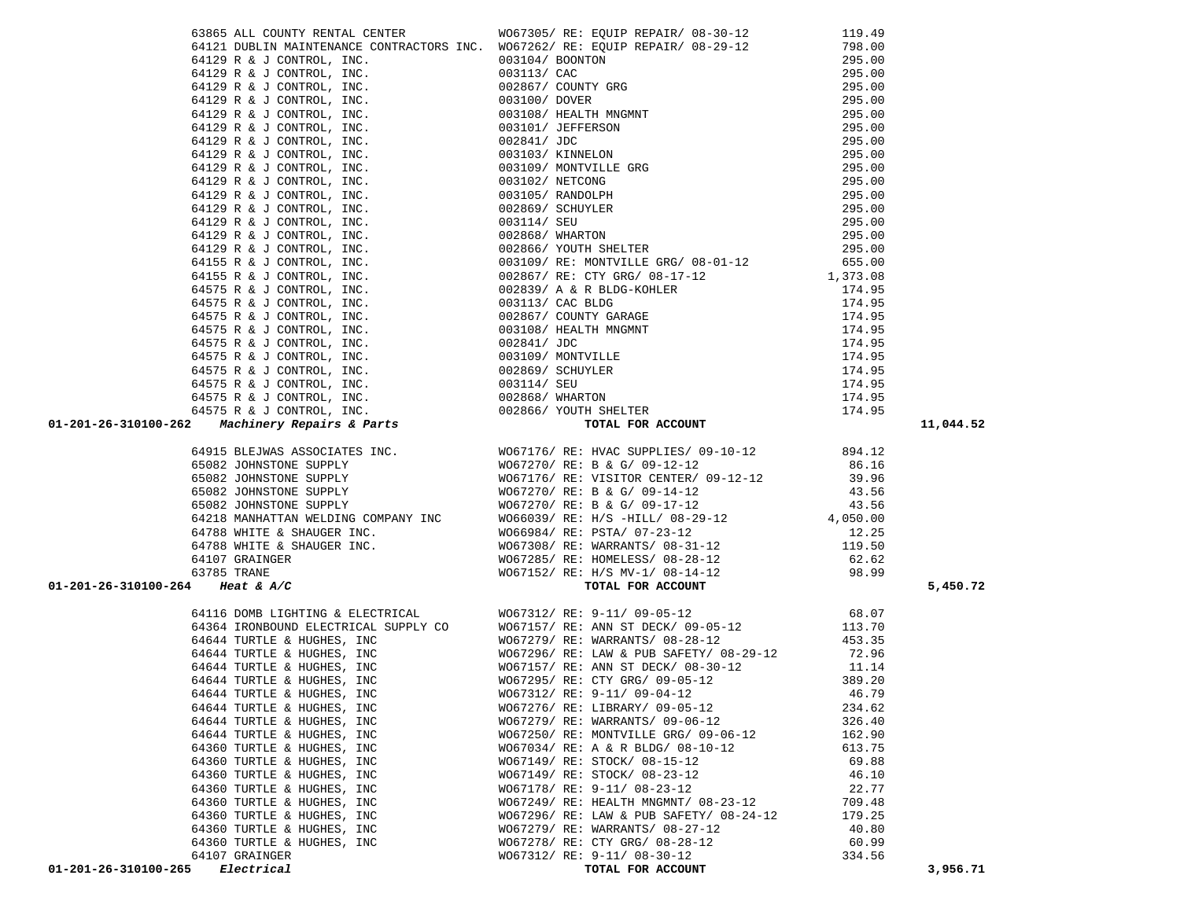|                                 |                                                                                                                                                                                                                                                                                                                                                                                                                                                                     | 11,044.52 |
|---------------------------------|---------------------------------------------------------------------------------------------------------------------------------------------------------------------------------------------------------------------------------------------------------------------------------------------------------------------------------------------------------------------------------------------------------------------------------------------------------------------|-----------|
|                                 |                                                                                                                                                                                                                                                                                                                                                                                                                                                                     |           |
|                                 |                                                                                                                                                                                                                                                                                                                                                                                                                                                                     |           |
|                                 |                                                                                                                                                                                                                                                                                                                                                                                                                                                                     |           |
|                                 |                                                                                                                                                                                                                                                                                                                                                                                                                                                                     |           |
|                                 |                                                                                                                                                                                                                                                                                                                                                                                                                                                                     |           |
|                                 |                                                                                                                                                                                                                                                                                                                                                                                                                                                                     |           |
|                                 |                                                                                                                                                                                                                                                                                                                                                                                                                                                                     |           |
|                                 |                                                                                                                                                                                                                                                                                                                                                                                                                                                                     |           |
|                                 |                                                                                                                                                                                                                                                                                                                                                                                                                                                                     |           |
|                                 |                                                                                                                                                                                                                                                                                                                                                                                                                                                                     |           |
|                                 |                                                                                                                                                                                                                                                                                                                                                                                                                                                                     |           |
|                                 | 64139 M a d Common. INC. (1923) M M MONTH (1920) M a d Carl Common (1923) M a d Common. INC. (1931) M MOVILLE (1932) M MOVILLE (1932) M A d Common. INC. (1932) M MOVILLE (1932) M MOVILLE (1932) M A d Common. INC. (1933) M                                                                                                                                                                                                                                       | 5,450.72  |
|                                 |                                                                                                                                                                                                                                                                                                                                                                                                                                                                     |           |
|                                 |                                                                                                                                                                                                                                                                                                                                                                                                                                                                     |           |
|                                 |                                                                                                                                                                                                                                                                                                                                                                                                                                                                     |           |
|                                 |                                                                                                                                                                                                                                                                                                                                                                                                                                                                     |           |
|                                 |                                                                                                                                                                                                                                                                                                                                                                                                                                                                     |           |
|                                 |                                                                                                                                                                                                                                                                                                                                                                                                                                                                     |           |
|                                 |                                                                                                                                                                                                                                                                                                                                                                                                                                                                     |           |
|                                 |                                                                                                                                                                                                                                                                                                                                                                                                                                                                     |           |
|                                 |                                                                                                                                                                                                                                                                                                                                                                                                                                                                     |           |
|                                 |                                                                                                                                                                                                                                                                                                                                                                                                                                                                     |           |
|                                 |                                                                                                                                                                                                                                                                                                                                                                                                                                                                     |           |
|                                 |                                                                                                                                                                                                                                                                                                                                                                                                                                                                     |           |
|                                 |                                                                                                                                                                                                                                                                                                                                                                                                                                                                     |           |
|                                 |                                                                                                                                                                                                                                                                                                                                                                                                                                                                     |           |
|                                 |                                                                                                                                                                                                                                                                                                                                                                                                                                                                     |           |
|                                 |                                                                                                                                                                                                                                                                                                                                                                                                                                                                     |           |
|                                 |                                                                                                                                                                                                                                                                                                                                                                                                                                                                     |           |
|                                 |                                                                                                                                                                                                                                                                                                                                                                                                                                                                     |           |
|                                 |                                                                                                                                                                                                                                                                                                                                                                                                                                                                     |           |
|                                 |                                                                                                                                                                                                                                                                                                                                                                                                                                                                     |           |
| 01-201-26-310100-265 Electrical |                                                                                                                                                                                                                                                                                                                                                                                                                                                                     | 3,956.71  |
|                                 | $\begin{tabular}{l c c c c} \multicolumn{4}{c}{\textbf{5}} & \multicolumn{4}{c}{\textbf{5}} & \multicolumn{4}{c}{\textbf{5}} & \multicolumn{4}{c}{\textbf{6}} & \multicolumn{4}{c}{\textbf{6}} & \multicolumn{4}{c}{\textbf{6}} & \multicolumn{4}{c}{\textbf{6}} & \multicolumn{4}{c}{\textbf{6}} & \multicolumn{4}{c}{\textbf{6}} & \multicolumn{4}{c}{\textbf{6}} & \multicolumn{4}{c}{\textbf{6}} & \multicolumn{4}{c}{\textbf{6}} & \multicolumn{4}{c}{\textbf$ |           |
|                                 |                                                                                                                                                                                                                                                                                                                                                                                                                                                                     |           |

|  | 7176/RE: HVAC SUPPLIES/ 09-10-12 894.12<br>7270/ RE: B & G/ 09-12-12<br>7270/RE: B & G/ 09-12-12<br>7176/RE: VISITOR CENTER/ 09-12-12 39.96<br>7270/ RE: B & G/ 09-14-12                                        | 86.16<br>43.56            |
|--|-----------------------------------------------------------------------------------------------------------------------------------------------------------------------------------------------------------------|---------------------------|
|  | 7270/ RE: B & G/ 09-17-12                                                                                                                                                                                       | 43.56<br>4,050.00         |
|  | 5039/ RE: H/S -HILL/ 08-29-12                                                                                                                                                                                   |                           |
|  | 5984/RE: PSTA/07-23-12<br>7308/RE: WARRANTS/08-31-12<br>52.62                                                                                                                                                   |                           |
|  |                                                                                                                                                                                                                 |                           |
|  | 7285/ RE: HOMELESS/ 08-28-12                                                                                                                                                                                    | 62.62<br>$02.02$<br>98.99 |
|  | 7152/ RE: H/S MV-1/ 08-14-12                                                                                                                                                                                    |                           |
|  | TOTAL FOR ACCOUNT                                                                                                                                                                                               |                           |
|  | 7312/ RE: 9-11/ 09-05-12                                                                                                                                                                                        | 68.07                     |
|  |                                                                                                                                                                                                                 | 113.70                    |
|  |                                                                                                                                                                                                                 | 453.35                    |
|  | 7296/RE: LAW & PUB SAFETY/ 08-29-12 72.96                                                                                                                                                                       |                           |
|  |                                                                                                                                                                                                                 | 11.14                     |
|  |                                                                                                                                                                                                                 | 389.20                    |
|  |                                                                                                                                                                                                                 | 46.79                     |
|  | 1157/RE: ANN ST DECK/08-30-12<br>7295/RE: CTY GRG/09-05-12<br>7312/RE: 9-11/09-04-12<br>7312/RE: 9-11/09-04-12<br>7276/RE: LIBRARY/09-05-12<br>7250/RE: MORTYLLE GRG/09-06-12<br>7034/PE: MORTYLLE GRG/09-10-12 | 234.62                    |
|  |                                                                                                                                                                                                                 | 326.40                    |
|  |                                                                                                                                                                                                                 | 162.90                    |
|  | 7034/RE: A & R BLDG/08-10-12<br>7034/RE: STOCK/08-15-12<br>7149/RE: STOCK/08-15-12<br>7149/RE: STOCK/08-23-12<br>7178/RE: 9-11/08-23-12<br>7178/RE: 9-11/08-23-12<br>722.77                                     |                           |
|  |                                                                                                                                                                                                                 |                           |
|  |                                                                                                                                                                                                                 |                           |
|  | 7178/ RE: 9-11/ 08-23-12                                                                                                                                                                                        | 22.77                     |
|  | 7249/RE: HEALTH MNGMNT/ 08-23-12                                                                                                                                                                                | 709.48                    |
|  | 7296/RE: LAW & PUB SAFETY/ 08-24-12 179.25                                                                                                                                                                      |                           |
|  | 7279/ RE: WARRANTS/ 08-27-12                                                                                                                                                                                    | 40.80                     |
|  | 7278/ RE: CTY GRG/ 08-28-12                                                                                                                                                                                     | 60.99                     |
|  | 7312/ RE: 9-11/ 08-30-12                                                                                                                                                                                        | 334.56                    |
|  | $\blacksquare$                                                                                                                                                                                                  |                           |

 63865 ALL COUNTY RENTAL CENTER WO67305/ RE: EQUIP REPAIR/ 08-30-12 119.49 64121 DUBLIN MAINTENANCE CONTRACTORS INC. WO67262/ RE: EQUIP REPAIR/ 08-29-12 798.00 64129 R & J CONTROL, INC. 003104/ BOONTON 295.00 64129 R & J CONTROL, INC. 003113/ CAC 295.00 64129 R & J CONTROL, INC. 002867/ COUNTY GRG 295.00 64129 R & J CONTROL, INC. 003100/ DOVER 295.00 64129 R & J CONTROL, INC. 003108/ HEALTH MNGMNT 295.00 64129 R & J CONTROL, INC. 003101/ JEFFERSON 295.00 LLE GRG/ 08-01-12 655.00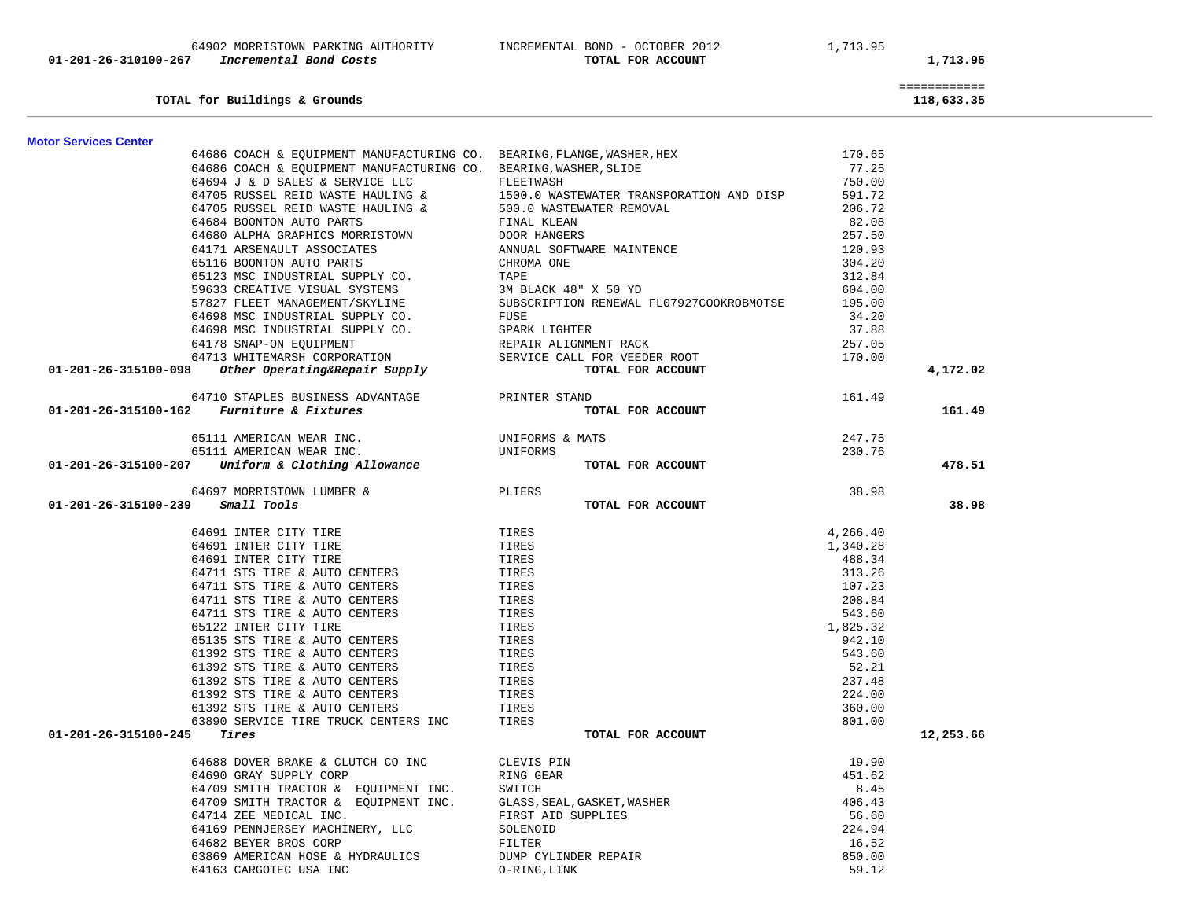| TOTAL for Buildings & Grounds                                          |                                          |                    | ============<br>118,633.35 |  |
|------------------------------------------------------------------------|------------------------------------------|--------------------|----------------------------|--|
| <b>Motor Services Center</b>                                           |                                          |                    |                            |  |
| 64686 COACH & EQUIPMENT MANUFACTURING CO. BEARING, FLANGE, WASHER, HEX |                                          | 170.65             |                            |  |
| 64686 COACH & EQUIPMENT MANUFACTURING CO. BEARING, WASHER, SLIDE       |                                          | 77.25              |                            |  |
| 64694 J & D SALES & SERVICE LLC                                        | FLEETWASH                                | 750.00             |                            |  |
| 64705 RUSSEL REID WASTE HAULING &                                      | 1500.0 WASTEWATER TRANSPORATION AND DISP | 591.72             |                            |  |
| 64705 RUSSEL REID WASTE HAULING &                                      | 500.0 WASTEWATER REMOVAL                 | 206.72             |                            |  |
| 64684 BOONTON AUTO PARTS                                               | FINAL KLEAN                              | 82.08              |                            |  |
| 64680 ALPHA GRAPHICS MORRISTOWN                                        | DOOR HANGERS                             | 257.50             |                            |  |
| 64171 ARSENAULT ASSOCIATES                                             | ANNUAL SOFTWARE MAINTENCE                | 120.93             |                            |  |
| 65116 BOONTON AUTO PARTS                                               | CHROMA ONE                               | 304.20             |                            |  |
| 65123 MSC INDUSTRIAL SUPPLY CO.                                        | TAPE                                     | 312.84             |                            |  |
| 59633 CREATIVE VISUAL SYSTEMS                                          | 3M BLACK 48" X 50 YD                     | 604.00             |                            |  |
| 57827 FLEET MANAGEMENT/SKYLINE                                         | SUBSCRIPTION RENEWAL FL07927COOKROBMOTSE | 195.00             |                            |  |
| 64698 MSC INDUSTRIAL SUPPLY CO.                                        | FUSE                                     | 34.20              |                            |  |
| 64698 MSC INDUSTRIAL SUPPLY CO.                                        | SPARK LIGHTER                            | 37.88              |                            |  |
| 64178 SNAP-ON EQUIPMENT                                                | REPAIR ALIGNMENT RACK                    | 257.05             |                            |  |
| 64713 WHITEMARSH CORPORATION                                           | SERVICE CALL FOR VEEDER ROOT             | 170.00             |                            |  |
| 01-201-26-315100-098<br>Other Operating&Repair Supply                  | TOTAL FOR ACCOUNT                        |                    | 4,172.02                   |  |
| 64710 STAPLES BUSINESS ADVANTAGE                                       | PRINTER STAND                            | 161.49             |                            |  |
| Furniture & Fixtures<br>01-201-26-315100-162                           | TOTAL FOR ACCOUNT                        |                    | 161.49                     |  |
| 65111 AMERICAN WEAR INC.                                               | UNIFORMS & MATS                          | 247.75             |                            |  |
| 65111 AMERICAN WEAR INC.                                               | UNIFORMS                                 | 230.76             |                            |  |
| Uniform & Clothing Allowance<br>01-201-26-315100-207                   | TOTAL FOR ACCOUNT                        |                    | 478.51                     |  |
| 64697 MORRISTOWN LUMBER &                                              | PLIERS                                   | 38.98              |                            |  |
| 01-201-26-315100-239<br>Small Tools                                    | TOTAL FOR ACCOUNT                        |                    | 38.98                      |  |
| 64691 INTER CITY TIRE                                                  | TIRES                                    | 4,266.40           |                            |  |
| 64691 INTER CITY TIRE                                                  | TIRES                                    | 1,340.28           |                            |  |
| 64691 INTER CITY TIRE                                                  | TIRES                                    | 488.34             |                            |  |
| 64711 STS TIRE & AUTO CENTERS                                          | TIRES                                    | 313.26             |                            |  |
| 64711 STS TIRE & AUTO CENTERS                                          | TIRES                                    | 107.23             |                            |  |
| 64711 STS TIRE & AUTO CENTERS                                          | TIRES                                    | 208.84             |                            |  |
| 64711 STS TIRE & AUTO CENTERS                                          | TIRES                                    | 543.60             |                            |  |
| 65122 INTER CITY TIRE<br>65135 STS TIRE & AUTO CENTERS                 | TIRES<br>TIRES                           | 1,825.32<br>942.10 |                            |  |
| 61392 STS TIRE & AUTO CENTERS                                          | TIRES                                    | 543.60             |                            |  |
| 61392 STS TIRE & AUTO CENTERS                                          | TIRES                                    | 52.21              |                            |  |
| 61392 STS TIRE & AUTO CENTERS                                          | TIRES                                    | 237.48             |                            |  |
| 61392 STS TIRE & AUTO CENTERS                                          | TIRES                                    | 224.00             |                            |  |
| 61392 STS TIRE & AUTO CENTERS                                          | TIRES                                    | 360.00             |                            |  |
| 63890 SERVICE TIRE TRUCK CENTERS INC                                   | TIRES                                    | 801.00             |                            |  |
| 01-201-26-315100-245<br>Tires                                          | TOTAL FOR ACCOUNT                        |                    | 12,253.66                  |  |
| 64688 DOVER BRAKE & CLUTCH CO INC                                      | CLEVIS PIN                               | 19.90              |                            |  |
| 64690 GRAY SUPPLY CORP                                                 | RING GEAR                                | 451.62             |                            |  |
| 64709 SMITH TRACTOR & EQUIPMENT INC.                                   | SWITCH                                   | 8.45               |                            |  |
| 64709 SMITH TRACTOR & EQUIPMENT INC.                                   | GLASS, SEAL, GASKET, WASHER              | 406.43             |                            |  |
| 64714 ZEE MEDICAL INC.                                                 | FIRST AID SUPPLIES                       | 56.60              |                            |  |
| 64169 PENNJERSEY MACHINERY, LLC                                        | SOLENOID                                 | 224.94             |                            |  |
| 64682 BEYER BROS CORP                                                  | FILTER                                   | 16.52              |                            |  |
| 63869 AMERICAN HOSE & HYDRAULICS                                       | DUMP CYLINDER REPAIR                     | 850.00             |                            |  |
| 64163 CARGOTEC USA INC                                                 | O-RING, LINK                             | 59.12              |                            |  |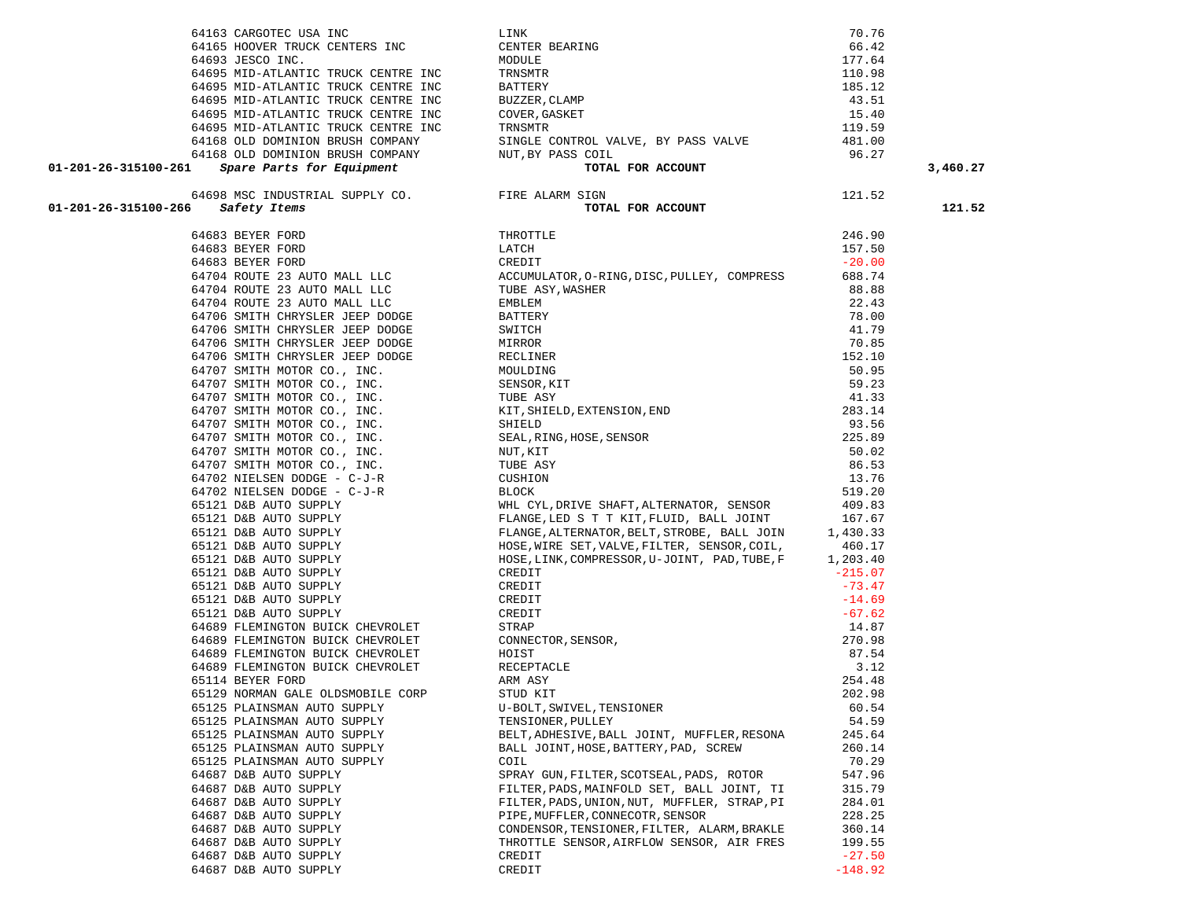|                                   |                                                                                                                                                                                                                                                                                                                                                                                     |          | 3,460.27 |
|-----------------------------------|-------------------------------------------------------------------------------------------------------------------------------------------------------------------------------------------------------------------------------------------------------------------------------------------------------------------------------------------------------------------------------------|----------|----------|
|                                   |                                                                                                                                                                                                                                                                                                                                                                                     |          |          |
|                                   |                                                                                                                                                                                                                                                                                                                                                                                     |          |          |
|                                   |                                                                                                                                                                                                                                                                                                                                                                                     |          | 121.52   |
|                                   |                                                                                                                                                                                                                                                                                                                                                                                     |          |          |
|                                   |                                                                                                                                                                                                                                                                                                                                                                                     |          |          |
|                                   |                                                                                                                                                                                                                                                                                                                                                                                     |          |          |
|                                   |                                                                                                                                                                                                                                                                                                                                                                                     |          |          |
|                                   |                                                                                                                                                                                                                                                                                                                                                                                     |          |          |
|                                   |                                                                                                                                                                                                                                                                                                                                                                                     |          |          |
|                                   |                                                                                                                                                                                                                                                                                                                                                                                     |          |          |
|                                   |                                                                                                                                                                                                                                                                                                                                                                                     |          |          |
|                                   |                                                                                                                                                                                                                                                                                                                                                                                     |          |          |
|                                   |                                                                                                                                                                                                                                                                                                                                                                                     |          |          |
|                                   |                                                                                                                                                                                                                                                                                                                                                                                     |          |          |
|                                   |                                                                                                                                                                                                                                                                                                                                                                                     |          |          |
|                                   |                                                                                                                                                                                                                                                                                                                                                                                     |          |          |
|                                   |                                                                                                                                                                                                                                                                                                                                                                                     |          |          |
|                                   |                                                                                                                                                                                                                                                                                                                                                                                     |          |          |
|                                   |                                                                                                                                                                                                                                                                                                                                                                                     |          |          |
|                                   |                                                                                                                                                                                                                                                                                                                                                                                     |          |          |
|                                   |                                                                                                                                                                                                                                                                                                                                                                                     |          |          |
|                                   |                                                                                                                                                                                                                                                                                                                                                                                     |          |          |
|                                   |                                                                                                                                                                                                                                                                                                                                                                                     |          |          |
|                                   |                                                                                                                                                                                                                                                                                                                                                                                     |          |          |
|                                   |                                                                                                                                                                                                                                                                                                                                                                                     |          |          |
|                                   |                                                                                                                                                                                                                                                                                                                                                                                     |          |          |
|                                   |                                                                                                                                                                                                                                                                                                                                                                                     |          |          |
|                                   |                                                                                                                                                                                                                                                                                                                                                                                     |          |          |
|                                   |                                                                                                                                                                                                                                                                                                                                                                                     |          |          |
|                                   |                                                                                                                                                                                                                                                                                                                                                                                     |          |          |
|                                   |                                                                                                                                                                                                                                                                                                                                                                                     |          |          |
|                                   |                                                                                                                                                                                                                                                                                                                                                                                     |          |          |
|                                   | $\begin{minipage}[t]{0.5em} \begin{tabular}{ c c c c c c c c c c c c c c c c c} \hline \multicolumn{1}{ c c c c c c} \hline \multicolumn{1}{ c c c c c} \hline \multicolumn{1}{ c c c c} \hline \multicolumn{1}{ c c c c} \hline \multicolumn{1}{ c c c} \hline \multicolumn{1}{ c c c} \hline \multicolumn{1}{ c c c} \hline \multicolumn{1}{ c c c} \hline \multicolumn{1}{ c c $ |          |          |
|                                   |                                                                                                                                                                                                                                                                                                                                                                                     |          |          |
|                                   |                                                                                                                                                                                                                                                                                                                                                                                     |          |          |
|                                   |                                                                                                                                                                                                                                                                                                                                                                                     |          |          |
|                                   |                                                                                                                                                                                                                                                                                                                                                                                     |          |          |
|                                   |                                                                                                                                                                                                                                                                                                                                                                                     |          |          |
| 65129 NORMAN GALE OLDSMOBILE CORP | STUD KIT                                                                                                                                                                                                                                                                                                                                                                            | 202.98   |          |
| 65125 PLAINSMAN AUTO SUPPLY       | U-BOLT, SWIVEL, TENSIONER                                                                                                                                                                                                                                                                                                                                                           | 60.54    |          |
| 65125 PLAINSMAN AUTO SUPPLY       | TENSIONER, PULLEY                                                                                                                                                                                                                                                                                                                                                                   | 54.59    |          |
| 65125 PLAINSMAN AUTO SUPPLY       | BELT, ADHESIVE, BALL JOINT, MUFFLER, RESONA                                                                                                                                                                                                                                                                                                                                         | 245.64   |          |
| 65125 PLAINSMAN AUTO SUPPLY       | BALL JOINT, HOSE, BATTERY, PAD, SCREW                                                                                                                                                                                                                                                                                                                                               | 260.14   |          |
| 65125 PLAINSMAN AUTO SUPPLY       | COIL                                                                                                                                                                                                                                                                                                                                                                                | 70.29    |          |
| 64687 D&B AUTO SUPPLY             | SPRAY GUN, FILTER, SCOTSEAL, PADS, ROTOR                                                                                                                                                                                                                                                                                                                                            | 547.96   |          |
| 64687 D&B AUTO SUPPLY             | FILTER, PADS, MAINFOLD SET, BALL JOINT, TI                                                                                                                                                                                                                                                                                                                                          | 315.79   |          |
| 64687 D&B AUTO SUPPLY             | FILTER, PADS, UNION, NUT, MUFFLER, STRAP, PI                                                                                                                                                                                                                                                                                                                                        | 284.01   |          |
| 64687 D&B AUTO SUPPLY             | PIPE, MUFFLER, CONNECOTR, SENSOR                                                                                                                                                                                                                                                                                                                                                    | 228.25   |          |
| 64687 D&B AUTO SUPPLY             | CONDENSOR, TENSIONER, FILTER, ALARM, BRAKLE                                                                                                                                                                                                                                                                                                                                         | 360.14   |          |
| 64687 D&B AUTO SUPPLY             | THROTTLE SENSOR, AIRFLOW SENSOR, AIR FRES                                                                                                                                                                                                                                                                                                                                           | 199.55   |          |
| 64687 D&B AUTO SUPPLY             | CREDIT                                                                                                                                                                                                                                                                                                                                                                              | $-27.50$ |          |

64687 D&B AUTO SUPPLY CREDIT

 $-148.92$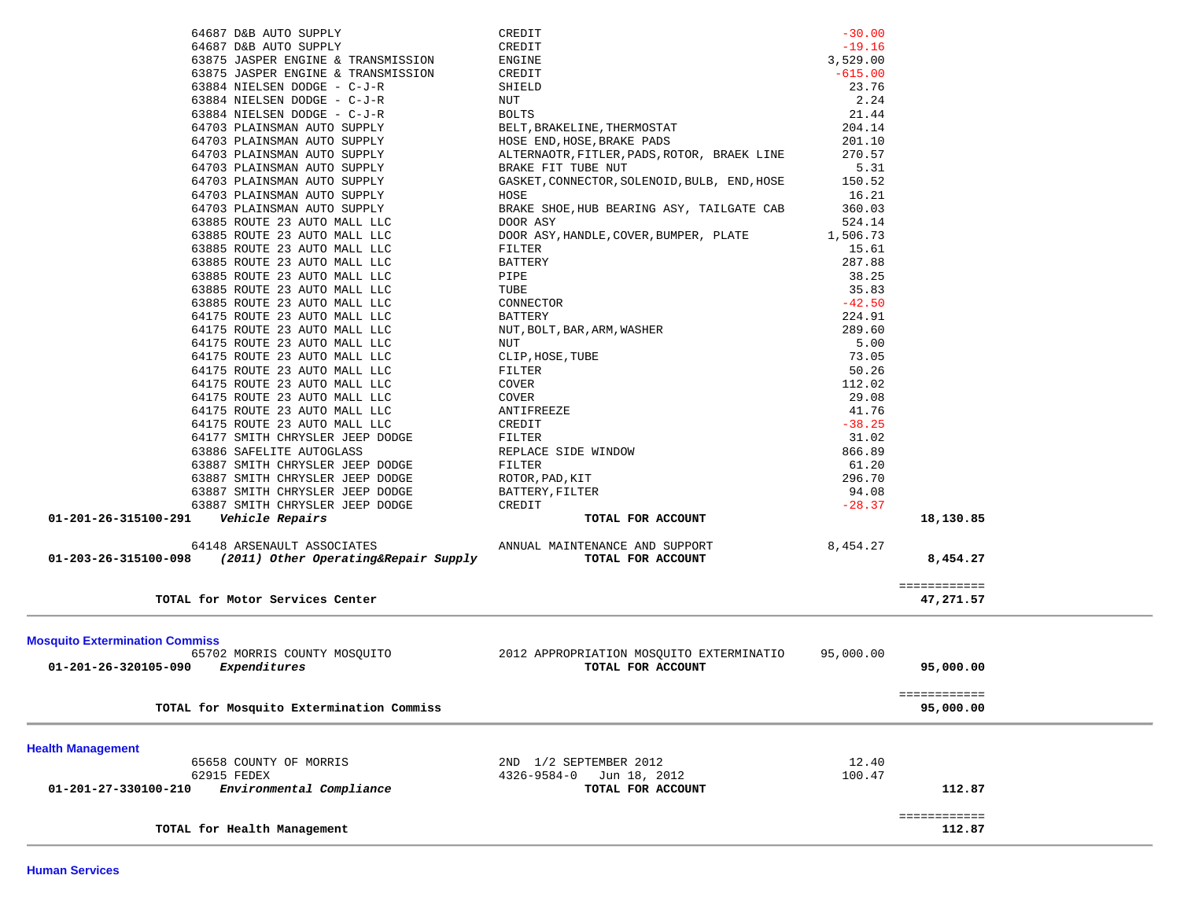|                                       | Expenditures                                                       | TOTAL FOR ACCOUNT                                    |                      | 95,000.00                 |  |
|---------------------------------------|--------------------------------------------------------------------|------------------------------------------------------|----------------------|---------------------------|--|
| 01-201-26-320105-090                  | 65702 MORRIS COUNTY MOSQUITO                                       | 2012 APPROPRIATION MOSQUITO EXTERMINATIO             | 95,000.00            |                           |  |
| <b>Mosquito Extermination Commiss</b> |                                                                    |                                                      |                      |                           |  |
|                                       |                                                                    |                                                      |                      |                           |  |
|                                       | TOTAL for Motor Services Center                                    |                                                      |                      | ============<br>47,271.57 |  |
|                                       |                                                                    |                                                      |                      |                           |  |
| 01-203-26-315100-098                  | 64148 ARSENAULT ASSOCIATES<br>(2011) Other Operating&Repair Supply | ANNUAL MAINTENANCE AND SUPPORT<br>TOTAL FOR ACCOUNT  | 8,454.27             | 8,454.27                  |  |
|                                       |                                                                    |                                                      |                      |                           |  |
| 01-201-26-315100-291                  | Vehicle Repairs                                                    | TOTAL FOR ACCOUNT                                    |                      | 18,130.85                 |  |
|                                       | 63887 SMITH CHRYSLER JEEP DODGE<br>63887 SMITH CHRYSLER JEEP DODGE | BATTERY, FILTER<br>CREDIT                            | 94.08<br>$-28.37$    |                           |  |
|                                       | 63887 SMITH CHRYSLER JEEP DODGE                                    | ROTOR, PAD, KIT                                      | 296.70               |                           |  |
|                                       | 63887 SMITH CHRYSLER JEEP DODGE                                    | FILTER                                               | 61.20                |                           |  |
|                                       | 63886 SAFELITE AUTOGLASS                                           | REPLACE SIDE WINDOW                                  | 866.89               |                           |  |
|                                       | 64177 SMITH CHRYSLER JEEP DODGE                                    | FILTER                                               | 31.02                |                           |  |
|                                       | 64175 ROUTE 23 AUTO MALL LLC                                       | CREDIT                                               | $-38.25$             |                           |  |
|                                       | 64175 ROUTE 23 AUTO MALL LLC                                       | ANTIFREEZE                                           | 41.76                |                           |  |
|                                       | 64175 ROUTE 23 AUTO MALL LLC                                       | <b>COVER</b>                                         | 29.08                |                           |  |
|                                       | 64175 ROUTE 23 AUTO MALL LLC                                       | COVER                                                | 112.02               |                           |  |
|                                       | 64175 ROUTE 23 AUTO MALL LLC                                       | FILTER                                               | 50.26                |                           |  |
|                                       | 64175 ROUTE 23 AUTO MALL LLC<br>64175 ROUTE 23 AUTO MALL LLC       | NUT<br>CLIP, HOSE, TUBE                              | 5.00<br>73.05        |                           |  |
|                                       | 64175 ROUTE 23 AUTO MALL LLC                                       | NUT, BOLT, BAR, ARM, WASHER                          | 289.60               |                           |  |
|                                       | 64175 ROUTE 23 AUTO MALL LLC                                       | <b>BATTERY</b>                                       | 224.91               |                           |  |
|                                       | 63885 ROUTE 23 AUTO MALL LLC                                       | CONNECTOR                                            | $-42.50$             |                           |  |
|                                       | 63885 ROUTE 23 AUTO MALL LLC                                       | TUBE                                                 | 35.83                |                           |  |
|                                       | 63885 ROUTE 23 AUTO MALL LLC                                       | PIPE                                                 | 38.25                |                           |  |
|                                       | 63885 ROUTE 23 AUTO MALL LLC                                       | BATTERY                                              | 287.88               |                           |  |
|                                       | 63885 ROUTE 23 AUTO MALL LLC                                       | FILTER                                               | 15.61                |                           |  |
|                                       | 63885 ROUTE 23 AUTO MALL LLC                                       | DOOR ASY, HANDLE, COVER, BUMPER, PLATE               | 1,506.73             |                           |  |
|                                       | 63885 ROUTE 23 AUTO MALL LLC                                       | DOOR ASY                                             | 524.14               |                           |  |
|                                       | 64703 PLAINSMAN AUTO SUPPLY                                        | BRAKE SHOE, HUB BEARING ASY, TAILGATE CAB            | 360.03               |                           |  |
|                                       | 64703 PLAINSMAN AUTO SUPPLY                                        | GASKET, CONNECTOR, SOLENOID, BULB, END, HOSE<br>HOSE | 150.52<br>16.21      |                           |  |
|                                       | 64703 PLAINSMAN AUTO SUPPLY<br>64703 PLAINSMAN AUTO SUPPLY         | BRAKE FIT TUBE NUT                                   | 5.31                 |                           |  |
|                                       | 64703 PLAINSMAN AUTO SUPPLY                                        | ALTERNAOTR, FITLER, PADS, ROTOR, BRAEK LINE          | 270.57               |                           |  |
|                                       | 64703 PLAINSMAN AUTO SUPPLY                                        | HOSE END, HOSE, BRAKE PADS                           | 201.10               |                           |  |
|                                       | 64703 PLAINSMAN AUTO SUPPLY                                        | BELT, BRAKELINE, THERMOSTAT                          | 204.14               |                           |  |
|                                       | 63884 NIELSEN DODGE - C-J-R                                        | <b>BOLTS</b>                                         | 21.44                |                           |  |
|                                       | 63884 NIELSEN DODGE - C-J-R                                        | NUT                                                  | 2.24                 |                           |  |
|                                       | 63884 NIELSEN DODGE - C-J-R                                        | SHIELD                                               | 23.76                |                           |  |
|                                       | 63875 JASPER ENGINE & TRANSMISSION                                 | CREDIT                                               | $-615.00$            |                           |  |
|                                       | 63875 JASPER ENGINE & TRANSMISSION                                 | ENGINE                                               | 3,529.00             |                           |  |
|                                       | 64687 D&B AUTO SUPPLY<br>64687 D&B AUTO SUPPLY                     | CREDIT<br>CREDIT                                     | $-30.00$<br>$-19.16$ |                           |  |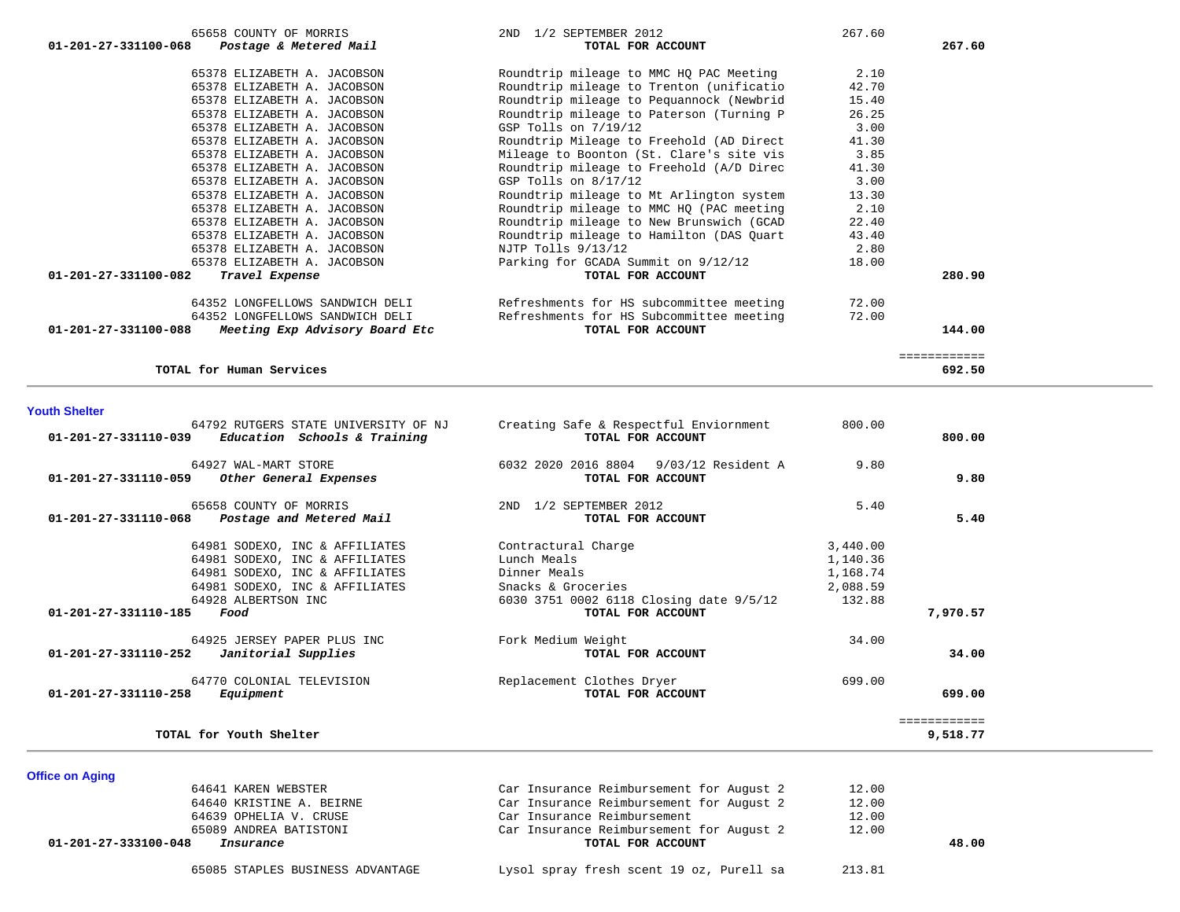| 65658 COUNTY OF MORRIS                                           | 2ND 1/2 SEPTEMBER 2012                   | 267.60 |              |
|------------------------------------------------------------------|------------------------------------------|--------|--------------|
| 01-201-27-331100-068<br>Postage & Metered Mail                   | TOTAL FOR ACCOUNT                        |        | 267.60       |
| 65378 ELIZABETH A. JACOBSON                                      | Roundtrip mileage to MMC HQ PAC Meeting  | 2.10   |              |
| 65378 ELIZABETH A. JACOBSON                                      | Roundtrip mileage to Trenton (unificatio | 42.70  |              |
| 65378 ELIZABETH A. JACOBSON                                      | Roundtrip mileage to Pequannock (Newbrid | 15.40  |              |
| 65378 ELIZABETH A. JACOBSON                                      | Roundtrip mileage to Paterson (Turning P | 26.25  |              |
| 65378 ELIZABETH A. JACOBSON                                      | GSP Tolls on 7/19/12                     | 3.00   |              |
| 65378 ELIZABETH A. JACOBSON                                      | Roundtrip Mileage to Freehold (AD Direct | 41.30  |              |
| 65378 ELIZABETH A. JACOBSON                                      | Mileage to Boonton (St. Clare's site vis | 3.85   |              |
| 65378 ELIZABETH A. JACOBSON                                      | Roundtrip mileage to Freehold (A/D Direc | 41.30  |              |
| 65378 ELIZABETH A. JACOBSON                                      | GSP Tolls on $8/17/12$                   | 3.00   |              |
| 65378 ELIZABETH A. JACOBSON                                      | Roundtrip mileage to Mt Arlington system | 13.30  |              |
| 65378 ELIZABETH A. JACOBSON                                      | Roundtrip mileage to MMC HQ (PAC meeting | 2.10   |              |
| 65378 ELIZABETH A. JACOBSON                                      | Roundtrip mileage to New Brunswich (GCAD | 22.40  |              |
| 65378 ELIZABETH A. JACOBSON                                      | Roundtrip mileage to Hamilton (DAS Quart | 43.40  |              |
| 65378 ELIZABETH A. JACOBSON                                      | NJTP Tolls 9/13/12                       | 2.80   |              |
| 65378 ELIZABETH A. JACOBSON                                      | Parking for GCADA Summit on 9/12/12      | 18.00  |              |
| 01-201-27-331100-082<br>Travel Expense                           | TOTAL FOR ACCOUNT                        |        | 280.90       |
| 64352 LONGFELLOWS SANDWICH DELI                                  | Refreshments for HS subcommittee meeting | 72.00  |              |
| 64352 LONGFELLOWS SANDWICH DELI                                  | Refreshments for HS Subcommittee meeting | 72.00  |              |
| $01 - 201 - 27 - 331100 - 088$<br>Meeting Exp Advisory Board Etc | TOTAL FOR ACCOUNT                        |        | 144.00       |
|                                                                  |                                          |        | ============ |
| TOTAL for Human Services                                         |                                          |        | 692.50       |

#### **Youth Shelter**

| 64792 RUTGERS STATE UNIVERSITY OF NJ<br>Education Schools & Training<br>01-201-27-331110-039 | Creating Safe & Respectful Enviornment<br>TOTAL FOR ACCOUNT      | 800.00   | 800.00       |
|----------------------------------------------------------------------------------------------|------------------------------------------------------------------|----------|--------------|
| 64927 WAL-MART STORE<br>01-201-27-331110-059<br>Other General Expenses                       | 6032 2020 2016 8804<br>$9/03/12$ Resident A<br>TOTAL FOR ACCOUNT | 9.80     | 9.80         |
| 65658 COUNTY OF MORRIS<br>01-201-27-331110-068<br>Postage and Metered Mail                   | 1/2 SEPTEMBER 2012<br>2ND<br>TOTAL FOR ACCOUNT                   | 5.40     | 5.40         |
| 64981 SODEXO, INC & AFFILIATES                                                               | Contractural Charge                                              | 3,440.00 |              |
| 64981 SODEXO, INC & AFFILIATES                                                               | Lunch Meals                                                      | 1,140.36 |              |
| 64981 SODEXO, INC & AFFILIATES                                                               | Dinner Meals                                                     | 1,168.74 |              |
| 64981 SODEXO, INC & AFFILIATES                                                               | Snacks & Groceries                                               | 2,088.59 |              |
| 64928 ALBERTSON INC                                                                          | 6030 3751 0002 6118 Closing date 9/5/12                          | 132.88   |              |
| 01-201-27-331110-185<br>Food                                                                 | TOTAL FOR ACCOUNT                                                |          | 7,970.57     |
| 64925 JERSEY PAPER PLUS INC                                                                  | Fork Medium Weight                                               | 34.00    |              |
| 01-201-27-331110-252<br>Janitorial Supplies                                                  | TOTAL FOR ACCOUNT                                                |          | 34.00        |
| 64770 COLONIAL TELEVISION                                                                    | Replacement Clothes Dryer                                        | 699.00   |              |
| $01 - 201 - 27 - 331110 - 258$<br>Equipment                                                  | TOTAL FOR ACCOUNT                                                |          | 699.00       |
|                                                                                              |                                                                  |          | ------------ |
| TOTAL for Youth Shelter                                                                      |                                                                  |          | 9,518.77     |

| 01-201-27-333100-048<br>Insurance | TOTAL FOR ACCOUNT                        |       | 48.00 |
|-----------------------------------|------------------------------------------|-------|-------|
| 65089 ANDREA BATISTONI            | Car Insurance Reimbursement for August 2 | 12.00 |       |
| 64639 OPHELIA V. CRUSE            | Car Insurance Reimbursement              | 12.00 |       |
| 64640 KRISTINE A. BEIRNE          | Car Insurance Reimbursement for August 2 | 12.00 |       |
| 64641 KAREN WEBSTER               | Car Insurance Reimbursement for August 2 | 12.00 |       |
| <b>Office on Aging</b>            |                                          |       |       |

65085 STAPLES BUSINESS ADVANTAGE Lysol spray fresh scent 19 oz, Purell sa 213.81

8.00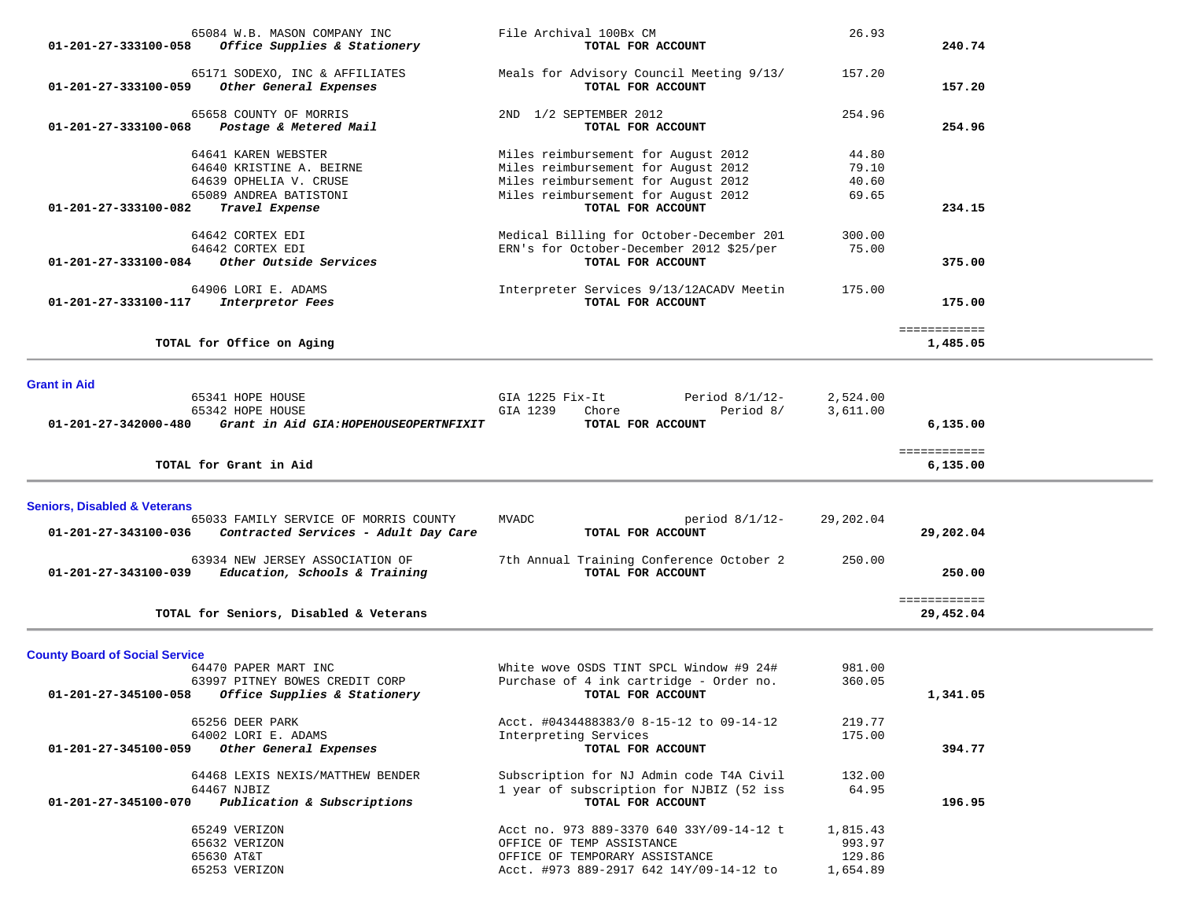| 65084 W.B. MASON COMPANY INC<br>01-201-27-333100-058<br>Office Supplies & Stationery                           | File Archival 100Bx CM<br>TOTAL FOR ACCOUNT                                                               | 26.93                        | 240.74                    |  |
|----------------------------------------------------------------------------------------------------------------|-----------------------------------------------------------------------------------------------------------|------------------------------|---------------------------|--|
| 65171 SODEXO, INC & AFFILIATES<br>01-201-27-333100-059<br>Other General Expenses                               | Meals for Advisory Council Meeting 9/13/<br>TOTAL FOR ACCOUNT                                             | 157.20                       | 157.20                    |  |
| 65658 COUNTY OF MORRIS<br>01-201-27-333100-068<br>Postage & Metered Mail                                       | 2ND 1/2 SEPTEMBER 2012<br>TOTAL FOR ACCOUNT                                                               | 254.96                       | 254.96                    |  |
| 64641 KAREN WEBSTER<br>64640 KRISTINE A. BEIRNE                                                                | Miles reimbursement for August 2012<br>Miles reimbursement for August 2012                                | 44.80<br>79.10               |                           |  |
| 64639 OPHELIA V. CRUSE<br>65089 ANDREA BATISTONI<br>01-201-27-333100-082<br>Travel Expense                     | Miles reimbursement for August 2012<br>Miles reimbursement for August 2012<br>TOTAL FOR ACCOUNT           | 40.60<br>69.65               | 234.15                    |  |
| 64642 CORTEX EDI<br>64642 CORTEX EDI                                                                           | Medical Billing for October-December 201<br>ERN's for October-December 2012 \$25/per                      | 300.00<br>75.00              |                           |  |
| Other Outside Services<br>01-201-27-333100-084                                                                 | TOTAL FOR ACCOUNT                                                                                         |                              | 375.00                    |  |
| 64906 LORI E. ADAMS<br><i>Interpretor Fees</i><br>01-201-27-333100-117                                         | Interpreter Services 9/13/12ACADV Meetin<br>TOTAL FOR ACCOUNT                                             | 175.00                       | 175.00                    |  |
| TOTAL for Office on Aging                                                                                      |                                                                                                           |                              | ============<br>1,485.05  |  |
| <b>Grant in Aid</b>                                                                                            |                                                                                                           |                              |                           |  |
| 65341 HOPE HOUSE<br>65342 HOPE HOUSE                                                                           | GIA 1225 Fix-It<br>Period 8/1/12-<br>Period 8/<br>GIA 1239<br>Chore                                       | 2,524.00<br>3,611.00         |                           |  |
| 01-201-27-342000-480<br>Grant in Aid GIA: HOPEHOUSEOPERTNFIXIT                                                 | TOTAL FOR ACCOUNT                                                                                         |                              | 6,135.00                  |  |
| TOTAL for Grant in Aid                                                                                         |                                                                                                           |                              | ============<br>6,135.00  |  |
|                                                                                                                |                                                                                                           |                              |                           |  |
| <b>Seniors, Disabled &amp; Veterans</b>                                                                        |                                                                                                           |                              |                           |  |
| 65033 FAMILY SERVICE OF MORRIS COUNTY<br>01-201-27-343100-036<br>Contracted Services - Adult Day Care          | MVADC<br>period $8/1/12$ -<br>TOTAL FOR ACCOUNT                                                           | 29,202.04                    | 29,202.04                 |  |
| 63934 NEW JERSEY ASSOCIATION OF<br>01-201-27-343100-039<br>Education, Schools & Training                       | 7th Annual Training Conference October 2<br>TOTAL FOR ACCOUNT                                             | 250.00                       | 250.00                    |  |
| TOTAL for Seniors, Disabled & Veterans                                                                         |                                                                                                           |                              | ============<br>29,452.04 |  |
| <b>County Board of Social Service</b>                                                                          |                                                                                                           |                              |                           |  |
| 64470 PAPER MART INC<br>63997 PITNEY BOWES CREDIT CORP<br>Office Supplies & Stationery<br>01-201-27-345100-058 | White wove OSDS TINT SPCL Window #9 24#<br>Purchase of 4 ink cartridge - Order no.<br>TOTAL FOR ACCOUNT   | 981.00<br>360.05             | 1,341.05                  |  |
| 65256 DEER PARK                                                                                                | Acct. #0434488383/0 8-15-12 to 09-14-12                                                                   | 219.77                       |                           |  |
| 64002 LORI E. ADAMS<br>01-201-27-345100-059<br>Other General Expenses                                          | Interpreting Services<br>TOTAL FOR ACCOUNT                                                                | 175.00                       | 394.77                    |  |
| 64468 LEXIS NEXIS/MATTHEW BENDER<br>64467 NJBIZ<br>Publication & Subscriptions<br>01-201-27-345100-070         | Subscription for NJ Admin code T4A Civil<br>1 year of subscription for NJBIZ (52 iss<br>TOTAL FOR ACCOUNT | 132.00<br>64.95              | 196.95                    |  |
| 65249 VERIZON<br>65632 VERIZON<br>65630 AT&T                                                                   | Acct no. 973 889-3370 640 33Y/09-14-12 t<br>OFFICE OF TEMP ASSISTANCE<br>OFFICE OF TEMPORARY ASSISTANCE   | 1,815.43<br>993.97<br>129.86 |                           |  |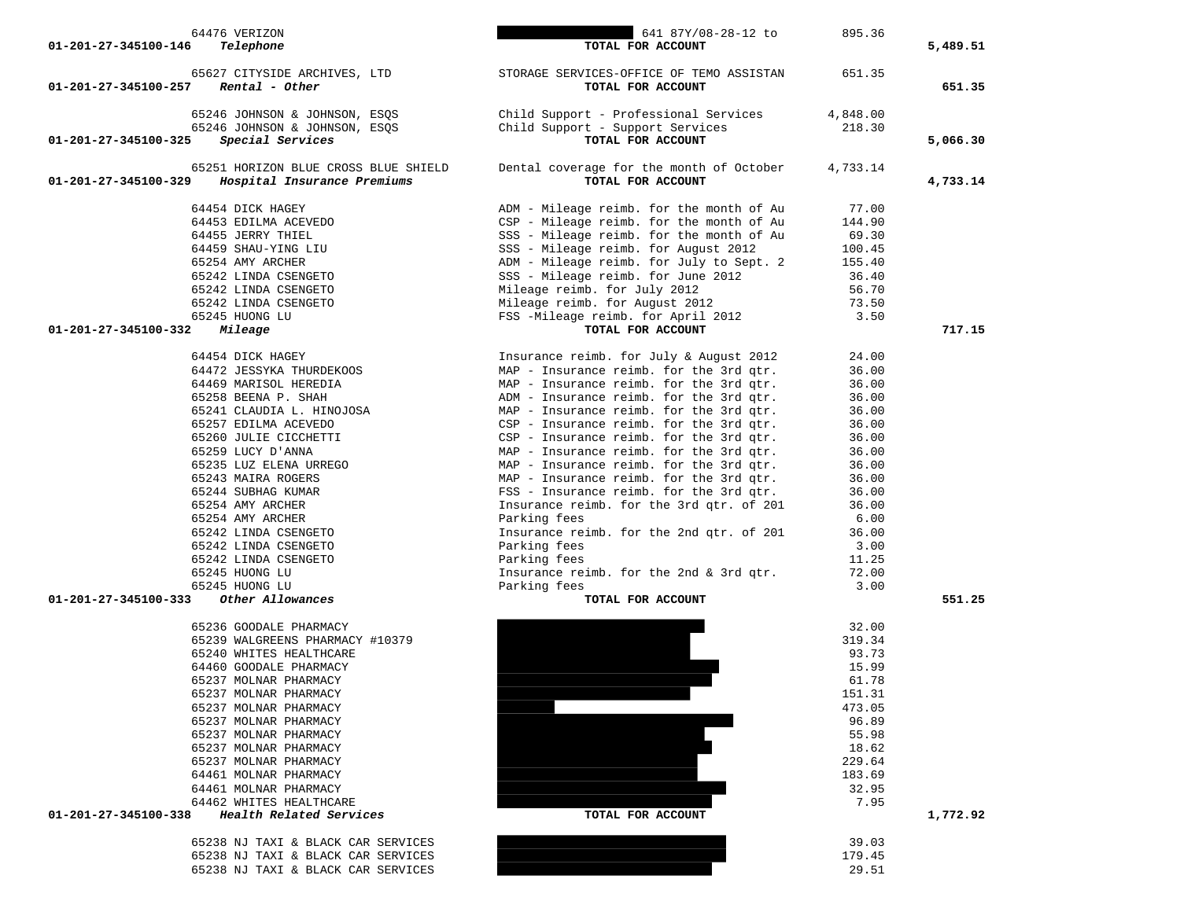| 64476 VERIZON                                       | 641 87Y/08-28-12 to                                                                | 895.36         |          |
|-----------------------------------------------------|------------------------------------------------------------------------------------|----------------|----------|
| 01-201-27-345100-146<br>Telephone                   | TOTAL FOR ACCOUNT                                                                  |                | 5,489.51 |
| 65627 CITYSIDE ARCHIVES, LTD                        | STORAGE SERVICES-OFFICE OF TEMO ASSISTAN                                           | 651.35         |          |
| 01-201-27-345100-257<br>Rental - Other              | TOTAL FOR ACCOUNT                                                                  |                | 651.35   |
| 65246 JOHNSON & JOHNSON, ESQS                       | Child Support - Professional Services                                              | 4,848.00       |          |
| 65246 JOHNSON & JOHNSON, ESQS                       | Child Support - Support Services                                                   | 218.30         |          |
| Special Services<br>01-201-27-345100-325            | TOTAL FOR ACCOUNT                                                                  |                | 5,066.30 |
| 65251 HORIZON BLUE CROSS BLUE SHIELD                | Dental coverage for the month of October                                           | 4,733.14       |          |
| 01-201-27-345100-329<br>Hospital Insurance Premiums | TOTAL FOR ACCOUNT                                                                  |                | 4,733.14 |
|                                                     |                                                                                    |                |          |
| 64454 DICK HAGEY                                    | ADM - Mileage reimb. for the month of Au                                           | 77.00          |          |
| 64453 EDILMA ACEVEDO                                | CSP - Mileage reimb. for the month of Au                                           | 144.90         |          |
| 64455 JERRY THIEL                                   | SSS - Mileage reimb. for the month of Au                                           | 69.30          |          |
| 64459 SHAU-YING LIU                                 | SSS - Mileage reimb. for August 2012                                               | 100.45         |          |
| 65254 AMY ARCHER                                    | ADM - Mileage reimb. for July to Sept. 2                                           | 155.40         |          |
| 65242 LINDA CSENGETO                                | SSS - Mileage reimb. for June 2012                                                 | 36.40          |          |
| 65242 LINDA CSENGETO                                | Mileage reimb. for July 2012                                                       | 56.70          |          |
| 65242 LINDA CSENGETO<br>65245 HUONG LU              | Mileage reimb. for August 2012<br>FSS -Mileage reimb. for April 2012               | 73.50<br>3.50  |          |
| 01-201-27-345100-332<br>Mileage                     | TOTAL FOR ACCOUNT                                                                  |                | 717.15   |
|                                                     |                                                                                    |                |          |
| 64454 DICK HAGEY                                    | Insurance reimb. for July & August 2012                                            | 24.00          |          |
| 64472 JESSYKA THURDEKOOS                            | MAP - Insurance reimb. for the 3rd qtr.                                            | 36.00          |          |
| 64469 MARISOL HEREDIA                               | MAP - Insurance reimb. for the 3rd qtr.                                            | 36.00          |          |
| 65258 BEENA P. SHAH                                 | ADM - Insurance reimb. for the 3rd qtr.                                            | 36.00          |          |
| 65241 CLAUDIA L. HINOJOSA                           | MAP - Insurance reimb. for the 3rd qtr.                                            | 36.00          |          |
| 65257 EDILMA ACEVEDO                                | CSP - Insurance reimb. for the 3rd qtr.                                            | 36.00          |          |
| 65260 JULIE CICCHETTI                               | CSP - Insurance reimb. for the 3rd qtr.                                            | 36.00          |          |
| 65259 LUCY D'ANNA                                   | MAP - Insurance reimb. for the 3rd qtr.                                            | 36.00          |          |
| 65235 LUZ ELENA URREGO                              | MAP - Insurance reimb. for the 3rd qtr.<br>MAP - Insurance reimb. for the 3rd qtr. | 36.00          |          |
| 65243 MAIRA ROGERS<br>65244 SUBHAG KUMAR            | FSS - Insurance reimb. for the 3rd qtr.                                            | 36.00<br>36.00 |          |
| 65254 AMY ARCHER                                    | Insurance reimb. for the 3rd qtr. of 201                                           | 36.00          |          |
| 65254 AMY ARCHER                                    | Parking fees                                                                       | 6.00           |          |
| 65242 LINDA CSENGETO                                | Insurance reimb. for the 2nd qtr. of 201                                           | 36.00          |          |
| 65242 LINDA CSENGETO                                | Parking fees                                                                       | 3.00           |          |
| 65242 LINDA CSENGETO                                | Parking fees                                                                       | 11.25          |          |
| 65245 HUONG LU                                      | Insurance reimb. for the 2nd & 3rd qtr.                                            | 72.00          |          |
| 65245 HUONG LU                                      | Parking fees                                                                       | 3.00           |          |
| Other Allowances<br>01-201-27-345100-333            | TOTAL FOR ACCOUNT                                                                  |                | 551.25   |
| 65236 GOODALE PHARMACY                              |                                                                                    | 32.00          |          |
| 65239 WALGREENS PHARMACY #10379                     |                                                                                    | 319.34         |          |
| 65240 WHITES HEALTHCARE                             |                                                                                    | 93.73          |          |
| 64460 GOODALE PHARMACY                              |                                                                                    | 15.99          |          |
| 65237 MOLNAR PHARMACY                               |                                                                                    | 61.78          |          |
| 65237 MOLNAR PHARMACY                               |                                                                                    | 151.31         |          |
| 65237 MOLNAR PHARMACY                               |                                                                                    | 473.05         |          |
| 65237 MOLNAR PHARMACY                               |                                                                                    | 96.89<br>55.98 |          |
| 65237 MOLNAR PHARMACY<br>65237 MOLNAR PHARMACY      |                                                                                    | 18.62          |          |
| 65237 MOLNAR PHARMACY                               |                                                                                    | 229.64         |          |
| 64461 MOLNAR PHARMACY                               |                                                                                    | 183.69         |          |
| 64461 MOLNAR PHARMACY                               |                                                                                    | 32.95          |          |
| 64462 WHITES HEALTHCARE                             |                                                                                    | 7.95           |          |
| 01-201-27-345100-338<br>Health Related Services     | TOTAL FOR ACCOUNT                                                                  |                | 1,772.92 |
| 65238 NJ TAXI & BLACK CAR SERVICES                  |                                                                                    | 39.03          |          |
| 65238 NJ TAXI & BLACK CAR SERVICES                  |                                                                                    | 179.45         |          |
| 65238 NJ TAXI & BLACK CAR SERVICES                  |                                                                                    | 29.51          |          |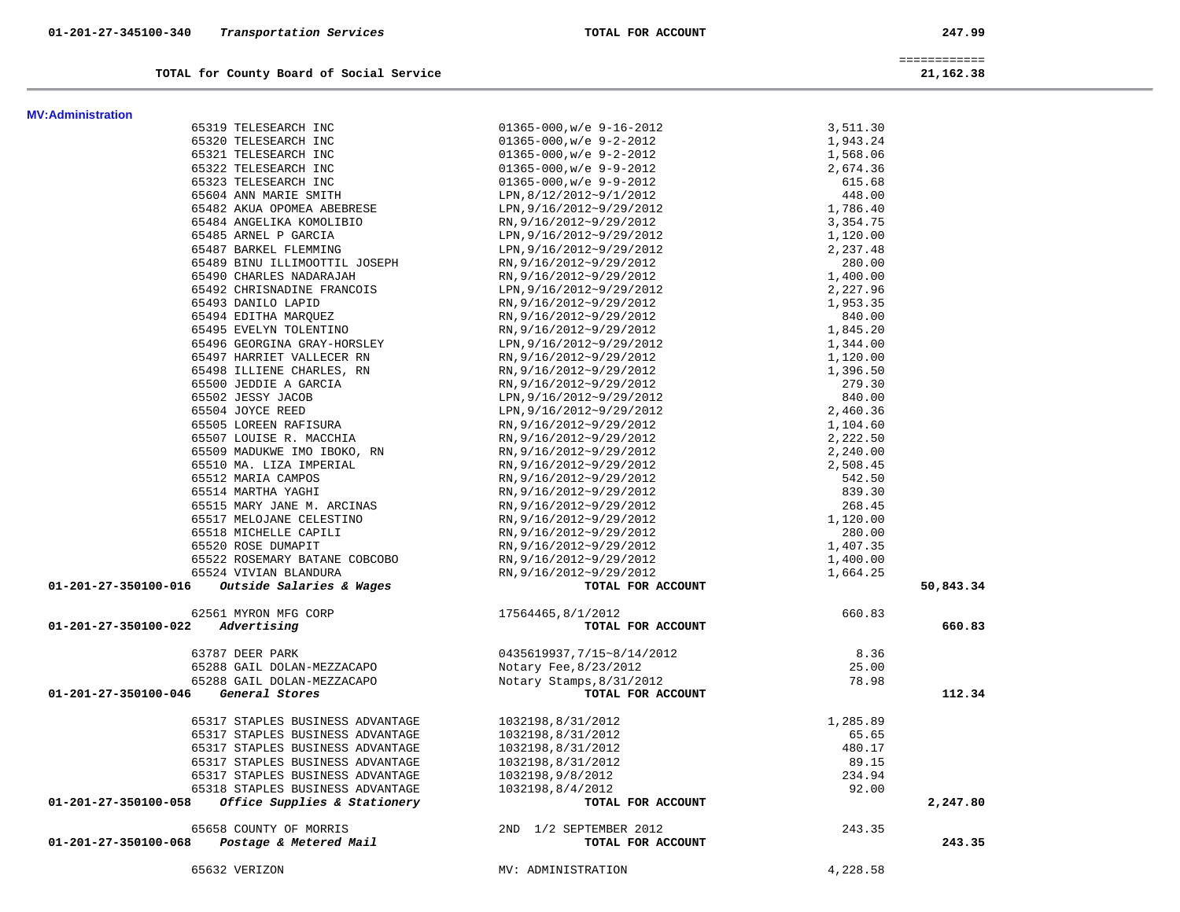| TOTAL for County Board of Social Service                         |                                     |          | 21,162.38 |
|------------------------------------------------------------------|-------------------------------------|----------|-----------|
| <b>MV:Administration</b>                                         |                                     |          |           |
| 65319 TELESEARCH INC                                             | $01365 - 000$ , w/e $9 - 16 - 2012$ | 3,511.30 |           |
| 65320 TELESEARCH INC                                             | $01365 - 000$ , w/e $9 - 2 - 2012$  | 1,943.24 |           |
| 65321 TELESEARCH INC                                             | $01365 - 000$ , w/e $9 - 2 - 2012$  | 1,568.06 |           |
| 65322 TELESEARCH INC                                             | $01365 - 000, w/e 9 - 9 - 2012$     | 2,674.36 |           |
| 65323 TELESEARCH INC                                             | $01365 - 000, w/e$ 9-9-2012         | 615.68   |           |
| 65604 ANN MARIE SMITH                                            | LPN, 8/12/2012~9/1/2012             | 448.00   |           |
| 65482 AKUA OPOMEA ABEBRESE                                       | LPN, 9/16/2012~9/29/2012            | 1,786.40 |           |
| 65484 ANGELIKA KOMOLIBIO                                         | RN, 9/16/2012~9/29/2012             | 3,354.75 |           |
| 65485 ARNEL P GARCIA                                             | LPN, 9/16/2012~9/29/2012            | 1,120.00 |           |
| 65487 BARKEL FLEMMING                                            | LPN, 9/16/2012~9/29/2012            | 2,237.48 |           |
| 65489 BINU ILLIMOOTTIL JOSEPH                                    | RN, 9/16/2012~9/29/2012             | 280.00   |           |
| 65490 CHARLES NADARAJAH                                          | RN, 9/16/2012~9/29/2012             | 1,400.00 |           |
| 65492 CHRISNADINE FRANCOIS                                       | LPN, 9/16/2012~9/29/2012            | 2,227.96 |           |
| 65493 DANILO LAPID                                               | RN, 9/16/2012~9/29/2012             | 1,953.35 |           |
| 65494 EDITHA MARQUEZ                                             | RN, 9/16/2012~9/29/2012             | 840.00   |           |
| 65495 EVELYN TOLENTINO                                           | RN, 9/16/2012~9/29/2012             | 1,845.20 |           |
| 65496 GEORGINA GRAY-HORSLEY                                      | LPN, 9/16/2012~9/29/2012            | 1,344.00 |           |
| 65497 HARRIET VALLECER RN                                        | RN, 9/16/2012~9/29/2012             | 1,120.00 |           |
| 65498 ILLIENE CHARLES, RN                                        | RN, 9/16/2012~9/29/2012             | 1,396.50 |           |
| 65500 JEDDIE A GARCIA                                            | RN, 9/16/2012~9/29/2012             | 279.30   |           |
| 65502 JESSY JACOB                                                | LPN, 9/16/2012~9/29/2012            | 840.00   |           |
| 65504 JOYCE REED                                                 | LPN, 9/16/2012~9/29/2012            | 2,460.36 |           |
| 65505 LOREEN RAFISURA                                            | RN, 9/16/2012~9/29/2012             | 1,104.60 |           |
| 65507 LOUISE R. MACCHIA                                          | RN, 9/16/2012~9/29/2012             | 2,222.50 |           |
| 65509 MADUKWE IMO IBOKO, RN                                      | RN, 9/16/2012~9/29/2012             | 2,240.00 |           |
| 65510 MA. LIZA IMPERIAL                                          | RN, 9/16/2012~9/29/2012             | 2,508.45 |           |
| 65512 MARIA CAMPOS                                               | RN, 9/16/2012~9/29/2012             | 542.50   |           |
| 65514 MARTHA YAGHI                                               | RN, 9/16/2012~9/29/2012             | 839.30   |           |
| 65515 MARY JANE M. ARCINAS                                       | RN, 9/16/2012~9/29/2012             | 268.45   |           |
| 65517 MELOJANE CELESTINO                                         | RN, 9/16/2012~9/29/2012             | 1,120.00 |           |
| 65518 MICHELLE CAPILI                                            | RN, 9/16/2012~9/29/2012             | 280.00   |           |
| 65520 ROSE DUMAPIT                                               | RN, 9/16/2012~9/29/2012             | 1,407.35 |           |
| 65522 ROSEMARY BATANE COBCOBO                                    | RN, 9/16/2012~9/29/2012             | 1,400.00 |           |
| 65524 VIVIAN BLANDURA                                            | RN, 9/16/2012~9/29/2012             | 1,664.25 |           |
| Outside Salaries & Wages<br>01-201-27-350100-016                 | TOTAL FOR ACCOUNT                   |          | 50,843.34 |
| 62561 MYRON MFG CORP                                             | 17564465,8/1/2012                   | 660.83   |           |
| Advertising<br>01-201-27-350100-022                              | TOTAL FOR ACCOUNT                   |          | 660.83    |
| 63787 DEER PARK                                                  | 0435619937,7/15~8/14/2012           | 8.36     |           |
| 65288 GAIL DOLAN-MEZZACAPO                                       | Notary Fee, 8/23/2012               | 25.00    |           |
| 65288 GAIL DOLAN-MEZZACAPO                                       | Notary Stamps, 8/31/2012            | 78.98    |           |
| General Stores<br>01-201-27-350100-046                           | TOTAL FOR ACCOUNT                   |          | 112.34    |
|                                                                  |                                     |          |           |
| 65317 STAPLES BUSINESS ADVANTAGE                                 | 1032198,8/31/2012                   | 1,285.89 |           |
| 65317 STAPLES BUSINESS ADVANTAGE                                 | 1032198,8/31/2012                   | 65.65    |           |
| 65317 STAPLES BUSINESS ADVANTAGE                                 | 1032198,8/31/2012                   | 480.17   |           |
| 65317 STAPLES BUSINESS ADVANTAGE                                 | 1032198,8/31/2012                   | 89.15    |           |
| 65317 STAPLES BUSINESS ADVANTAGE                                 | 1032198,9/8/2012                    | 234.94   |           |
| 65318 STAPLES BUSINESS ADVANTAGE<br>Office Supplies & Stationery | 1032198,8/4/2012                    | 92.00    |           |
| 01-201-27-350100-058                                             | TOTAL FOR ACCOUNT                   |          | 2,247.80  |
| 65658 COUNTY OF MORRIS                                           | 2ND 1/2 SEPTEMBER 2012              | 243.35   |           |
| Postage & Metered Mail<br>01-201-27-350100-068                   | TOTAL FOR ACCOUNT                   |          | 243.35    |
| 65632 VERIZON                                                    | MV: ADMINISTRATION                  | 4,228.58 |           |

============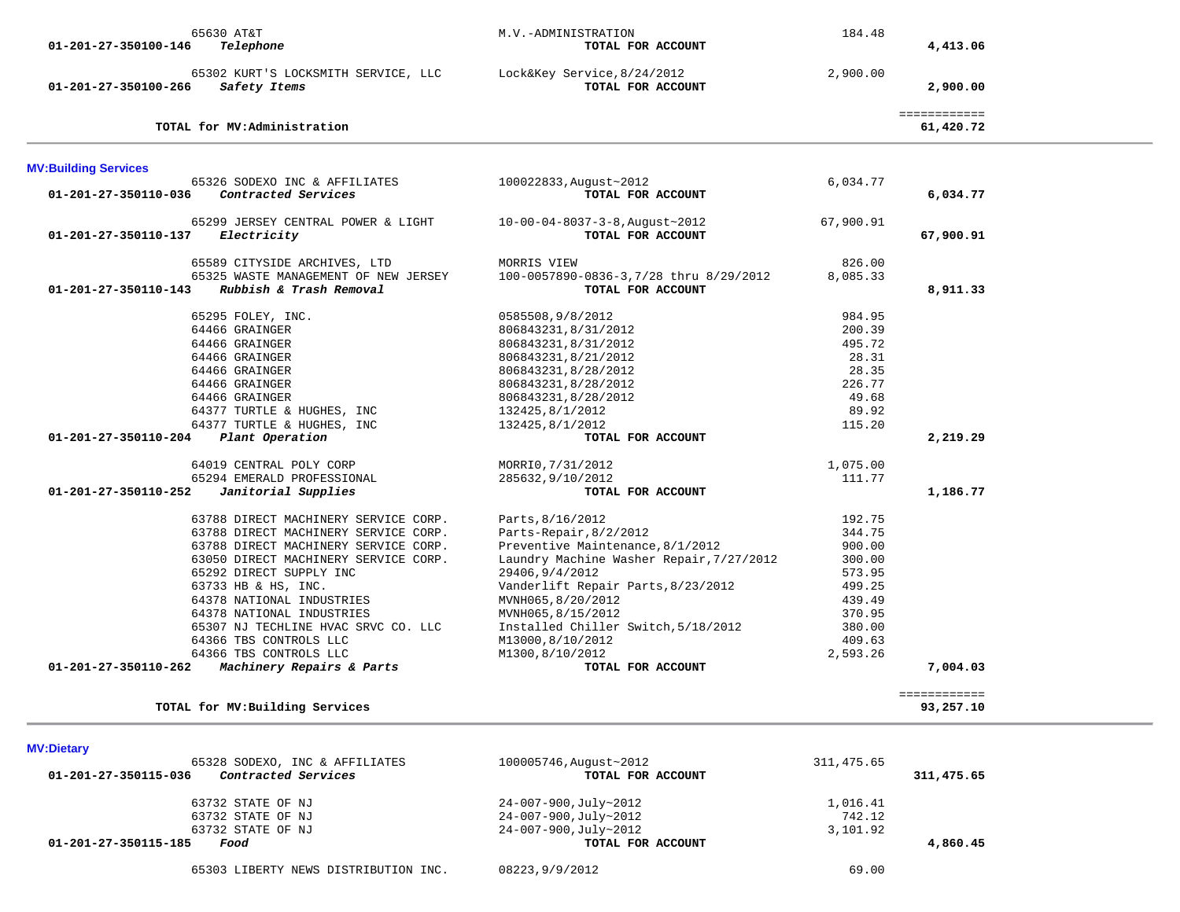| 65630 AT&T<br>01-201-27-350100-146<br>Telephone                             | M.V.-ADMINISTRATION<br>TOTAL FOR ACCOUNT         | 184.48     | 4,413.06                  |  |
|-----------------------------------------------------------------------------|--------------------------------------------------|------------|---------------------------|--|
| 65302 KURT'S LOCKSMITH SERVICE, LLC<br>Safety Items<br>01-201-27-350100-266 | Lock&Key Service, 8/24/2012<br>TOTAL FOR ACCOUNT | 2,900.00   | 2,900.00                  |  |
| TOTAL for MV:Administration                                                 |                                                  |            | ============<br>61,420.72 |  |
| <b>MV:Building Services</b>                                                 |                                                  |            |                           |  |
| 65326 SODEXO INC & AFFILIATES                                               | 100022833, August~2012                           | 6,034.77   |                           |  |
| Contracted Services<br>01-201-27-350110-036                                 | TOTAL FOR ACCOUNT                                |            | 6,034.77                  |  |
| 65299 JERSEY CENTRAL POWER & LIGHT                                          | $10-00-04-8037-3-8$ , August ~ 2012              | 67,900.91  |                           |  |
| 01-201-27-350110-137<br>Electricity                                         | TOTAL FOR ACCOUNT                                |            | 67,900.91                 |  |
| 65589 CITYSIDE ARCHIVES, LTD                                                | MORRIS VIEW                                      | 826.00     |                           |  |
| 65325 WASTE MANAGEMENT OF NEW JERSEY                                        | 100-0057890-0836-3,7/28 thru 8/29/2012           | 8,085.33   |                           |  |
| Rubbish & Trash Removal<br>01-201-27-350110-143                             | TOTAL FOR ACCOUNT                                |            | 8,911.33                  |  |
| 65295 FOLEY, INC.                                                           | 0585508,9/8/2012                                 | 984.95     |                           |  |
| 64466 GRAINGER                                                              | 806843231,8/31/2012                              | 200.39     |                           |  |
| 64466 GRAINGER                                                              | 806843231,8/31/2012                              | 495.72     |                           |  |
| 64466 GRAINGER                                                              | 806843231,8/21/2012                              | 28.31      |                           |  |
| 64466 GRAINGER                                                              | 806843231,8/28/2012                              | 28.35      |                           |  |
| 64466 GRAINGER                                                              | 806843231,8/28/2012                              | 226.77     |                           |  |
| 64466 GRAINGER                                                              | 806843231,8/28/2012                              | 49.68      |                           |  |
| 64377 TURTLE & HUGHES, INC                                                  | 132425,8/1/2012                                  | 89.92      |                           |  |
| 64377 TURTLE & HUGHES, INC<br>01-201-27-350110-204                          | 132425,8/1/2012                                  | 115.20     |                           |  |
| Plant Operation                                                             | TOTAL FOR ACCOUNT                                |            | 2,219.29                  |  |
| 64019 CENTRAL POLY CORP                                                     | MORRIO, 7/31/2012                                | 1,075.00   |                           |  |
| 65294 EMERALD PROFESSIONAL                                                  | 285632,9/10/2012                                 | 111.77     |                           |  |
| Janitorial Supplies<br>01-201-27-350110-252                                 | TOTAL FOR ACCOUNT                                |            | 1,186.77                  |  |
| 63788 DIRECT MACHINERY SERVICE CORP.                                        | Parts, 8/16/2012                                 | 192.75     |                           |  |
| 63788 DIRECT MACHINERY SERVICE CORP.                                        | Parts-Repair, 8/2/2012                           | 344.75     |                           |  |
| 63788 DIRECT MACHINERY SERVICE CORP.                                        | Preventive Maintenance, 8/1/2012                 | 900.00     |                           |  |
| 63050 DIRECT MACHINERY SERVICE CORP.                                        | Laundry Machine Washer Repair, 7/27/2012         | 300.00     |                           |  |
| 65292 DIRECT SUPPLY INC                                                     | 29406, 9/4/2012                                  | 573.95     |                           |  |
| 63733 HB & HS, INC.                                                         | Vanderlift Repair Parts, 8/23/2012               | 499.25     |                           |  |
| 64378 NATIONAL INDUSTRIES                                                   | MVNH065,8/20/2012                                | 439.49     |                           |  |
| 64378 NATIONAL INDUSTRIES                                                   | MVNH065,8/15/2012                                | 370.95     |                           |  |
| 65307 NJ TECHLINE HVAC SRVC CO. LLC                                         | Installed Chiller Switch, 5/18/2012              | 380.00     |                           |  |
| 64366 TBS CONTROLS LLC                                                      | M13000,8/10/2012                                 | 409.63     |                           |  |
| 64366 TBS CONTROLS LLC                                                      | M1300,8/10/2012                                  | 2,593.26   |                           |  |
| Machinery Repairs & Parts<br>01-201-27-350110-262                           | TOTAL FOR ACCOUNT                                |            | 7,004.03                  |  |
|                                                                             |                                                  |            | ============              |  |
| TOTAL for MV: Building Services                                             |                                                  |            | 93,257.10                 |  |
| <b>MV:Dietary</b>                                                           |                                                  |            |                           |  |
| 65328 SODEXO, INC & AFFILIATES                                              | 100005746, August~2012                           | 311,475.65 |                           |  |
| Contracted Services<br>01-201-27-350115-036                                 | TOTAL FOR ACCOUNT                                |            | 311,475.65                |  |
| 63732 STATE OF NJ                                                           | 24-007-900, July~2012                            | 1,016.41   |                           |  |
| 63732 STATE OF NJ                                                           | 24-007-900, July~2012                            | 742.12     |                           |  |
| 63732 STATE OF NJ                                                           | 24-007-900, July~2012                            | 3,101.92   |                           |  |
| 01-201-27-350115-185<br>Food                                                | TOTAL FOR ACCOUNT                                |            | 4,860.45                  |  |

65303 LIBERTY NEWS DISTRIBUTION INC. 08223,9/9/2012 69.00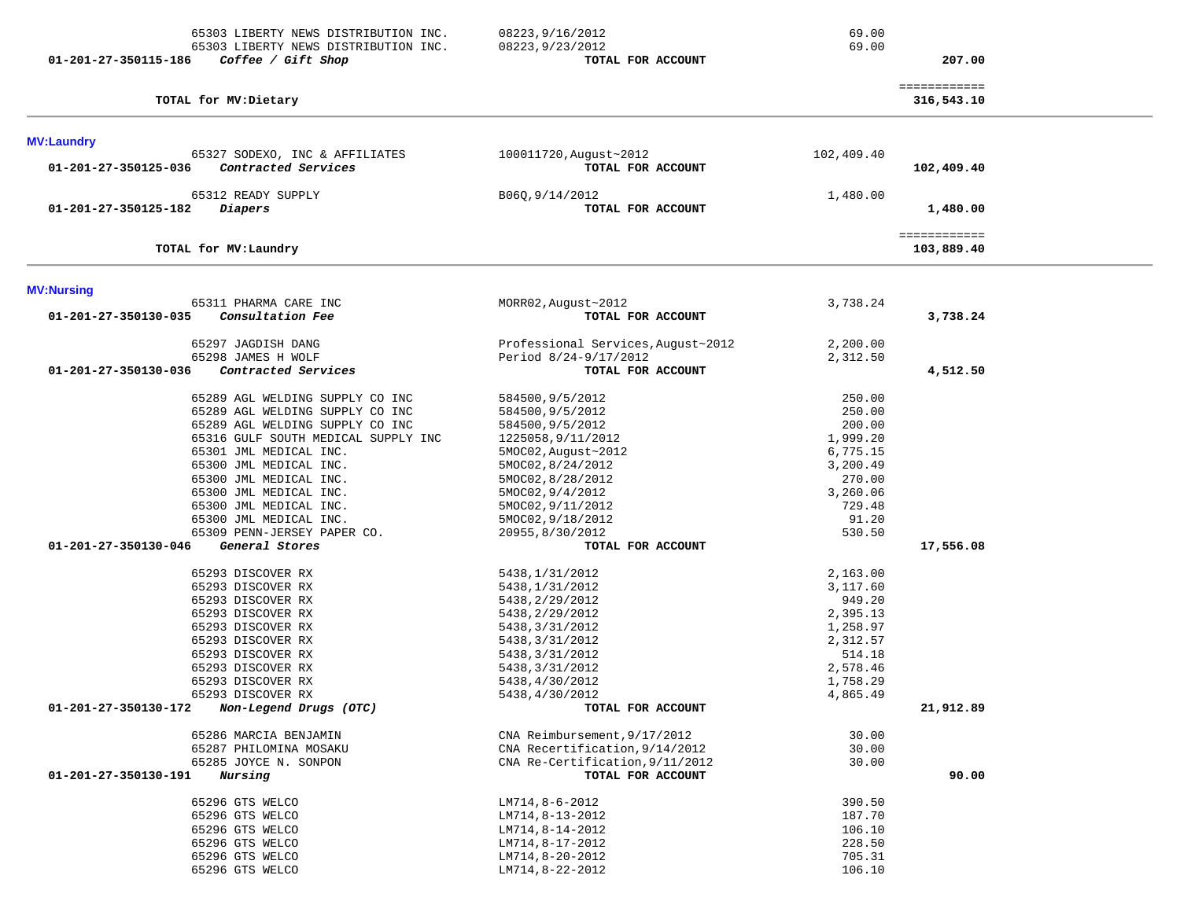| 65303 LIBERTY NEWS DISTRIBUTION INC.<br>65303 LIBERTY NEWS DISTRIBUTION INC.<br>01-201-27-350115-186<br>Coffee / Gift Shop                                                                                                                                                                                                                                                                                                                                                                                                           | 08223, 9/16/2012<br>08223, 9/23/2012<br>TOTAL FOR ACCOUNT                                                                                                                                                                                                                                                                                                                                | 69.00<br>69.00                                                                                                                                                                                    | 207.00                     |  |
|--------------------------------------------------------------------------------------------------------------------------------------------------------------------------------------------------------------------------------------------------------------------------------------------------------------------------------------------------------------------------------------------------------------------------------------------------------------------------------------------------------------------------------------|------------------------------------------------------------------------------------------------------------------------------------------------------------------------------------------------------------------------------------------------------------------------------------------------------------------------------------------------------------------------------------------|---------------------------------------------------------------------------------------------------------------------------------------------------------------------------------------------------|----------------------------|--|
| TOTAL for MV: Dietary                                                                                                                                                                                                                                                                                                                                                                                                                                                                                                                |                                                                                                                                                                                                                                                                                                                                                                                          |                                                                                                                                                                                                   | ============<br>316,543.10 |  |
| <b>MV:Laundry</b>                                                                                                                                                                                                                                                                                                                                                                                                                                                                                                                    |                                                                                                                                                                                                                                                                                                                                                                                          |                                                                                                                                                                                                   |                            |  |
| 65327 SODEXO, INC & AFFILIATES<br>Contracted Services<br>01-201-27-350125-036                                                                                                                                                                                                                                                                                                                                                                                                                                                        | 100011720, August~2012<br>TOTAL FOR ACCOUNT                                                                                                                                                                                                                                                                                                                                              | 102,409.40                                                                                                                                                                                        | 102,409.40                 |  |
| 65312 READY SUPPLY<br>01-201-27-350125-182<br>Diapers                                                                                                                                                                                                                                                                                                                                                                                                                                                                                | B06Q, 9/14/2012<br>TOTAL FOR ACCOUNT                                                                                                                                                                                                                                                                                                                                                     | 1,480.00                                                                                                                                                                                          | 1,480.00                   |  |
| TOTAL for MV: Laundry                                                                                                                                                                                                                                                                                                                                                                                                                                                                                                                |                                                                                                                                                                                                                                                                                                                                                                                          |                                                                                                                                                                                                   | ============<br>103,889.40 |  |
| <b>MV:Nursing</b>                                                                                                                                                                                                                                                                                                                                                                                                                                                                                                                    |                                                                                                                                                                                                                                                                                                                                                                                          |                                                                                                                                                                                                   |                            |  |
| 65311 PHARMA CARE INC<br>Consultation Fee<br>01-201-27-350130-035                                                                                                                                                                                                                                                                                                                                                                                                                                                                    | MORR02, August~2012<br>TOTAL FOR ACCOUNT                                                                                                                                                                                                                                                                                                                                                 | 3,738.24                                                                                                                                                                                          | 3,738.24                   |  |
| 65297 JAGDISH DANG<br>65298 JAMES H WOLF                                                                                                                                                                                                                                                                                                                                                                                                                                                                                             | Professional Services, August~2012<br>Period 8/24-9/17/2012                                                                                                                                                                                                                                                                                                                              | 2,200.00<br>2,312.50                                                                                                                                                                              |                            |  |
| 01-201-27-350130-036<br>Contracted Services                                                                                                                                                                                                                                                                                                                                                                                                                                                                                          | TOTAL FOR ACCOUNT                                                                                                                                                                                                                                                                                                                                                                        |                                                                                                                                                                                                   | 4,512.50                   |  |
| 65289 AGL WELDING SUPPLY CO INC<br>65289 AGL WELDING SUPPLY CO INC<br>65289 AGL WELDING SUPPLY CO INC<br>65316 GULF SOUTH MEDICAL SUPPLY INC<br>65301 JML MEDICAL INC.<br>65300 JML MEDICAL INC.<br>65300 JML MEDICAL INC.<br>65300 JML MEDICAL INC.<br>65300 JML MEDICAL INC.<br>65300 JML MEDICAL INC.<br>65309 PENN-JERSEY PAPER CO.<br>General Stores<br>01-201-27-350130-046<br>65293 DISCOVER RX<br>65293 DISCOVER RX<br>65293 DISCOVER RX<br>65293 DISCOVER RX<br>65293 DISCOVER RX<br>65293 DISCOVER RX<br>65293 DISCOVER RX | 584500, 9/5/2012<br>584500, 9/5/2012<br>584500, 9/5/2012<br>1225058, 9/11/2012<br>5MOC02, August~2012<br>5MOC02,8/24/2012<br>5MOC02, 8/28/2012<br>5MOC02, 9/4/2012<br>5MOC02, 9/11/2012<br>5MOC02, 9/18/2012<br>20955,8/30/2012<br>TOTAL FOR ACCOUNT<br>5438, 1/31/2012<br>5438, 1/31/2012<br>5438, 2/29/2012<br>5438, 2/29/2012<br>5438, 3/31/2012<br>5438, 3/31/2012<br>5438,3/31/2012 | 250.00<br>250.00<br>200.00<br>1,999.20<br>6,775.15<br>3,200.49<br>270.00<br>3,260.06<br>729.48<br>91.20<br>530.50<br>2,163.00<br>3,117.60<br>949.20<br>2,395.13<br>1,258.97<br>2,312.57<br>514.18 | 17,556.08                  |  |
| 65293 DISCOVER RX<br>65293 DISCOVER RX<br>65293 DISCOVER RX                                                                                                                                                                                                                                                                                                                                                                                                                                                                          | 5438, 3/31/2012<br>5438,4/30/2012<br>5438,4/30/2012                                                                                                                                                                                                                                                                                                                                      | 2,578.46<br>1,758.29<br>4,865.49                                                                                                                                                                  |                            |  |
| Non-Legend Drugs (OTC)<br>01-201-27-350130-172                                                                                                                                                                                                                                                                                                                                                                                                                                                                                       | TOTAL FOR ACCOUNT                                                                                                                                                                                                                                                                                                                                                                        |                                                                                                                                                                                                   | 21,912.89                  |  |
| 65286 MARCIA BENJAMIN<br>65287 PHILOMINA MOSAKU<br>65285 JOYCE N. SONPON<br>01-201-27-350130-191<br>Nursing                                                                                                                                                                                                                                                                                                                                                                                                                          | CNA Reimbursement, 9/17/2012<br>CNA Recertification, 9/14/2012<br>CNA Re-Certification, 9/11/2012<br>TOTAL FOR ACCOUNT                                                                                                                                                                                                                                                                   | 30.00<br>30.00<br>30.00                                                                                                                                                                           | 90.00                      |  |
| 65296 GTS WELCO<br>65296 GTS WELCO<br>65296 GTS WELCO<br>65296 GTS WELCO<br>65296 GTS WELCO<br>65296 GTS WELCO                                                                                                                                                                                                                                                                                                                                                                                                                       | LM714,8-6-2012<br>LM714,8-13-2012<br>LM714,8-14-2012<br>LM714,8-17-2012<br>LM714,8-20-2012<br>LM714,8-22-2012                                                                                                                                                                                                                                                                            | 390.50<br>187.70<br>106.10<br>228.50<br>705.31<br>106.10                                                                                                                                          |                            |  |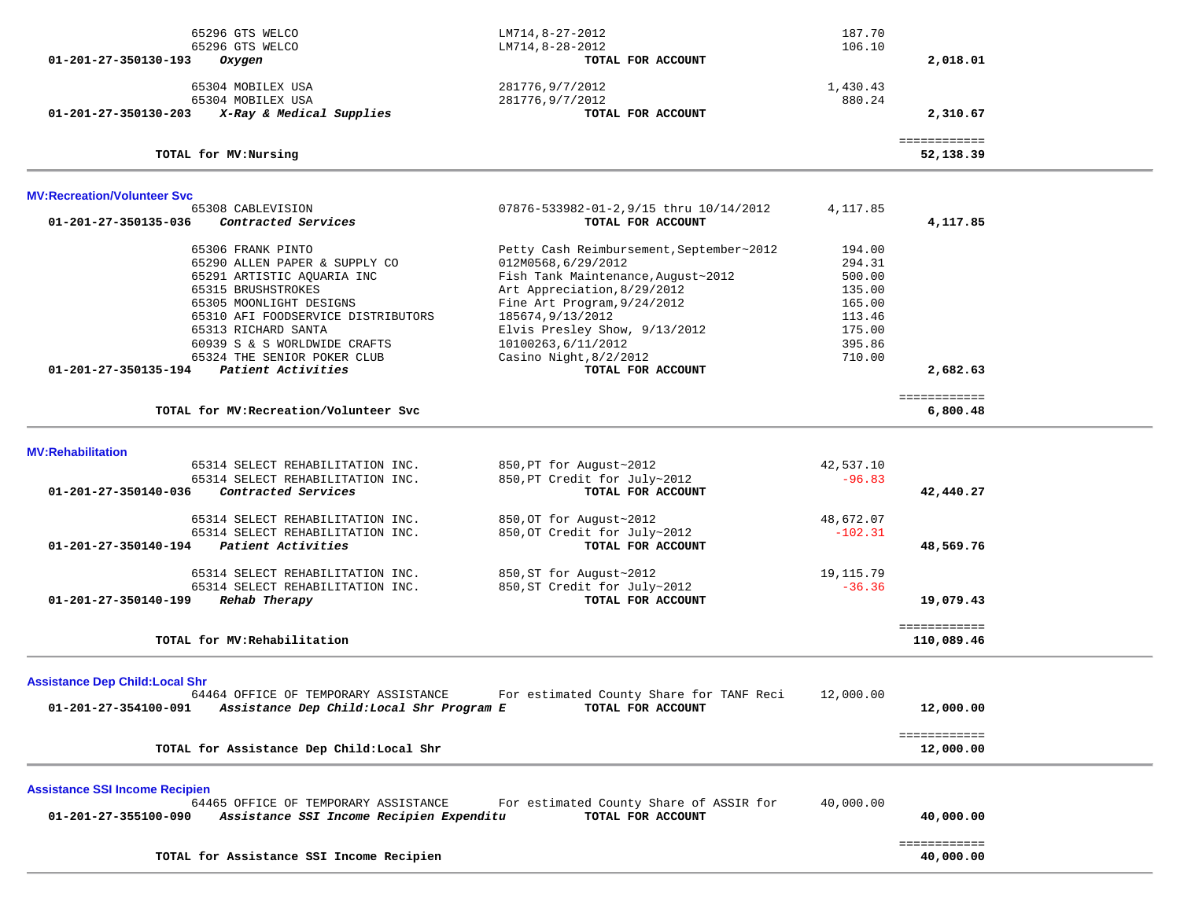| 01-201-27-350130-193                                           | 65296 GTS WELCO<br>65296 GTS WELCO<br>Oxygen                                                                                                                                                                                                                  | LM714,8-27-2012<br>$LM714, 8-28-2012$<br>TOTAL FOR ACCOUNT                                                                                                                                                                                                              | 187.70<br>106.10                                                                       | 2,018.01                   |  |
|----------------------------------------------------------------|---------------------------------------------------------------------------------------------------------------------------------------------------------------------------------------------------------------------------------------------------------------|-------------------------------------------------------------------------------------------------------------------------------------------------------------------------------------------------------------------------------------------------------------------------|----------------------------------------------------------------------------------------|----------------------------|--|
|                                                                | 65304 MOBILEX USA                                                                                                                                                                                                                                             | 281776,9/7/2012                                                                                                                                                                                                                                                         | 1,430.43                                                                               |                            |  |
| 01-201-27-350130-203                                           | 65304 MOBILEX USA<br>X-Ray & Medical Supplies                                                                                                                                                                                                                 | 281776, 9/7/2012<br>TOTAL FOR ACCOUNT                                                                                                                                                                                                                                   | 880.24                                                                                 | 2,310.67                   |  |
|                                                                | TOTAL for MV:Nursing                                                                                                                                                                                                                                          |                                                                                                                                                                                                                                                                         |                                                                                        | ============<br>52,138.39  |  |
| <b>MV:Recreation/Volunteer Svc</b>                             |                                                                                                                                                                                                                                                               |                                                                                                                                                                                                                                                                         |                                                                                        |                            |  |
| 01-201-27-350135-036                                           | 65308 CABLEVISION<br>Contracted Services                                                                                                                                                                                                                      | 07876-533982-01-2,9/15 thru 10/14/2012<br>TOTAL FOR ACCOUNT                                                                                                                                                                                                             | 4, 117.85                                                                              | 4,117.85                   |  |
|                                                                | 65306 FRANK PINTO<br>65290 ALLEN PAPER & SUPPLY CO<br>65291 ARTISTIC AQUARIA INC<br>65315 BRUSHSTROKES<br>65305 MOONLIGHT DESIGNS<br>65310 AFI FOODSERVICE DISTRIBUTORS<br>65313 RICHARD SANTA<br>60939 S & S WORLDWIDE CRAFTS<br>65324 THE SENIOR POKER CLUB | Petty Cash Reimbursement, September~2012<br>012M0568,6/29/2012<br>Fish Tank Maintenance, August~2012<br>Art Appreciation, 8/29/2012<br>Fine Art Program, 9/24/2012<br>185674,9/13/2012<br>Elvis Presley Show, 9/13/2012<br>10100263,6/11/2012<br>Casino Night, 8/2/2012 | 194.00<br>294.31<br>500.00<br>135.00<br>165.00<br>113.46<br>175.00<br>395.86<br>710.00 |                            |  |
| 01-201-27-350135-194                                           | Patient Activities                                                                                                                                                                                                                                            | TOTAL FOR ACCOUNT                                                                                                                                                                                                                                                       |                                                                                        | 2,682.63                   |  |
|                                                                | TOTAL for MV: Recreation/Volunteer Svc                                                                                                                                                                                                                        |                                                                                                                                                                                                                                                                         |                                                                                        | ============<br>6,800.48   |  |
| <b>MV:Rehabilitation</b>                                       |                                                                                                                                                                                                                                                               |                                                                                                                                                                                                                                                                         |                                                                                        |                            |  |
| 01-201-27-350140-036                                           | 65314 SELECT REHABILITATION INC.<br>65314 SELECT REHABILITATION INC.<br>Contracted Services                                                                                                                                                                   | 850, PT for August~2012<br>850, PT Credit for July~2012<br>TOTAL FOR ACCOUNT                                                                                                                                                                                            | 42,537.10<br>$-96.83$                                                                  | 42,440.27                  |  |
|                                                                | 65314 SELECT REHABILITATION INC.<br>65314 SELECT REHABILITATION INC.<br>01-201-27-350140-194 Patient Activities                                                                                                                                               | 850, OT for August~2012<br>850, OT Credit for July~2012<br>TOTAL FOR ACCOUNT                                                                                                                                                                                            | 48,672.07<br>$-102.31$                                                                 | 48,569.76                  |  |
| 01-201-27-350140-199                                           | 65314 SELECT REHABILITATION INC.<br>65314 SELECT REHABILITATION INC.<br>Rehab Therapy                                                                                                                                                                         | 850, ST for August~2012<br>850, ST Credit for July~2012<br>TOTAL FOR ACCOUNT                                                                                                                                                                                            | 19,115.79<br>$-36.36$                                                                  | 19,079.43                  |  |
|                                                                | TOTAL for MV: Rehabilitation                                                                                                                                                                                                                                  |                                                                                                                                                                                                                                                                         |                                                                                        | ============<br>110,089.46 |  |
| <b>Assistance Dep Child: Local Shr</b><br>01-201-27-354100-091 | 64464 OFFICE OF TEMPORARY ASSISTANCE<br>Assistance Dep Child: Local Shr Program E                                                                                                                                                                             | For estimated County Share for TANF Reci<br>TOTAL FOR ACCOUNT                                                                                                                                                                                                           | 12,000.00                                                                              | 12,000.00                  |  |
|                                                                | TOTAL for Assistance Dep Child: Local Shr                                                                                                                                                                                                                     |                                                                                                                                                                                                                                                                         |                                                                                        | ============<br>12,000.00  |  |
| <b>Assistance SSI Income Recipien</b>                          |                                                                                                                                                                                                                                                               |                                                                                                                                                                                                                                                                         |                                                                                        |                            |  |
| 01-201-27-355100-090                                           | 64465 OFFICE OF TEMPORARY ASSISTANCE<br>Assistance SSI Income Recipien Expenditu                                                                                                                                                                              | For estimated County Share of ASSIR for<br>TOTAL FOR ACCOUNT                                                                                                                                                                                                            | 40,000.00                                                                              | 40,000.00                  |  |
|                                                                | TOTAL for Assistance SSI Income Recipien                                                                                                                                                                                                                      |                                                                                                                                                                                                                                                                         |                                                                                        | ============<br>40,000.00  |  |
|                                                                |                                                                                                                                                                                                                                                               |                                                                                                                                                                                                                                                                         |                                                                                        |                            |  |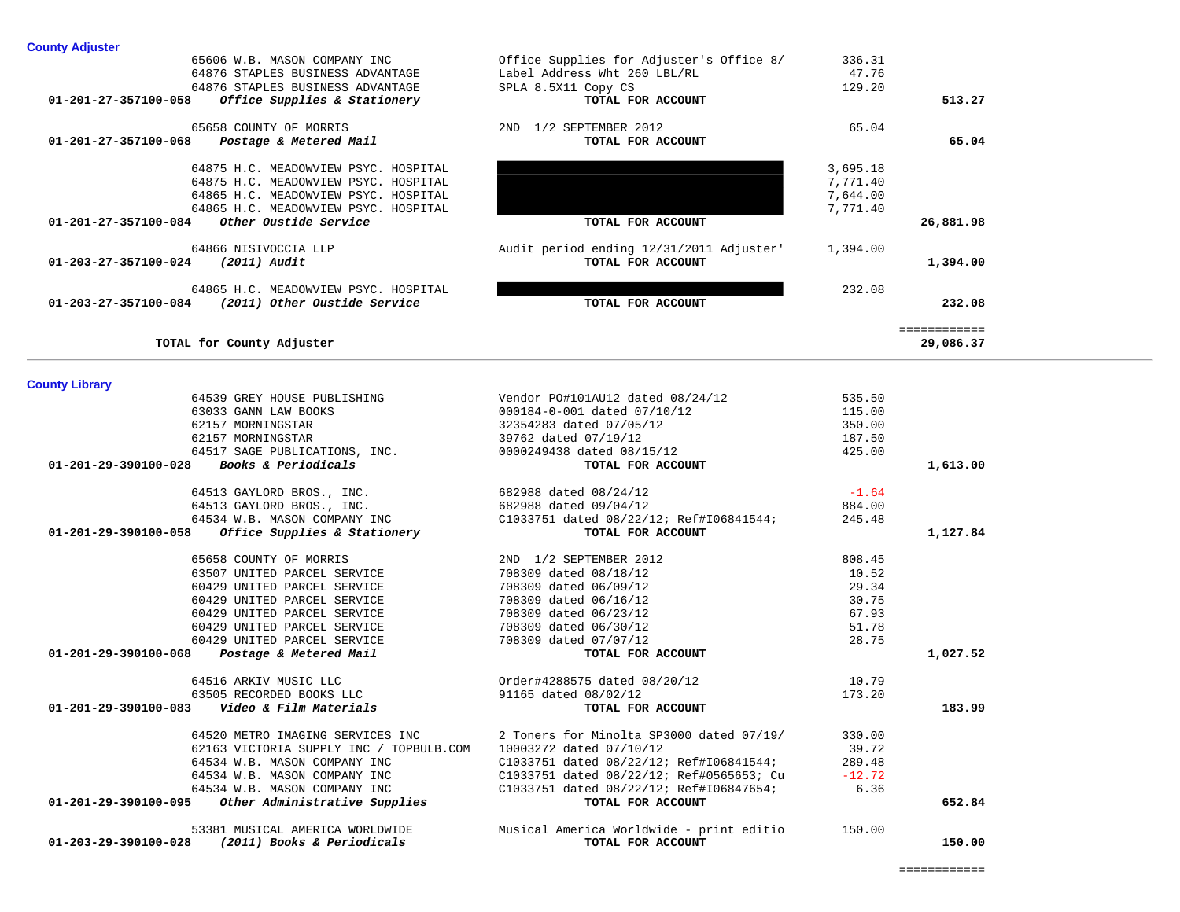| 01-203-27-357100-084 (2011) Other Oustide Service                                                                          | TOTAL FOR ACCOUNT                               |         | 232.08                    |
|----------------------------------------------------------------------------------------------------------------------------|-------------------------------------------------|---------|---------------------------|
| TOTAL for County Adjuster                                                                                                  |                                                 |         | ============<br>29,086.37 |
| <b>County Library</b>                                                                                                      |                                                 |         |                           |
| 64539 GREY HOUSE PUBLISHING                                                                                                | Vendor PO#101AU12 dated 08/24/12                | 535.50  |                           |
| 63033 GANN LAW BOOKS                                                                                                       | 000184-0-001 dated 07/10/12                     | 115.00  |                           |
| 62157 MORNINGSTAR                                                                                                          | 32354283 dated 07/05/12                         | 350.00  |                           |
| 62157 MORNINGSTAR                                                                                                          | 39762 dated 07/19/12                            | 187.50  |                           |
| % 62157 MORNINGSTAR 62157 MORNINGSTAR<br>% 64517 SAGE PUBLICATIONS, INC. 64517 SAGE PUBLICATIONS, INC.<br>% 70TAL FOR ACCC |                                                 | 425.00  |                           |
| 01-201-29-390100-028 Books & Periodicals                                                                                   | TOTAL FOR ACCOUNT                               |         | 1,613.00                  |
| 64513 GAYLORD BROS., INC. 682988 dated 08/24/12                                                                            |                                                 | $-1.64$ |                           |
| 64513 GAYLORD BROS., INC.<br>64534 W.B. MASON COMPANY INC                                                                  | 682988 dated 09/04/12                           | 884.00  |                           |
|                                                                                                                            | C1033751 dated 08/22/12; Ref#I06841544;         | 245.48  |                           |
| Office Supplies & Stationery<br>01-201-29-390100-058                                                                       | TOTAL FOR ACCOUNT                               |         | 1,127.84                  |
| 65658 COUNTY OF MORRIS                                                                                                     | 2ND 1/2 SEPTEMBER 2012                          | 808.45  |                           |
| 63507 UNITED PARCEL SERVICE                                                                                                | 708309 dated 08/18/12                           | 10.52   |                           |
| 60429 UNITED PARCEL SERVICE                                                                                                | 708309 dated 06/09/12                           | 29.34   |                           |
| 60429 UNITED PARCEL SERVICE                                                                                                | 708309 dated 06/16/12                           | 30.75   |                           |
| 60429 UNITED PARCEL SERVICE                                                                                                | 708309 dated 06/23/12                           | 67.93   |                           |
| 60429 UNITED PARCEL SERVICE                                                                                                | 708309 dated 06/30/12                           | 51.78   |                           |
| 60429 UNITED PARCEL SERVICE                                                                                                | 708309 dated 07/07/12                           | 28.75   |                           |
| Postage & Metered Mail<br>01-201-29-390100-068                                                                             | TOTAL FOR ACCOUNT                               |         | 1,027.52                  |
| 64516 ARKIV MUSIC LLC                                                                                                      | Order#4288575 dated 08/20/12                    | 10.79   |                           |
| 63505 RECORDED BOOKS LLC                                                                                                   | 91165 dated 08/02/12                            | 173.20  |                           |
| 01-201-29-390100-083    Video & Film Materials                                                                             | TOTAL FOR ACCOUNT                               |         | 183.99                    |
| 64520 METRO IMAGING SERVICES INC                                                                                           | 2 Toners for Minolta SP3000 dated 07/19/ 330.00 |         |                           |
| 62163 VICTORIA SUPPLY INC / TOPBULB.COM 10003272 dated 07/10/12                                                            |                                                 | 39.72   |                           |
| 64534 W.B. MASON COMPANY INC                                                                                               | C1033751 dated 08/22/12; Ref#I06841544; 289.48  |         |                           |
| 64534 W.B. MASON COMPANY INC                                                                                               | C1033751 dated 08/22/12; Ref#0565653; Cu -12.72 |         |                           |
| 64534 W.B. MASON COMPANY INC                                                                                               | C1033751 dated 08/22/12; Ref#I06847654; 6.36    |         |                           |
| 01-201-29-390100-095 Other Administrative Supplies                                                                         | TOTAL FOR ACCOUNT                               |         | 652.84                    |
| 53381 MUSICAL AMERICA WORLDWIDE                                                                                            | Musical America Worldwide - print editio 150.00 |         |                           |
| 01-203-29-390100-028<br>(2011) Books & Periodicals                                                                         | TOTAL FOR ACCOUNT                               |         | 150.00                    |

## **County Library**

| Office Supplies for Adjuster's Office 8/<br>336.31<br>65606 W.B. MASON COMPANY INC<br>Label Address Wht 260 LBL/RL<br>47.76<br>64876 STAPLES BUSINESS ADVANTAGE<br>129.20<br>64876 STAPLES BUSINESS ADVANTAGE<br>SPLA 8.5X11 Copy CS<br>Office Supplies & Stationery<br>01-201-27-357100-058<br>TOTAL FOR ACCOUNT<br>513.27<br>1/2 SEPTEMBER 2012<br>65658 COUNTY OF MORRIS<br>65.04<br>2ND<br>65.04<br>01-201-27-357100-068<br>Postage & Metered Mail<br>TOTAL FOR ACCOUNT<br>3,695.18<br>64875 H.C. MEADOWVIEW PSYC. HOSPITAL<br>7,771.40<br>64875 H.C. MEADOWVIEW PSYC. HOSPITAL<br>7,644.00<br>64865 H.C. MEADOWVIEW PSYC. HOSPITAL<br>64865 H.C. MEADOWVIEW PSYC. HOSPITAL<br>7,771.40<br>Other Oustide Service<br>01-201-27-357100-084<br>TOTAL FOR ACCOUNT<br>26,881.98<br>64866 NISIVOCCIA LLP<br>Audit period ending 12/31/2011 Adjuster'<br>1,394.00<br>01-203-27-357100-024<br>(2011) Audit<br>1,394.00<br>TOTAL FOR ACCOUNT<br>232.08<br>64865 H.C. MEADOWVIEW PSYC. HOSPITAL<br>(2011) Other Oustide Service<br>01-203-27-357100-084<br>232.08<br>TOTAL FOR ACCOUNT | TOTAL for County Adjuster |  | ============<br>29,086.37 |
|----------------------------------------------------------------------------------------------------------------------------------------------------------------------------------------------------------------------------------------------------------------------------------------------------------------------------------------------------------------------------------------------------------------------------------------------------------------------------------------------------------------------------------------------------------------------------------------------------------------------------------------------------------------------------------------------------------------------------------------------------------------------------------------------------------------------------------------------------------------------------------------------------------------------------------------------------------------------------------------------------------------------------------------------------------------------------------|---------------------------|--|---------------------------|
|                                                                                                                                                                                                                                                                                                                                                                                                                                                                                                                                                                                                                                                                                                                                                                                                                                                                                                                                                                                                                                                                                  |                           |  |                           |
|                                                                                                                                                                                                                                                                                                                                                                                                                                                                                                                                                                                                                                                                                                                                                                                                                                                                                                                                                                                                                                                                                  |                           |  |                           |
|                                                                                                                                                                                                                                                                                                                                                                                                                                                                                                                                                                                                                                                                                                                                                                                                                                                                                                                                                                                                                                                                                  |                           |  |                           |
|                                                                                                                                                                                                                                                                                                                                                                                                                                                                                                                                                                                                                                                                                                                                                                                                                                                                                                                                                                                                                                                                                  |                           |  |                           |
| <b>County Adjuster</b>                                                                                                                                                                                                                                                                                                                                                                                                                                                                                                                                                                                                                                                                                                                                                                                                                                                                                                                                                                                                                                                           |                           |  |                           |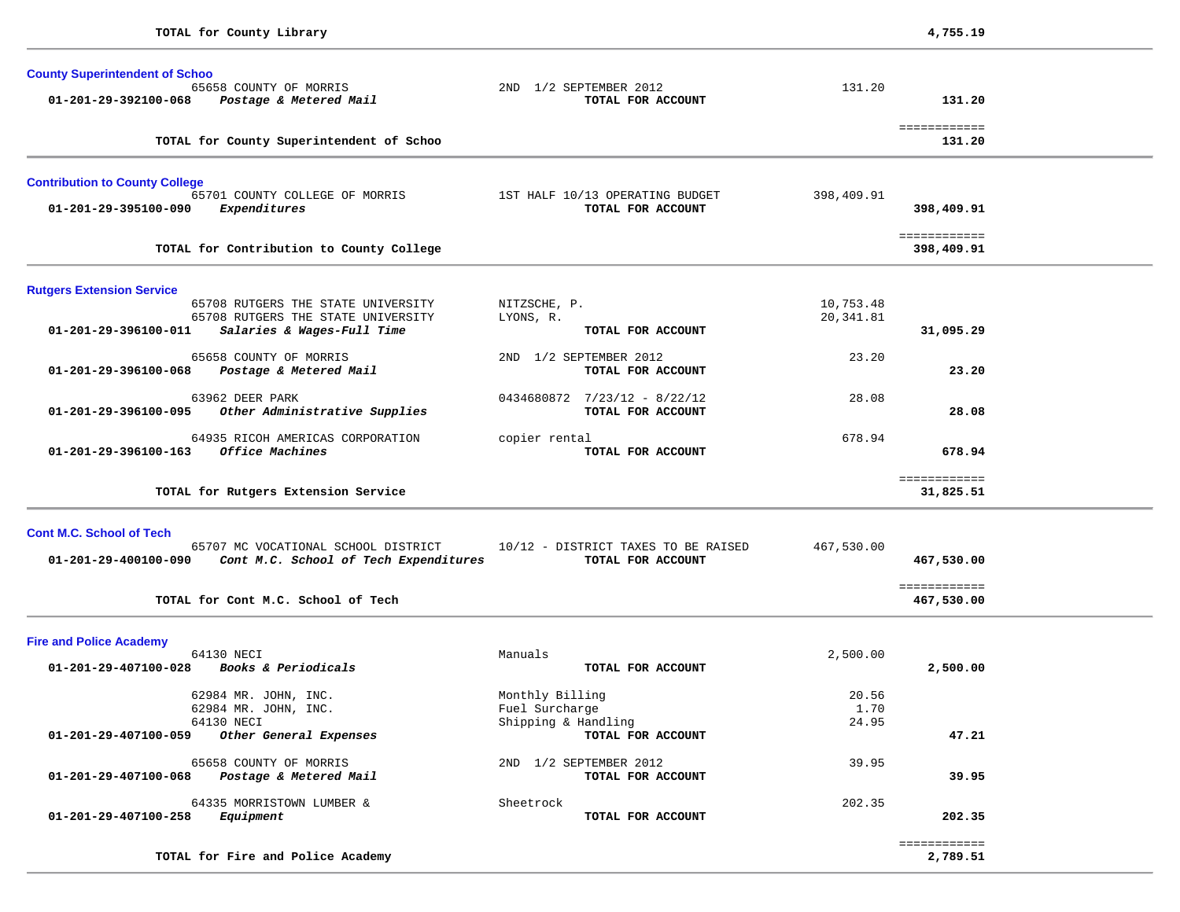| <b>County Superintendent of Schoo</b>                                                    |                                                      |               |                            |  |
|------------------------------------------------------------------------------------------|------------------------------------------------------|---------------|----------------------------|--|
| 65658 COUNTY OF MORRIS<br>01-201-29-392100-068<br>Postage & Metered Mail                 | 2ND 1/2 SEPTEMBER 2012<br>TOTAL FOR ACCOUNT          | 131.20        | 131.20                     |  |
|                                                                                          |                                                      |               |                            |  |
| TOTAL for County Superintendent of Schoo                                                 |                                                      |               | ============<br>131.20     |  |
| <b>Contribution to County College</b>                                                    |                                                      |               |                            |  |
| 65701 COUNTY COLLEGE OF MORRIS<br>01-201-29-395100-090<br>Expenditures                   | 1ST HALF 10/13 OPERATING BUDGET<br>TOTAL FOR ACCOUNT | 398,409.91    | 398,409.91                 |  |
| TOTAL for Contribution to County College                                                 |                                                      |               | ============<br>398,409.91 |  |
| <b>Rutgers Extension Service</b>                                                         |                                                      |               |                            |  |
| 65708 RUTGERS THE STATE UNIVERSITY                                                       | NITZSCHE, P.                                         | 10,753.48     |                            |  |
| 65708 RUTGERS THE STATE UNIVERSITY<br>01-201-29-396100-011<br>Salaries & Wages-Full Time | LYONS, R.<br>TOTAL FOR ACCOUNT                       | 20, 341.81    | 31,095.29                  |  |
|                                                                                          |                                                      |               |                            |  |
| 65658 COUNTY OF MORRIS                                                                   | 2ND 1/2 SEPTEMBER 2012                               | 23.20         |                            |  |
| 01-201-29-396100-068<br>Postage & Metered Mail                                           | TOTAL FOR ACCOUNT                                    |               | 23.20                      |  |
| 63962 DEER PARK                                                                          | $0434680872$ $7/23/12$ - 8/22/12                     | 28.08         |                            |  |
| Other Administrative Supplies<br>01-201-29-396100-095                                    | TOTAL FOR ACCOUNT                                    |               | 28.08                      |  |
| 64935 RICOH AMERICAS CORPORATION                                                         | copier rental                                        | 678.94        |                            |  |
| Office Machines<br>01-201-29-396100-163                                                  | TOTAL FOR ACCOUNT                                    |               | 678.94                     |  |
|                                                                                          |                                                      |               | ============               |  |
| TOTAL for Rutgers Extension Service                                                      |                                                      |               | 31,825.51                  |  |
|                                                                                          |                                                      |               |                            |  |
| <b>Cont M.C. School of Tech</b><br>65707 MC VOCATIONAL SCHOOL DISTRICT                   | 10/12 - DISTRICT TAXES TO BE RAISED                  | 467,530.00    |                            |  |
| Cont M.C. School of Tech Expenditures<br>01-201-29-400100-090                            | TOTAL FOR ACCOUNT                                    |               | 467,530.00                 |  |
|                                                                                          |                                                      |               |                            |  |
| TOTAL for Cont M.C. School of Tech                                                       |                                                      |               | ============               |  |
|                                                                                          |                                                      |               |                            |  |
|                                                                                          |                                                      |               | 467,530.00                 |  |
|                                                                                          |                                                      |               |                            |  |
| <b>Fire and Police Academy</b><br>64130 NECI                                             | Manuals                                              | 2,500.00      |                            |  |
| Books & Periodicals<br>01-201-29-407100-028                                              | TOTAL FOR ACCOUNT                                    |               | 2,500.00                   |  |
|                                                                                          |                                                      |               |                            |  |
| 62984 MR. JOHN, INC.<br>62984 MR. JOHN, INC.                                             | Monthly Billing<br>Fuel Surcharge                    | 20.56<br>1.70 |                            |  |
| 64130 NECI                                                                               | Shipping & Handling                                  | 24.95         |                            |  |
| 01-201-29-407100-059<br>Other General Expenses                                           | TOTAL FOR ACCOUNT                                    |               | 47.21                      |  |
| 65658 COUNTY OF MORRIS                                                                   | 2ND 1/2 SEPTEMBER 2012                               | 39.95         |                            |  |
| 01-201-29-407100-068<br>Postage & Metered Mail                                           | TOTAL FOR ACCOUNT                                    |               | 39.95                      |  |
|                                                                                          |                                                      |               |                            |  |
| 64335 MORRISTOWN LUMBER &<br>01-201-29-407100-258<br>Equipment                           | Sheetrock<br>TOTAL FOR ACCOUNT                       | 202.35        | 202.35                     |  |
|                                                                                          |                                                      |               | ============               |  |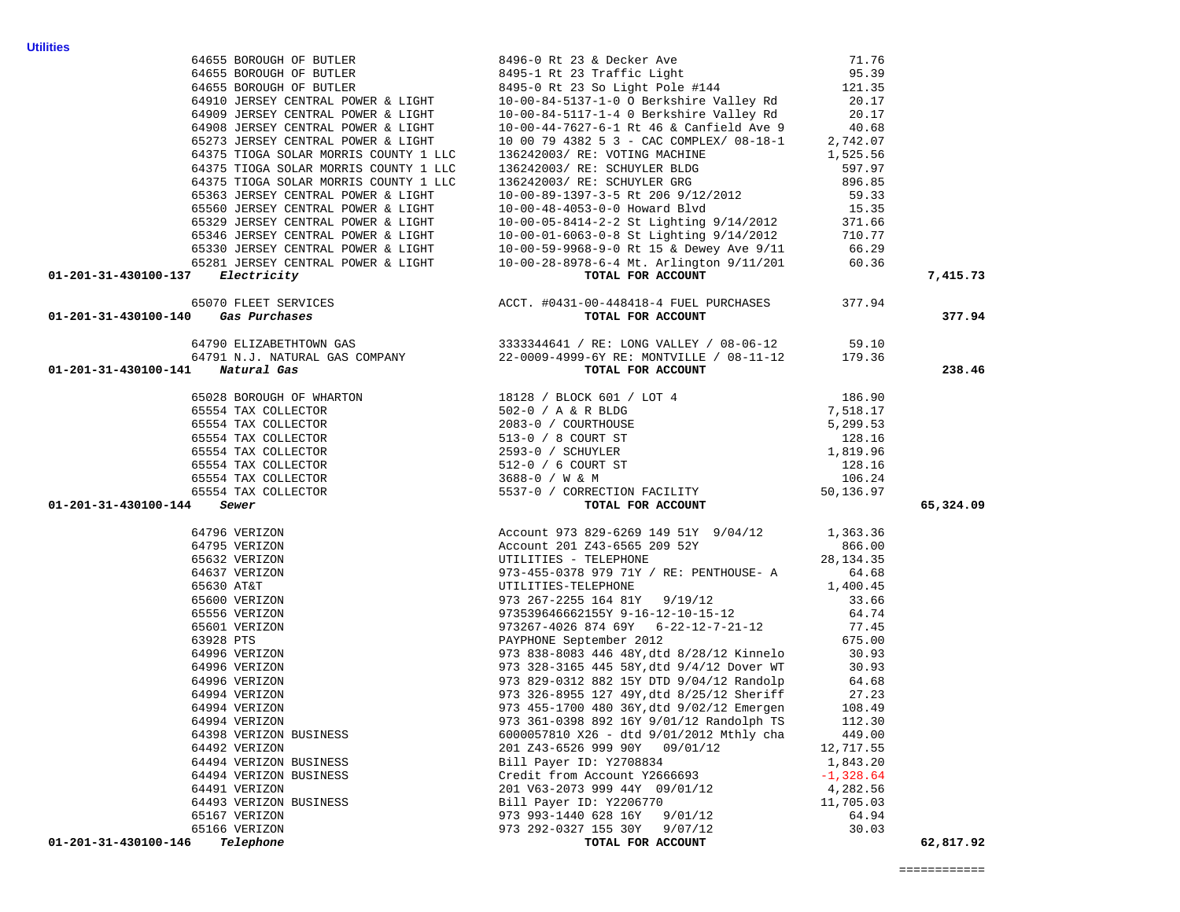71.76

|                                                                                                                                                                                                                                           | 64910 JERSEY CENTRAL POWER & LIGHT 10-00-84-5137-1-0 O Berkshire Valley Rd                                                                                                                                                            | 20.17 |           |
|-------------------------------------------------------------------------------------------------------------------------------------------------------------------------------------------------------------------------------------------|---------------------------------------------------------------------------------------------------------------------------------------------------------------------------------------------------------------------------------------|-------|-----------|
|                                                                                                                                                                                                                                           |                                                                                                                                                                                                                                       |       |           |
|                                                                                                                                                                                                                                           |                                                                                                                                                                                                                                       |       |           |
|                                                                                                                                                                                                                                           |                                                                                                                                                                                                                                       |       |           |
|                                                                                                                                                                                                                                           |                                                                                                                                                                                                                                       |       |           |
|                                                                                                                                                                                                                                           |                                                                                                                                                                                                                                       |       |           |
|                                                                                                                                                                                                                                           |                                                                                                                                                                                                                                       |       |           |
|                                                                                                                                                                                                                                           |                                                                                                                                                                                                                                       |       |           |
|                                                                                                                                                                                                                                           |                                                                                                                                                                                                                                       |       |           |
|                                                                                                                                                                                                                                           |                                                                                                                                                                                                                                       |       |           |
|                                                                                                                                                                                                                                           |                                                                                                                                                                                                                                       |       |           |
|                                                                                                                                                                                                                                           |                                                                                                                                                                                                                                       |       |           |
|                                                                                                                                                                                                                                           |                                                                                                                                                                                                                                       |       |           |
| 64910 JUNESY CENTRAL PONEK & LIGHT<br>64909 JUNESY CENTRAL PONEK & LIGHT<br>64909 JUNESY CENTRAL PONEK & LIGHT<br>64909 JUNESY CENTRAL PONEK & LIGHT<br>64909 JUNESY CENTRAL PONEK & LIGHT<br>65273 JUNESY CENTRAL PONEK & LIGHT<br>65273 |                                                                                                                                                                                                                                       |       | 7,415.73  |
|                                                                                                                                                                                                                                           |                                                                                                                                                                                                                                       |       |           |
|                                                                                                                                                                                                                                           |                                                                                                                                                                                                                                       |       | 377.94    |
|                                                                                                                                                                                                                                           |                                                                                                                                                                                                                                       |       |           |
|                                                                                                                                                                                                                                           |                                                                                                                                                                                                                                       |       |           |
|                                                                                                                                                                                                                                           |                                                                                                                                                                                                                                       |       | 238.46    |
|                                                                                                                                                                                                                                           |                                                                                                                                                                                                                                       |       |           |
|                                                                                                                                                                                                                                           |                                                                                                                                                                                                                                       |       |           |
|                                                                                                                                                                                                                                           |                                                                                                                                                                                                                                       |       |           |
|                                                                                                                                                                                                                                           |                                                                                                                                                                                                                                       |       |           |
|                                                                                                                                                                                                                                           |                                                                                                                                                                                                                                       |       |           |
|                                                                                                                                                                                                                                           |                                                                                                                                                                                                                                       |       |           |
|                                                                                                                                                                                                                                           |                                                                                                                                                                                                                                       |       |           |
|                                                                                                                                                                                                                                           |                                                                                                                                                                                                                                       |       |           |
| 01-201-31-430100-144 Sewer                                                                                                                                                                                                                | 64791 M.J. NATURAKI, GAS CONPARY 22-0009-49991 WATYLINE / 08-11-12 179.36<br>441 Metural das Conparts<br>65028 SURGUCK (1) (2002) 1991 WATYLINE / 08-2012)<br>65028 SURGUCK (1) (2002) 2002) (1) (2) BLOCK 601 / LOT 4<br>65028 SURGU |       | 65,324.09 |
|                                                                                                                                                                                                                                           |                                                                                                                                                                                                                                       |       |           |
|                                                                                                                                                                                                                                           |                                                                                                                                                                                                                                       |       |           |
|                                                                                                                                                                                                                                           |                                                                                                                                                                                                                                       |       |           |
|                                                                                                                                                                                                                                           |                                                                                                                                                                                                                                       |       |           |
|                                                                                                                                                                                                                                           |                                                                                                                                                                                                                                       |       |           |
|                                                                                                                                                                                                                                           |                                                                                                                                                                                                                                       |       |           |
|                                                                                                                                                                                                                                           |                                                                                                                                                                                                                                       |       |           |
|                                                                                                                                                                                                                                           |                                                                                                                                                                                                                                       |       |           |
|                                                                                                                                                                                                                                           |                                                                                                                                                                                                                                       |       |           |
|                                                                                                                                                                                                                                           |                                                                                                                                                                                                                                       |       |           |
|                                                                                                                                                                                                                                           |                                                                                                                                                                                                                                       |       |           |
|                                                                                                                                                                                                                                           |                                                                                                                                                                                                                                       |       |           |
|                                                                                                                                                                                                                                           |                                                                                                                                                                                                                                       |       |           |
|                                                                                                                                                                                                                                           |                                                                                                                                                                                                                                       |       |           |
|                                                                                                                                                                                                                                           |                                                                                                                                                                                                                                       |       |           |
|                                                                                                                                                                                                                                           |                                                                                                                                                                                                                                       |       |           |
|                                                                                                                                                                                                                                           |                                                                                                                                                                                                                                       |       |           |
|                                                                                                                                                                                                                                           |                                                                                                                                                                                                                                       |       |           |
|                                                                                                                                                                                                                                           |                                                                                                                                                                                                                                       |       |           |
|                                                                                                                                                                                                                                           |                                                                                                                                                                                                                                       |       |           |
|                                                                                                                                                                                                                                           |                                                                                                                                                                                                                                       |       |           |
|                                                                                                                                                                                                                                           |                                                                                                                                                                                                                                       |       |           |
|                                                                                                                                                                                                                                           |                                                                                                                                                                                                                                       |       |           |
| 01-201-31-430100-146                                                                                                                                                                                                                      |                                                                                                                                                                                                                                       |       | 62,817.92 |

64655 BOROUGH OF BUTLER 8495-1 Rt 23 Traffic Light 95.39

64655 BOROUGH OF BUTLER 8496-0 Rt 23 & Decker Ave

64655 BOROUGH OF BUTLER 8495-0 Rt 23 So Light Pole #144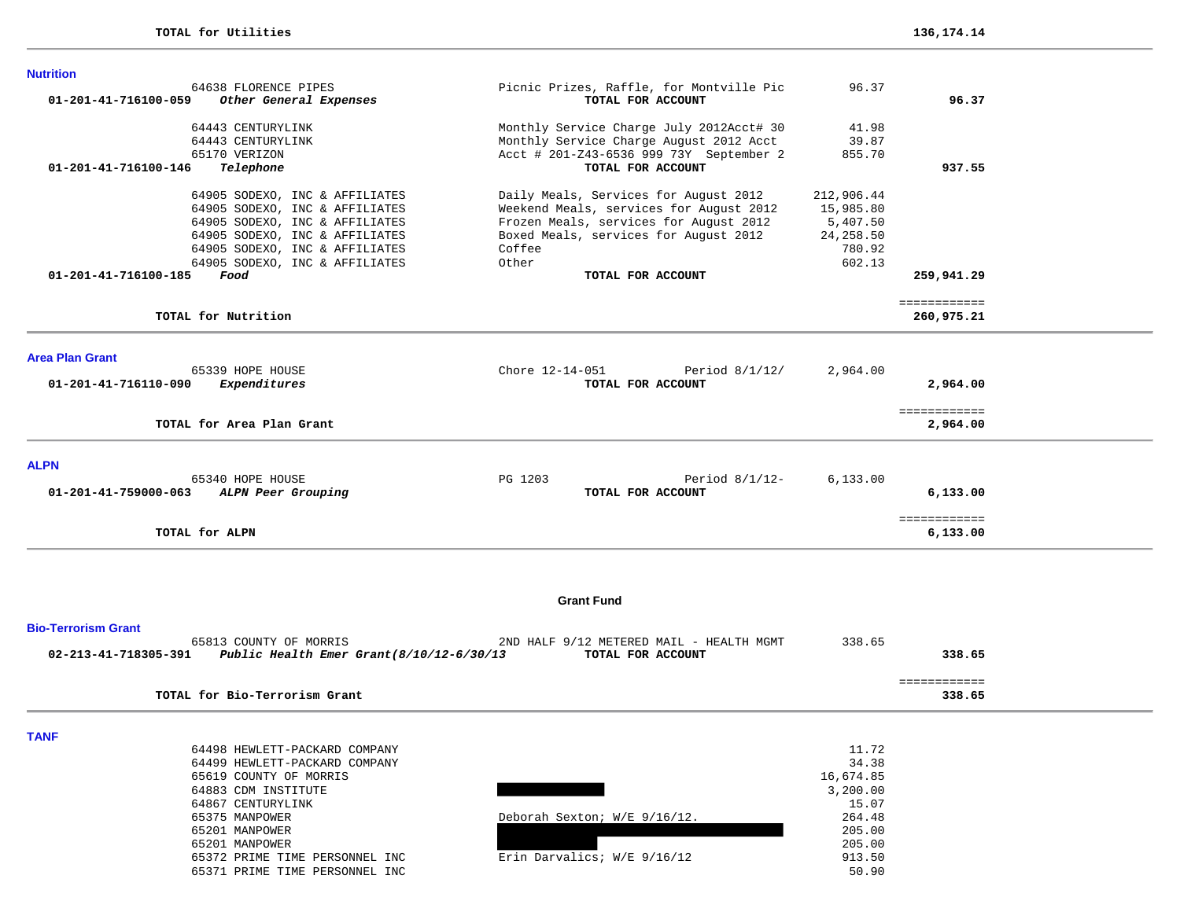| <b>Nutrition</b>                                                     |                                                                                     |                |                          |  |
|----------------------------------------------------------------------|-------------------------------------------------------------------------------------|----------------|--------------------------|--|
| 64638 FLORENCE PIPES                                                 | Picnic Prizes, Raffle, for Montville Pic                                            | 96.37          |                          |  |
| 01-201-41-716100-059<br>Other General Expenses                       | TOTAL FOR ACCOUNT                                                                   |                | 96.37                    |  |
|                                                                      |                                                                                     |                |                          |  |
| 64443 CENTURYLINK<br>64443 CENTURYLINK                               | Monthly Service Charge July 2012Acct# 30<br>Monthly Service Charge August 2012 Acct | 41.98<br>39.87 |                          |  |
| 65170 VERIZON                                                        | Acct # 201-Z43-6536 999 73Y September 2                                             | 855.70         |                          |  |
| 01-201-41-716100-146<br>Telephone                                    | TOTAL FOR ACCOUNT                                                                   |                | 937.55                   |  |
|                                                                      |                                                                                     |                |                          |  |
| 64905 SODEXO, INC & AFFILIATES                                       | Daily Meals, Services for August 2012                                               | 212,906.44     |                          |  |
| 64905 SODEXO, INC & AFFILIATES                                       | Weekend Meals, services for August 2012                                             | 15,985.80      |                          |  |
| 64905 SODEXO, INC & AFFILIATES                                       | Frozen Meals, services for August 2012                                              | 5,407.50       |                          |  |
| 64905 SODEXO, INC & AFFILIATES                                       | Boxed Meals, services for August 2012                                               | 24,258.50      |                          |  |
| 64905 SODEXO, INC & AFFILIATES                                       | Coffee                                                                              | 780.92         |                          |  |
| 64905 SODEXO, INC & AFFILIATES                                       | Other                                                                               | 602.13         |                          |  |
| 01-201-41-716100-185<br>Food                                         | TOTAL FOR ACCOUNT                                                                   |                | 259,941.29               |  |
|                                                                      |                                                                                     |                |                          |  |
|                                                                      |                                                                                     |                | ============             |  |
| TOTAL for Nutrition                                                  |                                                                                     |                | 260,975.21               |  |
|                                                                      |                                                                                     |                |                          |  |
| <b>Area Plan Grant</b>                                               |                                                                                     |                |                          |  |
| 65339 HOPE HOUSE                                                     | Chore 12-14-051<br>Period 8/1/12/                                                   | 2,964.00       |                          |  |
| 01-201-41-716110-090<br>Expenditures                                 | TOTAL FOR ACCOUNT                                                                   |                | 2,964.00                 |  |
|                                                                      |                                                                                     |                |                          |  |
|                                                                      |                                                                                     |                | ============             |  |
| TOTAL for Area Plan Grant                                            |                                                                                     |                | 2,964.00                 |  |
|                                                                      |                                                                                     |                |                          |  |
| <b>ALPN</b>                                                          |                                                                                     |                |                          |  |
| 65340 HOPE HOUSE                                                     | PG 1203<br>Period $8/1/12$ -                                                        | 6, 133.00      |                          |  |
| 01-201-41-759000-063<br>ALPN Peer Grouping                           | TOTAL FOR ACCOUNT                                                                   |                | 6,133.00                 |  |
|                                                                      |                                                                                     |                |                          |  |
| TOTAL for ALPN                                                       |                                                                                     |                | ============<br>6,133.00 |  |
|                                                                      |                                                                                     |                |                          |  |
|                                                                      |                                                                                     |                |                          |  |
|                                                                      | <b>Grant Fund</b>                                                                   |                |                          |  |
| <b>Bio-Terrorism Grant</b>                                           |                                                                                     |                |                          |  |
| 65813 COUNTY OF MORRIS                                               | 2ND HALF 9/12 METERED MAIL - HEALTH MGMT                                            | 338.65         |                          |  |
| 02-213-41-718305-391<br>Public Health Emer Grant $(8/10/12-6/30/13)$ | TOTAL FOR ACCOUNT                                                                   |                | 338.65                   |  |
|                                                                      |                                                                                     |                |                          |  |
|                                                                      |                                                                                     |                | ============             |  |
| TOTAL for Bio-Terrorism Grant                                        |                                                                                     |                | 338.65                   |  |
|                                                                      |                                                                                     |                |                          |  |
| <b>TANF</b>                                                          |                                                                                     |                |                          |  |
| 64498 HEWLETT-PACKARD COMPANY                                        |                                                                                     | 11.72          |                          |  |
| 64499 HEWLETT-PACKARD COMPANY                                        |                                                                                     | 34.38          |                          |  |
| 65619 COUNTY OF MORRIS                                               |                                                                                     | 16,674.85      |                          |  |
| 64883 CDM INSTITUTE                                                  |                                                                                     | 3,200.00       |                          |  |
| 64867 CENTURYLINK                                                    |                                                                                     | 15.07          |                          |  |
| 65375 MANPOWER                                                       | Deborah Sexton; W/E 9/16/12.                                                        | 264.48         |                          |  |
| 65201 MANPOWER                                                       |                                                                                     | 205.00         |                          |  |
| 65201 MANPOWER                                                       |                                                                                     | 205.00         |                          |  |
| 65372 PRIME TIME PERSONNEL INC                                       | Erin Darvalics; W/E 9/16/12                                                         | 913.50         |                          |  |
| 65371 PRIME TIME PERSONNEL INC                                       |                                                                                     | 50.90          |                          |  |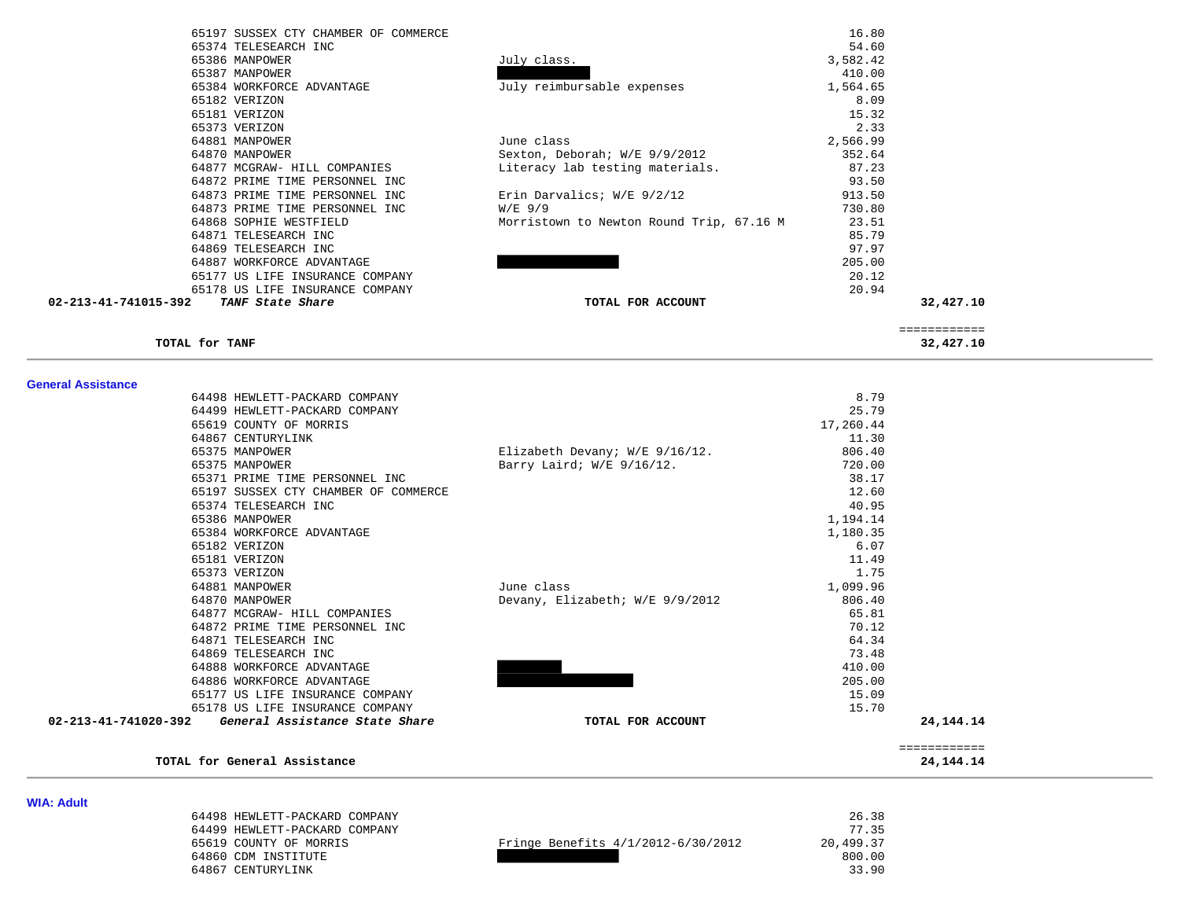| 65197 SUSSEX CTY CHAMBER OF COMMERCE     |                                          | 16.80     |
|------------------------------------------|------------------------------------------|-----------|
| 65374 TELESEARCH INC                     |                                          | 54.60     |
| 65386 MANPOWER                           | July class.                              | 3,582.42  |
| 65387 MANPOWER                           |                                          | 410.00    |
| 65384 WORKFORCE ADVANTAGE                | July reimbursable expenses               | 1,564.65  |
| 65182 VERIZON                            |                                          | 8.09      |
| 65181 VERIZON                            |                                          | 15.32     |
| 65373 VERIZON                            |                                          | 2.33      |
| 64881 MANPOWER                           | June class                               | 2,566.99  |
| 64870 MANPOWER                           | Sexton, Deborah; W/E 9/9/2012            | 352.64    |
| 64877 MCGRAW- HILL COMPANIES             | Literacy lab testing materials.          | 87.23     |
| 64872 PRIME TIME PERSONNEL INC           |                                          | 93.50     |
| 64873 PRIME TIME PERSONNEL INC           | Erin Darvalics; W/E 9/2/12               | 913.50    |
| 64873 PRIME TIME PERSONNEL INC           | $W/E$ 9/9                                | 730.80    |
| 64868 SOPHIE WESTFIELD                   | Morristown to Newton Round Trip, 67.16 M | 23.51     |
| 64871 TELESEARCH INC                     |                                          | 85.79     |
| 64869 TELESEARCH INC                     |                                          | 97.97     |
| 64887 WORKFORCE ADVANTAGE                |                                          | 205.00    |
| 65177 US LIFE INSURANCE COMPANY          |                                          | 20.12     |
| 65178 US LIFE INSURANCE COMPANY          |                                          | 20.94     |
| 02-213-41-741015-392<br>TANF State Share | TOTAL FOR ACCOUNT                        | 32,427.10 |
|                                          |                                          |           |

**TOTAL for TANF 32,427.10**

 ============  $\begin{array}{r} \texttt{-----} \texttt{-----} \texttt{-----} \\ \texttt{32,427.10} \end{array}$ 

#### **General Assistance**

| TOTAL for General Assistance                        |                                  |                  | 24, 144. 14  |
|-----------------------------------------------------|----------------------------------|------------------|--------------|
|                                                     |                                  |                  | ============ |
| 02-213-41-741020-392 General Assistance State Share | TOTAL FOR ACCOUNT                |                  | 24, 144, 14  |
| 65178 US LIFE INSURANCE COMPANY                     |                                  | 15.70            |              |
| 65177 US LIFE INSURANCE COMPANY                     |                                  | 15.09            |              |
| 64886 WORKFORCE ADVANTAGE                           |                                  | 205.00           |              |
| 64888 WORKFORCE ADVANTAGE                           |                                  | 410.00           |              |
| 64869 TELESEARCH INC                                |                                  | 73.48            |              |
| 64871 TELESEARCH INC                                |                                  | 64.34            |              |
| 64872 PRIME TIME PERSONNEL INC                      |                                  | 70.12            |              |
| 64877 MCGRAW- HILL COMPANIES                        |                                  | 65.81            |              |
| 64870 MANPOWER                                      | Devany, Elizabeth; W/E 9/9/2012  | 806.40           |              |
| 64881 MANPOWER                                      | June class                       | 1,099.96         |              |
| 65373 VERIZON                                       |                                  | 1.75             |              |
| 65181 VERIZON                                       |                                  | 11.49            |              |
| 65384 WORKFORCE ADVANTAGE<br>65182 VERIZON          |                                  | 1,180.35<br>6.07 |              |
| 65386 MANPOWER                                      |                                  | 1,194.14         |              |
| 65374 TELESEARCH INC                                |                                  | 40.95            |              |
| 65197 SUSSEX CTY CHAMBER OF COMMERCE                |                                  | 12.60            |              |
| 65371 PRIME TIME PERSONNEL INC                      |                                  | 38.17            |              |
| 65375 MANPOWER                                      | Barry Laird; W/E 9/16/12.        | 720.00           |              |
| 65375 MANPOWER                                      | Elizabeth Devany; $W/E$ 9/16/12. | 806.40           |              |
| 64867 CENTURYLINK                                   |                                  | 11.30            |              |
| 65619 COUNTY OF MORRIS                              |                                  | 17,260.44        |              |
| 64499 HEWLETT-PACKARD COMPANY                       |                                  | 25.79            |              |
| 64498 HEWLETT-PACKARD COMPANY                       |                                  | 8.79             |              |

**WIA: Adult** 

| 64498 HEWLETT-PACKARD COMPANY |                                    | 26.38     |
|-------------------------------|------------------------------------|-----------|
| 64499 HEWLETT-PACKARD COMPANY |                                    | 77.35     |
| 65619 COUNTY OF MORRIS        | Fringe Benefits 4/1/2012-6/30/2012 | 20,499.37 |
| 64860 CDM INSTITUTE           |                                    | 800.00    |
| 64867 CENTURYLINK             |                                    | 33.90     |

|           | 26.38  |
|-----------|--------|
|           | 77.35  |
| 20,499.37 |        |
| 800.00    |        |
|           | 22 Q.N |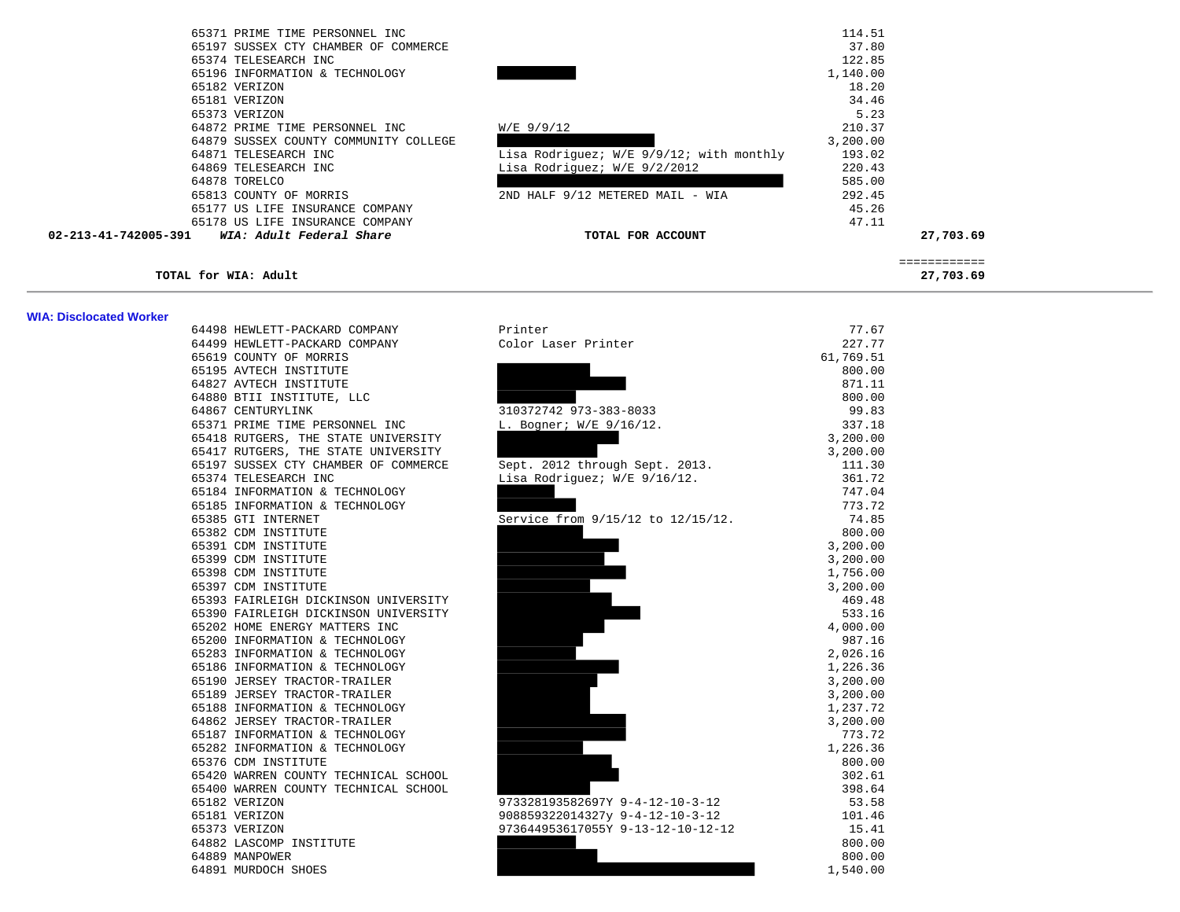| 65371 PRIME TIME PERSONNEL INC                   |                                          | 114.51   |           |  |
|--------------------------------------------------|------------------------------------------|----------|-----------|--|
| 65197 SUSSEX CTY CHAMBER OF COMMERCE             |                                          | 37.80    |           |  |
| 65374 TELESEARCH INC                             |                                          | 122.85   |           |  |
| 65196 INFORMATION & TECHNOLOGY                   |                                          | 1,140.00 |           |  |
| 65182 VERIZON                                    |                                          | 18.20    |           |  |
| 65181 VERIZON                                    |                                          | 34.46    |           |  |
| 65373 VERIZON                                    |                                          | 5.23     |           |  |
| 64872 PRIME TIME PERSONNEL INC                   | $W/E$ 9/9/12                             | 210.37   |           |  |
| 64879 SUSSEX COUNTY COMMUNITY COLLEGE            |                                          | 3,200.00 |           |  |
| 64871 TELESEARCH INC                             | Lisa Rodriguez; W/E 9/9/12; with monthly | 193.02   |           |  |
| 64869 TELESEARCH INC                             | Lisa Rodriguez; W/E 9/2/2012             | 220.43   |           |  |
| 64878 TORELCO                                    |                                          | 585.00   |           |  |
| 65813 COUNTY OF MORRIS                           | 2ND HALF 9/12 METERED MAIL - WIA         | 292.45   |           |  |
| 65177 US LIFE INSURANCE COMPANY                  |                                          | 45.26    |           |  |
| 65178 US LIFE INSURANCE COMPANY                  |                                          | 47.11    |           |  |
| 02-213-41-742005-391<br>WIA: Adult Federal Share | TOTAL FOR ACCOUNT                        |          | 27,703.69 |  |
|                                                  |                                          |          |           |  |
| TOTAL for WIA: Adult                             |                                          |          | 27,703.69 |  |

#### **WIA: Disclocated Worker**

| MA. PISCIUCALE MUIREI |                                      |                                   |           |
|-----------------------|--------------------------------------|-----------------------------------|-----------|
|                       | 64498 HEWLETT-PACKARD COMPANY        | Printer                           | 77.67     |
|                       | 64499 HEWLETT-PACKARD COMPANY        | Color Laser Printer               | 227.77    |
|                       | 65619 COUNTY OF MORRIS               |                                   | 61,769.51 |
|                       | 65195 AVTECH INSTITUTE               |                                   | 800.00    |
|                       | 64827 AVTECH INSTITUTE               |                                   | 871.11    |
|                       | 64880 BTII INSTITUTE, LLC            |                                   | 800.00    |
|                       | 64867 CENTURYLINK                    | 310372742 973-383-8033            | 99.83     |
|                       | 65371 PRIME TIME PERSONNEL INC       | L. Bogner; W/E 9/16/12.           | 337.18    |
|                       | 65418 RUTGERS, THE STATE UNIVERSITY  |                                   | 3,200.00  |
|                       | 65417 RUTGERS, THE STATE UNIVERSITY  |                                   | 3,200.00  |
|                       | 65197 SUSSEX CTY CHAMBER OF COMMERCE | Sept. 2012 through Sept. 2013.    | 111.30    |
|                       | 65374 TELESEARCH INC                 | Lisa Rodriguez; W/E 9/16/12.      | 361.72    |
|                       | 65184 INFORMATION & TECHNOLOGY       |                                   | 747.04    |
|                       | 65185 INFORMATION & TECHNOLOGY       |                                   | 773.72    |
|                       | 65385 GTI INTERNET                   | Service from 9/15/12 to 12/15/12. | 74.85     |
|                       | 65382 CDM INSTITUTE                  |                                   | 800.00    |
|                       | 65391 CDM INSTITUTE                  |                                   | 3,200.00  |
|                       | 65399 CDM INSTITUTE                  |                                   | 3,200.00  |
|                       | 65398 CDM INSTITUTE                  |                                   | 1,756.00  |
|                       | 65397 CDM INSTITUTE                  |                                   | 3,200.00  |
|                       | 65393 FAIRLEIGH DICKINSON UNIVERSITY |                                   | 469.48    |
|                       | 65390 FAIRLEIGH DICKINSON UNIVERSITY |                                   | 533.16    |
|                       | 65202 HOME ENERGY MATTERS INC        |                                   | 4,000.00  |
|                       | 65200 INFORMATION & TECHNOLOGY       |                                   | 987.16    |
|                       | 65283 INFORMATION & TECHNOLOGY       |                                   | 2,026.16  |
|                       | 65186 INFORMATION & TECHNOLOGY       |                                   | 1,226.36  |
|                       | 65190 JERSEY TRACTOR-TRAILER         |                                   | 3,200.00  |
|                       | 65189 JERSEY TRACTOR-TRAILER         |                                   | 3,200.00  |
|                       | 65188 INFORMATION & TECHNOLOGY       |                                   | 1,237.72  |
|                       | 64862 JERSEY TRACTOR-TRAILER         |                                   | 3,200.00  |
|                       | 65187 INFORMATION & TECHNOLOGY       |                                   | 773.72    |
|                       | 65282 INFORMATION & TECHNOLOGY       |                                   | 1,226.36  |
|                       | 65376 CDM INSTITUTE                  |                                   | 800.00    |
|                       | 65420 WARREN COUNTY TECHNICAL SCHOOL |                                   | 302.61    |
|                       | 65400 WARREN COUNTY TECHNICAL SCHOOL |                                   | 398.64    |
|                       | 65182 VERIZON                        | 973328193582697Y 9-4-12-10-3-12   | 53.58     |
|                       | 65181 VERIZON                        | 908859322014327y 9-4-12-10-3-12   | 101.46    |
|                       | 65373 VERIZON                        | 973644953617055Y 9-13-12-10-12-12 | 15.41     |
|                       | 64882 LASCOMP INSTITUTE              |                                   | 800.00    |
|                       | 64889 MANPOWER                       |                                   | 800.00    |
|                       | 64891 MURDOCH SHOES                  |                                   | 1,540.00  |
|                       |                                      |                                   |           |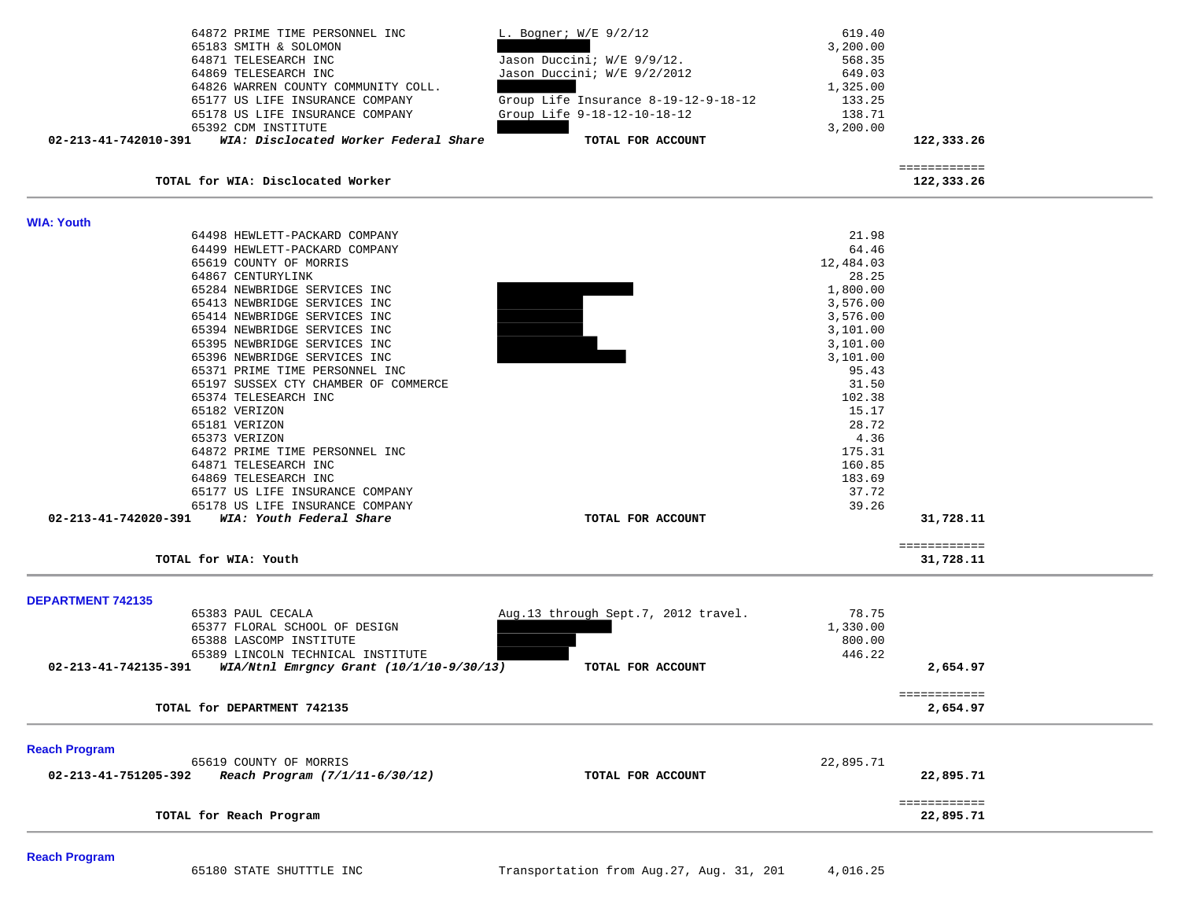| 64872 PRIME TIME PERSONNEL INC<br>65183 SMITH & SOLOMON<br>64871 TELESEARCH INC<br>64869 TELESEARCH INC<br>64826 WARREN COUNTY COMMUNITY COLL. | L. Bogner; W/E 9/2/12<br>Jason Duccini; W/E 9/9/12.<br>Jason Duccini; W/E 9/2/2012 | 619.40<br>3,200.00<br>568.35<br>649.03<br>1,325.00 |                            |  |
|------------------------------------------------------------------------------------------------------------------------------------------------|------------------------------------------------------------------------------------|----------------------------------------------------|----------------------------|--|
| 65177 US LIFE INSURANCE COMPANY<br>65178 US LIFE INSURANCE COMPANY                                                                             | Group Life Insurance 8-19-12-9-18-12<br>Group Life 9-18-12-10-18-12                | 133.25<br>138.71                                   |                            |  |
| 65392 CDM INSTITUTE                                                                                                                            |                                                                                    | 3,200.00                                           |                            |  |
| WIA: Disclocated Worker Federal Share<br>02-213-41-742010-391                                                                                  | TOTAL FOR ACCOUNT                                                                  |                                                    | 122,333.26                 |  |
| TOTAL for WIA: Disclocated Worker                                                                                                              |                                                                                    |                                                    | ============<br>122,333.26 |  |
| <b>WIA: Youth</b>                                                                                                                              |                                                                                    |                                                    |                            |  |
| 64498 HEWLETT-PACKARD COMPANY                                                                                                                  |                                                                                    | 21.98                                              |                            |  |
| 64499 HEWLETT-PACKARD COMPANY                                                                                                                  |                                                                                    | 64.46                                              |                            |  |
| 65619 COUNTY OF MORRIS<br>64867 CENTURYLINK                                                                                                    |                                                                                    | 12,484.03<br>28.25                                 |                            |  |
| 65284 NEWBRIDGE SERVICES INC                                                                                                                   |                                                                                    | 1,800.00                                           |                            |  |
| 65413 NEWBRIDGE SERVICES INC                                                                                                                   |                                                                                    | 3,576.00                                           |                            |  |
| 65414 NEWBRIDGE SERVICES INC                                                                                                                   |                                                                                    | 3,576.00                                           |                            |  |
| 65394 NEWBRIDGE SERVICES INC<br>65395 NEWBRIDGE SERVICES INC                                                                                   |                                                                                    | 3,101.00<br>3,101.00                               |                            |  |
| 65396 NEWBRIDGE SERVICES INC                                                                                                                   |                                                                                    | 3,101.00                                           |                            |  |
| 65371 PRIME TIME PERSONNEL INC                                                                                                                 |                                                                                    | 95.43                                              |                            |  |
| 65197 SUSSEX CTY CHAMBER OF COMMERCE                                                                                                           |                                                                                    | 31.50                                              |                            |  |
| 65374 TELESEARCH INC                                                                                                                           |                                                                                    | 102.38                                             |                            |  |
| 65182 VERIZON<br>65181 VERIZON                                                                                                                 |                                                                                    | 15.17<br>28.72                                     |                            |  |
| 65373 VERIZON                                                                                                                                  |                                                                                    | 4.36                                               |                            |  |
| 64872 PRIME TIME PERSONNEL INC                                                                                                                 |                                                                                    | 175.31                                             |                            |  |
| 64871 TELESEARCH INC                                                                                                                           |                                                                                    | 160.85                                             |                            |  |
| 64869 TELESEARCH INC                                                                                                                           |                                                                                    | 183.69                                             |                            |  |
| 65177 US LIFE INSURANCE COMPANY<br>65178 US LIFE INSURANCE COMPANY                                                                             |                                                                                    | 37.72<br>39.26                                     |                            |  |
| 02-213-41-742020-391 WIA: Youth Federal Share                                                                                                  | TOTAL FOR ACCOUNT                                                                  |                                                    | 31,728.11                  |  |
|                                                                                                                                                |                                                                                    |                                                    | ============               |  |
| TOTAL for WIA: Youth                                                                                                                           |                                                                                    |                                                    | 31,728.11                  |  |
| <b>DEPARTMENT 742135</b>                                                                                                                       |                                                                                    |                                                    |                            |  |
| 65383 PAUL CECALA                                                                                                                              | Aug.13 through Sept.7, 2012 travel.                                                | 78.75                                              |                            |  |
| 65377 FLORAL SCHOOL OF DESIGN                                                                                                                  |                                                                                    | 1,330.00                                           |                            |  |
| 65388 LASCOMP INSTITUTE                                                                                                                        |                                                                                    | 800.00                                             |                            |  |
| 65389 LINCOLN TECHNICAL INSTITUTE<br>02-213-41-742135-391                                                                                      | TOTAL FOR ACCOUNT                                                                  | 446.22                                             | 2,654.97                   |  |
| WIA/Ntnl Emrgncy Grant (10/1/10-9/30/13)                                                                                                       |                                                                                    |                                                    |                            |  |
| TOTAL for DEPARTMENT 742135                                                                                                                    |                                                                                    |                                                    | ============<br>2,654.97   |  |
| <b>Reach Program</b>                                                                                                                           |                                                                                    |                                                    |                            |  |
| 65619 COUNTY OF MORRIS                                                                                                                         |                                                                                    | 22,895.71                                          |                            |  |
| 02-213-41-751205-392<br>Reach Program (7/1/11-6/30/12)                                                                                         | TOTAL FOR ACCOUNT                                                                  |                                                    | 22,895.71                  |  |
|                                                                                                                                                |                                                                                    |                                                    | ============               |  |
| TOTAL for Reach Program                                                                                                                        |                                                                                    |                                                    | 22,895.71                  |  |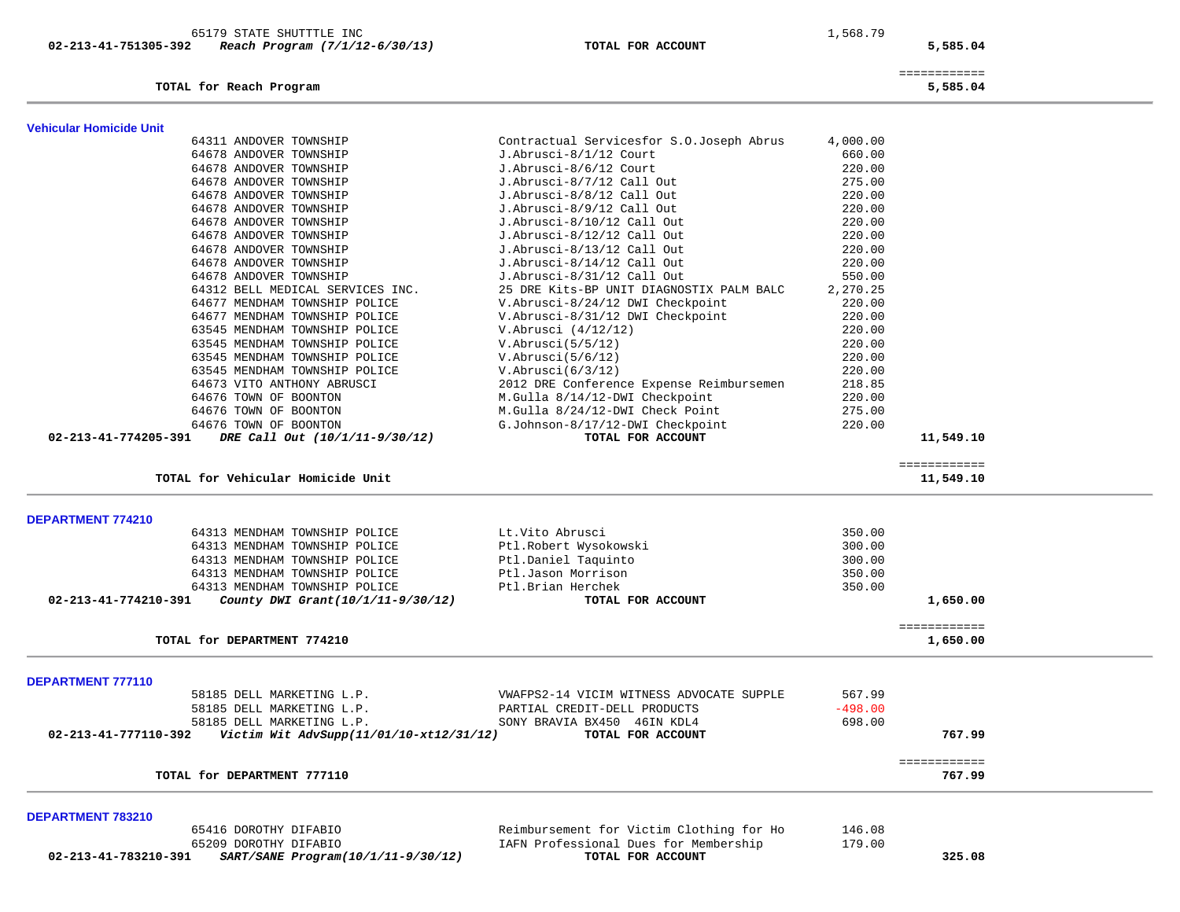| 02-213-41-751305-392           | Reach Program (7/1/12-6/30/13)          | TOTAL FOR ACCOUNT                        |           | 5,585.04                 |  |
|--------------------------------|-----------------------------------------|------------------------------------------|-----------|--------------------------|--|
|                                | TOTAL for Reach Program                 |                                          |           | ============<br>5,585.04 |  |
| <b>Vehicular Homicide Unit</b> |                                         |                                          |           |                          |  |
|                                | 64311 ANDOVER TOWNSHIP                  | Contractual Servicesfor S.O.Joseph Abrus | 4,000.00  |                          |  |
|                                | 64678 ANDOVER TOWNSHIP                  | J.Abrusci-8/1/12 Court                   | 660.00    |                          |  |
|                                | 64678 ANDOVER TOWNSHIP                  | J.Abrusci-8/6/12 Court                   | 220.00    |                          |  |
|                                | 64678 ANDOVER TOWNSHIP                  | J.Abrusci-8/7/12 Call Out                | 275.00    |                          |  |
|                                | 64678 ANDOVER TOWNSHIP                  | J.Abrusci-8/8/12 Call Out                | 220.00    |                          |  |
|                                | 64678 ANDOVER TOWNSHIP                  | J.Abrusci-8/9/12 Call Out                | 220.00    |                          |  |
|                                | 64678 ANDOVER TOWNSHIP                  | J.Abrusci-8/10/12 Call Out               | 220.00    |                          |  |
|                                | 64678 ANDOVER TOWNSHIP                  | J.Abrusci-8/12/12 Call Out               | 220.00    |                          |  |
|                                | 64678 ANDOVER TOWNSHIP                  | J.Abrusci-8/13/12 Call Out               | 220.00    |                          |  |
|                                | 64678 ANDOVER TOWNSHIP                  | J.Abrusci-8/14/12 Call Out               | 220.00    |                          |  |
|                                | 64678 ANDOVER TOWNSHIP                  | J.Abrusci-8/31/12 Call Out               | 550.00    |                          |  |
|                                | 64312 BELL MEDICAL SERVICES INC.        | 25 DRE Kits-BP UNIT DIAGNOSTIX PALM BALC | 2,270.25  |                          |  |
|                                | 64677 MENDHAM TOWNSHIP POLICE           | V.Abrusci-8/24/12 DWI Checkpoint         | 220.00    |                          |  |
|                                | 64677 MENDHAM TOWNSHIP POLICE           | V.Abrusci-8/31/12 DWI Checkpoint         | 220.00    |                          |  |
|                                | 63545 MENDHAM TOWNSHIP POLICE           | V.Abrusci (4/12/12)                      | 220.00    |                          |  |
|                                | 63545 MENDHAM TOWNSHIP POLICE           | V.Abrusci(5/5/12)                        | 220.00    |                          |  |
|                                | 63545 MENDHAM TOWNSHIP POLICE           | V.Abrusci(5/6/12)                        | 220.00    |                          |  |
|                                | 63545 MENDHAM TOWNSHIP POLICE           | V.Abrusci(6/3/12)                        | 220.00    |                          |  |
|                                | 64673 VITO ANTHONY ABRUSCI              | 2012 DRE Conference Expense Reimbursemen | 218.85    |                          |  |
|                                | 64676 TOWN OF BOONTON                   | M.Gulla 8/14/12-DWI Checkpoint           | 220.00    |                          |  |
|                                | 64676 TOWN OF BOONTON                   | M.Gulla 8/24/12-DWI Check Point          | 275.00    |                          |  |
|                                | 64676 TOWN OF BOONTON                   | G.Johnson-8/17/12-DWI Checkpoint         | 220.00    |                          |  |
| 02-213-41-774205-391           | DRE Call Out (10/1/11-9/30/12)          | TOTAL FOR ACCOUNT                        |           | 11,549.10                |  |
|                                | TOTAL for Vehicular Homicide Unit       |                                          |           | ============             |  |
|                                |                                         |                                          |           | 11,549.10                |  |
| DEPARTMENT 774210              |                                         |                                          |           |                          |  |
|                                | 64313 MENDHAM TOWNSHIP POLICE           | Lt.Vito Abrusci                          | 350.00    |                          |  |
|                                | 64313 MENDHAM TOWNSHIP POLICE           | Ptl.Robert Wysokowski                    | 300.00    |                          |  |
|                                | 64313 MENDHAM TOWNSHIP POLICE           | Ptl.Daniel Taquinto                      | 300.00    |                          |  |
|                                | 64313 MENDHAM TOWNSHIP POLICE           | Ptl.Jason Morrison                       | 350.00    |                          |  |
|                                | 64313 MENDHAM TOWNSHIP POLICE           | Ptl.Brian Herchek                        | 350.00    |                          |  |
| 02-213-41-774210-391           | County DWI Grant(10/1/11-9/30/12)       | TOTAL FOR ACCOUNT                        |           | 1,650.00                 |  |
|                                |                                         |                                          |           | ============             |  |
|                                | TOTAL for DEPARTMENT 774210             |                                          |           | 1,650.00                 |  |
|                                |                                         |                                          |           |                          |  |
| <b>DEPARTMENT 777110</b>       |                                         |                                          |           |                          |  |
|                                | 58185 DELL MARKETING L.P.               | VWAFPS2-14 VICIM WITNESS ADVOCATE SUPPLE | 567.99    |                          |  |
|                                | 58185 DELL MARKETING L.P.               | PARTIAL CREDIT-DELL PRODUCTS             | $-498.00$ |                          |  |
|                                | 58185 DELL MARKETING L.P.               | SONY BRAVIA BX450 46IN KDL4              | 698.00    |                          |  |
| 02-213-41-777110-392           | Victim Wit AdvSupp(11/01/10-xt12/31/12) | TOTAL FOR ACCOUNT                        |           | 767.99                   |  |
|                                |                                         |                                          |           | ============             |  |
|                                | TOTAL for DEPARTMENT 777110             |                                          |           | 767.99                   |  |
|                                |                                         |                                          |           |                          |  |
| DEPARTMENT 783210              |                                         |                                          |           |                          |  |
|                                | 65416 DOROTHY DIFABIO                   | Reimbursement for Victim Clothing for Ho | 146.08    |                          |  |
|                                | 65209 DOROTHY DIFABIO                   | IAFN Professional Dues for Membership    | 179.00    |                          |  |
| 02-213-41-783210-391           | SART/SANE Program(10/1/11-9/30/12)      | TOTAL FOR ACCOUNT                        |           | 325.08                   |  |
|                                |                                         |                                          |           |                          |  |

65179 STATE SHUTTTLE INC 1,568.79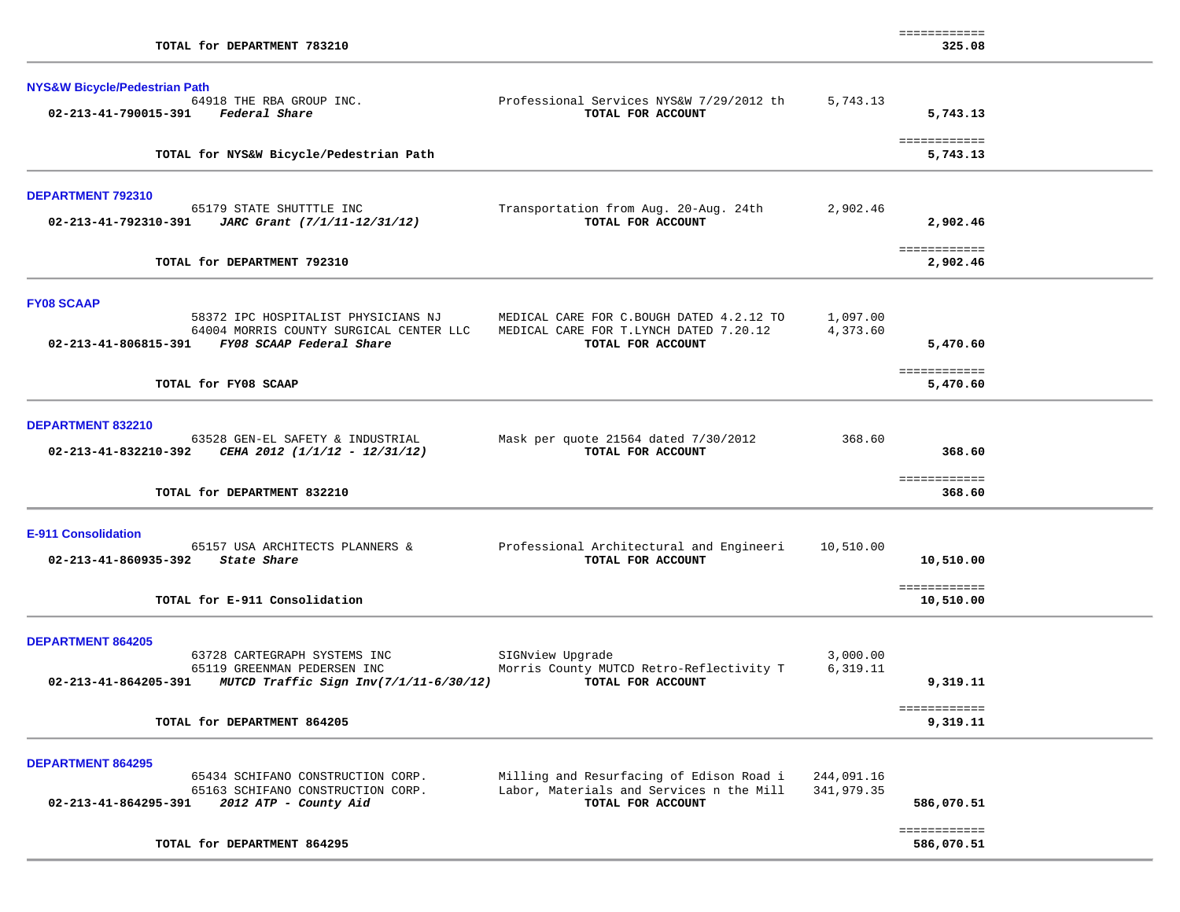| TOTAL for DEPARTMENT 783210                                                                                                                            |                                                                                                           |                          | -------------<br>325.08    |  |
|--------------------------------------------------------------------------------------------------------------------------------------------------------|-----------------------------------------------------------------------------------------------------------|--------------------------|----------------------------|--|
| <b>NYS&amp;W Bicycle/Pedestrian Path</b><br>64918 THE RBA GROUP INC.<br>02-213-41-790015-391 Federal Share                                             | Professional Services NYS&W 7/29/2012 th<br>TOTAL FOR ACCOUNT                                             | 5,743.13                 | 5,743.13                   |  |
| TOTAL for NYS&W Bicycle/Pedestrian Path                                                                                                                |                                                                                                           |                          | ============<br>5,743.13   |  |
| <b>DEPARTMENT 792310</b><br>65179 STATE SHUTTTLE INC<br>02-213-41-792310-391 JARC Grant (7/1/11-12/31/12)                                              | Transportation from Aug. 20-Aug. 24th<br>TOTAL FOR ACCOUNT                                                | 2,902.46                 | 2,902.46                   |  |
| TOTAL for DEPARTMENT 792310                                                                                                                            |                                                                                                           |                          | ============<br>2,902.46   |  |
| <b>FY08 SCAAP</b><br>58372 IPC HOSPITALIST PHYSICIANS NJ<br>64004 MORRIS COUNTY SURGICAL CENTER LLC<br>02-213-41-806815-391 FY08 SCAAP Federal Share   | MEDICAL CARE FOR C.BOUGH DATED 4.2.12 TO<br>MEDICAL CARE FOR T.LYNCH DATED 7.20.12<br>TOTAL FOR ACCOUNT   | 1,097.00<br>4,373.60     | 5,470.60<br>============   |  |
| TOTAL for FY08 SCAAP                                                                                                                                   |                                                                                                           |                          | 5,470.60                   |  |
| DEPARTMENT 832210<br>63528 GEN-EL SAFETY & INDUSTRIAL<br>02-213-41-832210-392 CEHA 2012 (1/1/12 - 12/31/12)                                            | Mask per quote 21564 dated 7/30/2012<br>TOTAL FOR ACCOUNT                                                 | 368.60                   | 368.60<br>============     |  |
| TOTAL for DEPARTMENT 832210                                                                                                                            |                                                                                                           |                          | 368.60                     |  |
| <b>E-911 Consolidation</b><br>65157 USA ARCHITECTS PLANNERS &<br>02-213-41-860935-392 State Share                                                      | Professional Architectural and Engineeri<br>TOTAL FOR ACCOUNT                                             | 10,510.00                | 10,510.00<br>============  |  |
| TOTAL for E-911 Consolidation                                                                                                                          |                                                                                                           |                          | 10,510.00                  |  |
| <b>DEPARTMENT 864205</b><br>63728 CARTEGRAPH SYSTEMS INC<br>65119 GREENMAN PEDERSEN INC<br>02-213-41-864205-391 MUTCD Traffic Sign Inv(7/1/11-6/30/12) | SIGNview Upgrade<br>Morris County MUTCD Retro-Reflectivity T<br>TOTAL FOR ACCOUNT                         | 3,000.00<br>6,319.11     | 9,319.11                   |  |
| TOTAL for DEPARTMENT 864205                                                                                                                            |                                                                                                           |                          | ============<br>9,319.11   |  |
| <b>DEPARTMENT 864295</b><br>65434 SCHIFANO CONSTRUCTION CORP.<br>65163 SCHIFANO CONSTRUCTION CORP.<br>02-213-41-864295-391<br>2012 ATP - County Aid    | Milling and Resurfacing of Edison Road i<br>Labor, Materials and Services n the Mill<br>TOTAL FOR ACCOUNT | 244,091.16<br>341,979.35 | 586,070.51<br>============ |  |
| TOTAL for DEPARTMENT 864295                                                                                                                            |                                                                                                           |                          | 586,070.51                 |  |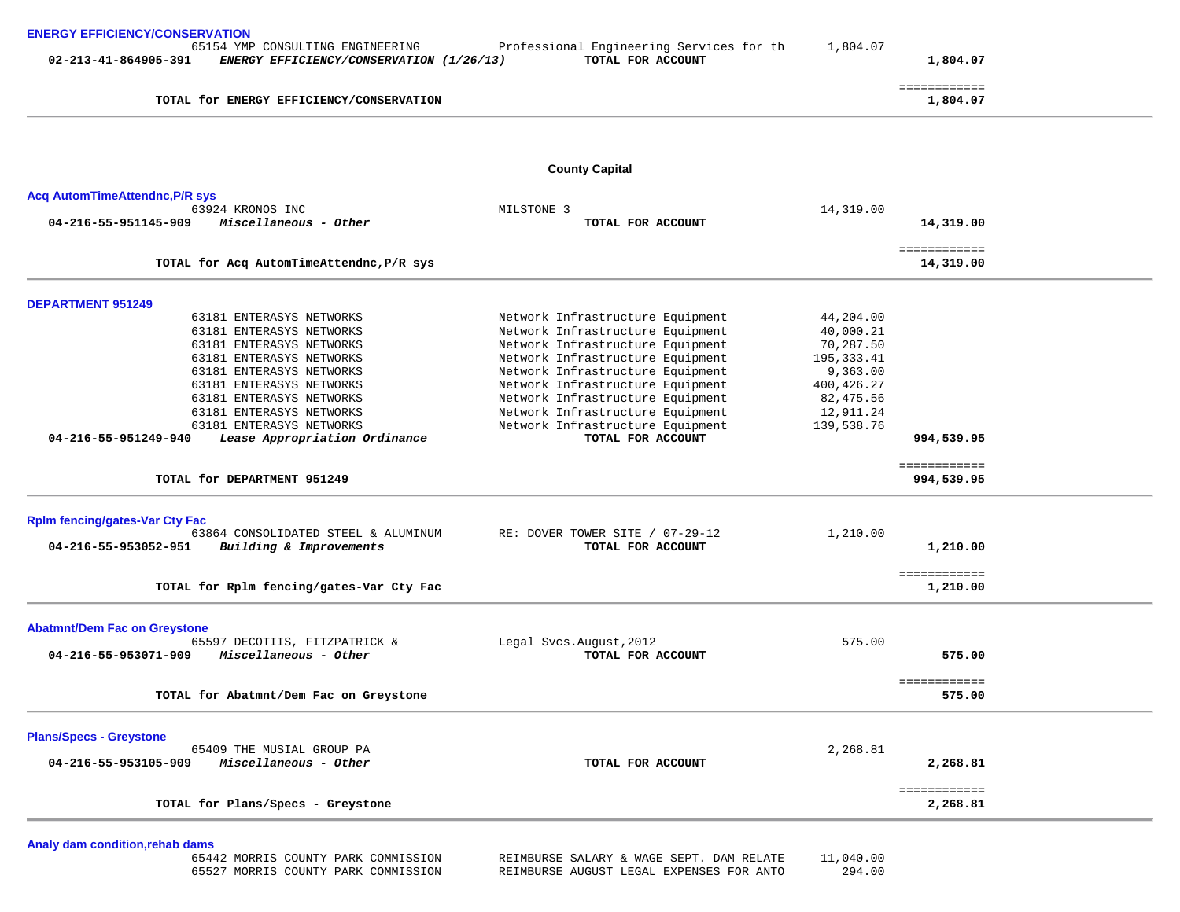| <b>ENERGY EFFICIENCY/CONSERVATION</b><br>65154 YMP CONSULTING ENGINEERING<br>02-213-41-864905-391<br>ENERGY EFFICIENCY/CONSERVATION (1/26/13) | Professional Engineering Services for th<br>TOTAL FOR ACCOUNT | 1,804.07    | 1,804.07                   |  |
|-----------------------------------------------------------------------------------------------------------------------------------------------|---------------------------------------------------------------|-------------|----------------------------|--|
| TOTAL for ENERGY EFFICIENCY/CONSERVATION                                                                                                      |                                                               |             | ============<br>1,804.07   |  |
|                                                                                                                                               |                                                               |             |                            |  |
|                                                                                                                                               | <b>County Capital</b>                                         |             |                            |  |
| <b>Acq AutomTimeAttendnc, P/R sys</b>                                                                                                         |                                                               |             |                            |  |
| 63924 KRONOS INC                                                                                                                              | MILSTONE 3                                                    | 14,319.00   |                            |  |
| 04-216-55-951145-909<br>Miscellaneous - Other                                                                                                 | TOTAL FOR ACCOUNT                                             |             | 14,319.00                  |  |
|                                                                                                                                               |                                                               |             | ============               |  |
| TOTAL for Acq AutomTimeAttendnc, P/R sys                                                                                                      |                                                               |             | 14,319.00                  |  |
| <b>DEPARTMENT 951249</b>                                                                                                                      |                                                               |             |                            |  |
| 63181 ENTERASYS NETWORKS                                                                                                                      | Network Infrastructure Equipment                              | 44,204.00   |                            |  |
| 63181 ENTERASYS NETWORKS                                                                                                                      | Network Infrastructure Equipment                              | 40,000.21   |                            |  |
| 63181 ENTERASYS NETWORKS                                                                                                                      | Network Infrastructure Equipment                              | 70,287.50   |                            |  |
| 63181 ENTERASYS NETWORKS                                                                                                                      | Network Infrastructure Equipment                              | 195,333.41  |                            |  |
| 63181 ENTERASYS NETWORKS                                                                                                                      | Network Infrastructure Equipment                              | 9,363.00    |                            |  |
| 63181 ENTERASYS NETWORKS                                                                                                                      | Network Infrastructure Equipment                              | 400, 426.27 |                            |  |
| 63181 ENTERASYS NETWORKS                                                                                                                      | Network Infrastructure Equipment                              | 82,475.56   |                            |  |
| 63181 ENTERASYS NETWORKS                                                                                                                      | Network Infrastructure Equipment                              | 12,911.24   |                            |  |
| 63181 ENTERASYS NETWORKS                                                                                                                      | Network Infrastructure Equipment                              | 139,538.76  |                            |  |
| 04-216-55-951249-940<br>Lease Appropriation Ordinance                                                                                         | TOTAL FOR ACCOUNT                                             |             | 994,539.95                 |  |
| TOTAL for DEPARTMENT 951249                                                                                                                   |                                                               |             | ============<br>994,539.95 |  |
|                                                                                                                                               |                                                               |             |                            |  |
| <b>Rplm fencing/gates-Var Cty Fac</b>                                                                                                         |                                                               |             |                            |  |
| 63864 CONSOLIDATED STEEL & ALUMINUM                                                                                                           | RE: DOVER TOWER SITE / 07-29-12                               | 1,210.00    |                            |  |
| 04-216-55-953052-951<br>Building & Improvements                                                                                               | TOTAL FOR ACCOUNT                                             |             | 1,210.00                   |  |
|                                                                                                                                               |                                                               |             | ============               |  |
| TOTAL for Rplm fencing/gates-Var Cty Fac                                                                                                      |                                                               |             | 1,210.00                   |  |
|                                                                                                                                               |                                                               |             |                            |  |
| <b>Abatmnt/Dem Fac on Greystone</b>                                                                                                           |                                                               |             |                            |  |
| 65597 DECOTIIS, FITZPATRICK &                                                                                                                 | Legal Svcs. August, 2012                                      | 575.00      |                            |  |
| Miscellaneous - Other<br>04-216-55-953071-909                                                                                                 | TOTAL FOR ACCOUNT                                             |             | 575.00                     |  |
|                                                                                                                                               |                                                               |             | ============               |  |
| TOTAL for Abatmnt/Dem Fac on Greystone                                                                                                        |                                                               |             | 575.00                     |  |
| <b>Plans/Specs - Greystone</b>                                                                                                                |                                                               |             |                            |  |
| 65409 THE MUSIAL GROUP PA                                                                                                                     |                                                               | 2,268.81    |                            |  |
| 04-216-55-953105-909<br>Miscellaneous - Other                                                                                                 | TOTAL FOR ACCOUNT                                             |             | 2,268.81                   |  |
|                                                                                                                                               |                                                               |             | ============               |  |
| TOTAL for Plans/Specs - Greystone                                                                                                             |                                                               |             | 2,268.81                   |  |
|                                                                                                                                               |                                                               |             |                            |  |
| Analy dam condition, rehab dams<br>65442 MORRIS COUNTY PARK COMMISSION                                                                        | REIMBURSE SALARY & WAGE SEPT. DAM RELATE                      | 11,040.00   |                            |  |

65527 MORRIS COUNTY PARK COMMISSION REIMBURSE AUGUST LEGAL EXPENSES FOR ANTO 294.00

REIMBURSE SALARY & WAGE SEPT. DAM RELATE 11,040.00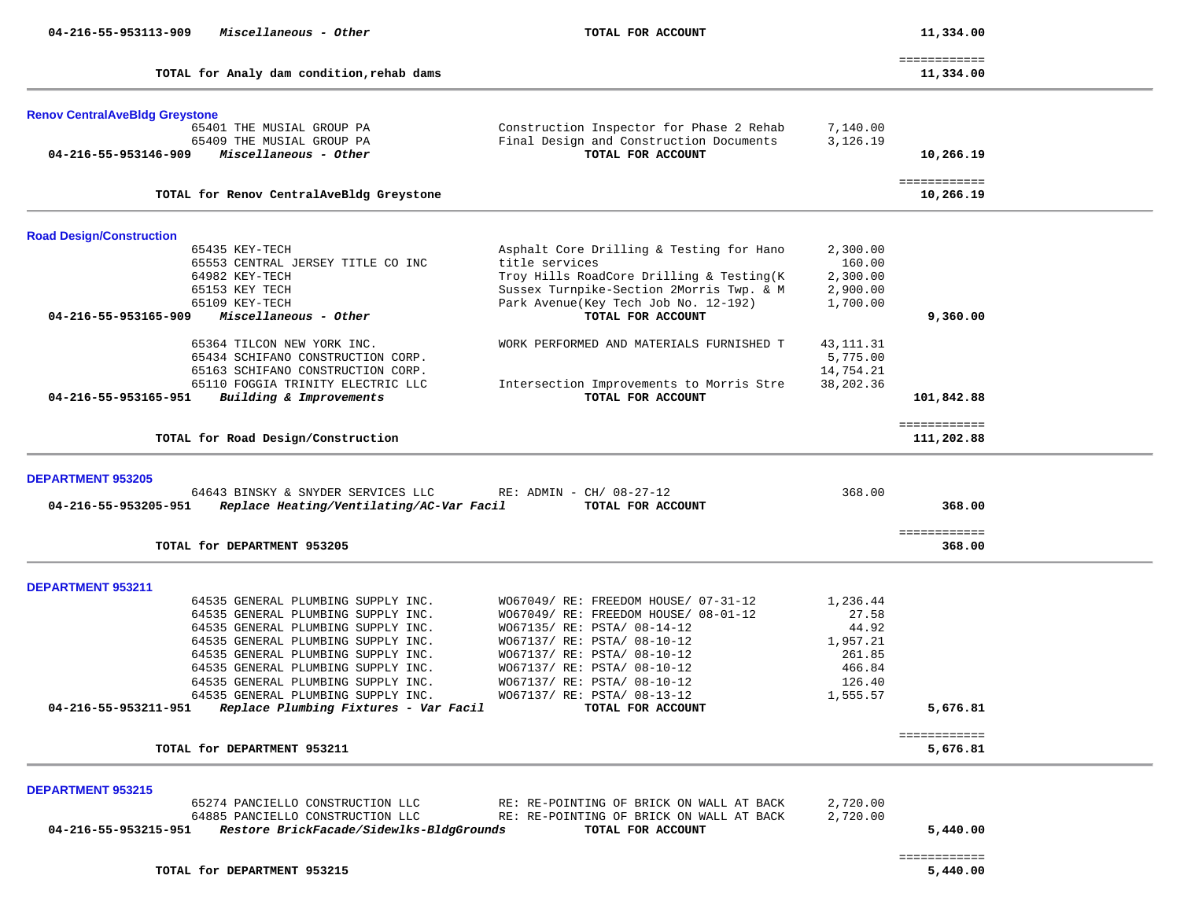|                                                  |                                                                                |                                                            |             | ============               |
|--------------------------------------------------|--------------------------------------------------------------------------------|------------------------------------------------------------|-------------|----------------------------|
|                                                  | TOTAL for Analy dam condition, rehab dams                                      |                                                            |             | 11,334.00                  |
| <b>Renov CentralAveBldg Greystone</b>            |                                                                                |                                                            |             |                            |
|                                                  | 65401 THE MUSIAL GROUP PA                                                      | Construction Inspector for Phase 2 Rehab                   | 7,140.00    |                            |
|                                                  | 65409 THE MUSIAL GROUP PA                                                      | Final Design and Construction Documents                    | 3,126.19    |                            |
| 04-216-55-953146-909                             | Miscellaneous - Other                                                          | TOTAL FOR ACCOUNT                                          |             | 10,266.19                  |
|                                                  | TOTAL for Renov CentralAveBldg Greystone                                       |                                                            |             | ============<br>10,266.19  |
|                                                  |                                                                                |                                                            |             |                            |
| <b>Road Design/Construction</b>                  |                                                                                |                                                            |             |                            |
|                                                  | 65435 KEY-TECH                                                                 | Asphalt Core Drilling & Testing for Hano                   | 2,300.00    |                            |
|                                                  | 65553 CENTRAL JERSEY TITLE CO INC                                              | title services                                             | 160.00      |                            |
|                                                  | 64982 KEY-TECH<br>65153 KEY TECH                                               | Troy Hills RoadCore Drilling & Testing(K)                  | 2,300.00    |                            |
|                                                  | 65109 KEY-TECH                                                                 | Sussex Turnpike-Section 2Morris Twp. & M                   | 2,900.00    |                            |
| 04-216-55-953165-909                             | Miscellaneous - Other                                                          | Park Avenue (Key Tech Job No. 12-192)<br>TOTAL FOR ACCOUNT | 1,700.00    | 9,360.00                   |
|                                                  |                                                                                |                                                            |             |                            |
|                                                  | 65364 TILCON NEW YORK INC.                                                     | WORK PERFORMED AND MATERIALS FURNISHED T                   | 43, 111. 31 |                            |
|                                                  | 65434 SCHIFANO CONSTRUCTION CORP.                                              |                                                            | 5,775.00    |                            |
|                                                  | 65163 SCHIFANO CONSTRUCTION CORP.                                              |                                                            | 14,754.21   |                            |
|                                                  | 65110 FOGGIA TRINITY ELECTRIC LLC                                              | Intersection Improvements to Morris Stre                   | 38,202.36   |                            |
| 04-216-55-953165-951                             | Building & Improvements                                                        | TOTAL FOR ACCOUNT                                          |             | 101,842.88                 |
|                                                  |                                                                                |                                                            |             |                            |
|                                                  | TOTAL for Road Design/Construction                                             |                                                            |             | ============<br>111,202.88 |
| <b>DEPARTMENT 953205</b><br>04-216-55-953205-951 | 64643 BINSKY & SNYDER SERVICES LLC<br>Replace Heating/Ventilating/AC-Var Facil | RE: ADMIN - $CH/$ 08-27-12<br>TOTAL FOR ACCOUNT            | 368.00      | 368.00                     |
|                                                  | TOTAL for DEPARTMENT 953205                                                    |                                                            |             | ============<br>368.00     |
| <b>DEPARTMENT 953211</b>                         |                                                                                |                                                            |             |                            |
|                                                  | 64535 GENERAL PLUMBING SUPPLY INC.                                             | WO67049/ RE: FREEDOM HOUSE/ 07-31-12                       | 1,236.44    |                            |
|                                                  | 64535 GENERAL PLUMBING SUPPLY INC.                                             | WO67049/ RE: FREEDOM HOUSE/ 08-01-12                       | 27.58       |                            |
|                                                  | 64535 GENERAL PLUMBING SUPPLY INC.                                             | WO67135/ RE: PSTA/ 08-14-12                                | 44.92       |                            |
|                                                  | 64535 GENERAL PLUMBING SUPPLY INC.                                             | WO67137/ RE: PSTA/ 08-10-12                                | 1,957.21    |                            |
|                                                  | 64535 GENERAL PLUMBING SUPPLY INC.                                             | W067137/ RE: PSTA/ 08-10-12                                | 261.85      |                            |
|                                                  | 64535 GENERAL PLUMBING SUPPLY INC.                                             | WO67137/ RE: PSTA/ 08-10-12                                | 466.84      |                            |
|                                                  | 64535 GENERAL PLUMBING SUPPLY INC.                                             | WO67137/ RE: PSTA/ 08-10-12                                | 126.40      |                            |
|                                                  | 64535 GENERAL PLUMBING SUPPLY INC.                                             | W067137/ RE: PSTA/ 08-13-12                                | 1,555.57    |                            |
| 04-216-55-953211-951                             | Replace Plumbing Fixtures - Var Facil                                          | TOTAL FOR ACCOUNT                                          |             | 5,676.81                   |
|                                                  |                                                                                |                                                            |             | ============               |
|                                                  | TOTAL for DEPARTMENT 953211                                                    |                                                            |             | 5,676.81                   |
| <b>DEPARTMENT 953215</b>                         |                                                                                |                                                            |             |                            |
|                                                  | 65274 PANCIELLO CONSTRUCTION LLC                                               | RE: RE-POINTING OF BRICK ON WALL AT BACK                   | 2,720.00    |                            |
|                                                  | 64885 PANCIELLO CONSTRUCTION LLC                                               | RE: RE-POINTING OF BRICK ON WALL AT BACK                   | 2,720.00    |                            |
| 04-216-55-953215-951                             | Restore BrickFacade/Sidewlks-BldgGrounds                                       | TOTAL FOR ACCOUNT                                          |             | 5,440.00                   |
|                                                  |                                                                                |                                                            |             |                            |
|                                                  |                                                                                |                                                            |             | ============               |

 $5,440.00$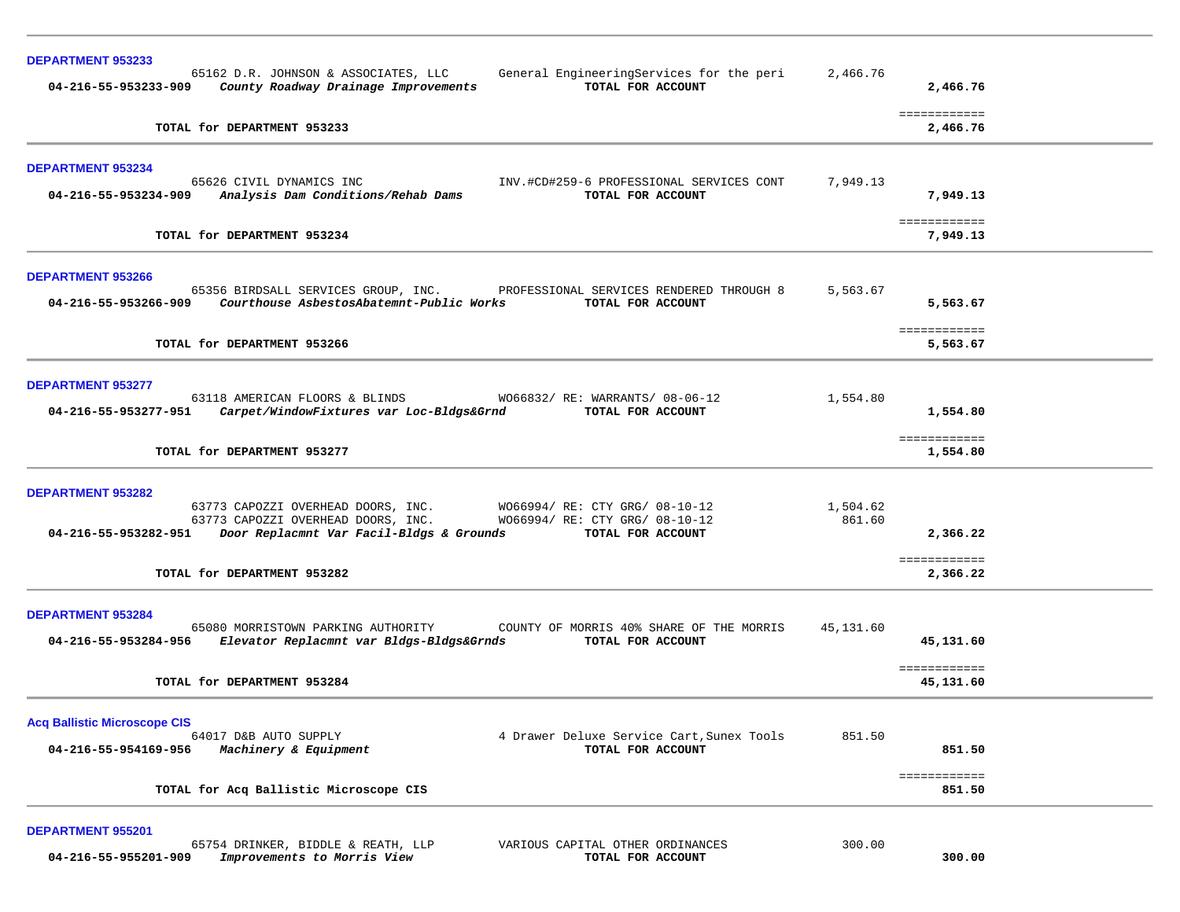| <b>DEPARTMENT 953233</b><br>65162 D.R. JOHNSON & ASSOCIATES, LLC<br>General EngineeringServices for the peri                                                                                                                                                   | 2,466.76           |                           |  |
|----------------------------------------------------------------------------------------------------------------------------------------------------------------------------------------------------------------------------------------------------------------|--------------------|---------------------------|--|
| 04-216-55-953233-909<br>County Roadway Drainage Improvements<br>TOTAL FOR ACCOUNT                                                                                                                                                                              |                    | 2,466.76                  |  |
| TOTAL for DEPARTMENT 953233                                                                                                                                                                                                                                    |                    | ============<br>2,466.76  |  |
| <b>DEPARTMENT 953234</b><br>65626 CIVIL DYNAMICS INC<br>INV.#CD#259-6 PROFESSIONAL SERVICES CONT<br>Analysis Dam Conditions/Rehab Dams<br>04-216-55-953234-909<br>TOTAL FOR ACCOUNT                                                                            | 7,949.13           | 7,949.13                  |  |
| TOTAL for DEPARTMENT 953234                                                                                                                                                                                                                                    |                    | ============<br>7,949.13  |  |
| <b>DEPARTMENT 953266</b><br>65356 BIRDSALL SERVICES GROUP, INC.<br>PROFESSIONAL SERVICES RENDERED THROUGH 8<br>Courthouse AsbestosAbatemnt-Public Works<br>04-216-55-953266-909<br>TOTAL FOR ACCOUNT                                                           | 5,563.67           | 5,563.67                  |  |
| TOTAL for DEPARTMENT 953266                                                                                                                                                                                                                                    |                    | ============<br>5,563.67  |  |
| <b>DEPARTMENT 953277</b><br>63118 AMERICAN FLOORS & BLINDS<br>W066832/ RE: WARRANTS/ 08-06-12<br>Carpet/WindowFixtures var Loc-Bldgs&Grnd<br>TOTAL FOR ACCOUNT<br>04-216-55-953277-951                                                                         | 1,554.80           | 1,554.80<br>============  |  |
| TOTAL for DEPARTMENT 953277                                                                                                                                                                                                                                    |                    | 1,554.80                  |  |
| <b>DEPARTMENT 953282</b><br>63773 CAPOZZI OVERHEAD DOORS, INC.<br>W066994/ RE: CTY GRG/ 08-10-12<br>W066994/ RE: CTY GRG/ 08-10-12<br>63773 CAPOZZI OVERHEAD DOORS, INC.<br>04-216-55-953282-951 Door Replacmnt Var Facil-Bldgs & Grounds<br>TOTAL FOR ACCOUNT | 1,504.62<br>861.60 | 2,366.22                  |  |
| TOTAL for DEPARTMENT 953282                                                                                                                                                                                                                                    |                    | ============<br>2,366.22  |  |
| <b>DEPARTMENT 953284</b><br>65080 MORRISTOWN PARKING AUTHORITY<br>COUNTY OF MORRIS 40% SHARE OF THE MORRIS<br>Elevator Replacmnt var Bldgs-Bldgs&Grnds<br>04-216-55-953284-956<br>TOTAL FOR ACCOUNT                                                            | 45,131.60          | 45,131.60<br>============ |  |
| TOTAL for DEPARTMENT 953284                                                                                                                                                                                                                                    |                    | 45,131.60                 |  |
| <b>Acq Ballistic Microscope CIS</b><br>64017 D&B AUTO SUPPLY<br>4 Drawer Deluxe Service Cart, Sunex Tools<br>04-216-55-954169-956<br>Machinery & Equipment<br>TOTAL FOR ACCOUNT                                                                                | 851.50             | 851.50                    |  |
| TOTAL for Acq Ballistic Microscope CIS                                                                                                                                                                                                                         |                    | ============<br>851.50    |  |
|                                                                                                                                                                                                                                                                |                    |                           |  |

**DEPARTMENT 955201** 

 65754 DRINKER, BIDDLE & REATH, LLP VARIOUS CAPITAL OTHER ORDINANCES 300.00  **04-216-55-955201-909** *Improvements to Morris View* **TOTAL FOR ACCOUNT 300.00**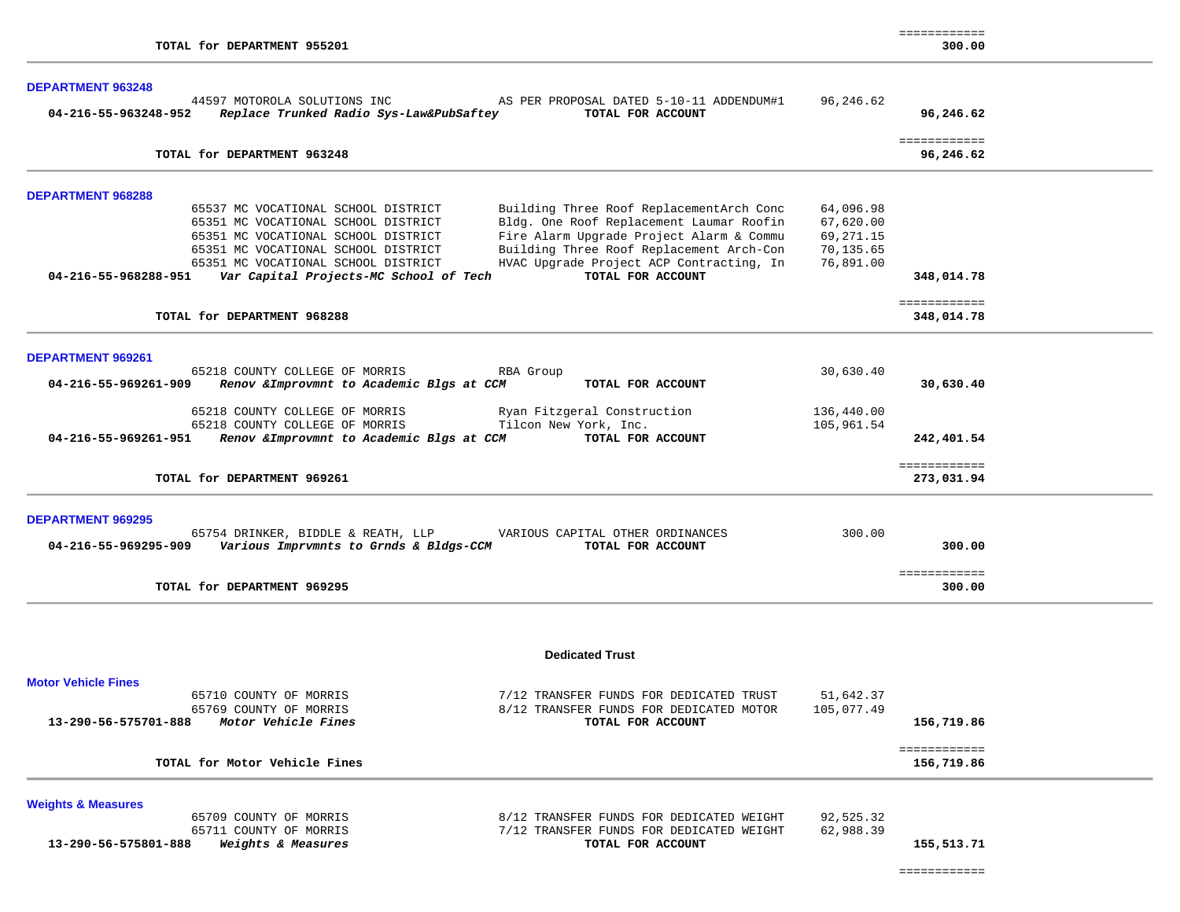| <b>DEPARTMENT 963248</b>                                                                                                                                               |            |                            |  |
|------------------------------------------------------------------------------------------------------------------------------------------------------------------------|------------|----------------------------|--|
| 44597 MOTOROLA SOLUTIONS INC AS PER PROPOSAL DATED 5-10-11 ADDENDUM#1<br>04-216-55-963248-952 Replace Trunked Radio Sys-Law&PubSaftey<br>TOTAL FOR ACCOUNT             | 96,246.62  | 96,246.62                  |  |
| TOTAL for DEPARTMENT 963248                                                                                                                                            |            | ============<br>96,246.62  |  |
| <b>DEPARTMENT 968288</b>                                                                                                                                               |            |                            |  |
| Building Three Roof ReplacementArch Conc<br>65537 MC VOCATIONAL SCHOOL DISTRICT                                                                                        | 64,096.98  |                            |  |
| Bldg. One Roof Replacement Laumar Roofin<br>65351 MC VOCATIONAL SCHOOL DISTRICT                                                                                        | 67,620.00  |                            |  |
| Fire Alarm Upgrade Project Alarm & Commu<br>65351 MC VOCATIONAL SCHOOL DISTRICT                                                                                        | 69,271.15  |                            |  |
| Building Three Roof Replacement Arch-Con<br>65351 MC VOCATIONAL SCHOOL DISTRICT                                                                                        | 70,135.65  |                            |  |
| HVAC Upgrade Project ACP Contracting, In<br>65351 MC VOCATIONAL SCHOOL DISTRICT<br>TOTAL FOR ACCOUNT<br>04-216-55-968288-951<br>Var Capital Projects-MC School of Tech | 76,891.00  | 348,014.78                 |  |
|                                                                                                                                                                        |            | ============               |  |
| TOTAL for DEPARTMENT 968288                                                                                                                                            |            | 348,014.78                 |  |
| <b>DEPARTMENT 969261</b>                                                                                                                                               |            |                            |  |
| 65218 COUNTY COLLEGE OF MORRIS<br>RBA Group                                                                                                                            | 30,630.40  |                            |  |
| 04-216-55-969261-909<br>Renov & Improvmnt to Academic Blgs at CCM<br>TOTAL FOR ACCOUNT                                                                                 |            | 30,630.40                  |  |
| Ryan Fitzgeral Construction<br>65218 COUNTY COLLEGE OF MORRIS                                                                                                          | 136,440.00 |                            |  |
| 65218 COUNTY COLLEGE OF MORRIS<br>Tilcon New York, Inc.                                                                                                                | 105,961.54 |                            |  |
| 04-216-55-969261-951<br>Renov & Improvmnt to Academic Blgs at CCM<br>TOTAL FOR ACCOUNT                                                                                 |            | 242,401.54                 |  |
| TOTAL for DEPARTMENT 969261                                                                                                                                            |            | ============<br>273,031.94 |  |
| <b>DEPARTMENT 969295</b>                                                                                                                                               |            |                            |  |
| 65754 DRINKER, BIDDLE & REATH, LLP<br>VARIOUS CAPITAL OTHER ORDINANCES                                                                                                 | 300.00     |                            |  |
| Various Imprvmnts to Grnds & Bldgs-CCM<br>04-216-55-969295-909<br>TOTAL FOR ACCOUNT                                                                                    |            | 300.00                     |  |
| TOTAL for DEPARTMENT 969295                                                                                                                                            |            | ============<br>300.00     |  |
|                                                                                                                                                                        |            |                            |  |
|                                                                                                                                                                        |            |                            |  |

#### **Dedicated Trust**

| <b>Motor Vehicle Fines</b>                                   |                                                                                    |                         |            |  |
|--------------------------------------------------------------|------------------------------------------------------------------------------------|-------------------------|------------|--|
| 65710 COUNTY OF MORRIS<br>65769 COUNTY OF MORRIS             | 7/12 TRANSFER FUNDS FOR DEDICATED TRUST<br>8/12 TRANSFER FUNDS FOR DEDICATED MOTOR | 51,642.37<br>105,077.49 |            |  |
| Motor Vehicle Fines<br>13-290-56-575701-888                  | TOTAL FOR ACCOUNT                                                                  |                         | 156,719.86 |  |
| TOTAL for Motor Vehicle Fines                                |                                                                                    |                         | 156,719.86 |  |
| <b>Weights &amp; Measures</b>                                |                                                                                    |                         |            |  |
| 65709 COUNTY OF MORRIS                                       | 8/12 TRANSFER FUNDS FOR DEDICATED WEIGHT                                           | 92,525.32               |            |  |
| 65711 COUNTY OF MORRIS                                       | 7/12 TRANSFER FUNDS FOR DEDICATED WEIGHT                                           | 62,988.39               |            |  |
| <i><b>Weights &amp; Measures</b></i><br>13-290-56-575801-888 | TOTAL FOR ACCOUNT                                                                  |                         | 155,513.71 |  |

| - |  |
|---|--|
|   |  |
|   |  |
|   |  |
|   |  |

============